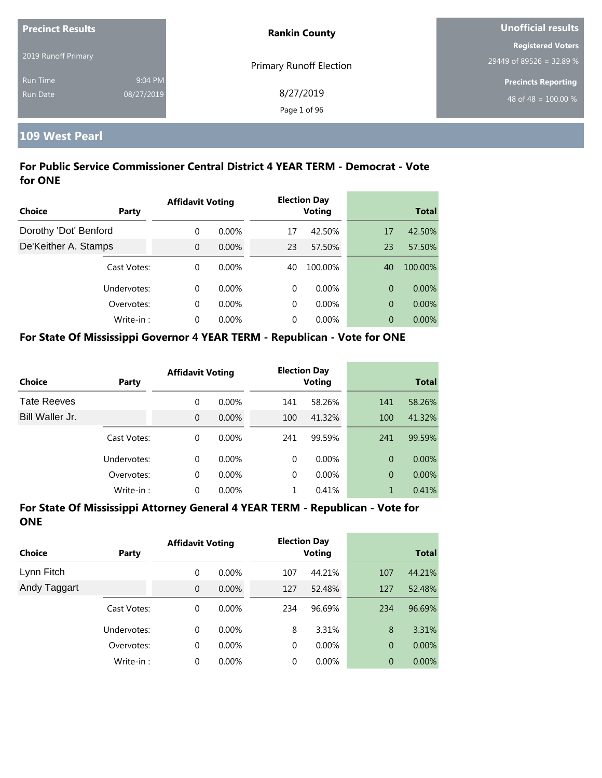| <b>Precinct Results</b> |            | <b>Rankin County</b>           | Unofficial results         |  |
|-------------------------|------------|--------------------------------|----------------------------|--|
|                         |            |                                | <b>Registered Voters</b>   |  |
| 2019 Runoff Primary     |            | <b>Primary Runoff Election</b> | 29449 of 89526 = 32.89 %   |  |
| <b>Run Time</b>         | 9:04 PM    |                                | <b>Precincts Reporting</b> |  |
| <b>Run Date</b>         | 08/27/2019 | 8/27/2019                      | 48 of 48 = $100.00\%$      |  |
|                         |            | Page 1 of 96                   |                            |  |

## **109 West Pearl**

### **For Public Service Commissioner Central District 4 YEAR TERM - Democrat - Vote for ONE**

|                       |             | <b>Affidavit Voting</b> |          |    | <b>Election Day</b> |    |              |
|-----------------------|-------------|-------------------------|----------|----|---------------------|----|--------------|
| <b>Choice</b>         | Party       |                         |          |    | <b>Voting</b>       |    | <b>Total</b> |
| Dorothy 'Dot' Benford |             | 0                       | $0.00\%$ | 17 | 42.50%              | 17 | 42.50%       |
| De'Keither A. Stamps  |             | $\Omega$                | 0.00%    | 23 | 57.50%              | 23 | 57.50%       |
|                       | Cast Votes: | $\Omega$                | $0.00\%$ | 40 | 100.00%             | 40 | 100.00%      |
|                       | Undervotes: | $\Omega$                | $0.00\%$ | 0  | $0.00\%$            | 0  | $0.00\%$     |
|                       | Overvotes:  | $\Omega$                | $0.00\%$ | 0  | $0.00\%$            | 0  | 0.00%        |
|                       | Write-in:   | $\Omega$                | $0.00\%$ | 0  | $0.00\%$            | 0  | $0.00\%$     |

#### **For State Of Mississippi Governor 4 YEAR TERM - Republican - Vote for ONE**

| <b>Choice</b>      | Party       | <b>Affidavit Voting</b> |          |          | <b>Election Day</b><br><b>Voting</b> |                | <b>Total</b> |
|--------------------|-------------|-------------------------|----------|----------|--------------------------------------|----------------|--------------|
| <b>Tate Reeves</b> |             | 0                       | $0.00\%$ | 141      | 58.26%                               | 141            | 58.26%       |
| Bill Waller Jr.    |             | $\overline{0}$          | $0.00\%$ | 100      | 41.32%                               | 100            | 41.32%       |
|                    | Cast Votes: | 0                       | $0.00\%$ | 241      | 99.59%                               | 241            | 99.59%       |
|                    | Undervotes: | 0                       | $0.00\%$ | $\Omega$ | $0.00\%$                             | $\Omega$       | $0.00\%$     |
|                    | Overvotes:  | 0                       | $0.00\%$ | $\Omega$ | $0.00\%$                             | $\overline{0}$ | $0.00\%$     |
|                    | Write-in:   | 0                       | $0.00\%$ |          | 0.41%                                | 1              | 0.41%        |

| Choice       | <b>Party</b> | <b>Affidavit Voting</b> |          |             | <b>Election Day</b><br><b>Voting</b> |                | <b>Total</b> |
|--------------|--------------|-------------------------|----------|-------------|--------------------------------------|----------------|--------------|
| Lynn Fitch   |              | 0                       | $0.00\%$ | 107         | 44.21%                               | 107            | 44.21%       |
| Andy Taggart |              | $\mathbf{0}$            | $0.00\%$ | 127         | 52.48%                               | 127            | 52.48%       |
|              | Cast Votes:  | 0                       | $0.00\%$ | 234         | 96.69%                               | 234            | 96.69%       |
|              | Undervotes:  | $\Omega$                | $0.00\%$ | 8           | 3.31%                                | 8              | 3.31%        |
|              | Overvotes:   | 0                       | $0.00\%$ | $\mathbf 0$ | $0.00\%$                             | $\overline{0}$ | $0.00\%$     |
|              | Write-in:    | 0                       | $0.00\%$ | 0           | $0.00\%$                             | $\overline{0}$ | 0.00%        |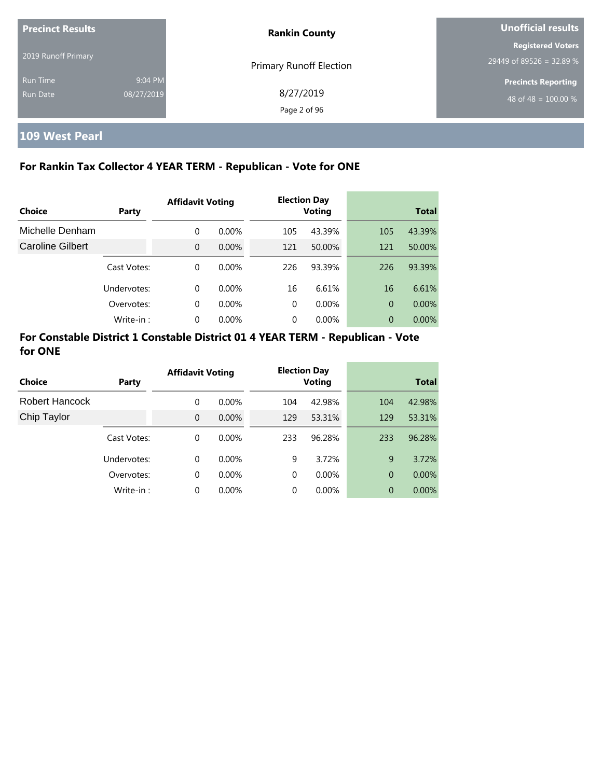| <b>Precinct Results</b><br>2019 Runoff Primary |                       | <b>Rankin County</b>      | Unofficial results                                   |  |
|------------------------------------------------|-----------------------|---------------------------|------------------------------------------------------|--|
|                                                |                       | Primary Runoff Election   | <b>Registered Voters</b><br>29449 of 89526 = 32.89 % |  |
| <b>Run Time</b><br>Run Date                    | 9:04 PM<br>08/27/2019 | 8/27/2019<br>Page 2 of 96 | <b>Precincts Reporting</b><br>48 of 48 = $100.00\%$  |  |

# **109 West Pearl**

## **For Rankin Tax Collector 4 YEAR TERM - Republican - Vote for ONE**

|                  |             | <b>Affidavit Voting</b> |          |          | <b>Election Day</b> |                |              |
|------------------|-------------|-------------------------|----------|----------|---------------------|----------------|--------------|
| Choice           | Party       |                         |          |          | Voting              |                | <b>Total</b> |
| Michelle Denham  |             | 0                       | $0.00\%$ | 105      | 43.39%              | 105            | 43.39%       |
| Caroline Gilbert |             | $\overline{0}$          | $0.00\%$ | 121      | 50.00%              | 121            | 50.00%       |
|                  | Cast Votes: | 0                       | $0.00\%$ | 226      | 93.39%              | 226            | 93.39%       |
|                  | Undervotes: | 0                       | $0.00\%$ | 16       | 6.61%               | 16             | 6.61%        |
|                  | Overvotes:  | 0                       | $0.00\%$ | $\Omega$ | 0.00%               | $\overline{0}$ | 0.00%        |
|                  | Write-in:   | 0                       | 0.00%    | 0        | 0.00%               | 0              | $0.00\%$     |

|                |             | <b>Affidavit Voting</b> |          |          | <b>Election Day</b> |     |              |
|----------------|-------------|-------------------------|----------|----------|---------------------|-----|--------------|
| <b>Choice</b>  | Party       |                         |          |          | <b>Voting</b>       |     | <b>Total</b> |
| Robert Hancock |             | 0                       | $0.00\%$ | 104      | 42.98%              | 104 | 42.98%       |
| Chip Taylor    |             | $\Omega$                | $0.00\%$ | 129      | 53.31%              | 129 | 53.31%       |
|                | Cast Votes: | $\Omega$                | $0.00\%$ | 233      | 96.28%              | 233 | 96.28%       |
|                | Undervotes: | $\Omega$                | $0.00\%$ | 9        | 3.72%               | 9   | 3.72%        |
|                | Overvotes:  | 0                       | $0.00\%$ | $\Omega$ | 0.00%               | 0   | $0.00\%$     |
|                | Write-in:   | 0                       | 0.00%    | $\Omega$ | 0.00%               | 0   | $0.00\%$     |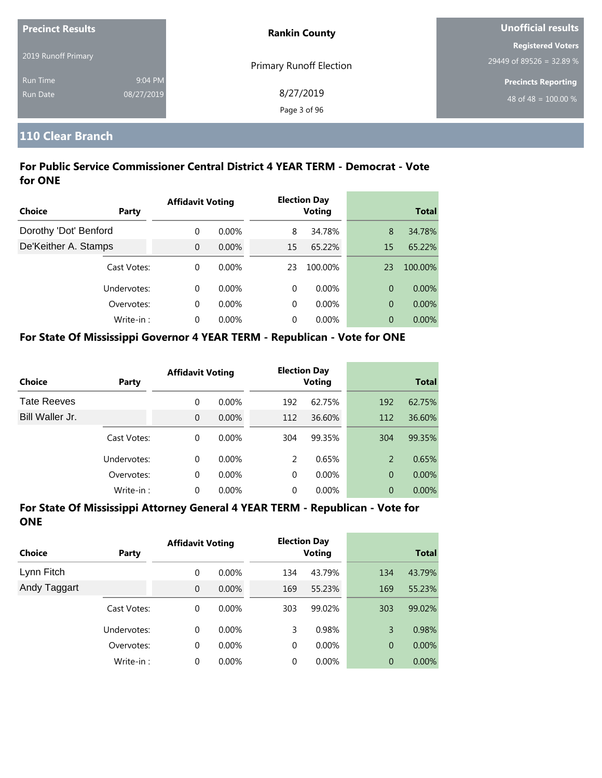| <b>Precinct Results</b> |            | <b>Rankin County</b>           | Unofficial results         |  |
|-------------------------|------------|--------------------------------|----------------------------|--|
|                         |            |                                | <b>Registered Voters</b>   |  |
| 2019 Runoff Primary     |            | <b>Primary Runoff Election</b> | 29449 of 89526 = 32.89 %   |  |
| <b>Run Time</b>         | 9:04 PM    |                                | <b>Precincts Reporting</b> |  |
| <b>Run Date</b>         | 08/27/2019 | 8/27/2019                      | 48 of 48 = $100.00\%$      |  |
|                         |            | Page 3 of 96                   |                            |  |

## **110 Clear Branch**

## **For Public Service Commissioner Central District 4 YEAR TERM - Democrat - Vote for ONE**

|                       |             | <b>Affidavit Voting</b> |          |    | <b>Election Day</b> |    |              |
|-----------------------|-------------|-------------------------|----------|----|---------------------|----|--------------|
| Choice                | Party       |                         |          |    | <b>Voting</b>       |    | <b>Total</b> |
| Dorothy 'Dot' Benford |             | $\Omega$                | $0.00\%$ | 8  | 34.78%              | 8  | 34.78%       |
| De'Keither A. Stamps  |             | $\Omega$                | 0.00%    | 15 | 65.22%              | 15 | 65.22%       |
|                       | Cast Votes: | $\Omega$                | $0.00\%$ | 23 | 100.00%             | 23 | 100.00%      |
|                       | Undervotes: | $\Omega$                | $0.00\%$ | 0  | $0.00\%$            | 0  | $0.00\%$     |
|                       | Overvotes:  | $\Omega$                | $0.00\%$ | 0  | $0.00\%$            | 0  | 0.00%        |
|                       | Write-in:   | $\Omega$                | $0.00\%$ | 0  | $0.00\%$            | 0  | $0.00\%$     |

#### **For State Of Mississippi Governor 4 YEAR TERM - Republican - Vote for ONE**

| <b>Choice</b>      | Party       | <b>Affidavit Voting</b> |          |          | <b>Election Day</b><br><b>Voting</b> |                | <b>Total</b> |
|--------------------|-------------|-------------------------|----------|----------|--------------------------------------|----------------|--------------|
| <b>Tate Reeves</b> |             | 0                       | $0.00\%$ | 192      | 62.75%                               | 192            | 62.75%       |
| Bill Waller Jr.    |             | 0                       | $0.00\%$ | 112      | 36.60%                               | 112            | 36.60%       |
|                    | Cast Votes: | 0                       | $0.00\%$ | 304      | 99.35%                               | 304            | 99.35%       |
|                    | Undervotes: | 0                       | $0.00\%$ | 2        | 0.65%                                | 2              | 0.65%        |
|                    | Overvotes:  | 0                       | $0.00\%$ | $\Omega$ | $0.00\%$                             | $\overline{0}$ | $0.00\%$     |
|                    | Write-in:   | 0                       | $0.00\%$ | 0        | $0.00\%$                             | 0              | 0.00%        |

| Choice       | Party       | <b>Affidavit Voting</b> |          |     | <b>Election Day</b><br><b>Voting</b> |                | <b>Total</b> |
|--------------|-------------|-------------------------|----------|-----|--------------------------------------|----------------|--------------|
| Lynn Fitch   |             | 0                       | $0.00\%$ | 134 | 43.79%                               | 134            | 43.79%       |
| Andy Taggart |             | 0                       | 0.00%    | 169 | 55.23%                               | 169            | 55.23%       |
|              | Cast Votes: | 0                       | $0.00\%$ | 303 | 99.02%                               | 303            | 99.02%       |
|              | Undervotes: | 0                       | $0.00\%$ | 3   | 0.98%                                | 3              | 0.98%        |
|              | Overvotes:  | 0                       | $0.00\%$ | 0   | $0.00\%$                             | $\overline{0}$ | $0.00\%$     |
|              | Write-in:   | 0                       | 0.00%    | 0   | $0.00\%$                             | $\overline{0}$ | $0.00\%$     |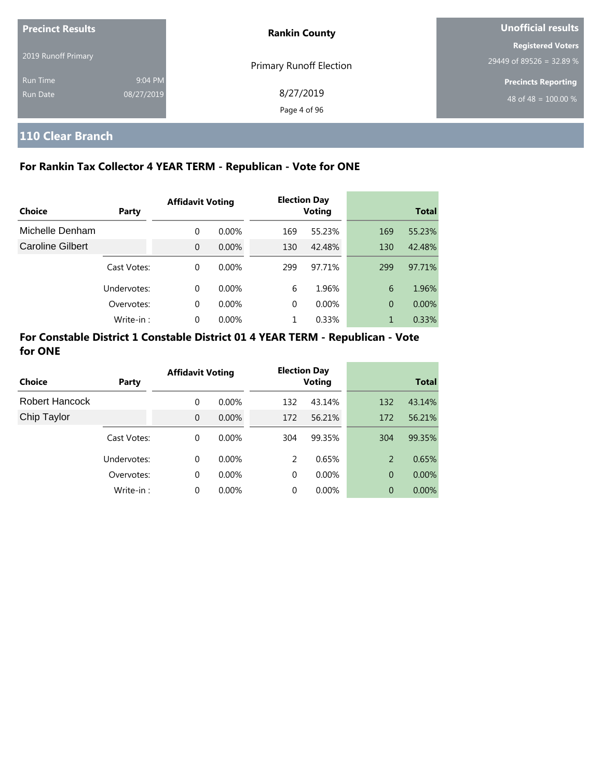| <b>Precinct Results</b> |            | <b>Rankin County</b>           | Unofficial results         |  |
|-------------------------|------------|--------------------------------|----------------------------|--|
| 2019 Runoff Primary     |            |                                | <b>Registered Voters</b>   |  |
|                         |            | <b>Primary Runoff Election</b> | 29449 of 89526 = 32.89 %   |  |
| <b>Run Time</b>         | 9:04 PM    |                                | <b>Precincts Reporting</b> |  |
| Run Date                | 08/27/2019 | 8/27/2019                      | 48 of 48 = $100.00\%$      |  |
|                         |            | Page 4 of 96                   |                            |  |

# **110 Clear Branch**

### **For Rankin Tax Collector 4 YEAR TERM - Republican - Vote for ONE**

|                         |             | <b>Affidavit Voting</b> |          |     | <b>Election Day</b> |              |        |
|-------------------------|-------------|-------------------------|----------|-----|---------------------|--------------|--------|
| Choice                  | Party       |                         |          |     | <b>Voting</b>       | <b>Total</b> |        |
| Michelle Denham         |             | $\Omega$                | $0.00\%$ | 169 | 55.23%              | 169          | 55.23% |
| <b>Caroline Gilbert</b> |             | $\Omega$                | $0.00\%$ | 130 | 42.48%              | 130          | 42.48% |
|                         | Cast Votes: | $\Omega$                | $0.00\%$ | 299 | 97.71%              | 299          | 97.71% |
|                         | Undervotes: | $\Omega$                | $0.00\%$ | 6   | 1.96%               | 6            | 1.96%  |
|                         | Overvotes:  | $\Omega$                | $0.00\%$ | 0   | $0.00\%$            | 0            | 0.00%  |
|                         | Write-in:   | $\Omega$                | 0.00%    |     | 0.33%               | 1            | 0.33%  |

| Choice         | Party       | <b>Affidavit Voting</b> |          |          | <b>Election Day</b><br><b>Voting</b> |                | <b>Total</b> |
|----------------|-------------|-------------------------|----------|----------|--------------------------------------|----------------|--------------|
| Robert Hancock |             | 0                       | $0.00\%$ | 132      | 43.14%                               | 132            | 43.14%       |
| Chip Taylor    |             | $\Omega$                | $0.00\%$ | 172      | 56.21%                               | 172            | 56.21%       |
|                | Cast Votes: | $\Omega$                | $0.00\%$ | 304      | 99.35%                               | 304            | 99.35%       |
|                | Undervotes: | $\Omega$                | $0.00\%$ | 2        | 0.65%                                | 2              | 0.65%        |
|                | Overvotes:  | 0                       | $0.00\%$ | $\Omega$ | $0.00\%$                             | $\overline{0}$ | $0.00\%$     |
|                | Write-in:   | $\Omega$                | 0.00%    | 0        | 0.00%                                | 0              | $0.00\%$     |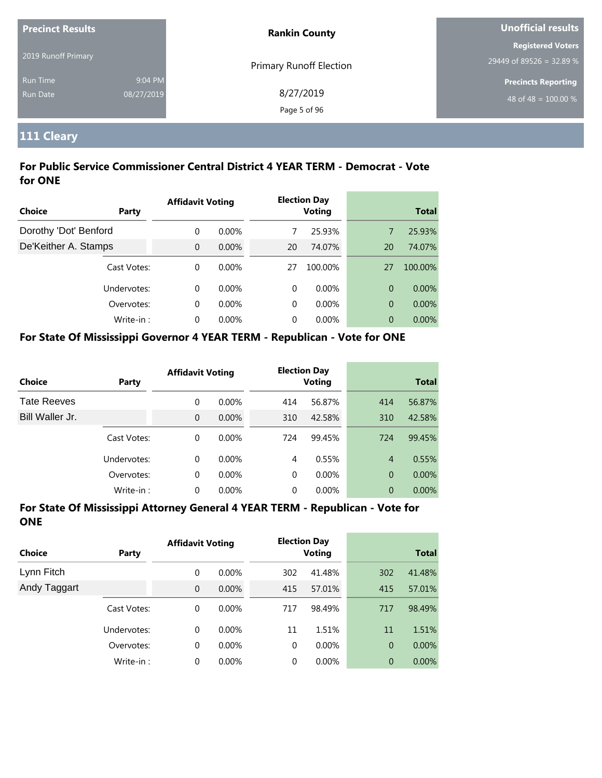| <b>Precinct Results</b> |            | <b>Rankin County</b>           | Unofficial results               |  |
|-------------------------|------------|--------------------------------|----------------------------------|--|
|                         |            |                                | <b>Registered Voters</b>         |  |
| 2019 Runoff Primary     |            | <b>Primary Runoff Election</b> | 29449 of 89526 = 32.89 %         |  |
| Run Time                | 9:04 PM    |                                | <b>Precincts Reporting</b>       |  |
| <b>Run Date</b>         | 08/27/2019 | 8/27/2019                      | 48 of 48 = $\overline{100.00\%}$ |  |
|                         |            | Page 5 of 96                   |                                  |  |

# **111 Cleary**

### **For Public Service Commissioner Central District 4 YEAR TERM - Democrat - Vote for ONE**

|                       |             | <b>Affidavit Voting</b> |          |    | <b>Election Day</b> |    |              |
|-----------------------|-------------|-------------------------|----------|----|---------------------|----|--------------|
| Choice                | Party       |                         |          |    | <b>Voting</b>       |    | <b>Total</b> |
| Dorothy 'Dot' Benford |             | $\Omega$                | $0.00\%$ |    | 25.93%              | 7  | 25.93%       |
| De'Keither A. Stamps  |             | $\overline{0}$          | $0.00\%$ | 20 | 74.07%              | 20 | 74.07%       |
|                       | Cast Votes: | $\Omega$                | $0.00\%$ | 27 | 100.00%             | 27 | 100.00%      |
|                       | Undervotes: | $\Omega$                | $0.00\%$ | 0  | $0.00\%$            | 0  | $0.00\%$     |
|                       | Overvotes:  | $\Omega$                | $0.00\%$ | 0  | $0.00\%$            | 0  | 0.00%        |
|                       | Write-in:   | $\Omega$                | $0.00\%$ | 0  | $0.00\%$            | 0  | $0.00\%$     |

## **For State Of Mississippi Governor 4 YEAR TERM - Republican - Vote for ONE**

| <b>Choice</b>      | Party       | <b>Affidavit Voting</b> |          |          | <b>Election Day</b><br><b>Voting</b> |                | <b>Total</b> |
|--------------------|-------------|-------------------------|----------|----------|--------------------------------------|----------------|--------------|
| <b>Tate Reeves</b> |             | 0                       | $0.00\%$ | 414      | 56.87%                               | 414            | 56.87%       |
| Bill Waller Jr.    |             | $\overline{0}$          | $0.00\%$ | 310      | 42.58%                               | 310            | 42.58%       |
|                    | Cast Votes: | 0                       | $0.00\%$ | 724      | 99.45%                               | 724            | 99.45%       |
|                    | Undervotes: | 0                       | $0.00\%$ | 4        | 0.55%                                | $\overline{4}$ | 0.55%        |
|                    | Overvotes:  | 0                       | $0.00\%$ | $\Omega$ | $0.00\%$                             | $\overline{0}$ | $0.00\%$     |
|                    | Write-in:   | 0                       | $0.00\%$ | 0        | $0.00\%$                             | 0              | 0.00%        |

| <b>Choice</b> | <b>Party</b> | <b>Affidavit Voting</b> |          | <b>Election Day</b><br><b>Voting</b> |          |                | <b>Total</b> |
|---------------|--------------|-------------------------|----------|--------------------------------------|----------|----------------|--------------|
| Lynn Fitch    |              | 0                       | $0.00\%$ | 302                                  | 41.48%   | 302            | 41.48%       |
| Andy Taggart  |              | $\mathbf{0}$            | $0.00\%$ | 415                                  | 57.01%   | 415            | 57.01%       |
|               | Cast Votes:  | 0                       | $0.00\%$ | 717                                  | 98.49%   | 717            | 98.49%       |
|               | Undervotes:  | $\Omega$                | $0.00\%$ | 11                                   | 1.51%    | 11             | 1.51%        |
|               | Overvotes:   | 0                       | $0.00\%$ | $\mathbf 0$                          | $0.00\%$ | $\overline{0}$ | $0.00\%$     |
|               | Write-in:    | 0                       | $0.00\%$ | 0                                    | $0.00\%$ | $\theta$       | 0.00%        |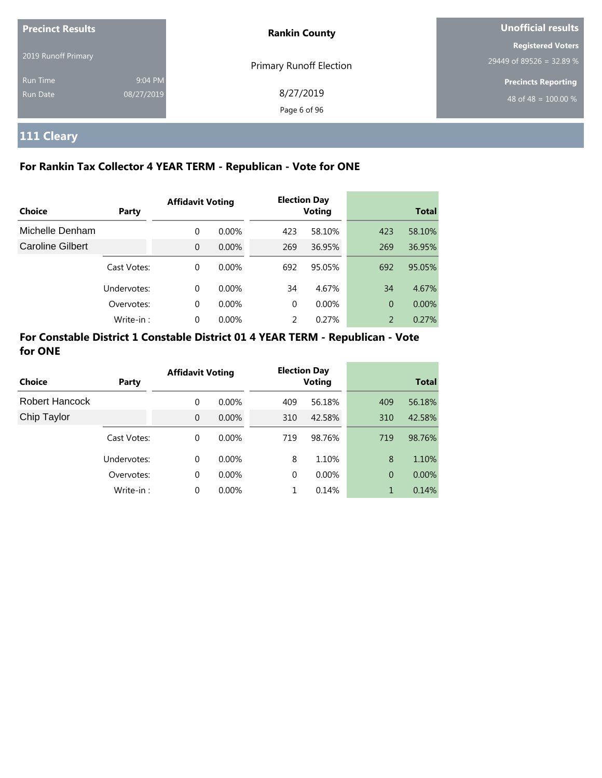| <b>Precinct Results</b> |            | <b>Rankin County</b>           | Unofficial results         |  |
|-------------------------|------------|--------------------------------|----------------------------|--|
|                         |            |                                | <b>Registered Voters</b>   |  |
| 2019 Runoff Primary     |            | <b>Primary Runoff Election</b> | 29449 of 89526 = 32.89 %   |  |
| <b>Run Time</b>         | 9:04 PM    |                                | <b>Precincts Reporting</b> |  |
| Run Date                | 08/27/2019 | 8/27/2019                      | 48 of 48 = $100.00\%$      |  |
|                         |            | Page 6 of 96                   |                            |  |

# **111 Cleary**

## **For Rankin Tax Collector 4 YEAR TERM - Republican - Vote for ONE**

|                  |              | <b>Affidavit Voting</b> |          |          | <b>Election Day</b> |     |              |
|------------------|--------------|-------------------------|----------|----------|---------------------|-----|--------------|
| Choice           | <b>Party</b> |                         |          |          | <b>Voting</b>       |     | <b>Total</b> |
| Michelle Denham  |              | $\Omega$                | $0.00\%$ | 423      | 58.10%              | 423 | 58.10%       |
| Caroline Gilbert |              | $\Omega$                | $0.00\%$ | 269      | 36.95%              | 269 | 36.95%       |
|                  | Cast Votes:  | $\Omega$                | $0.00\%$ | 692      | 95.05%              | 692 | 95.05%       |
|                  | Undervotes:  | $\Omega$                | $0.00\%$ | 34       | 4.67%               | 34  | 4.67%        |
|                  | Overvotes:   | $\Omega$                | $0.00\%$ | $\Omega$ | $0.00\%$            | 0   | 0.00%        |
|                  | Write-in:    | $\Omega$                | $0.00\%$ | 2        | 0.27%               | 2   | 0.27%        |

| Choice         | Party       | <b>Affidavit Voting</b> |          |          | <b>Election Day</b><br><b>Voting</b> |     | <b>Total</b> |
|----------------|-------------|-------------------------|----------|----------|--------------------------------------|-----|--------------|
| Robert Hancock |             | 0                       | $0.00\%$ | 409      | 56.18%                               | 409 | 56.18%       |
| Chip Taylor    |             | $\Omega$                | $0.00\%$ | 310      | 42.58%                               | 310 | 42.58%       |
|                | Cast Votes: | $\Omega$                | $0.00\%$ | 719      | 98.76%                               | 719 | 98.76%       |
|                | Undervotes: | $\Omega$                | $0.00\%$ | 8        | 1.10%                                | 8   | 1.10%        |
|                | Overvotes:  | 0                       | $0.00\%$ | $\Omega$ | $0.00\%$                             | 0   | 0.00%        |
|                | Write-in:   | $\Omega$                | 0.00%    |          | 0.14%                                | 1   | 0.14%        |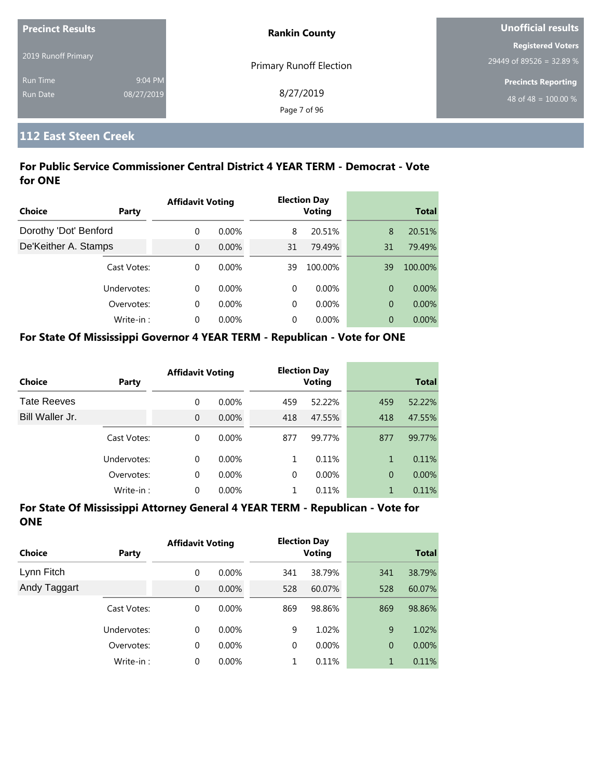| <b>Precinct Results</b> |            | <b>Rankin County</b>           | Unofficial results         |  |
|-------------------------|------------|--------------------------------|----------------------------|--|
|                         |            |                                | <b>Registered Voters</b>   |  |
| 2019 Runoff Primary     |            | <b>Primary Runoff Election</b> | $29449$ of 89526 = 32.89 % |  |
| <b>Run Time</b>         | 9:04 PM    |                                | <b>Precincts Reporting</b> |  |
| Run Date                | 08/27/2019 | 8/27/2019                      | 48 of 48 = $100.00\%$      |  |
|                         |            | Page 7 of 96                   |                            |  |

# **112 East Steen Creek**

## **For Public Service Commissioner Central District 4 YEAR TERM - Democrat - Vote for ONE**

|                       |             | <b>Affidavit Voting</b> |          |    | <b>Election Day</b> |    |              |
|-----------------------|-------------|-------------------------|----------|----|---------------------|----|--------------|
| <b>Choice</b>         | Party       |                         |          |    | <b>Voting</b>       |    | <b>Total</b> |
| Dorothy 'Dot' Benford |             | $\Omega$                | $0.00\%$ | 8  | 20.51%              | 8  | 20.51%       |
| De'Keither A. Stamps  |             | $\Omega$                | $0.00\%$ | 31 | 79.49%              | 31 | 79.49%       |
|                       | Cast Votes: | $\Omega$                | $0.00\%$ | 39 | 100.00%             | 39 | 100.00%      |
|                       | Undervotes: | $\Omega$                | $0.00\%$ | 0  | $0.00\%$            | 0  | $0.00\%$     |
|                       | Overvotes:  | $\Omega$                | $0.00\%$ | 0  | $0.00\%$            | 0  | 0.00%        |
|                       | Write-in:   | $\Omega$                | $0.00\%$ | 0  | $0.00\%$            | 0  | $0.00\%$     |

#### **For State Of Mississippi Governor 4 YEAR TERM - Republican - Vote for ONE**

| <b>Choice</b>      | Party       | <b>Affidavit Voting</b> |          |          | <b>Election Day</b><br><b>Voting</b> |                | <b>Total</b> |
|--------------------|-------------|-------------------------|----------|----------|--------------------------------------|----------------|--------------|
| <b>Tate Reeves</b> |             | 0                       | $0.00\%$ | 459      | 52.22%                               | 459            | 52.22%       |
| Bill Waller Jr.    |             | $\overline{0}$          | $0.00\%$ | 418      | 47.55%                               | 418            | 47.55%       |
|                    | Cast Votes: | 0                       | $0.00\%$ | 877      | 99.77%                               | 877            | 99.77%       |
|                    | Undervotes: | 0                       | $0.00\%$ | 1        | 0.11%                                | 1              | 0.11%        |
|                    | Overvotes:  | 0                       | $0.00\%$ | $\Omega$ | $0.00\%$                             | $\overline{0}$ | $0.00\%$     |
|                    | Write-in:   | 0                       | $0.00\%$ |          | 0.11%                                | 1              | 0.11%        |

| Choice       | Party       | <b>Affidavit Voting</b> |          |     | <b>Election Day</b><br><b>Voting</b> |                | <b>Total</b> |
|--------------|-------------|-------------------------|----------|-----|--------------------------------------|----------------|--------------|
| Lynn Fitch   |             | 0                       | $0.00\%$ | 341 | 38.79%                               | 341            | 38.79%       |
| Andy Taggart |             | $\overline{0}$          | $0.00\%$ | 528 | 60.07%                               | 528            | 60.07%       |
|              | Cast Votes: | 0                       | $0.00\%$ | 869 | 98.86%                               | 869            | 98.86%       |
|              | Undervotes: | $\Omega$                | $0.00\%$ | 9   | 1.02%                                | 9              | 1.02%        |
|              | Overvotes:  | $\mathbf 0$             | 0.00%    | 0   | $0.00\%$                             | $\overline{0}$ | $0.00\%$     |
|              | Write-in:   | 0                       | 0.00%    |     | 0.11%                                | 1              | 0.11%        |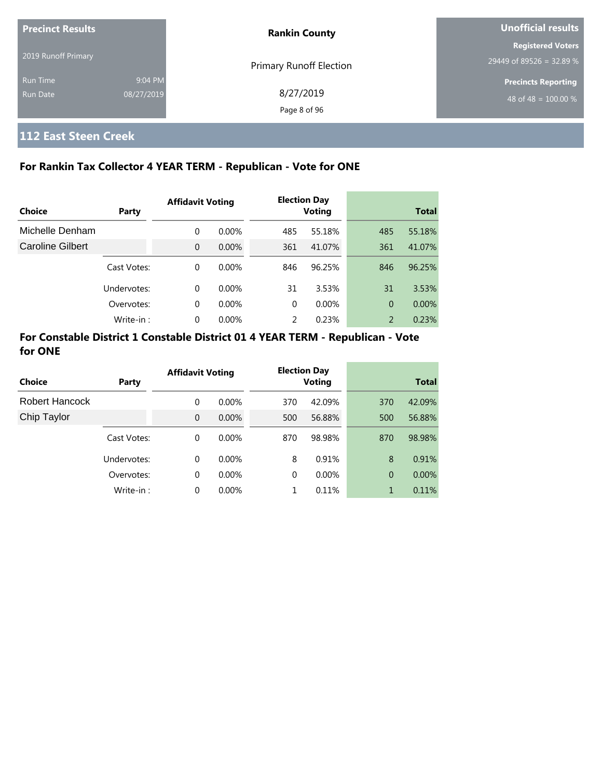| <b>Precinct Results</b><br>2019 Runoff Primary |                       | <b>Rankin County</b>           | Unofficial results                                             |  |
|------------------------------------------------|-----------------------|--------------------------------|----------------------------------------------------------------|--|
|                                                |                       | <b>Primary Runoff Election</b> | <b>Registered Voters</b><br>29449 of 89526 = 32.89 %           |  |
| <b>Run Time</b><br>Run Date                    | 9:04 PM<br>08/27/2019 | 8/27/2019<br>Page 8 of 96      | <b>Precincts Reporting</b><br>48 of 48 = $\overline{100.00\%}$ |  |

# **112 East Steen Creek**

### **For Rankin Tax Collector 4 YEAR TERM - Republican - Vote for ONE**

|                         |             | <b>Affidavit Voting</b> |          |          | <b>Election Day</b> |                |              |
|-------------------------|-------------|-------------------------|----------|----------|---------------------|----------------|--------------|
| Choice                  | Party       |                         |          |          | <b>Voting</b>       |                | <b>Total</b> |
| Michelle Denham         |             | 0                       | $0.00\%$ | 485      | 55.18%              | 485            | 55.18%       |
| <b>Caroline Gilbert</b> |             | $\Omega$                | $0.00\%$ | 361      | 41.07%              | 361            | 41.07%       |
|                         | Cast Votes: | $\Omega$                | $0.00\%$ | 846      | 96.25%              | 846            | 96.25%       |
|                         | Undervotes: | $\Omega$                | $0.00\%$ | 31       | 3.53%               | 31             | 3.53%        |
|                         | Overvotes:  | 0                       | $0.00\%$ | $\Omega$ | 0.00%               | $\overline{0}$ | 0.00%        |
|                         | Write-in:   | 0                       | 0.00%    |          | 0.23%               | 2              | 0.23%        |

| Choice                | Party       | <b>Affidavit Voting</b> |          |          | <b>Election Day</b><br><b>Voting</b> |                | <b>Total</b> |
|-----------------------|-------------|-------------------------|----------|----------|--------------------------------------|----------------|--------------|
| <b>Robert Hancock</b> |             | 0                       | $0.00\%$ | 370      | 42.09%                               | 370            | 42.09%       |
| Chip Taylor           |             | $\Omega$                | $0.00\%$ | 500      | 56.88%                               | 500            | 56.88%       |
|                       |             |                         |          |          |                                      |                |              |
|                       | Cast Votes: | 0                       | $0.00\%$ | 870      | 98.98%                               | 870            | 98.98%       |
|                       | Undervotes: | 0                       | $0.00\%$ | 8        | 0.91%                                | 8              | 0.91%        |
|                       | Overvotes:  | 0                       | $0.00\%$ | $\Omega$ | 0.00%                                | $\overline{0}$ | $0.00\%$     |
|                       | Write-in:   | 0                       | 0.00%    |          | 0.11%                                |                | 0.11%        |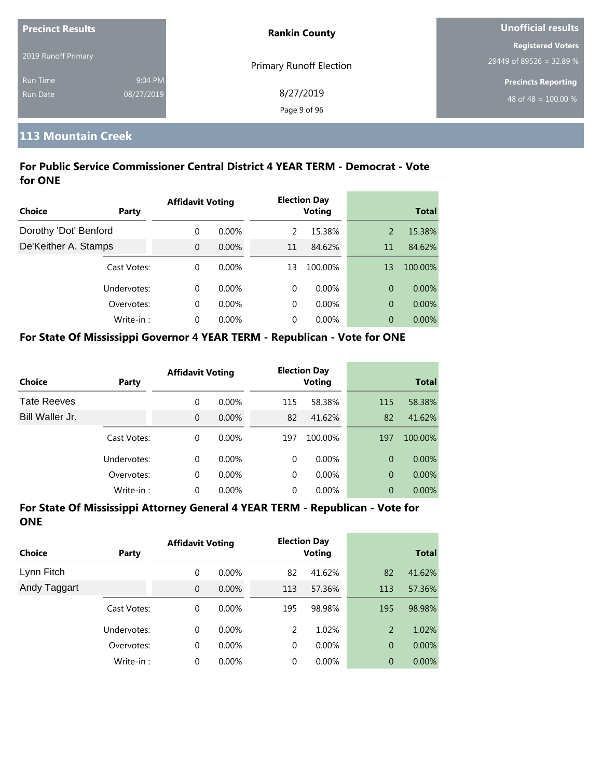| <b>Precinct Results</b> |            | <b>Rankin County</b>           | Unofficial results         |  |
|-------------------------|------------|--------------------------------|----------------------------|--|
|                         |            |                                | <b>Registered Voters</b>   |  |
| 2019 Runoff Primary     |            | <b>Primary Runoff Election</b> | $29449$ of 89526 = 32.89 % |  |
| <b>Run Time</b>         | 9:04 PM    |                                | <b>Precincts Reporting</b> |  |
| Run Date                | 08/27/2019 | 8/27/2019                      | 48 of 48 = $100.00\%$      |  |
|                         |            | Page 9 of 96                   |                            |  |

# **113 Mountain Creek**

## **For Public Service Commissioner Central District 4 YEAR TERM - Democrat - Vote for ONE**

|                       |             | <b>Affidavit Voting</b> |          |    | <b>Election Day</b> |                |              |
|-----------------------|-------------|-------------------------|----------|----|---------------------|----------------|--------------|
| <b>Choice</b>         | Party       |                         |          |    | <b>Voting</b>       |                | <b>Total</b> |
| Dorothy 'Dot' Benford |             | $\Omega$                | $0.00\%$ | 2  | 15.38%              | 2              | 15.38%       |
| De'Keither A. Stamps  |             | $\overline{0}$          | $0.00\%$ | 11 | 84.62%              | 11             | 84.62%       |
|                       | Cast Votes: | $\Omega$                | $0.00\%$ | 13 | 100.00%             | 13             | 100.00%      |
|                       | Undervotes: | $\Omega$                | $0.00\%$ | 0  | $0.00\%$            | $\overline{0}$ | $0.00\%$     |
|                       | Overvotes:  | $\Omega$                | $0.00\%$ | 0  | $0.00\%$            | $\overline{0}$ | 0.00%        |
|                       | Write-in:   | $\Omega$                | $0.00\%$ | 0  | 0.00%               | $\overline{0}$ | $0.00\%$     |

#### **For State Of Mississippi Governor 4 YEAR TERM - Republican - Vote for ONE**

| <b>Choice</b>      | Party       | <b>Affidavit Voting</b> |          |          | <b>Election Day</b><br><b>Voting</b> |                | <b>Total</b> |
|--------------------|-------------|-------------------------|----------|----------|--------------------------------------|----------------|--------------|
| <b>Tate Reeves</b> |             | 0                       | $0.00\%$ | 115      | 58.38%                               | 115            | 58.38%       |
| Bill Waller Jr.    |             | 0                       | $0.00\%$ | 82       | 41.62%                               | 82             | 41.62%       |
|                    | Cast Votes: | 0                       | $0.00\%$ | 197      | 100.00%                              | 197            | 100.00%      |
|                    | Undervotes: | 0                       | $0.00\%$ | $\Omega$ | $0.00\%$                             | $\Omega$       | $0.00\%$     |
|                    | Overvotes:  | 0                       | $0.00\%$ | $\Omega$ | $0.00\%$                             | $\overline{0}$ | $0.00\%$     |
|                    | Write-in:   | 0                       | $0.00\%$ | 0        | $0.00\%$                             | 0              | 0.00%        |

| <b>Choice</b> | Party       | <b>Affidavit Voting</b> |          |          | <b>Election Day</b><br><b>Voting</b> |                | <b>Total</b> |
|---------------|-------------|-------------------------|----------|----------|--------------------------------------|----------------|--------------|
| Lynn Fitch    |             | 0                       | $0.00\%$ | 82       | 41.62%                               | 82             | 41.62%       |
| Andy Taggart  |             | $\overline{0}$          | $0.00\%$ | 113      | 57.36%                               | 113            | 57.36%       |
|               | Cast Votes: | 0                       | $0.00\%$ | 195      | 98.98%                               | 195            | 98.98%       |
|               | Undervotes: | 0                       | $0.00\%$ | 2        | 1.02%                                | 2              | 1.02%        |
|               | Overvotes:  | 0                       | $0.00\%$ | 0        | $0.00\%$                             | $\overline{0}$ | $0.00\%$     |
|               | Write-in:   | $\Omega$                | $0.00\%$ | $\Omega$ | $0.00\%$                             | 0              | 0.00%        |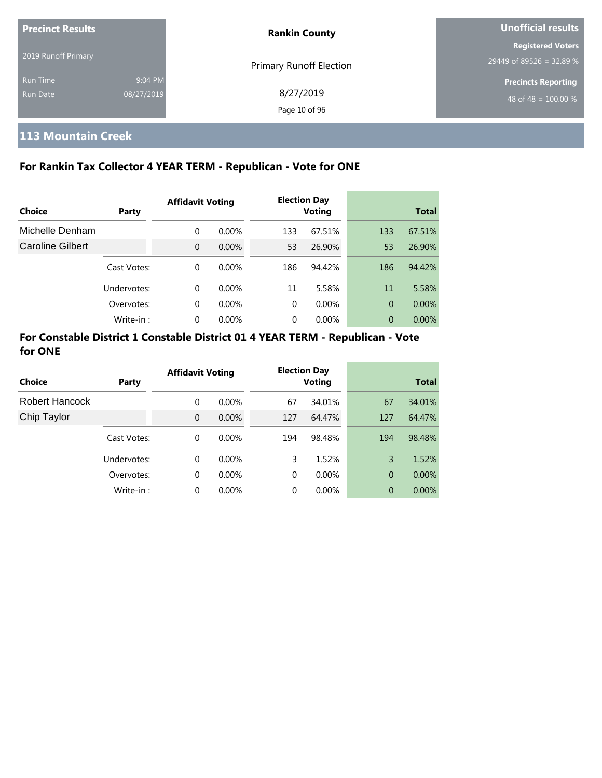| <b>Precinct Results</b><br>2019 Runoff Primary |                       | <b>Rankin County</b>           | Unofficial results                                   |  |
|------------------------------------------------|-----------------------|--------------------------------|------------------------------------------------------|--|
|                                                |                       | <b>Primary Runoff Election</b> | <b>Registered Voters</b><br>29449 of 89526 = 32.89 % |  |
| <b>Run Time</b><br>Run Date                    | 9:04 PM<br>08/27/2019 | 8/27/2019<br>Page 10 of 96     | <b>Precincts Reporting</b><br>48 of 48 = $100.00\%$  |  |

# **113 Mountain Creek**

## **For Rankin Tax Collector 4 YEAR TERM - Republican - Vote for ONE**

|                  |             | <b>Affidavit Voting</b> |          |          | <b>Election Day</b> |     |              |
|------------------|-------------|-------------------------|----------|----------|---------------------|-----|--------------|
| Choice           | Party       |                         |          |          | <b>Voting</b>       |     | <b>Total</b> |
| Michelle Denham  |             | $\Omega$                | $0.00\%$ | 133      | 67.51%              | 133 | 67.51%       |
| Caroline Gilbert |             | $\Omega$                | $0.00\%$ | 53       | 26.90%              | 53  | 26.90%       |
|                  | Cast Votes: | $\Omega$                | $0.00\%$ | 186      | 94.42%              | 186 | 94.42%       |
|                  | Undervotes: | $\Omega$                | $0.00\%$ | 11       | 5.58%               | 11  | 5.58%        |
|                  | Overvotes:  | $\Omega$                | $0.00\%$ | $\Omega$ | $0.00\%$            | 0   | 0.00%        |
|                  | Write-in:   | $\Omega$                | 0.00%    | 0        | 0.00%               | 0   | 0.00%        |

| <b>Choice</b>         | Party       | <b>Affidavit Voting</b> |          |          | <b>Election Day</b><br><b>Voting</b> |     | <b>Total</b> |
|-----------------------|-------------|-------------------------|----------|----------|--------------------------------------|-----|--------------|
| <b>Robert Hancock</b> |             | 0                       | $0.00\%$ | 67       | 34.01%                               | 67  | 34.01%       |
| Chip Taylor           |             | $\Omega$                | $0.00\%$ | 127      | 64.47%                               | 127 | 64.47%       |
|                       | Cast Votes: | $\Omega$                | $0.00\%$ | 194      | 98.48%                               | 194 | 98.48%       |
|                       | Undervotes: | $\Omega$                | $0.00\%$ | 3        | 1.52%                                | 3   | 1.52%        |
|                       | Overvotes:  | 0                       | $0.00\%$ | $\Omega$ | $0.00\%$                             | 0   | $0.00\%$     |
|                       | Write-in:   | $\Omega$                | 0.00%    | 0        | 0.00%                                | 0   | $0.00\%$     |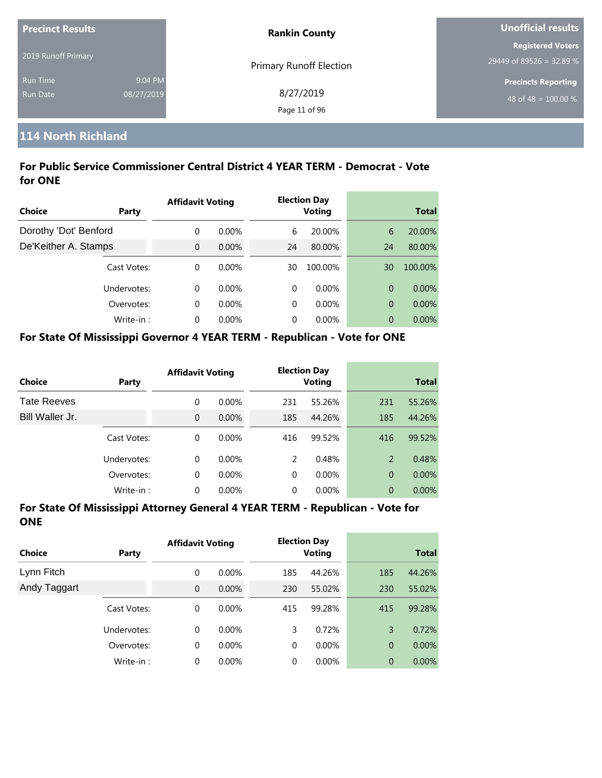| <b>Precinct Results</b> |            | <b>Rankin County</b>           | Unofficial results         |
|-------------------------|------------|--------------------------------|----------------------------|
|                         |            |                                | <b>Registered Voters</b>   |
| 2019 Runoff Primary     |            | <b>Primary Runoff Election</b> | 29449 of 89526 = 32.89 %   |
| <b>Run Time</b>         | 9:04 PM    |                                | <b>Precincts Reporting</b> |
| Run Date                | 08/27/2019 | 8/27/2019                      | 48 of 48 = $100.00\%$      |
|                         |            | Page 11 of 96                  |                            |

# **114 North Richland**

### **For Public Service Commissioner Central District 4 YEAR TERM - Democrat - Vote for ONE**

| Choice<br>Party       |             | <b>Affidavit Voting</b> |          |    | <b>Election Day</b><br><b>Voting</b> | <b>Total</b>   |          |
|-----------------------|-------------|-------------------------|----------|----|--------------------------------------|----------------|----------|
|                       |             |                         |          |    |                                      |                |          |
| Dorothy 'Dot' Benford |             | 0                       | $0.00\%$ | 6  | 20.00%                               | 6              | 20.00%   |
| De'Keither A. Stamps  |             | $\Omega$                | $0.00\%$ | 24 | 80.00%                               | 24             | 80.00%   |
|                       | Cast Votes: | $\Omega$                | $0.00\%$ | 30 | 100.00%                              | 30             | 100.00%  |
|                       | Undervotes: | $\Omega$                | $0.00\%$ | 0  | $0.00\%$                             | $\overline{0}$ | $0.00\%$ |
|                       | Overvotes:  | $\Omega$                | $0.00\%$ | 0  | $0.00\%$                             | $\overline{0}$ | $0.00\%$ |
|                       | Write-in:   | $\Omega$                | $0.00\%$ | 0  | $0.00\%$                             | 0              | $0.00\%$ |

#### **For State Of Mississippi Governor 4 YEAR TERM - Republican - Vote for ONE**

| <b>Choice</b>      | Party       | <b>Affidavit Voting</b> |          |               | <b>Election Day</b><br><b>Voting</b> |                | <b>Total</b> |
|--------------------|-------------|-------------------------|----------|---------------|--------------------------------------|----------------|--------------|
| <b>Tate Reeves</b> |             | 0                       | $0.00\%$ | 231           | 55.26%                               | 231            | 55.26%       |
| Bill Waller Jr.    |             | 0                       | $0.00\%$ | 185           | 44.26%                               | 185            | 44.26%       |
|                    | Cast Votes: | 0                       | $0.00\%$ | 416           | 99.52%                               | 416            | 99.52%       |
|                    | Undervotes: | 0                       | $0.00\%$ | $\mathcal{P}$ | 0.48%                                | $\overline{2}$ | 0.48%        |
|                    | Overvotes:  | 0                       | $0.00\%$ | $\Omega$      | $0.00\%$                             | $\overline{0}$ | $0.00\%$     |
|                    | Write-in:   | 0                       | $0.00\%$ | 0             | $0.00\%$                             | 0              | 0.00%        |

| <b>Choice</b> | Party       | <b>Affidavit Voting</b> |          |          | <b>Election Day</b><br><b>Voting</b> |                | <b>Total</b> |  |
|---------------|-------------|-------------------------|----------|----------|--------------------------------------|----------------|--------------|--|
| Lynn Fitch    |             | 0                       | $0.00\%$ | 185      | 44.26%                               | 185            | 44.26%       |  |
| Andy Taggart  |             | $\overline{0}$          | 0.00%    | 230      | 55.02%                               | 230            | 55.02%       |  |
|               | Cast Votes: | 0                       | $0.00\%$ | 415      | 99.28%                               | 415            | 99.28%       |  |
|               | Undervotes: | 0                       | $0.00\%$ | 3        | 0.72%                                | 3              | 0.72%        |  |
|               | Overvotes:  | 0                       | $0.00\%$ | $\Omega$ | $0.00\%$                             | $\overline{0}$ | $0.00\%$     |  |
|               | Write-in:   | $\Omega$                | $0.00\%$ | $\Omega$ | $0.00\%$                             | 0              | 0.00%        |  |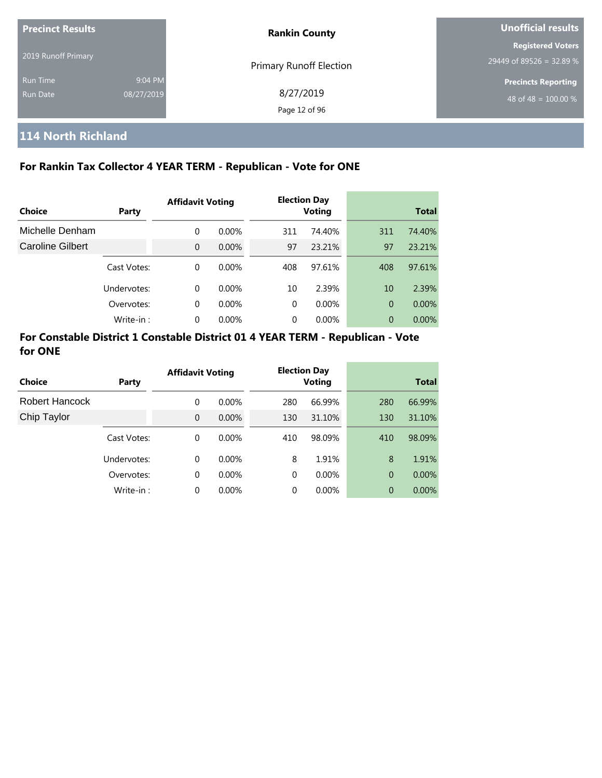| <b>Precinct Results</b><br>2019 Runoff Primary |                       | <b>Rankin County</b>           | Unofficial results                                   |  |  |
|------------------------------------------------|-----------------------|--------------------------------|------------------------------------------------------|--|--|
|                                                |                       | <b>Primary Runoff Election</b> | <b>Registered Voters</b><br>29449 of 89526 = 32.89 % |  |  |
| <b>Run Time</b><br><b>Run Date</b>             | 9:04 PM<br>08/27/2019 | 8/27/2019<br>Page 12 of 96     | <b>Precincts Reporting</b><br>48 of 48 = $100.00\%$  |  |  |

# **114 North Richland**

## **For Rankin Tax Collector 4 YEAR TERM - Republican - Vote for ONE**

|                         |             | <b>Affidavit Voting</b> |          |     | <b>Election Day</b> |                |              |
|-------------------------|-------------|-------------------------|----------|-----|---------------------|----------------|--------------|
| Choice                  | Party       |                         |          |     | <b>Voting</b>       |                | <b>Total</b> |
| Michelle Denham         |             | $\Omega$                | $0.00\%$ | 311 | 74.40%              | 311            | 74.40%       |
| <b>Caroline Gilbert</b> |             | $\Omega$                | $0.00\%$ | 97  | 23.21%              | 97             | 23.21%       |
|                         | Cast Votes: | $\Omega$                | $0.00\%$ | 408 | 97.61%              | 408            | 97.61%       |
|                         | Undervotes: | $\Omega$                | $0.00\%$ | 10  | 2.39%               | 10             | 2.39%        |
|                         | Overvotes:  | $\Omega$                | $0.00\%$ | 0   | $0.00\%$            | $\overline{0}$ | $0.00\%$     |
|                         | Write-in:   | $\Omega$                | 0.00%    | 0   | 0.00%               | 0              | $0.00\%$     |

| Choice                |             | <b>Affidavit Voting</b> |          |     | <b>Election Day</b> |                | <b>Total</b> |
|-----------------------|-------------|-------------------------|----------|-----|---------------------|----------------|--------------|
|                       | Party       |                         |          |     | <b>Voting</b>       |                |              |
| <b>Robert Hancock</b> |             | 0                       | $0.00\%$ | 280 | 66.99%              | 280            | 66.99%       |
| Chip Taylor           |             | $\Omega$                | $0.00\%$ | 130 | 31.10%              | 130            | 31.10%       |
|                       | Cast Votes: | 0                       | $0.00\%$ | 410 | 98.09%              | 410            | 98.09%       |
|                       | Undervotes: | 0                       | $0.00\%$ | 8   | 1.91%               | 8              | 1.91%        |
|                       | Overvotes:  | 0                       | $0.00\%$ | 0   | 0.00%               | $\overline{0}$ | 0.00%        |
|                       | Write-in:   | 0                       | 0.00%    | 0   | 0.00%               | 0              | $0.00\%$     |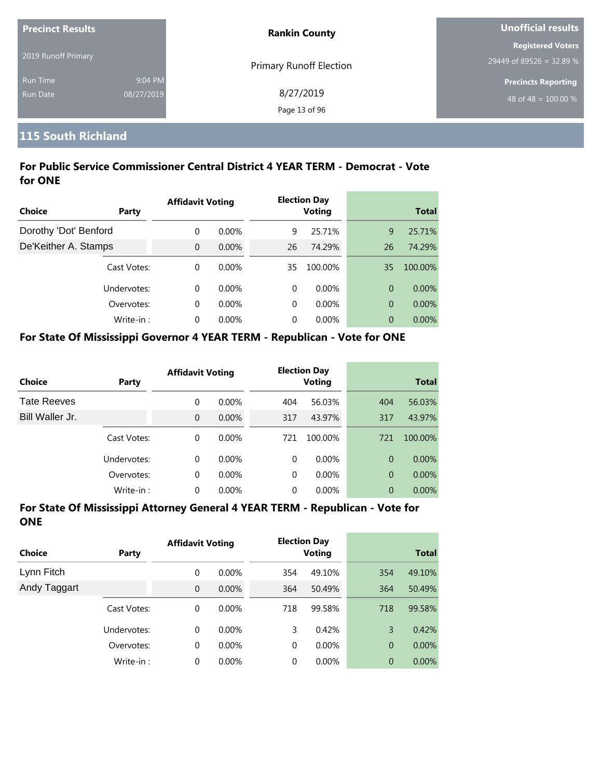| <b>Precinct Results</b> |            | <b>Rankin County</b>    | Unofficial results               |  |
|-------------------------|------------|-------------------------|----------------------------------|--|
|                         |            |                         | <b>Registered Voters</b>         |  |
| 2019 Runoff Primary     |            | Primary Runoff Election | 29449 of 89526 = 32.89 %         |  |
| <b>Run Time</b>         | 9:04 PM    |                         | <b>Precincts Reporting</b>       |  |
| Run Date                | 08/27/2019 | 8/27/2019               | 48 of 48 = $\overline{100.00\%}$ |  |
|                         |            | Page 13 of 96           |                                  |  |

## **115 South Richland**

## **For Public Service Commissioner Central District 4 YEAR TERM - Democrat - Vote for ONE**

|                       |             | <b>Affidavit Voting</b> |          |    | <b>Election Day</b> |                |              |
|-----------------------|-------------|-------------------------|----------|----|---------------------|----------------|--------------|
| Choice                | Party       |                         |          |    | <b>Voting</b>       |                | <b>Total</b> |
| Dorothy 'Dot' Benford |             | $\Omega$                | $0.00\%$ | 9  | 25.71%              | 9              | 25.71%       |
| De'Keither A. Stamps  |             | $\Omega$                | $0.00\%$ | 26 | 74.29%              | 26             | 74.29%       |
|                       | Cast Votes: | $\Omega$                | $0.00\%$ | 35 | 100.00%             | 35             | 100.00%      |
|                       | Undervotes: | $\Omega$                | $0.00\%$ | 0  | $0.00\%$            | $\overline{0}$ | $0.00\%$     |
|                       | Overvotes:  | $\Omega$                | $0.00\%$ | 0  | $0.00\%$            | $\overline{0}$ | $0.00\%$     |
|                       | Write-in:   | $\Omega$                | $0.00\%$ | 0  | $0.00\%$            | 0              | $0.00\%$     |

#### **For State Of Mississippi Governor 4 YEAR TERM - Republican - Vote for ONE**

| <b>Choice</b>      | Party       | <b>Affidavit Voting</b> |          |          | <b>Election Day</b><br><b>Voting</b> |                | <b>Total</b> |
|--------------------|-------------|-------------------------|----------|----------|--------------------------------------|----------------|--------------|
| <b>Tate Reeves</b> |             | 0                       | $0.00\%$ | 404      | 56.03%                               | 404            | 56.03%       |
| Bill Waller Jr.    |             | $\overline{0}$          | $0.00\%$ | 317      | 43.97%                               | 317            | 43.97%       |
|                    | Cast Votes: | 0                       | $0.00\%$ | 721      | 100.00%                              | 721            | 100.00%      |
|                    | Undervotes: | 0                       | $0.00\%$ | $\Omega$ | $0.00\%$                             | $\Omega$       | $0.00\%$     |
|                    | Overvotes:  | 0                       | 0.00%    | $\Omega$ | $0.00\%$                             | $\overline{0}$ | $0.00\%$     |
|                    | Write-in:   | 0                       | 0.00%    | 0        | 0.00%                                | $\overline{0}$ | 0.00%        |

| Choice       | <b>Party</b> | <b>Affidavit Voting</b> |          | <b>Election Day</b><br><b>Voting</b> |          | <b>Total</b>   |          |
|--------------|--------------|-------------------------|----------|--------------------------------------|----------|----------------|----------|
| Lynn Fitch   |              | 0                       | $0.00\%$ | 354                                  | 49.10%   | 354            | 49.10%   |
| Andy Taggart |              | $\overline{0}$          | 0.00%    | 364                                  | 50.49%   | 364            | 50.49%   |
|              | Cast Votes:  | 0                       | $0.00\%$ | 718                                  | 99.58%   | 718            | 99.58%   |
|              | Undervotes:  | 0                       | $0.00\%$ | 3                                    | 0.42%    | 3              | 0.42%    |
|              | Overvotes:   | 0                       | $0.00\%$ | 0                                    | $0.00\%$ | $\overline{0}$ | $0.00\%$ |
|              | Write-in:    | 0                       | $0.00\%$ | 0                                    | $0.00\%$ | $\overline{0}$ | 0.00%    |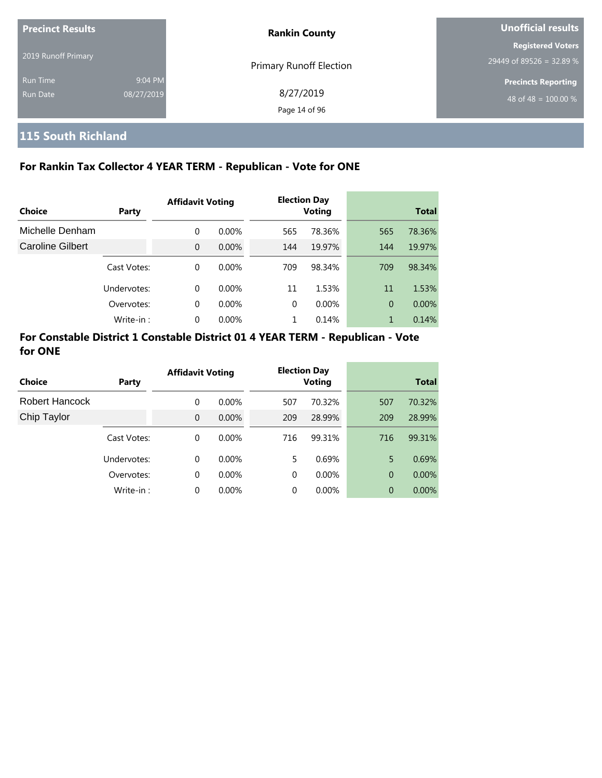| <b>Precinct Results</b> |            | <b>Rankin County</b>           | Unofficial results               |  |
|-------------------------|------------|--------------------------------|----------------------------------|--|
|                         |            |                                | <b>Registered Voters</b>         |  |
| 2019 Runoff Primary     |            | <b>Primary Runoff Election</b> | 29449 of 89526 = 32.89 %         |  |
| <b>Run Time</b>         | 9:04 PM    |                                | <b>Precincts Reporting</b>       |  |
| Run Date                | 08/27/2019 | 8/27/2019                      | 48 of 48 = $\overline{100.00\%}$ |  |
|                         |            | Page 14 of 96                  |                                  |  |

# **115 South Richland**

## **For Rankin Tax Collector 4 YEAR TERM - Republican - Vote for ONE**

|                  |             | <b>Affidavit Voting</b> |          |          | <b>Election Day</b> |     |              |
|------------------|-------------|-------------------------|----------|----------|---------------------|-----|--------------|
| Choice           | Party       |                         |          |          | <b>Voting</b>       |     | <b>Total</b> |
| Michelle Denham  |             | $\Omega$                | $0.00\%$ | 565      | 78.36%              | 565 | 78.36%       |
| Caroline Gilbert |             | $\Omega$                | 0.00%    | 144      | 19.97%              | 144 | 19.97%       |
|                  | Cast Votes: | $\Omega$                | $0.00\%$ | 709      | 98.34%              | 709 | 98.34%       |
|                  | Undervotes: | $\Omega$                | $0.00\%$ | 11       | 1.53%               | 11  | 1.53%        |
|                  | Overvotes:  | $\Omega$                | $0.00\%$ | $\Omega$ | $0.00\%$            | 0   | 0.00%        |
|                  | Write-in:   | $\Omega$                | 0.00%    |          | 0.14%               | 1   | 0.14%        |

| Choice         | Party       | <b>Affidavit Voting</b> |          |     | <b>Election Day</b><br><b>Voting</b> |     | <b>Total</b> |
|----------------|-------------|-------------------------|----------|-----|--------------------------------------|-----|--------------|
| Robert Hancock |             | 0                       | $0.00\%$ | 507 | 70.32%                               | 507 | 70.32%       |
| Chip Taylor    |             | $\Omega$                | $0.00\%$ | 209 | 28.99%                               | 209 | 28.99%       |
|                | Cast Votes: | $\Omega$                | $0.00\%$ | 716 | 99.31%                               | 716 | 99.31%       |
|                | Undervotes: | $\Omega$                | $0.00\%$ | 5   | 0.69%                                | 5   | 0.69%        |
|                | Overvotes:  | 0                       | $0.00\%$ | 0   | $0.00\%$                             | 0   | $0.00\%$     |
|                | Write-in:   | $\Omega$                | 0.00%    | 0   | 0.00%                                | 0   | $0.00\%$     |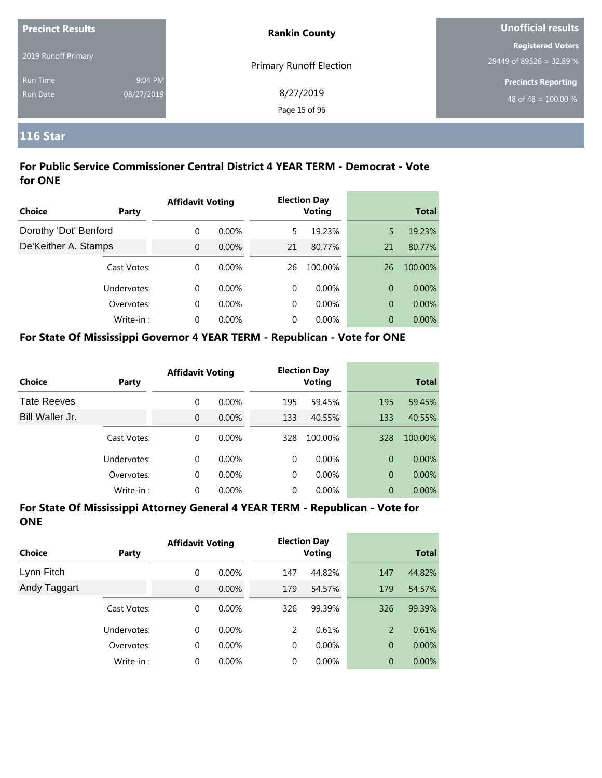| <b>Precinct Results</b> |            | <b>Rankin County</b>           | Unofficial results         |  |
|-------------------------|------------|--------------------------------|----------------------------|--|
|                         |            |                                | <b>Registered Voters</b>   |  |
| 2019 Runoff Primary     |            | <b>Primary Runoff Election</b> | 29449 of 89526 = 32.89 %   |  |
| <b>Run Time</b>         | 9:04 PM    |                                | <b>Precincts Reporting</b> |  |
| <b>Run Date</b>         | 08/27/2019 | 8/27/2019                      | 48 of 48 = $100.00\%$      |  |
|                         |            | Page 15 of 96                  |                            |  |

## **116 Star**

### **For Public Service Commissioner Central District 4 YEAR TERM - Democrat - Vote for ONE**

|                       |             | <b>Affidavit Voting</b> |          |    | <b>Election Day</b> |                |              |
|-----------------------|-------------|-------------------------|----------|----|---------------------|----------------|--------------|
| <b>Choice</b>         | Party       |                         |          |    | <b>Voting</b>       |                | <b>Total</b> |
| Dorothy 'Dot' Benford |             | $\Omega$                | $0.00\%$ | 5  | 19.23%              | 5              | 19.23%       |
| De'Keither A. Stamps  |             | $\overline{0}$          | 0.00%    | 21 | 80.77%              | 21             | 80.77%       |
|                       | Cast Votes: | $\Omega$                | $0.00\%$ | 26 | 100.00%             | 26             | 100.00%      |
|                       | Undervotes: | $\Omega$                | $0.00\%$ | 0  | $0.00\%$            | $\overline{0}$ | $0.00\%$     |
|                       | Overvotes:  | $\Omega$                | $0.00\%$ | 0  | $0.00\%$            | $\overline{0}$ | $0.00\%$     |
|                       | Write-in:   | $\Omega$                | $0.00\%$ | 0  | 0.00%               | $\overline{0}$ | $0.00\%$     |

#### **For State Of Mississippi Governor 4 YEAR TERM - Republican - Vote for ONE**

| <b>Choice</b>      | Party       | <b>Affidavit Voting</b> |          |          | <b>Election Day</b><br><b>Voting</b> |                | <b>Total</b> |
|--------------------|-------------|-------------------------|----------|----------|--------------------------------------|----------------|--------------|
| <b>Tate Reeves</b> |             | 0                       | $0.00\%$ | 195      | 59.45%                               | 195            | 59.45%       |
| Bill Waller Jr.    |             | 0                       | $0.00\%$ | 133      | 40.55%                               | 133            | 40.55%       |
|                    | Cast Votes: | 0                       | $0.00\%$ | 328      | 100.00%                              | 328            | 100.00%      |
|                    | Undervotes: | 0                       | $0.00\%$ | $\Omega$ | $0.00\%$                             | $\Omega$       | $0.00\%$     |
|                    | Overvotes:  | 0                       | $0.00\%$ | $\Omega$ | $0.00\%$                             | $\overline{0}$ | $0.00\%$     |
|                    | Write-in:   | 0                       | $0.00\%$ | 0        | $0.00\%$                             | 0              | 0.00%        |

| <b>Choice</b> | Party       | <b>Affidavit Voting</b> |          |     | <b>Election Day</b><br><b>Voting</b> |                | <b>Total</b> |  |
|---------------|-------------|-------------------------|----------|-----|--------------------------------------|----------------|--------------|--|
| Lynn Fitch    |             | 0                       | $0.00\%$ | 147 | 44.82%                               | 147            | 44.82%       |  |
| Andy Taggart  |             | $\overline{0}$          | 0.00%    | 179 | 54.57%                               | 179            | 54.57%       |  |
|               | Cast Votes: | 0                       | $0.00\%$ | 326 | 99.39%                               | 326            | 99.39%       |  |
|               | Undervotes: | 0                       | $0.00\%$ | 2   | 0.61%                                | 2              | 0.61%        |  |
|               | Overvotes:  | 0                       | 0.00%    | 0   | $0.00\%$                             | $\overline{0}$ | $0.00\%$     |  |
|               | Write-in:   | 0                       | 0.00%    | 0   | $0.00\%$                             | $\overline{0}$ | 0.00%        |  |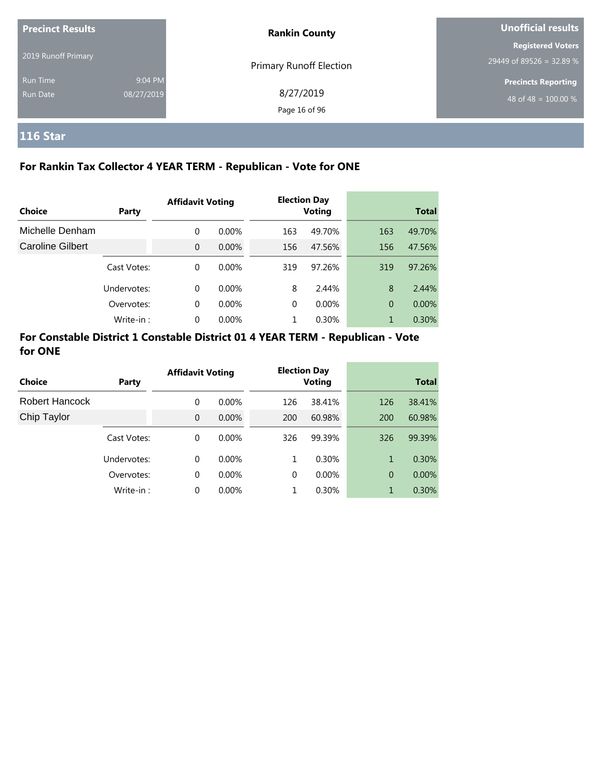| <b>Precinct Results</b> |            | <b>Rankin County</b>           | Unofficial results         |  |
|-------------------------|------------|--------------------------------|----------------------------|--|
| 2019 Runoff Primary     |            |                                | <b>Registered Voters</b>   |  |
|                         |            | <b>Primary Runoff Election</b> | $29449$ of 89526 = 32.89 % |  |
| <b>Run Time</b>         | 9:04 PM    |                                | <b>Precincts Reporting</b> |  |
| Run Date                | 08/27/2019 | 8/27/2019                      | 48 of 48 = $100.00\%$      |  |
|                         |            | Page 16 of 96                  |                            |  |

# **116 Star**

## **For Rankin Tax Collector 4 YEAR TERM - Republican - Vote for ONE**

|                  |             | <b>Affidavit Voting</b> |          |          | <b>Election Day</b> |     |              |
|------------------|-------------|-------------------------|----------|----------|---------------------|-----|--------------|
| <b>Choice</b>    | Party       |                         |          |          | <b>Voting</b>       |     | <b>Total</b> |
| Michelle Denham  |             | $\Omega$                | $0.00\%$ | 163      | 49.70%              | 163 | 49.70%       |
| Caroline Gilbert |             | $\Omega$                | $0.00\%$ | 156      | 47.56%              | 156 | 47.56%       |
|                  | Cast Votes: | $\Omega$                | $0.00\%$ | 319      | 97.26%              | 319 | 97.26%       |
|                  | Undervotes: | $\Omega$                | $0.00\%$ | 8        | 2.44%               | 8   | 2.44%        |
|                  | Overvotes:  | $\Omega$                | $0.00\%$ | $\Omega$ | $0.00\%$            | 0   | $0.00\%$     |
|                  | Write-in:   | $\Omega$                | 0.00%    |          | 0.30%               | 1   | 0.30%        |

| Choice         | Party       | <b>Affidavit Voting</b> |          | <b>Election Day</b><br><b>Voting</b> |          |     | <b>Total</b> |
|----------------|-------------|-------------------------|----------|--------------------------------------|----------|-----|--------------|
| Robert Hancock |             | 0                       | $0.00\%$ | 126                                  | 38.41%   | 126 | 38.41%       |
| Chip Taylor    |             | $\Omega$                | $0.00\%$ | 200                                  | 60.98%   | 200 | 60.98%       |
|                | Cast Votes: | $\Omega$                | $0.00\%$ | 326                                  | 99.39%   | 326 | 99.39%       |
|                | Undervotes: | $\Omega$                | $0.00\%$ | 1                                    | 0.30%    | 1   | 0.30%        |
|                | Overvotes:  | 0                       | $0.00\%$ | $\Omega$                             | $0.00\%$ | 0   | 0.00%        |
|                | Write-in:   | $\Omega$                | 0.00%    |                                      | 0.30%    | 1   | 0.30%        |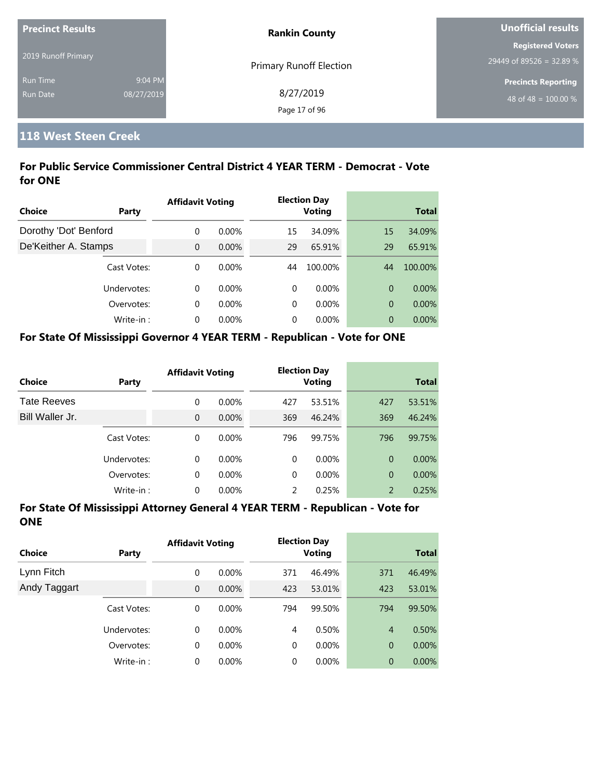| <b>Precinct Results</b> |            | <b>Rankin County</b>           | <b>Unofficial results</b>  |  |
|-------------------------|------------|--------------------------------|----------------------------|--|
|                         |            |                                | <b>Registered Voters</b>   |  |
| 2019 Runoff Primary     |            | <b>Primary Runoff Election</b> | 29449 of 89526 = 32.89 %   |  |
| <b>Run Time</b>         | 9:04 PM    |                                | <b>Precincts Reporting</b> |  |
| <b>Run Date</b>         | 08/27/2019 | 8/27/2019                      | 48 of 48 = $100.00\%$      |  |
|                         |            | Page 17 of 96                  |                            |  |

# **118 West Steen Creek**

## **For Public Service Commissioner Central District 4 YEAR TERM - Democrat - Vote for ONE**

|                       |             | <b>Affidavit Voting</b> |          |          | <b>Election Day</b> |                |              |
|-----------------------|-------------|-------------------------|----------|----------|---------------------|----------------|--------------|
| Choice                | Party       |                         |          |          | <b>Voting</b>       |                | <b>Total</b> |
| Dorothy 'Dot' Benford |             | $\Omega$                | $0.00\%$ | 15       | 34.09%              | 15             | 34.09%       |
| De'Keither A. Stamps  |             | $\Omega$                | $0.00\%$ | 29       | 65.91%              | 29             | 65.91%       |
|                       | Cast Votes: | $\Omega$                | $0.00\%$ | 44       | 100.00%             | 44             | 100.00%      |
|                       | Undervotes: | $\Omega$                | $0.00\%$ | $\Omega$ | $0.00\%$            | $\overline{0}$ | $0.00\%$     |
|                       | Overvotes:  | $\Omega$                | $0.00\%$ | $\Omega$ | $0.00\%$            | $\overline{0}$ | 0.00%        |
|                       | Write-in:   | $\Omega$                | 0.00%    | $\Omega$ | $0.00\%$            | $\overline{0}$ | $0.00\%$     |

#### **For State Of Mississippi Governor 4 YEAR TERM - Republican - Vote for ONE**

| <b>Choice</b>      | Party       | <b>Affidavit Voting</b> |          |          | <b>Election Day</b><br><b>Voting</b> |                | <b>Total</b> |
|--------------------|-------------|-------------------------|----------|----------|--------------------------------------|----------------|--------------|
| <b>Tate Reeves</b> |             | 0                       | $0.00\%$ | 427      | 53.51%                               | 427            | 53.51%       |
| Bill Waller Jr.    |             | 0                       | $0.00\%$ | 369      | 46.24%                               | 369            | 46.24%       |
|                    | Cast Votes: | $\Omega$                | $0.00\%$ | 796      | 99.75%                               | 796            | 99.75%       |
|                    | Undervotes: | 0                       | $0.00\%$ | $\Omega$ | $0.00\%$                             | $\Omega$       | $0.00\%$     |
|                    | Overvotes:  | 0                       | 0.00%    | 0        | $0.00\%$                             | $\overline{0}$ | $0.00\%$     |
|                    | Write-in:   | 0                       | 0.00%    | 2        | 0.25%                                | 2              | 0.25%        |

| Choice       | Party       | <b>Affidavit Voting</b> |          |     | <b>Election Day</b><br>Voting |                | <b>Total</b> |  |
|--------------|-------------|-------------------------|----------|-----|-------------------------------|----------------|--------------|--|
| Lynn Fitch   |             | 0                       | $0.00\%$ | 371 | 46.49%                        | 371            | 46.49%       |  |
| Andy Taggart |             | $\overline{0}$          | $0.00\%$ | 423 | 53.01%                        | 423            | 53.01%       |  |
|              | Cast Votes: | 0                       | $0.00\%$ | 794 | 99.50%                        | 794            | 99.50%       |  |
|              | Undervotes: | $\Omega$                | $0.00\%$ | 4   | 0.50%                         | $\overline{4}$ | 0.50%        |  |
|              | Overvotes:  | 0                       | $0.00\%$ | 0   | $0.00\%$                      | $\overline{0}$ | $0.00\%$     |  |
|              | Write-in:   | 0                       | $0.00\%$ | 0   | $0.00\%$                      | $\overline{0}$ | $0.00\%$     |  |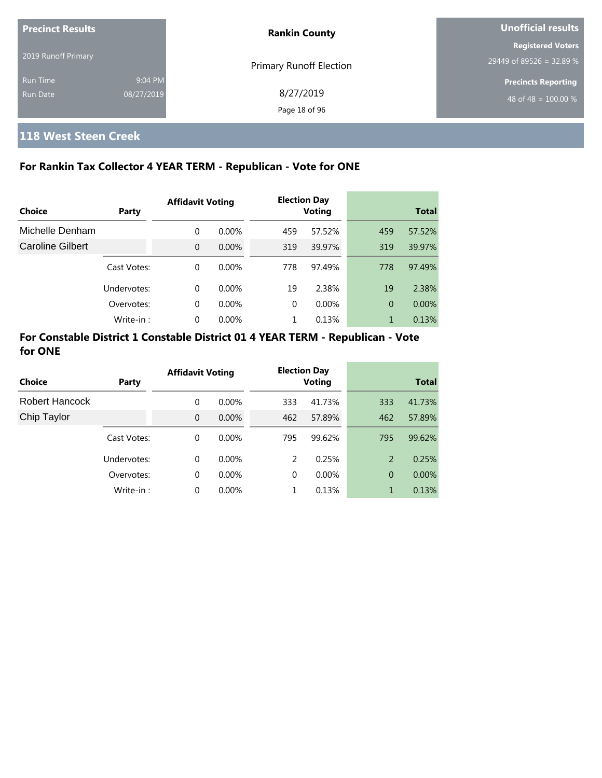| <b>Precinct Results</b> |            | <b>Rankin County</b>           | Unofficial results               |  |  |
|-------------------------|------------|--------------------------------|----------------------------------|--|--|
|                         |            |                                | <b>Registered Voters</b>         |  |  |
| 2019 Runoff Primary     |            | <b>Primary Runoff Election</b> | 29449 of 89526 = 32.89 %         |  |  |
| <b>Run Time</b>         | 9:04 PM    |                                | <b>Precincts Reporting</b>       |  |  |
| <b>Run Date</b>         | 08/27/2019 | 8/27/2019                      | 48 of 48 = $\overline{100.00\%}$ |  |  |
|                         |            | Page 18 of 96                  |                                  |  |  |

# **118 West Steen Creek**

#### **For Rankin Tax Collector 4 YEAR TERM - Republican - Vote for ONE**

|                         |             | <b>Affidavit Voting</b> |          |     | <b>Election Day</b> |     |              |  |
|-------------------------|-------------|-------------------------|----------|-----|---------------------|-----|--------------|--|
| Choice                  | Party       |                         |          |     | <b>Voting</b>       |     | <b>Total</b> |  |
| Michelle Denham         |             | 0                       | $0.00\%$ | 459 | 57.52%              | 459 | 57.52%       |  |
| <b>Caroline Gilbert</b> |             | $\Omega$                | $0.00\%$ | 319 | 39.97%              | 319 | 39.97%       |  |
|                         | Cast Votes: | $\Omega$                | $0.00\%$ | 778 | 97.49%              | 778 | 97.49%       |  |
|                         | Undervotes: | $\Omega$                | $0.00\%$ | 19  | 2.38%               | 19  | 2.38%        |  |
|                         | Overvotes:  | 0                       | $0.00\%$ | 0   | 0.00%               | 0   | 0.00%        |  |
|                         | Write-in:   | $\Omega$                | 0.00%    |     | 0.13%               | 1   | 0.13%        |  |

| Choice                | Party       | <b>Affidavit Voting</b> |          |          | <b>Election Day</b><br><b>Voting</b> |     | <b>Total</b> |
|-----------------------|-------------|-------------------------|----------|----------|--------------------------------------|-----|--------------|
| <b>Robert Hancock</b> |             | 0                       | $0.00\%$ | 333      | 41.73%                               | 333 | 41.73%       |
| Chip Taylor           |             | $\Omega$                | $0.00\%$ | 462      | 57.89%                               | 462 | 57.89%       |
|                       | Cast Votes: | $\Omega$                | $0.00\%$ | 795      | 99.62%                               | 795 | 99.62%       |
|                       | Undervotes: | $\Omega$                | $0.00\%$ | 2        | 0.25%                                | 2   | 0.25%        |
|                       | Overvotes:  | 0                       | $0.00\%$ | $\Omega$ | $0.00\%$                             | 0   | $0.00\%$     |
|                       | Write-in:   | 0                       | 0.00%    |          | 0.13%                                |     | 0.13%        |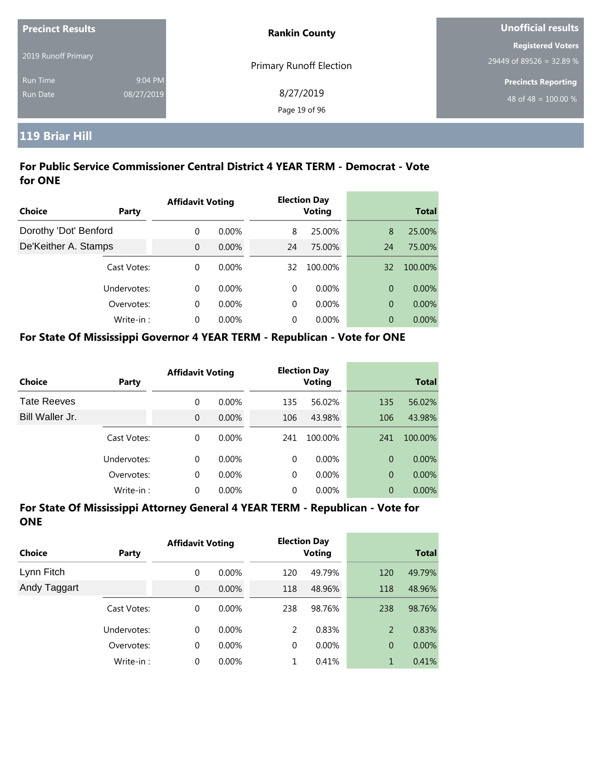| <b>Precinct Results</b> |            | <b>Rankin County</b>           | <b>Unofficial results</b>  |  |  |
|-------------------------|------------|--------------------------------|----------------------------|--|--|
| 2019 Runoff Primary     |            |                                | <b>Registered Voters</b>   |  |  |
|                         |            | <b>Primary Runoff Election</b> | 29449 of 89526 = 32.89 %   |  |  |
| <b>Run Time</b>         | 9:04 PM    |                                | <b>Precincts Reporting</b> |  |  |
| Run Date                | 08/27/2019 | 8/27/2019                      | 48 of 48 = $100.00\%$      |  |  |
|                         |            | Page 19 of 96                  |                            |  |  |

## **119 Briar Hill**

### **For Public Service Commissioner Central District 4 YEAR TERM - Democrat - Vote for ONE**

|                       |             | <b>Affidavit Voting</b> |          |    | <b>Election Day</b> |    |              |
|-----------------------|-------------|-------------------------|----------|----|---------------------|----|--------------|
| Choice                | Party       |                         |          |    | <b>Voting</b>       |    | <b>Total</b> |
| Dorothy 'Dot' Benford |             | $\Omega$                | $0.00\%$ | 8  | 25.00%              | 8  | 25.00%       |
| De'Keither A. Stamps  |             | $\overline{0}$          | $0.00\%$ | 24 | 75.00%              | 24 | 75.00%       |
|                       | Cast Votes: | $\Omega$                | $0.00\%$ | 32 | 100.00%             | 32 | 100.00%      |
|                       | Undervotes: | $\Omega$                | $0.00\%$ | 0  | $0.00\%$            | 0  | $0.00\%$     |
|                       | Overvotes:  | $\Omega$                | $0.00\%$ | 0  | $0.00\%$            | 0  | 0.00%        |
|                       | Write-in:   | $\Omega$                | $0.00\%$ | 0  | $0.00\%$            | 0  | $0.00\%$     |

#### **For State Of Mississippi Governor 4 YEAR TERM - Republican - Vote for ONE**

| Choice             | Party       | <b>Affidavit Voting</b> |          |          | <b>Election Day</b><br><b>Voting</b> |                | <b>Total</b> |
|--------------------|-------------|-------------------------|----------|----------|--------------------------------------|----------------|--------------|
| <b>Tate Reeves</b> |             | 0                       | $0.00\%$ | 135      | 56.02%                               | 135            | 56.02%       |
| Bill Waller Jr.    |             | $\Omega$                | $0.00\%$ | 106      | 43.98%                               | 106            | 43.98%       |
|                    | Cast Votes: | 0                       | $0.00\%$ | 241      | 100.00%                              | 241            | 100.00%      |
|                    | Undervotes: | 0                       | $0.00\%$ | $\Omega$ | $0.00\%$                             | $\Omega$       | $0.00\%$     |
|                    | Overvotes:  | 0                       | $0.00\%$ | $\Omega$ | $0.00\%$                             | $\overline{0}$ | $0.00\%$     |
|                    | Write-in:   | 0                       | $0.00\%$ | $\Omega$ | $0.00\%$                             | $\overline{0}$ | $0.00\%$     |

| Choice       | Party       | <b>Affidavit Voting</b> |          |             | <b>Election Day</b><br><b>Voting</b> |                | <b>Total</b> |
|--------------|-------------|-------------------------|----------|-------------|--------------------------------------|----------------|--------------|
| Lynn Fitch   |             | 0                       | $0.00\%$ | 120         | 49.79%                               | 120            | 49.79%       |
| Andy Taggart |             | $\mathbf{0}$            | $0.00\%$ | 118         | 48.96%                               | 118            | 48.96%       |
|              | Cast Votes: | 0                       | $0.00\%$ | 238         | 98.76%                               | 238            | 98.76%       |
|              | Undervotes: | $\Omega$                | $0.00\%$ | 2           | 0.83%                                | 2              | 0.83%        |
|              | Overvotes:  | 0                       | $0.00\%$ | $\mathbf 0$ | $0.00\%$                             | $\overline{0}$ | $0.00\%$     |
|              | Write-in:   | 0                       | $0.00\%$ | 1           | 0.41%                                | $\mathbf{1}$   | 0.41%        |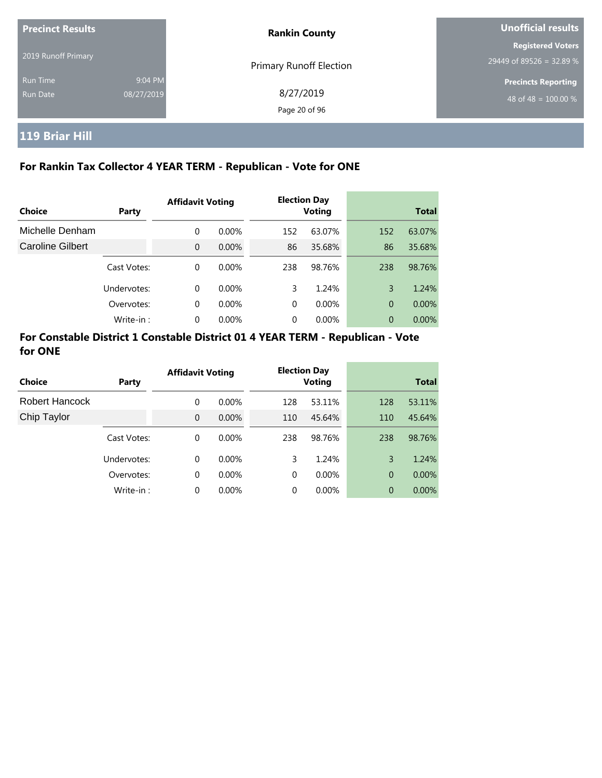| <b>Precinct Results</b>     |                       | <b>Rankin County</b>           | Unofficial results                                   |  |  |
|-----------------------------|-----------------------|--------------------------------|------------------------------------------------------|--|--|
| 2019 Runoff Primary         |                       | <b>Primary Runoff Election</b> | <b>Registered Voters</b><br>29449 of 89526 = 32.89 % |  |  |
| <b>Run Time</b><br>Run Date | 9:04 PM<br>08/27/2019 | 8/27/2019<br>Page 20 of 96     | <b>Precincts Reporting</b><br>48 of 48 = $100.00\%$  |  |  |

# **119 Briar Hill**

## **For Rankin Tax Collector 4 YEAR TERM - Republican - Vote for ONE**

| Choice           | Party       | <b>Affidavit Voting</b> |          |          | <b>Election Day</b><br><b>Voting</b> |                | <b>Total</b> |
|------------------|-------------|-------------------------|----------|----------|--------------------------------------|----------------|--------------|
|                  |             |                         |          |          |                                      |                |              |
| Michelle Denham  |             | 0                       | $0.00\%$ | 152      | 63.07%                               | 152            | 63.07%       |
| Caroline Gilbert |             | $\Omega$                | $0.00\%$ | 86       | 35.68%                               | 86             | 35.68%       |
|                  | Cast Votes: | 0                       | $0.00\%$ | 238      | 98.76%                               | 238            | 98.76%       |
|                  | Undervotes: | 0                       | $0.00\%$ | 3        | 1.24%                                | 3              | 1.24%        |
|                  | Overvotes:  | 0                       | $0.00\%$ | $\Omega$ | $0.00\%$                             | $\overline{0}$ | $0.00\%$     |
|                  | Write-in:   | 0                       | $0.00\%$ | 0        | 0.00%                                | $\theta$       | 0.00%        |

| <b>Choice</b>  | Party       | <b>Affidavit Voting</b> |          |     | <b>Election Day</b><br><b>Voting</b> |     | <b>Total</b> |
|----------------|-------------|-------------------------|----------|-----|--------------------------------------|-----|--------------|
| Robert Hancock |             | 0                       | $0.00\%$ | 128 | 53.11%                               | 128 | 53.11%       |
| Chip Taylor    |             | $\Omega$                | $0.00\%$ | 110 | 45.64%                               | 110 | 45.64%       |
|                | Cast Votes: | 0                       | $0.00\%$ | 238 | 98.76%                               | 238 | 98.76%       |
|                | Undervotes: | $\Omega$                | $0.00\%$ | 3   | 1.24%                                | 3   | 1.24%        |
|                | Overvotes:  | 0                       | $0.00\%$ | 0   | 0.00%                                | 0   | 0.00%        |
|                | Write-in:   | $\Omega$                | 0.00%    | 0   | 0.00%                                | 0   | $0.00\%$     |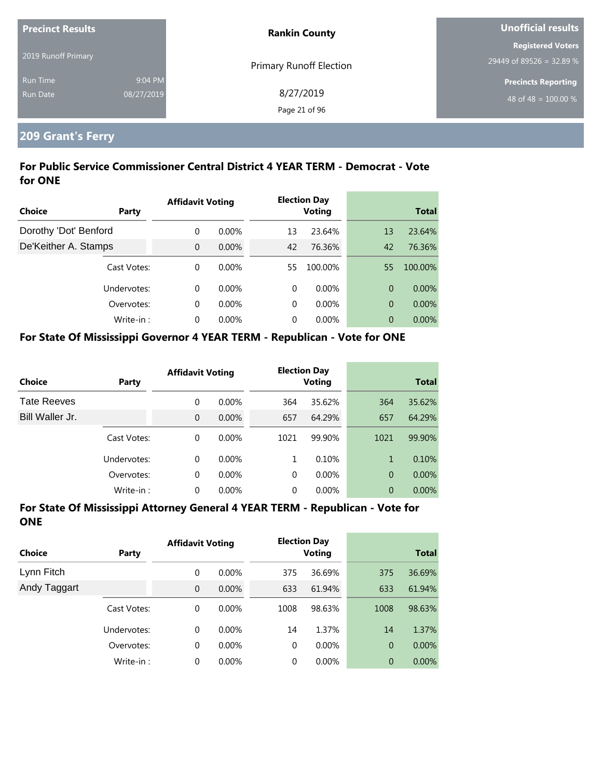| <b>Precinct Results</b> |            | <b>Rankin County</b>           | Unofficial results         |  |
|-------------------------|------------|--------------------------------|----------------------------|--|
|                         |            |                                | <b>Registered Voters</b>   |  |
| 2019 Runoff Primary     |            | <b>Primary Runoff Election</b> | 29449 of 89526 = 32.89 %   |  |
| <b>Run Time</b>         | 9:04 PM    |                                | <b>Precincts Reporting</b> |  |
| <b>Run Date</b>         | 08/27/2019 | 8/27/2019                      | 48 of 48 = $100.00\%$      |  |
|                         |            | Page 21 of 96                  |                            |  |

# **209 Grant's Ferry**

## **For Public Service Commissioner Central District 4 YEAR TERM - Democrat - Vote for ONE**

|                       |             | <b>Affidavit Voting</b> |          |    | <b>Election Day</b> |                |              |
|-----------------------|-------------|-------------------------|----------|----|---------------------|----------------|--------------|
| <b>Choice</b>         | Party       |                         |          |    | <b>Voting</b>       |                | <b>Total</b> |
| Dorothy 'Dot' Benford |             | 0                       | $0.00\%$ | 13 | 23.64%              | 13             | 23.64%       |
| De'Keither A. Stamps  |             | $\Omega$                | $0.00\%$ | 42 | 76.36%              | 42             | 76.36%       |
|                       | Cast Votes: | $\Omega$                | $0.00\%$ | 55 | 100.00%             | 55             | 100.00%      |
|                       | Undervotes: | $\Omega$                | $0.00\%$ | 0  | $0.00\%$            | 0              | $0.00\%$     |
|                       | Overvotes:  | $\Omega$                | $0.00\%$ | 0  | $0.00\%$            | $\overline{0}$ | $0.00\%$     |
|                       | Write-in:   | $\Omega$                | $0.00\%$ | 0  | $0.00\%$            | 0              | $0.00\%$     |

#### **For State Of Mississippi Governor 4 YEAR TERM - Republican - Vote for ONE**

| <b>Choice</b>      | Party       | <b>Affidavit Voting</b> |          |          | <b>Election Day</b><br><b>Voting</b> |                | <b>Total</b> |
|--------------------|-------------|-------------------------|----------|----------|--------------------------------------|----------------|--------------|
| <b>Tate Reeves</b> |             | 0                       | $0.00\%$ | 364      | 35.62%                               | 364            | 35.62%       |
| Bill Waller Jr.    |             | 0                       | $0.00\%$ | 657      | 64.29%                               | 657            | 64.29%       |
|                    | Cast Votes: | 0                       | $0.00\%$ | 1021     | 99.90%                               | 1021           | 99.90%       |
|                    | Undervotes: | 0                       | $0.00\%$ | 1        | 0.10%                                | 1              | 0.10%        |
|                    | Overvotes:  | 0                       | $0.00\%$ | $\Omega$ | $0.00\%$                             | $\overline{0}$ | $0.00\%$     |
|                    | Write-in:   | 0                       | $0.00\%$ | 0        | $0.00\%$                             | 0              | 0.00%        |

| Choice       | <b>Party</b> | <b>Affidavit Voting</b> |          |             | <b>Election Day</b><br><b>Voting</b> |                | <b>Total</b> |
|--------------|--------------|-------------------------|----------|-------------|--------------------------------------|----------------|--------------|
| Lynn Fitch   |              | 0                       | $0.00\%$ | 375         | 36.69%                               | 375            | 36.69%       |
| Andy Taggart |              | $\mathbf{0}$            | $0.00\%$ | 633         | 61.94%                               | 633            | 61.94%       |
|              | Cast Votes:  | 0                       | $0.00\%$ | 1008        | 98.63%                               | 1008           | 98.63%       |
|              | Undervotes:  | $\Omega$                | $0.00\%$ | 14          | 1.37%                                | 14             | 1.37%        |
|              | Overvotes:   | 0                       | $0.00\%$ | $\mathbf 0$ | $0.00\%$                             | $\overline{0}$ | $0.00\%$     |
|              | Write-in:    | 0                       | $0.00\%$ | 0           | $0.00\%$                             | $\theta$       | 0.00%        |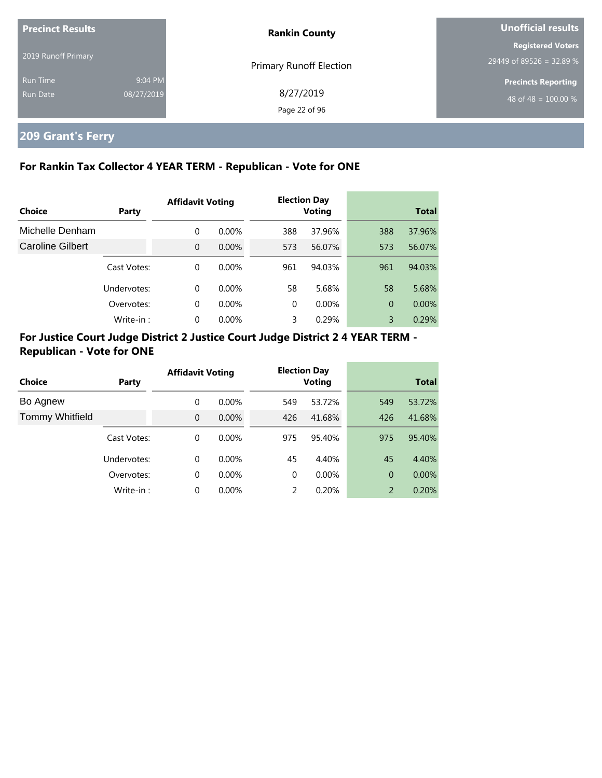| <b>Precinct Results</b> |            | <b>Rankin County</b>       | Unofficial results                                     |  |
|-------------------------|------------|----------------------------|--------------------------------------------------------|--|
| 2019 Runoff Primary     |            | Primary Runoff Election    | <b>Registered Voters</b><br>$29449$ of 89526 = 32.89 % |  |
| <b>Run Time</b>         | 9:04 PM    |                            | <b>Precincts Reporting</b>                             |  |
| Run Date                | 08/27/2019 | 8/27/2019<br>Page 22 of 96 | 48 of 48 = $100.00\%$                                  |  |

# **209 Grant's Ferry**

### **For Rankin Tax Collector 4 YEAR TERM - Republican - Vote for ONE**

|                  |             | <b>Affidavit Voting</b> |          |          | <b>Election Day</b> |                |              |
|------------------|-------------|-------------------------|----------|----------|---------------------|----------------|--------------|
| Choice           | Party       |                         |          |          | <b>Voting</b>       |                | <b>Total</b> |
| Michelle Denham  |             | $\Omega$                | $0.00\%$ | 388      | 37.96%              | 388            | 37.96%       |
| Caroline Gilbert |             | $\Omega$                | $0.00\%$ | 573      | 56.07%              | 573            | 56.07%       |
|                  | Cast Votes: | $\Omega$                | $0.00\%$ | 961      | 94.03%              | 961            | 94.03%       |
|                  | Undervotes: | $\Omega$                | $0.00\%$ | 58       | 5.68%               | 58             | 5.68%        |
|                  | Overvotes:  | 0                       | $0.00\%$ | $\Omega$ | $0.00\%$            | $\overline{0}$ | 0.00%        |
|                  | Write-in:   | 0                       | 0.00%    | 3        | 0.29%               | 3              | 0.29%        |

## **For Justice Court Judge District 2 Justice Court Judge District 2 4 YEAR TERM - Republican - Vote for ONE**

| Choice                 | Party       | <b>Affidavit Voting</b> |          |          | <b>Election Day</b><br><b>Voting</b> |     | <b>Total</b> |
|------------------------|-------------|-------------------------|----------|----------|--------------------------------------|-----|--------------|
| Bo Agnew               |             | $\Omega$                | $0.00\%$ | 549      | 53.72%                               | 549 | 53.72%       |
| <b>Tommy Whitfield</b> |             | $\Omega$                | $0.00\%$ | 426      | 41.68%                               | 426 | 41.68%       |
|                        | Cast Votes: | $\Omega$                | $0.00\%$ | 975      | 95.40%                               | 975 | 95.40%       |
|                        | Undervotes: | $\Omega$                | $0.00\%$ | 45       | 4.40%                                | 45  | 4.40%        |
|                        | Overvotes:  | 0                       | $0.00\%$ | $\Omega$ | $0.00\%$                             | 0   | $0.00\%$     |
|                        | Write-in:   | $\Omega$                | 0.00%    | 2        | 0.20%                                | 2   | 0.20%        |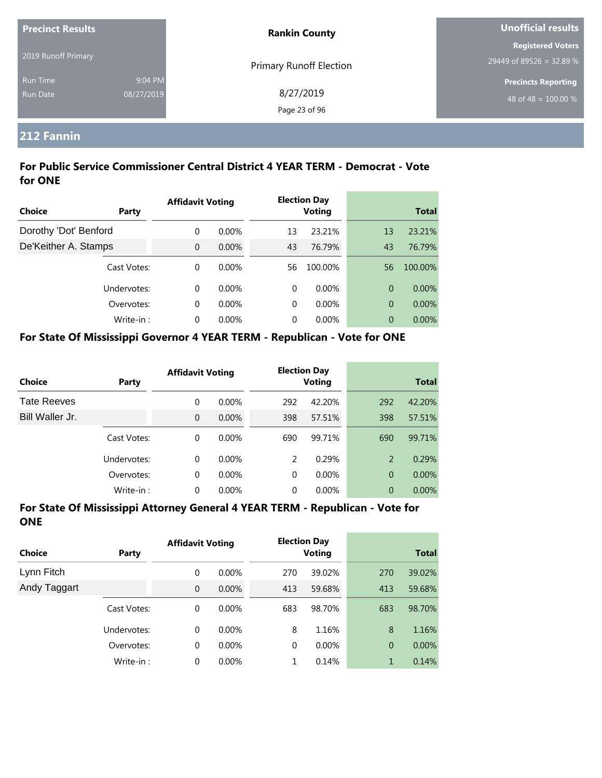| <b>Precinct Results</b> |            | <b>Rankin County</b>    | <b>Unofficial results</b>  |  |
|-------------------------|------------|-------------------------|----------------------------|--|
|                         |            |                         | <b>Registered Voters</b>   |  |
| 2019 Runoff Primary     |            | Primary Runoff Election | 29449 of 89526 = 32.89 %   |  |
| <b>Run Time</b>         | 9:04 PM    |                         | <b>Precincts Reporting</b> |  |
| <b>Run Date</b>         | 08/27/2019 | 8/27/2019               | 48 of 48 = $100.00\%$      |  |
|                         |            | Page 23 of 96           |                            |  |

# **212 Fannin**

### **For Public Service Commissioner Central District 4 YEAR TERM - Democrat - Vote for ONE**

|                       |             | <b>Affidavit Voting</b> |          |    | <b>Election Day</b> |    |              |
|-----------------------|-------------|-------------------------|----------|----|---------------------|----|--------------|
| Choice                | Party       |                         |          |    | <b>Voting</b>       |    | <b>Total</b> |
| Dorothy 'Dot' Benford |             | $\Omega$                | $0.00\%$ | 13 | 23.21%              | 13 | 23.21%       |
| De'Keither A. Stamps  |             | $\overline{0}$          | $0.00\%$ | 43 | 76.79%              | 43 | 76.79%       |
|                       | Cast Votes: | $\Omega$                | $0.00\%$ | 56 | 100.00%             | 56 | 100.00%      |
|                       | Undervotes: | $\Omega$                | $0.00\%$ | 0  | $0.00\%$            | 0  | $0.00\%$     |
|                       | Overvotes:  | $\Omega$                | $0.00\%$ | 0  | $0.00\%$            | 0  | 0.00%        |
|                       | Write-in:   | $\Omega$                | $0.00\%$ | 0  | $0.00\%$            | 0  | $0.00\%$     |

#### **For State Of Mississippi Governor 4 YEAR TERM - Republican - Vote for ONE**

| <b>Choice</b>      | Party       | <b>Affidavit Voting</b> |          |     | <b>Election Day</b><br><b>Voting</b> |                | <b>Total</b> |
|--------------------|-------------|-------------------------|----------|-----|--------------------------------------|----------------|--------------|
| <b>Tate Reeves</b> |             | 0                       | $0.00\%$ | 292 | 42.20%                               | 292            | 42.20%       |
| Bill Waller Jr.    |             | 0                       | $0.00\%$ | 398 | 57.51%                               | 398            | 57.51%       |
|                    | Cast Votes: | $\Omega$                | $0.00\%$ | 690 | 99.71%                               | 690            | 99.71%       |
|                    | Undervotes: | 0                       | $0.00\%$ | 2   | 0.29%                                | 2              | 0.29%        |
|                    | Overvotes:  | 0                       | 0.00%    | 0   | $0.00\%$                             | $\overline{0}$ | $0.00\%$     |
|                    | Write-in:   | 0                       | 0.00%    | 0   | 0.00%                                | $\overline{0}$ | $0.00\%$     |

| Choice       | Party       | <b>Affidavit Voting</b> |          |     | <b>Election Day</b><br>Voting |                | <b>Total</b> |
|--------------|-------------|-------------------------|----------|-----|-------------------------------|----------------|--------------|
| Lynn Fitch   |             | 0                       | $0.00\%$ | 270 | 39.02%                        | 270            | 39.02%       |
| Andy Taggart |             | $\overline{0}$          | $0.00\%$ | 413 | 59.68%                        | 413            | 59.68%       |
|              | Cast Votes: | 0                       | $0.00\%$ | 683 | 98.70%                        | 683            | 98.70%       |
|              | Undervotes: | $\Omega$                | $0.00\%$ | 8   | 1.16%                         | 8              | 1.16%        |
|              | Overvotes:  | 0                       | $0.00\%$ | 0   | $0.00\%$                      | $\overline{0}$ | $0.00\%$     |
|              | Write-in:   | 0                       | $0.00\%$ |     | 0.14%                         | $\mathbf{1}$   | 0.14%        |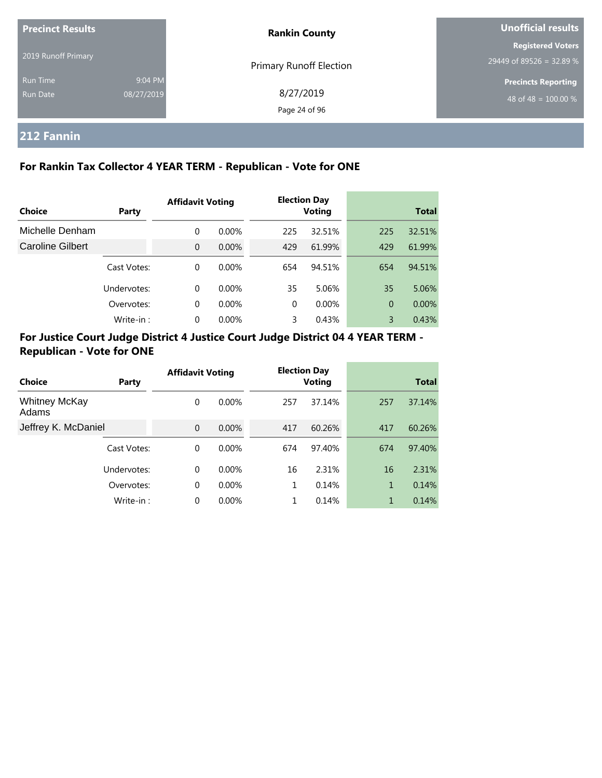| <b>Precinct Results</b>     |                       | <b>Rankin County</b>           | Unofficial results                                   |  |
|-----------------------------|-----------------------|--------------------------------|------------------------------------------------------|--|
| 2019 Runoff Primary         |                       | <b>Primary Runoff Election</b> | <b>Registered Voters</b><br>29449 of 89526 = 32.89 % |  |
| <b>Run Time</b><br>Run Date | 9:04 PM<br>08/27/2019 | 8/27/2019<br>Page 24 of 96     | <b>Precincts Reporting</b><br>48 of 48 = $100.00\%$  |  |

## **212 Fannin**

## **For Rankin Tax Collector 4 YEAR TERM - Republican - Vote for ONE**

|                  |             | <b>Affidavit Voting</b> |          |          | <b>Election Day</b> |                |              |
|------------------|-------------|-------------------------|----------|----------|---------------------|----------------|--------------|
| Choice           | Party       |                         |          |          | Voting              |                | <b>Total</b> |
| Michelle Denham  |             | 0                       | $0.00\%$ | 225      | 32.51%              | 225            | 32.51%       |
| Caroline Gilbert |             | $\Omega$                | $0.00\%$ | 429      | 61.99%              | 429            | 61.99%       |
|                  | Cast Votes: | $\Omega$                | $0.00\%$ | 654      | 94.51%              | 654            | 94.51%       |
|                  | Undervotes: | $\Omega$                | $0.00\%$ | 35       | 5.06%               | 35             | 5.06%        |
|                  | Overvotes:  | $\Omega$                | $0.00\%$ | $\Omega$ | $0.00\%$            | $\overline{0}$ | $0.00\%$     |
|                  | Write-in:   | 0                       | 0.00%    | 3        | 0.43%               | 3              | 0.43%        |

## **For Justice Court Judge District 4 Justice Court Judge District 04 4 YEAR TERM - Republican - Vote for ONE**

|                               |             | <b>Affidavit Voting</b> |          |     | <b>Election Day</b> |              |              |
|-------------------------------|-------------|-------------------------|----------|-----|---------------------|--------------|--------------|
| Choice                        | Party       |                         |          |     | Voting              |              | <b>Total</b> |
| <b>Whitney McKay</b><br>Adams |             | 0                       | $0.00\%$ | 257 | 37.14%              | 257          | 37.14%       |
| Jeffrey K. McDaniel           |             | $\Omega$                | 0.00%    | 417 | 60.26%              | 417          | 60.26%       |
|                               | Cast Votes: | $\Omega$                | $0.00\%$ | 674 | 97.40%              | 674          | 97.40%       |
|                               | Undervotes: | 0                       | $0.00\%$ | 16  | 2.31%               | 16           | 2.31%        |
|                               | Overvotes:  | 0                       | $0.00\%$ |     | 0.14%               | $\mathbf{1}$ | 0.14%        |
|                               | Write-in:   | 0                       | 0.00%    |     | 0.14%               | 1            | 0.14%        |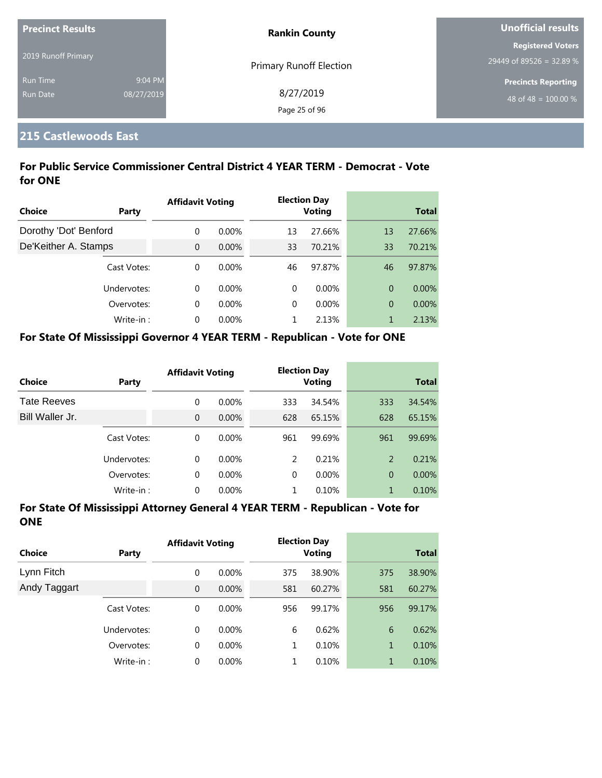| <b>Precinct Results</b> |            | <b>Rankin County</b>           | <b>Unofficial results</b>  |  |
|-------------------------|------------|--------------------------------|----------------------------|--|
|                         |            |                                | <b>Registered Voters</b>   |  |
| 2019 Runoff Primary     |            | <b>Primary Runoff Election</b> | 29449 of 89526 = 32.89 %   |  |
| <b>Run Time</b>         | 9:04 PM    |                                | <b>Precincts Reporting</b> |  |
| <b>Run Date</b>         | 08/27/2019 | 8/27/2019                      | 48 of 48 = $100.00\%$      |  |
|                         |            | Page 25 of 96                  |                            |  |

## **215 Castlewoods East**

### **For Public Service Commissioner Central District 4 YEAR TERM - Democrat - Vote for ONE**

|                       |              | <b>Affidavit Voting</b> |          |          | <b>Election Day</b> |                |              |
|-----------------------|--------------|-------------------------|----------|----------|---------------------|----------------|--------------|
| Choice                | <b>Party</b> |                         |          |          | <b>Voting</b>       |                | <b>Total</b> |
| Dorothy 'Dot' Benford |              | $\Omega$                | $0.00\%$ | 13       | 27.66%              | 13             | 27.66%       |
| De'Keither A. Stamps  |              | $\Omega$                | $0.00\%$ | 33       | 70.21%              | 33             | 70.21%       |
|                       | Cast Votes:  | $\Omega$                | $0.00\%$ | 46       | 97.87%              | 46             | 97.87%       |
|                       | Undervotes:  | $\Omega$                | $0.00\%$ | $\Omega$ | $0.00\%$            | $\overline{0}$ | $0.00\%$     |
|                       | Overvotes:   | $\Omega$                | $0.00\%$ | $\Omega$ | $0.00\%$            | $\overline{0}$ | 0.00%        |
|                       | Write-in:    | $\Omega$                | 0.00%    |          | 2.13%               |                | 2.13%        |

#### **For State Of Mississippi Governor 4 YEAR TERM - Republican - Vote for ONE**

| <b>Choice</b>      | Party       | <b>Affidavit Voting</b> |          |               | <b>Election Day</b><br><b>Voting</b> |                | <b>Total</b> |
|--------------------|-------------|-------------------------|----------|---------------|--------------------------------------|----------------|--------------|
| <b>Tate Reeves</b> |             | 0                       | $0.00\%$ | 333           | 34.54%                               | 333            | 34.54%       |
| Bill Waller Jr.    |             | $\overline{0}$          | $0.00\%$ | 628           | 65.15%                               | 628            | 65.15%       |
|                    | Cast Votes: | 0                       | $0.00\%$ | 961           | 99.69%                               | 961            | 99.69%       |
|                    | Undervotes: | 0                       | $0.00\%$ | $\mathcal{P}$ | 0.21%                                | 2              | 0.21%        |
|                    | Overvotes:  | 0                       | $0.00\%$ | $\Omega$      | $0.00\%$                             | $\overline{0}$ | $0.00\%$     |
|                    | Write-in:   | 0                       | $0.00\%$ |               | 0.10%                                | 1              | 0.10%        |

| <b>Choice</b> | Party       | <b>Affidavit Voting</b> |          |     | <b>Election Day</b><br><b>Voting</b> |     | <b>Total</b> |
|---------------|-------------|-------------------------|----------|-----|--------------------------------------|-----|--------------|
| Lynn Fitch    |             | 0                       | $0.00\%$ | 375 | 38.90%                               | 375 | 38.90%       |
| Andy Taggart  |             | $\overline{0}$          | 0.00%    | 581 | 60.27%                               | 581 | 60.27%       |
|               | Cast Votes: | 0                       | 0.00%    | 956 | 99.17%                               | 956 | 99.17%       |
|               | Undervotes: | 0                       | $0.00\%$ | 6   | 0.62%                                | 6   | 0.62%        |
|               | Overvotes:  | 0                       | $0.00\%$ | 1   | 0.10%                                | 1   | 0.10%        |
|               | Write-in:   | 0                       | $0.00\%$ | 1   | 0.10%                                | 1   | 0.10%        |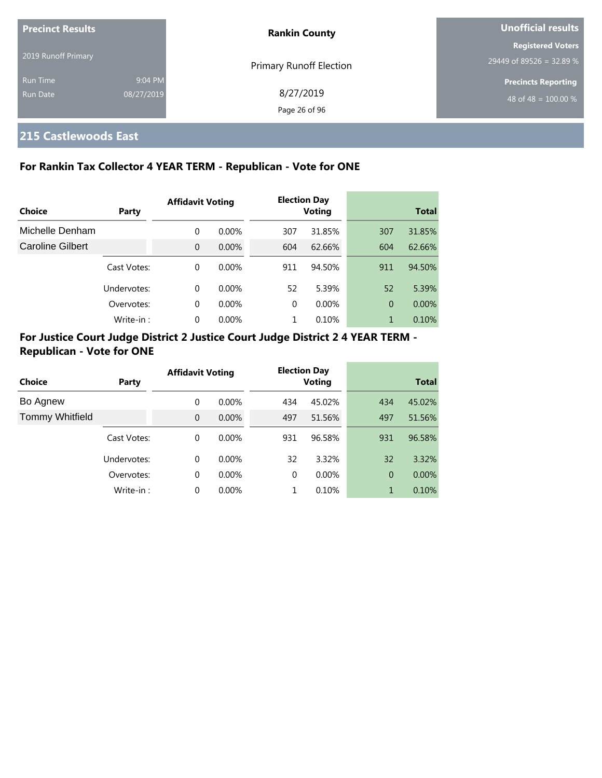| <b>Precinct Results</b>     |                       | <b>Rankin County</b>           | Unofficial results                                             |  |
|-----------------------------|-----------------------|--------------------------------|----------------------------------------------------------------|--|
| 2019 Runoff Primary         |                       | <b>Primary Runoff Election</b> | <b>Registered Voters</b><br>29449 of 89526 = 32.89 %           |  |
| <b>Run Time</b><br>Run Date | 9:04 PM<br>08/27/2019 | 8/27/2019<br>Page 26 of 96     | <b>Precincts Reporting</b><br>48 of 48 = $\overline{100.00\%}$ |  |

## **215 Castlewoods East**

### **For Rankin Tax Collector 4 YEAR TERM - Republican - Vote for ONE**

|                  |             | <b>Affidavit Voting</b> |          |          | <b>Election Day</b> |                |              |
|------------------|-------------|-------------------------|----------|----------|---------------------|----------------|--------------|
| Choice           | Party       |                         |          |          | <b>Voting</b>       |                | <b>Total</b> |
| Michelle Denham  |             | 0                       | $0.00\%$ | 307      | 31.85%              | 307            | 31.85%       |
| Caroline Gilbert |             | $\Omega$                | $0.00\%$ | 604      | 62.66%              | 604            | 62.66%       |
|                  | Cast Votes: | $\Omega$                | $0.00\%$ | 911      | 94.50%              | 911            | 94.50%       |
|                  | Undervotes: | 0                       | $0.00\%$ | 52       | 5.39%               | 52             | 5.39%        |
|                  | Overvotes:  | 0                       | $0.00\%$ | $\Omega$ | $0.00\%$            | $\overline{0}$ | $0.00\%$     |
|                  | Write-in:   | 0                       | $0.00\%$ |          | 0.10%               | 1              | 0.10%        |

## **For Justice Court Judge District 2 Justice Court Judge District 2 4 YEAR TERM - Republican - Vote for ONE**

|                        |             | <b>Affidavit Voting</b> |          |               | <b>Election Day</b> |                |              |
|------------------------|-------------|-------------------------|----------|---------------|---------------------|----------------|--------------|
| Choice                 | Party       |                         |          | <b>Voting</b> |                     |                | <b>Total</b> |
| Bo Agnew               |             | $\Omega$                | $0.00\%$ | 434           | 45.02%              | 434            | 45.02%       |
| <b>Tommy Whitfield</b> |             | $\Omega$                | 0.00%    | 497           | 51.56%              | 497            | 51.56%       |
|                        | Cast Votes: | $\Omega$                | $0.00\%$ | 931           | 96.58%              | 931            | 96.58%       |
|                        | Undervotes: | $\Omega$                | $0.00\%$ | 32            | 3.32%               | 32             | 3.32%        |
|                        | Overvotes:  | $\Omega$                | $0.00\%$ | $\Omega$      | $0.00\%$            | $\overline{0}$ | $0.00\%$     |
|                        | Write-in:   | $\Omega$                | 0.00%    |               | 0.10%               | 1              | 0.10%        |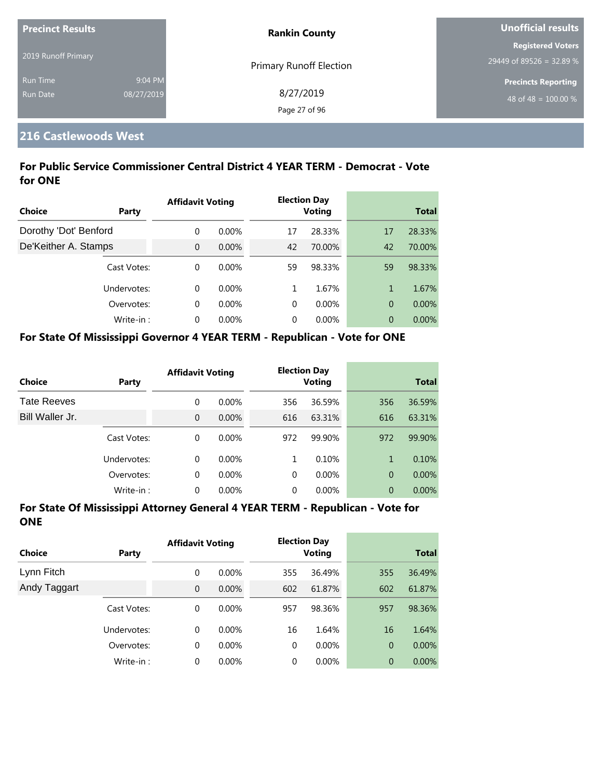| <b>Precinct Results</b> |            | <b>Rankin County</b>           | <b>Unofficial results</b>  |  |
|-------------------------|------------|--------------------------------|----------------------------|--|
|                         |            |                                | <b>Registered Voters</b>   |  |
| 2019 Runoff Primary     |            | <b>Primary Runoff Election</b> | 29449 of 89526 = 32.89 %   |  |
| <b>Run Time</b>         | 9:04 PM    |                                | <b>Precincts Reporting</b> |  |
| Run Date                | 08/27/2019 | 8/27/2019                      | $148$ of 48 = 100.00 % ,   |  |
|                         |            | Page 27 of 96                  |                            |  |

## **216 Castlewoods West**

#### **For Public Service Commissioner Central District 4 YEAR TERM - Democrat - Vote for ONE**

|                       |             | <b>Affidavit Voting</b> |          |          | <b>Election Day</b> |                |              |
|-----------------------|-------------|-------------------------|----------|----------|---------------------|----------------|--------------|
| <b>Choice</b>         | Party       |                         |          |          | <b>Voting</b>       |                | <b>Total</b> |
| Dorothy 'Dot' Benford |             | $\Omega$                | $0.00\%$ | 17       | 28.33%              | 17             | 28.33%       |
| De'Keither A. Stamps  |             | $\Omega$                | $0.00\%$ | 42       | 70.00%              | 42             | 70.00%       |
|                       | Cast Votes: | $\Omega$                | $0.00\%$ | 59       | 98.33%              | 59             | 98.33%       |
|                       | Undervotes: | $\Omega$                | $0.00\%$ | 1        | 1.67%               | 1              | 1.67%        |
|                       | Overvotes:  | $\Omega$                | $0.00\%$ | $\Omega$ | $0.00\%$            | $\overline{0}$ | 0.00%        |
|                       | Write-in:   | $\Omega$                | 0.00%    | $\Omega$ | $0.00\%$            | $\overline{0}$ | $0.00\%$     |

#### **For State Of Mississippi Governor 4 YEAR TERM - Republican - Vote for ONE**

| <b>Choice</b>      | Party       | <b>Affidavit Voting</b> |          |          | <b>Election Day</b><br><b>Voting</b> |                | <b>Total</b> |
|--------------------|-------------|-------------------------|----------|----------|--------------------------------------|----------------|--------------|
| <b>Tate Reeves</b> |             | 0                       | $0.00\%$ | 356      | 36.59%                               | 356            | 36.59%       |
| Bill Waller Jr.    |             | 0                       | $0.00\%$ | 616      | 63.31%                               | 616            | 63.31%       |
|                    | Cast Votes: | 0                       | $0.00\%$ | 972      | 99.90%                               | 972            | 99.90%       |
|                    | Undervotes: | 0                       | $0.00\%$ | 1        | 0.10%                                | 1              | 0.10%        |
|                    | Overvotes:  | 0                       | $0.00\%$ | $\Omega$ | $0.00\%$                             | $\overline{0}$ | $0.00\%$     |
|                    | Write-in:   | 0                       | $0.00\%$ | 0        | $0.00\%$                             | 0              | 0.00%        |

| Choice       | Party       | <b>Affidavit Voting</b> |          |             | <b>Election Day</b><br><b>Voting</b> |                | <b>Total</b> |
|--------------|-------------|-------------------------|----------|-------------|--------------------------------------|----------------|--------------|
| Lynn Fitch   |             | 0                       | $0.00\%$ | 355         | 36.49%                               | 355            | 36.49%       |
| Andy Taggart |             | $\mathbf{0}$            | $0.00\%$ | 602         | 61.87%                               | 602            | 61.87%       |
|              | Cast Votes: | 0                       | $0.00\%$ | 957         | 98.36%                               | 957            | 98.36%       |
|              | Undervotes: | $\Omega$                | $0.00\%$ | 16          | 1.64%                                | 16             | 1.64%        |
|              | Overvotes:  | 0                       | $0.00\%$ | $\mathbf 0$ | $0.00\%$                             | $\overline{0}$ | $0.00\%$     |
|              | Write-in:   | 0                       | $0.00\%$ | 0           | $0.00\%$                             | $\overline{0}$ | 0.00%        |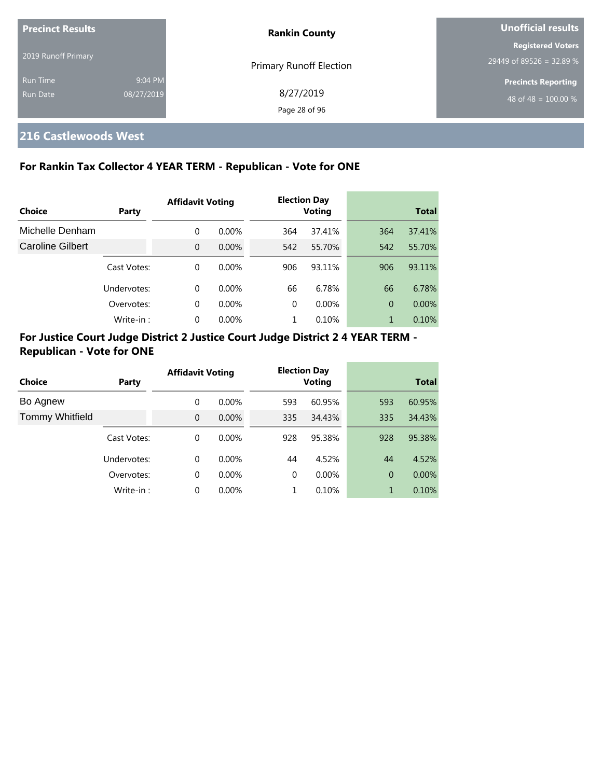| <b>Precinct Results</b><br>2019 Runoff Primary |            | <b>Rankin County</b>           | Unofficial results                                     |  |
|------------------------------------------------|------------|--------------------------------|--------------------------------------------------------|--|
|                                                |            | <b>Primary Runoff Election</b> | <b>Registered Voters</b><br>$29449$ of 89526 = 32.89 % |  |
| <b>Run Time</b>                                | 9:04 PM    |                                | <b>Precincts Reporting</b>                             |  |
| <b>Run Date</b>                                | 08/27/2019 | 8/27/2019<br>Page 28 of 96     | 48 of 48 = $100.00\%$                                  |  |

## **216 Castlewoods West**

## **For Rankin Tax Collector 4 YEAR TERM - Republican - Vote for ONE**

| Choice                  | Party       | <b>Affidavit Voting</b> |          |          | <b>Election Day</b><br><b>Voting</b> |                | <b>Total</b> |  |
|-------------------------|-------------|-------------------------|----------|----------|--------------------------------------|----------------|--------------|--|
| Michelle Denham         |             | 0                       | $0.00\%$ | 364      | 37.41%                               | 364            | 37.41%       |  |
| <b>Caroline Gilbert</b> |             | $\Omega$                | $0.00\%$ | 542      | 55.70%                               | 542            | 55.70%       |  |
|                         | Cast Votes: | 0                       | $0.00\%$ | 906      | 93.11%                               | 906            | 93.11%       |  |
|                         | Undervotes: | $\Omega$                | $0.00\%$ | 66       | 6.78%                                | 66             | 6.78%        |  |
|                         | Overvotes:  | $\Omega$                | $0.00\%$ | $\Omega$ | $0.00\%$                             | $\overline{0}$ | $0.00\%$     |  |
|                         | Write-in:   | $\Omega$                | $0.00\%$ |          | 0.10%                                | 1              | 0.10%        |  |

## **For Justice Court Judge District 2 Justice Court Judge District 2 4 YEAR TERM - Republican - Vote for ONE**

| Choice                 | Party       | <b>Affidavit Voting</b> |          |     | <b>Election Day</b><br><b>Voting</b> |                | <b>Total</b> |
|------------------------|-------------|-------------------------|----------|-----|--------------------------------------|----------------|--------------|
| Bo Agnew               |             | $\Omega$                | $0.00\%$ | 593 | 60.95%                               | 593            | 60.95%       |
| <b>Tommy Whitfield</b> |             | $\Omega$                | $0.00\%$ | 335 | 34.43%                               | 335            | 34.43%       |
|                        | Cast Votes: | $\Omega$                | $0.00\%$ | 928 | 95.38%                               | 928            | 95.38%       |
|                        | Undervotes: | $\Omega$                | $0.00\%$ | 44  | 4.52%                                | 44             | 4.52%        |
|                        | Overvotes:  | $\Omega$                | 0.00%    | 0   | 0.00%                                | $\overline{0}$ | 0.00%        |
|                        | Write-in:   | $\Omega$                | 0.00%    |     | 0.10%                                |                | 0.10%        |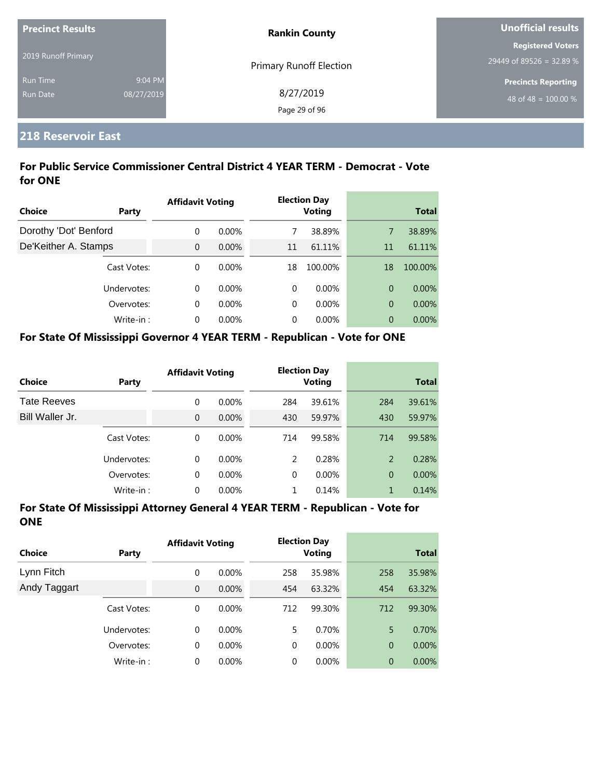| <b>Precinct Results</b> |            | <b>Rankin County</b>           | <b>Unofficial results</b>  |
|-------------------------|------------|--------------------------------|----------------------------|
|                         |            |                                | <b>Registered Voters</b>   |
| 2019 Runoff Primary     |            | <b>Primary Runoff Election</b> | 29449 of 89526 = 32.89 %   |
| <b>Run Time</b>         | 9:04 PM    |                                | <b>Precincts Reporting</b> |
| <b>Run Date</b>         | 08/27/2019 | 8/27/2019                      | 48 of 48 = $100.00\%$      |
|                         |            | Page 29 of 96                  |                            |

## **218 Reservoir East**

### **For Public Service Commissioner Central District 4 YEAR TERM - Democrat - Vote for ONE**

|                       |             | <b>Affidavit Voting</b> |          |          | <b>Election Day</b> |                |              |
|-----------------------|-------------|-------------------------|----------|----------|---------------------|----------------|--------------|
| <b>Choice</b>         | Party       |                         |          |          | <b>Voting</b>       |                | <b>Total</b> |
| Dorothy 'Dot' Benford |             | $\Omega$                | $0.00\%$ |          | 38.89%              | 7              | 38.89%       |
| De'Keither A. Stamps  |             | $\Omega$                | $0.00\%$ | 11       | 61.11%              | 11             | 61.11%       |
|                       | Cast Votes: | $\Omega$                | $0.00\%$ | 18       | 100.00%             | 18             | 100.00%      |
|                       | Undervotes: | $\Omega$                | $0.00\%$ | 0        | $0.00\%$            | 0              | $0.00\%$     |
|                       | Overvotes:  | $\Omega$                | $0.00\%$ | $\Omega$ | $0.00\%$            | $\overline{0}$ | $0.00\%$     |
|                       | Write-in:   | $\Omega$                | $0.00\%$ | 0        | $0.00\%$            | 0              | $0.00\%$     |

#### **For State Of Mississippi Governor 4 YEAR TERM - Republican - Vote for ONE**

| <b>Choice</b>      | Party       | <b>Affidavit Voting</b> |          |          | <b>Election Day</b><br><b>Voting</b> |                | <b>Total</b> |
|--------------------|-------------|-------------------------|----------|----------|--------------------------------------|----------------|--------------|
| <b>Tate Reeves</b> |             | 0                       | $0.00\%$ | 284      | 39.61%                               | 284            | 39.61%       |
| Bill Waller Jr.    |             | $\overline{0}$          | $0.00\%$ | 430      | 59.97%                               | 430            | 59.97%       |
|                    | Cast Votes: | 0                       | $0.00\%$ | 714      | 99.58%                               | 714            | 99.58%       |
|                    | Undervotes: | 0                       | $0.00\%$ | 2        | 0.28%                                | 2              | 0.28%        |
|                    | Overvotes:  | 0                       | $0.00\%$ | $\Omega$ | $0.00\%$                             | $\overline{0}$ | $0.00\%$     |
|                    | Write-in:   | 0                       | $0.00\%$ |          | 0.14%                                | 1              | 0.14%        |

| <b>Choice</b> | Party       | <b>Affidavit Voting</b> |          |     | <b>Election Day</b><br><b>Voting</b> |                | <b>Total</b> |
|---------------|-------------|-------------------------|----------|-----|--------------------------------------|----------------|--------------|
| Lynn Fitch    |             | 0                       | $0.00\%$ | 258 | 35.98%                               | 258            | 35.98%       |
| Andy Taggart  |             | $\overline{0}$          | 0.00%    | 454 | 63.32%                               | 454            | 63.32%       |
|               | Cast Votes: | 0                       | $0.00\%$ | 712 | 99.30%                               | 712            | 99.30%       |
|               | Undervotes: | 0                       | $0.00\%$ | 5   | 0.70%                                | 5              | 0.70%        |
|               | Overvotes:  | 0                       | 0.00%    | 0   | $0.00\%$                             | $\overline{0}$ | $0.00\%$     |
|               | Write-in:   | 0                       | 0.00%    | 0   | $0.00\%$                             | $\overline{0}$ | 0.00%        |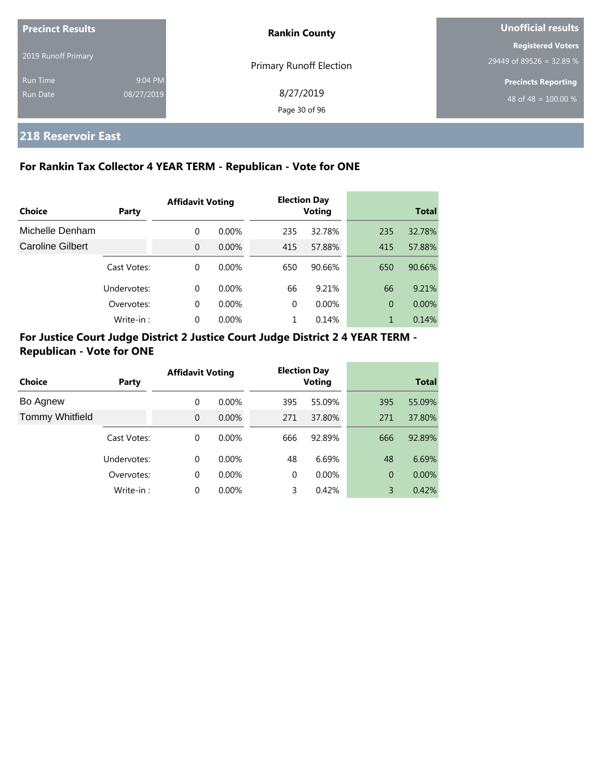| <b>Precinct Results</b> |            | <b>Rankin County</b>           | Unofficial results                                   |  |
|-------------------------|------------|--------------------------------|------------------------------------------------------|--|
| 2019 Runoff Primary     |            |                                | <b>Registered Voters</b><br>29449 of 89526 = 32.89 % |  |
| <b>Run Time</b>         | 9:04 PM    | <b>Primary Runoff Election</b> | <b>Precincts Reporting</b>                           |  |
| Run Date                | 08/27/2019 | 8/27/2019<br>Page 30 of 96     | 48 of 48 = $100.00\%$                                |  |

## **218 Reservoir East**

## **For Rankin Tax Collector 4 YEAR TERM - Republican - Vote for ONE**

|                  |             | <b>Affidavit Voting</b> |          | <b>Election Day</b> |               |                |              |
|------------------|-------------|-------------------------|----------|---------------------|---------------|----------------|--------------|
| Choice           | Party       |                         |          |                     | <b>Voting</b> |                | <b>Total</b> |
| Michelle Denham  |             | $\Omega$                | $0.00\%$ | 235                 | 32.78%        | 235            | 32.78%       |
| Caroline Gilbert |             | $\Omega$                | $0.00\%$ | 415                 | 57.88%        | 415            | 57.88%       |
|                  | Cast Votes: | $\Omega$                | $0.00\%$ | 650                 | 90.66%        | 650            | 90.66%       |
|                  | Undervotes: | $\Omega$                | $0.00\%$ | 66                  | 9.21%         | 66             | 9.21%        |
|                  | Overvotes:  | $\Omega$                | $0.00\%$ | 0                   | $0.00\%$      | $\overline{0}$ | $0.00\%$     |
|                  | Write-in:   | $\Omega$                | 0.00%    |                     | 0.14%         |                | 0.14%        |

## **For Justice Court Judge District 2 Justice Court Judge District 2 4 YEAR TERM - Republican - Vote for ONE**

| Choice                 | Party       | <b>Affidavit Voting</b> |          |          | <b>Election Day</b><br><b>Voting</b> |     | <b>Total</b> |
|------------------------|-------------|-------------------------|----------|----------|--------------------------------------|-----|--------------|
| Bo Agnew               |             | $\Omega$                | $0.00\%$ | 395      | 55.09%                               | 395 | 55.09%       |
| <b>Tommy Whitfield</b> |             | $\Omega$                | $0.00\%$ | 271      | 37.80%                               | 271 | 37.80%       |
|                        | Cast Votes: | $\Omega$                | $0.00\%$ | 666      | 92.89%                               | 666 | 92.89%       |
|                        | Undervotes: | $\Omega$                | $0.00\%$ | 48       | 6.69%                                | 48  | 6.69%        |
|                        | Overvotes:  | 0                       | $0.00\%$ | $\Omega$ | $0.00\%$                             | 0   | $0.00\%$     |
|                        | Write-in:   | $\Omega$                | 0.00%    | 3        | 0.42%                                | 3   | 0.42%        |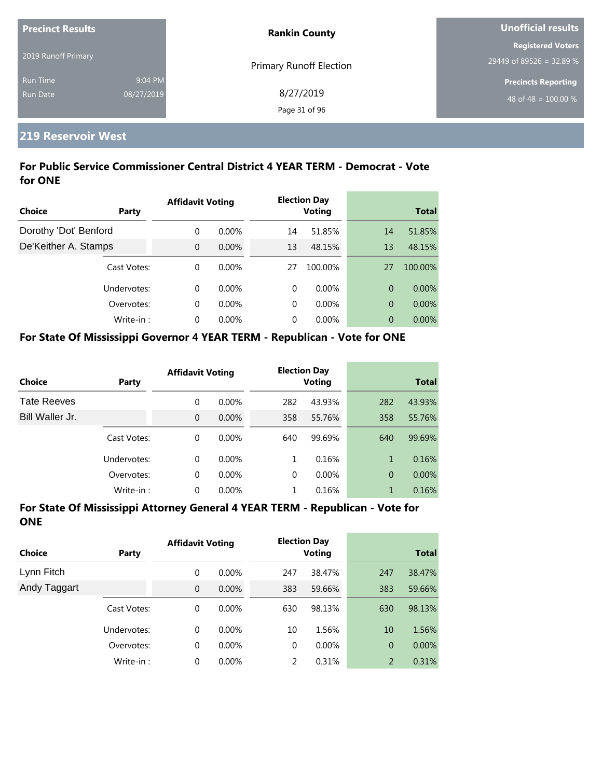| <b>Precinct Results</b> |            | <b>Rankin County</b>           | Unofficial results         |  |
|-------------------------|------------|--------------------------------|----------------------------|--|
|                         |            |                                | <b>Registered Voters</b>   |  |
| 2019 Runoff Primary     |            | <b>Primary Runoff Election</b> | 29449 of 89526 = 32.89 %   |  |
| <b>Run Time</b>         | 9:04 PM    |                                | <b>Precincts Reporting</b> |  |
| Run Date                | 08/27/2019 | 8/27/2019                      | 48 of 48 = $100.00\%$      |  |
|                         |            | Page 31 of 96                  |                            |  |

#### **219 Reservoir West**

### **For Public Service Commissioner Central District 4 YEAR TERM - Democrat - Vote for ONE**

|                       |             | <b>Affidavit Voting</b> |          |          | <b>Election Day</b> |    |              |
|-----------------------|-------------|-------------------------|----------|----------|---------------------|----|--------------|
| <b>Choice</b>         | Party       |                         |          |          | <b>Voting</b>       |    | <b>Total</b> |
| Dorothy 'Dot' Benford |             | $\Omega$                | $0.00\%$ | 14       | 51.85%              | 14 | 51.85%       |
| De'Keither A. Stamps  |             | $\Omega$                | $0.00\%$ | 13       | 48.15%              | 13 | 48.15%       |
|                       | Cast Votes: | $\Omega$                | $0.00\%$ | 27       | 100.00%             | 27 | 100.00%      |
|                       | Undervotes: | $\Omega$                | $0.00\%$ | 0        | $0.00\%$            | 0  | $0.00\%$     |
|                       | Overvotes:  | $\Omega$                | $0.00\%$ | $\Omega$ | $0.00\%$            | 0  | $0.00\%$     |
|                       | Write-in:   | $\Omega$                | $0.00\%$ | 0        | $0.00\%$            | 0  | $0.00\%$     |

#### **For State Of Mississippi Governor 4 YEAR TERM - Republican - Vote for ONE**

| <b>Choice</b>      | Party       | <b>Affidavit Voting</b> |          |     | <b>Election Day</b><br><b>Voting</b> |                | <b>Total</b> |
|--------------------|-------------|-------------------------|----------|-----|--------------------------------------|----------------|--------------|
| <b>Tate Reeves</b> |             | 0                       | $0.00\%$ | 282 | 43.93%                               | 282            | 43.93%       |
| Bill Waller Jr.    |             | 0                       | $0.00\%$ | 358 | 55.76%                               | 358            | 55.76%       |
|                    | Cast Votes: | $\Omega$                | $0.00\%$ | 640 | 99.69%                               | 640            | 99.69%       |
|                    | Undervotes: | 0                       | $0.00\%$ | 1   | 0.16%                                | 1              | 0.16%        |
|                    | Overvotes:  | 0                       | 0.00%    | 0   | $0.00\%$                             | $\overline{0}$ | $0.00\%$     |
|                    | Write-in:   | 0                       | 0.00%    |     | 0.16%                                | 1              | 0.16%        |

| <b>Choice</b> | Party       | <b>Affidavit Voting</b> |          |     | <b>Election Day</b><br><b>Voting</b> |                | <b>Total</b> |
|---------------|-------------|-------------------------|----------|-----|--------------------------------------|----------------|--------------|
| Lynn Fitch    |             | 0                       | $0.00\%$ | 247 | 38.47%                               | 247            | 38.47%       |
| Andy Taggart  |             | 0                       | 0.00%    | 383 | 59.66%                               | 383            | 59.66%       |
|               | Cast Votes: | 0                       | $0.00\%$ | 630 | 98.13%                               | 630            | 98.13%       |
|               | Undervotes: | 0                       | $0.00\%$ | 10  | 1.56%                                | 10             | 1.56%        |
|               | Overvotes:  | 0                       | $0.00\%$ | 0   | $0.00\%$                             | $\overline{0}$ | $0.00\%$     |
|               | Write-in:   | 0                       | 0.00%    | 2   | 0.31%                                | 2              | 0.31%        |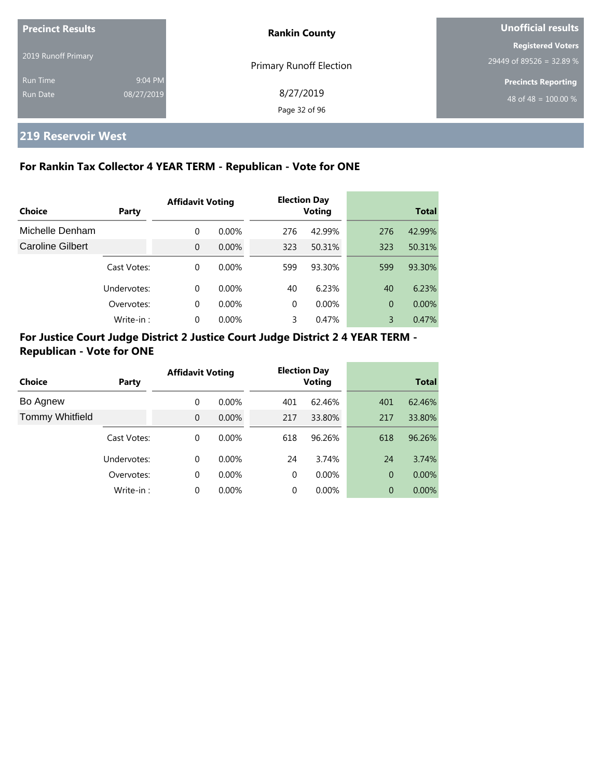| <b>Precinct Results</b>     |                                | <b>Rankin County</b>       | Unofficial results                                   |  |
|-----------------------------|--------------------------------|----------------------------|------------------------------------------------------|--|
| 2019 Runoff Primary         | <b>Primary Runoff Election</b> |                            | <b>Registered Voters</b><br>29449 of 89526 = 32.89 % |  |
| <b>Run Time</b><br>Run Date | 9:04 PM<br>08/27/2019          | 8/27/2019<br>Page 32 of 96 | <b>Precincts Reporting</b><br>48 of 48 = $100.00\%$  |  |

## **219 Reservoir West**

## **For Rankin Tax Collector 4 YEAR TERM - Republican - Vote for ONE**

|                         |             | <b>Affidavit Voting</b> |          |     | <b>Election Day</b> |                |              |
|-------------------------|-------------|-------------------------|----------|-----|---------------------|----------------|--------------|
| Choice                  | Party       |                         |          |     | <b>Voting</b>       |                | <b>Total</b> |
| Michelle Denham         |             | $\Omega$                | $0.00\%$ | 276 | 42.99%              | 276            | 42.99%       |
| <b>Caroline Gilbert</b> |             | $\Omega$                | $0.00\%$ | 323 | 50.31%              | 323            | 50.31%       |
|                         | Cast Votes: | $\Omega$                | $0.00\%$ | 599 | 93.30%              | 599            | 93.30%       |
|                         | Undervotes: | $\Omega$                | $0.00\%$ | 40  | 6.23%               | 40             | 6.23%        |
|                         | Overvotes:  | $\Omega$                | $0.00\%$ | 0   | $0.00\%$            | $\overline{0}$ | 0.00%        |
|                         | Write-in:   | $\Omega$                | 0.00%    | 3   | 0.47%               | 3              | 0.47%        |

## **For Justice Court Judge District 2 Justice Court Judge District 2 4 YEAR TERM - Republican - Vote for ONE**

| Choice                 | Party       | <b>Affidavit Voting</b> |          |          | <b>Election Day</b><br><b>Voting</b> |                | <b>Total</b> |
|------------------------|-------------|-------------------------|----------|----------|--------------------------------------|----------------|--------------|
| Bo Agnew               |             | $\Omega$                | $0.00\%$ | 401      | 62.46%                               | 401            | 62.46%       |
| <b>Tommy Whitfield</b> |             | $\Omega$                | $0.00\%$ | 217      | 33.80%                               | 217            | 33.80%       |
|                        | Cast Votes: | $\Omega$                | $0.00\%$ | 618      | 96.26%                               | 618            | 96.26%       |
|                        | Undervotes: | $\Omega$                | $0.00\%$ | 24       | 3.74%                                | 24             | 3.74%        |
|                        | Overvotes:  | $\Omega$                | $0.00\%$ | $\Omega$ | $0.00\%$                             | $\overline{0}$ | $0.00\%$     |
|                        | Write-in:   | $\Omega$                | 0.00%    | 0        | 0.00%                                | 0              | $0.00\%$     |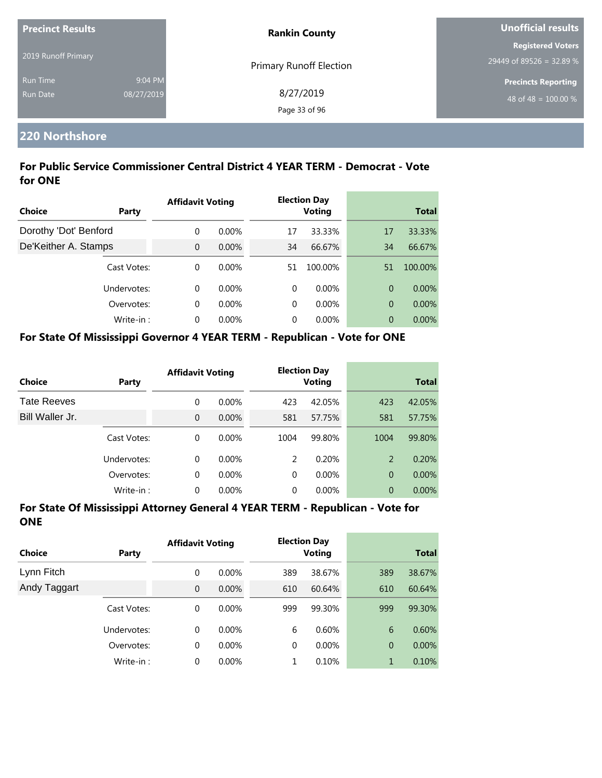| <b>Precinct Results</b> |            | <b>Rankin County</b>           | <b>Unofficial results</b>  |
|-------------------------|------------|--------------------------------|----------------------------|
|                         |            |                                | <b>Registered Voters</b>   |
| 2019 Runoff Primary     |            | <b>Primary Runoff Election</b> | 29449 of 89526 = 32.89 %   |
| <b>Run Time</b>         | 9:04 PM    |                                | <b>Precincts Reporting</b> |
| Run Date                | 08/27/2019 | 8/27/2019                      | 48 of 48 = $100.00\%$      |
|                         |            | Page 33 of 96                  |                            |

#### **220 Northshore**

#### **For Public Service Commissioner Central District 4 YEAR TERM - Democrat - Vote for ONE**

|                       |              | <b>Affidavit Voting</b> |          |          | <b>Election Day</b> |    |              |
|-----------------------|--------------|-------------------------|----------|----------|---------------------|----|--------------|
| Choice                | <b>Party</b> |                         |          |          | <b>Voting</b>       |    | <b>Total</b> |
| Dorothy 'Dot' Benford |              | $\Omega$                | $0.00\%$ | 17       | 33.33%              | 17 | 33.33%       |
| De'Keither A. Stamps  |              | $\overline{0}$          | $0.00\%$ | 34       | 66.67%              | 34 | 66.67%       |
|                       | Cast Votes:  | $\Omega$                | $0.00\%$ | 51       | 100.00%             | 51 | 100.00%      |
|                       | Undervotes:  | $\Omega$                | $0.00\%$ | $\Omega$ | $0.00\%$            | 0  | $0.00\%$     |
|                       | Overvotes:   | $\Omega$                | $0.00\%$ | 0        | $0.00\%$            | 0  | 0.00%        |
|                       | Write-in:    | $\Omega$                | $0.00\%$ | 0        | $0.00\%$            | 0  | $0.00\%$     |

#### **For State Of Mississippi Governor 4 YEAR TERM - Republican - Vote for ONE**

| <b>Choice</b>      | Party       | <b>Affidavit Voting</b> |          |      | <b>Election Day</b><br><b>Voting</b> |                | <b>Total</b> |
|--------------------|-------------|-------------------------|----------|------|--------------------------------------|----------------|--------------|
| <b>Tate Reeves</b> |             | 0                       | $0.00\%$ | 423  | 42.05%                               | 423            | 42.05%       |
| Bill Waller Jr.    |             | 0                       | $0.00\%$ | 581  | 57.75%                               | 581            | 57.75%       |
|                    | Cast Votes: | 0                       | $0.00\%$ | 1004 | 99.80%                               | 1004           | 99.80%       |
|                    | Undervotes: | 0                       | $0.00\%$ | 2    | 0.20%                                | 2              | 0.20%        |
|                    | Overvotes:  | 0                       | 0.00%    | 0    | $0.00\%$                             | $\overline{0}$ | $0.00\%$     |
|                    | Write-in:   | 0                       | 0.00%    | 0    | 0.00%                                | $\overline{0}$ | $0.00\%$     |

| Choice       | <b>Party</b> | <b>Affidavit Voting</b> |          |     | <b>Election Day</b><br><b>Voting</b> |                | <b>Total</b> |
|--------------|--------------|-------------------------|----------|-----|--------------------------------------|----------------|--------------|
| Lynn Fitch   |              | 0                       | $0.00\%$ | 389 | 38.67%                               | 389            | 38.67%       |
| Andy Taggart |              | $\overline{0}$          | 0.00%    | 610 | 60.64%                               | 610            | 60.64%       |
|              | Cast Votes:  | 0                       | 0.00%    | 999 | 99.30%                               | 999            | 99.30%       |
|              | Undervotes:  | 0                       | $0.00\%$ | 6   | 0.60%                                | 6              | 0.60%        |
|              | Overvotes:   | 0                       | 0.00%    | 0   | $0.00\%$                             | $\overline{0}$ | $0.00\%$     |
|              | Write-in:    | 0                       | 0.00%    | 1   | 0.10%                                | 1              | 0.10%        |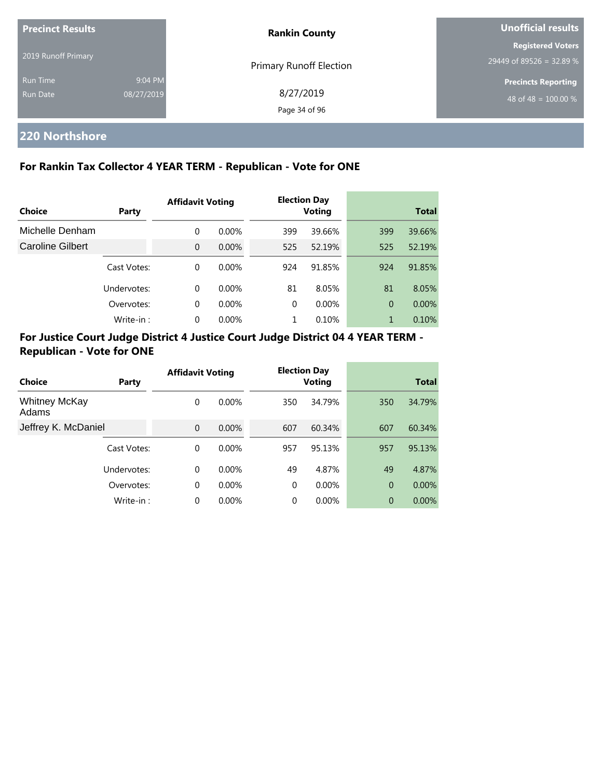| <b>Precinct Results</b>     |                       | <b>Rankin County</b>           | Unofficial results                                             |  |
|-----------------------------|-----------------------|--------------------------------|----------------------------------------------------------------|--|
| 2019 Runoff Primary         |                       | <b>Primary Runoff Election</b> | <b>Registered Voters</b><br>29449 of 89526 = 32.89 %           |  |
| <b>Run Time</b><br>Run Date | 9:04 PM<br>08/27/2019 | 8/27/2019<br>Page 34 of 96     | <b>Precincts Reporting</b><br>48 of 48 = $\overline{100.00\%}$ |  |

# **220 Northshore**

### **For Rankin Tax Collector 4 YEAR TERM - Republican - Vote for ONE**

|                  |             | <b>Affidavit Voting</b> |          |          | <b>Election Day</b> |                |              |
|------------------|-------------|-------------------------|----------|----------|---------------------|----------------|--------------|
| Choice           | Party       |                         |          |          | <b>Voting</b>       |                | <b>Total</b> |
| Michelle Denham  |             | $\mathbf 0$             | $0.00\%$ | 399      | 39.66%              | 399            | 39.66%       |
| Caroline Gilbert |             | $\Omega$                | $0.00\%$ | 525      | 52.19%              | 525            | 52.19%       |
|                  | Cast Votes: | $\Omega$                | $0.00\%$ | 924      | 91.85%              | 924            | 91.85%       |
|                  | Undervotes: | $\Omega$                | $0.00\%$ | 81       | 8.05%               | 81             | 8.05%        |
|                  | Overvotes:  | $\Omega$                | $0.00\%$ | $\Omega$ | $0.00\%$            | $\overline{0}$ | $0.00\%$     |
|                  | Write-in:   | 0                       | 0.00%    |          | 0.10%               | 1              | 0.10%        |

## **For Justice Court Judge District 4 Justice Court Judge District 04 4 YEAR TERM - Republican - Vote for ONE**

|                               |             | <b>Affidavit Voting</b> |          |          | <b>Election Day</b> |                |              |
|-------------------------------|-------------|-------------------------|----------|----------|---------------------|----------------|--------------|
| Choice                        | Party       |                         |          |          | <b>Voting</b>       |                | <b>Total</b> |
| <b>Whitney McKay</b><br>Adams |             | 0                       | $0.00\%$ | 350      | 34.79%              | 350            | 34.79%       |
| Jeffrey K. McDaniel           |             | $\overline{0}$          | $0.00\%$ | 607      | 60.34%              | 607            | 60.34%       |
|                               | Cast Votes: | 0                       | $0.00\%$ | 957      | 95.13%              | 957            | 95.13%       |
|                               | Undervotes: | $\Omega$                | $0.00\%$ | 49       | 4.87%               | 49             | 4.87%        |
|                               | Overvotes:  | 0                       | $0.00\%$ | $\Omega$ | $0.00\%$            | $\overline{0}$ | 0.00%        |
|                               | Write-in:   | 0                       | $0.00\%$ | $\Omega$ | 0.00%               | $\overline{0}$ | 0.00%        |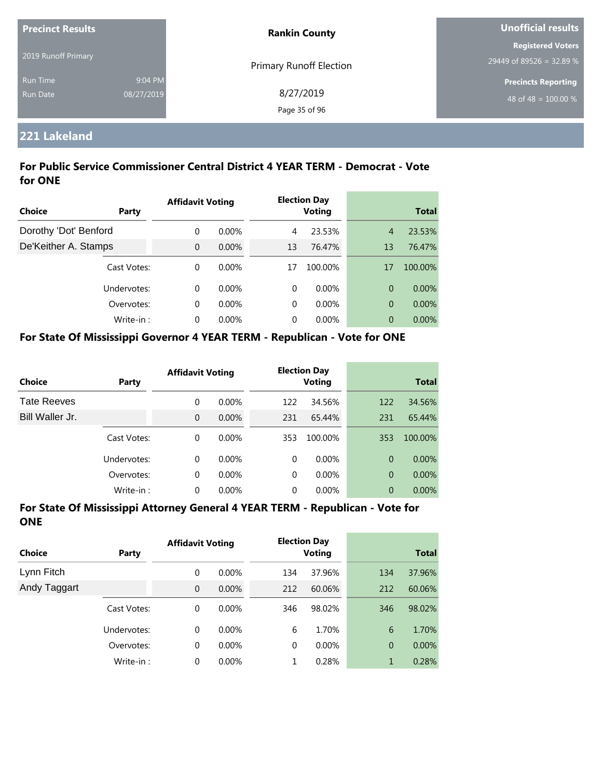| <b>Precinct Results</b> |            | <b>Rankin County</b>           | Unofficial results         |
|-------------------------|------------|--------------------------------|----------------------------|
|                         |            |                                | <b>Registered Voters</b>   |
| 2019 Runoff Primary     |            | <b>Primary Runoff Election</b> | 29449 of 89526 = 32.89 %   |
| <b>Run Time</b>         | 9:04 PM    |                                | <b>Precincts Reporting</b> |
| Run Date                | 08/27/2019 | 8/27/2019                      | 48 of 48 = $100.00\%$      |
|                         |            | Page 35 of 96                  |                            |

## **221 Lakeland**

### **For Public Service Commissioner Central District 4 YEAR TERM - Democrat - Vote for ONE**

|                       |             | <b>Affidavit Voting</b> |          | <b>Election Day</b> |               |                |          |
|-----------------------|-------------|-------------------------|----------|---------------------|---------------|----------------|----------|
| Choice                | Party       |                         |          |                     | <b>Voting</b> | <b>Total</b>   |          |
| Dorothy 'Dot' Benford |             | $\Omega$                | $0.00\%$ | 4                   | 23.53%        | $\overline{4}$ | 23.53%   |
| De'Keither A. Stamps  |             | $\overline{0}$          | $0.00\%$ | 13                  | 76.47%        | 13             | 76.47%   |
|                       | Cast Votes: | $\Omega$                | $0.00\%$ | 17                  | 100.00%       | 17             | 100.00%  |
|                       | Undervotes: | $\Omega$                | $0.00\%$ | 0                   | $0.00\%$      | 0              | $0.00\%$ |
|                       | Overvotes:  | $\Omega$                | $0.00\%$ | 0                   | $0.00\%$      | 0              | 0.00%    |
|                       | Write-in:   | $\Omega$                | $0.00\%$ | 0                   | $0.00\%$      | 0              | $0.00\%$ |

#### **For State Of Mississippi Governor 4 YEAR TERM - Republican - Vote for ONE**

| <b>Choice</b>      | Party       | <b>Affidavit Voting</b> |          | <b>Election Day</b><br><b>Voting</b> |          | <b>Total</b>   |          |
|--------------------|-------------|-------------------------|----------|--------------------------------------|----------|----------------|----------|
| <b>Tate Reeves</b> |             | 0                       | $0.00\%$ | 122                                  | 34.56%   | 122            | 34.56%   |
| Bill Waller Jr.    |             | 0                       | $0.00\%$ | 231                                  | 65.44%   | 231            | 65.44%   |
|                    | Cast Votes: | 0                       | $0.00\%$ | 353                                  | 100.00%  | 353            | 100.00%  |
|                    | Undervotes: | $\Omega$                | $0.00\%$ | $\Omega$                             | $0.00\%$ | $\Omega$       | $0.00\%$ |
|                    | Overvotes:  | 0                       | $0.00\%$ | $\Omega$                             | $0.00\%$ | $\overline{0}$ | $0.00\%$ |
|                    | Write-in:   | 0                       | $0.00\%$ | 0                                    | $0.00\%$ | 0              | 0.00%    |

| Choice       | Party       | <b>Affidavit Voting</b> |          | <b>Election Day</b><br><b>Voting</b> |          | <b>Total</b>   |          |
|--------------|-------------|-------------------------|----------|--------------------------------------|----------|----------------|----------|
| Lynn Fitch   |             | 0                       | $0.00\%$ | 134                                  | 37.96%   | 134            | 37.96%   |
| Andy Taggart |             | $\mathbf{0}$            | $0.00\%$ | 212                                  | 60.06%   | 212            | 60.06%   |
|              | Cast Votes: | 0                       | $0.00\%$ | 346                                  | 98.02%   | 346            | 98.02%   |
|              | Undervotes: | $\Omega$                | $0.00\%$ | 6                                    | 1.70%    | 6              | 1.70%    |
|              | Overvotes:  | 0                       | $0.00\%$ | $\mathbf 0$                          | $0.00\%$ | $\overline{0}$ | $0.00\%$ |
|              | Write-in:   | 0                       | $0.00\%$ | 1                                    | 0.28%    | $\mathbf{1}$   | 0.28%    |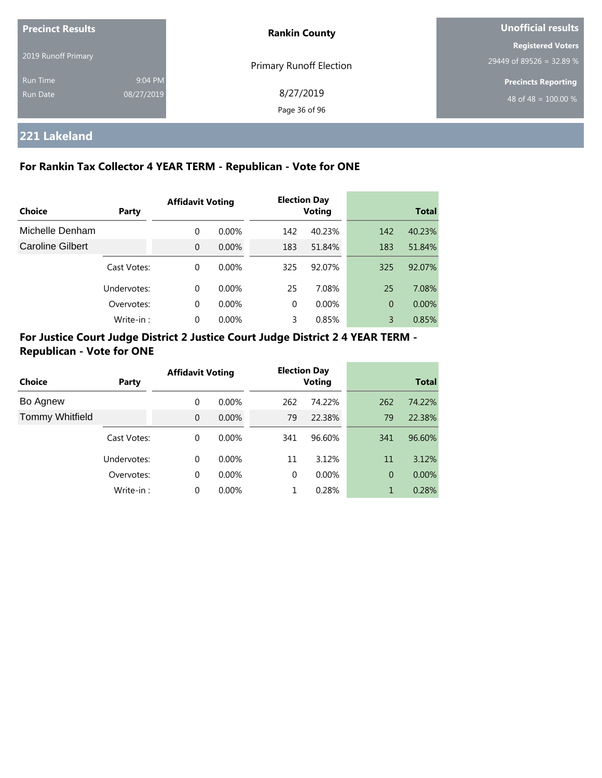| <b>Precinct Results</b> |            | <b>Rankin County</b>           | Unofficial results                                   |  |  |
|-------------------------|------------|--------------------------------|------------------------------------------------------|--|--|
| 2019 Runoff Primary     |            |                                | <b>Registered Voters</b><br>29449 of 89526 = 32.89 % |  |  |
| <b>Run Time</b>         | 9:04 PM    | <b>Primary Runoff Election</b> | <b>Precincts Reporting</b>                           |  |  |
| Run Date                | 08/27/2019 | 8/27/2019                      | 48 of 48 = $100.00\%$                                |  |  |
|                         |            | Page 36 of 96                  |                                                      |  |  |

## **221 Lakeland**

## **For Rankin Tax Collector 4 YEAR TERM - Republican - Vote for ONE**

| Choice                  | Party       | <b>Affidavit Voting</b> |          | <b>Election Day</b><br><b>Voting</b> |        | <b>Total</b>   |        |
|-------------------------|-------------|-------------------------|----------|--------------------------------------|--------|----------------|--------|
| Michelle Denham         |             | 0                       | $0.00\%$ | 142                                  | 40.23% | 142            | 40.23% |
| <b>Caroline Gilbert</b> |             | $\Omega$                | $0.00\%$ | 183                                  | 51.84% | 183            | 51.84% |
|                         | Cast Votes: | $\Omega$                | $0.00\%$ | 325                                  | 92.07% | 325            | 92.07% |
|                         | Undervotes: | $\Omega$                | $0.00\%$ | 25                                   | 7.08%  | 25             | 7.08%  |
|                         | Overvotes:  | $\mathbf 0$             | $0.00\%$ | $\Omega$                             | 0.00%  | $\overline{0}$ | 0.00%  |
|                         | Write-in:   | $\Omega$                | $0.00\%$ | 3                                    | 0.85%  | 3              | 0.85%  |

## **For Justice Court Judge District 2 Justice Court Judge District 2 4 YEAR TERM - Republican - Vote for ONE**

| Choice                 | Party       | <b>Affidavit Voting</b> |          | <b>Election Day</b><br><b>Voting</b> |        | <b>Total</b> |          |
|------------------------|-------------|-------------------------|----------|--------------------------------------|--------|--------------|----------|
| Bo Agnew               |             | $\Omega$                | $0.00\%$ | 262                                  | 74.22% | 262          | 74.22%   |
| <b>Tommy Whitfield</b> |             | $\Omega$                | $0.00\%$ | 79                                   | 22.38% | 79           | 22.38%   |
|                        | Cast Votes: | $\Omega$                | $0.00\%$ | 341                                  | 96.60% | 341          | 96.60%   |
|                        | Undervotes: | $\Omega$                | $0.00\%$ | 11                                   | 3.12%  | 11           | 3.12%    |
|                        | Overvotes:  | $\Omega$                | $0.00\%$ | $\Omega$                             | 0.00%  | 0            | $0.00\%$ |
|                        | Write-in:   | 0                       | 0.00%    |                                      | 0.28%  |              | 0.28%    |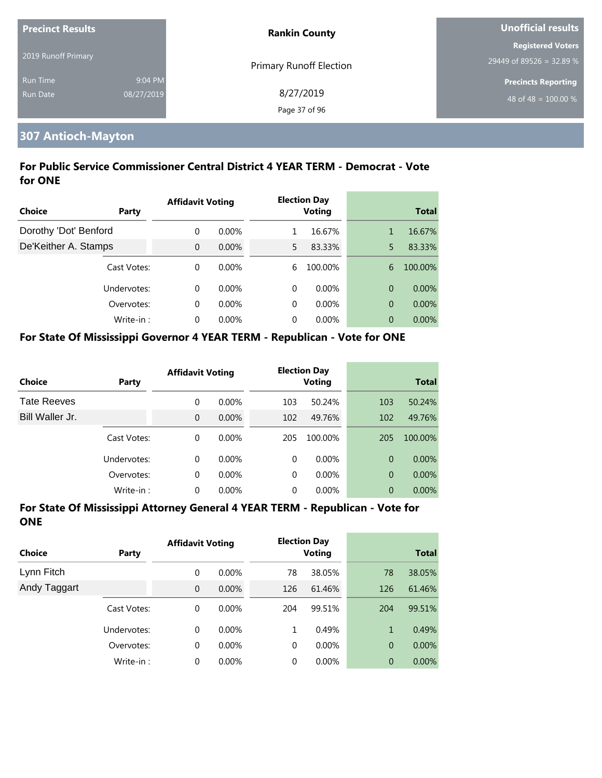| <b>Precinct Results</b> |            | <b>Rankin County</b>           | Unofficial results         |
|-------------------------|------------|--------------------------------|----------------------------|
|                         |            |                                | Registered Voters          |
| 2019 Runoff Primary     |            | <b>Primary Runoff Election</b> | 29449 of 89526 = 32.89 %   |
| <b>Run Time</b>         | 9:04 PM    |                                | <b>Precincts Reporting</b> |
| Run Date                | 08/27/2019 | 8/27/2019                      | 48 of 48 = $100.00\%$      |
|                         |            | Page 37 of 96                  |                            |

## **307 Antioch-Mayton**

## **For Public Service Commissioner Central District 4 YEAR TERM - Democrat - Vote for ONE**

| <b>Choice</b>         | Party       | <b>Affidavit Voting</b> |          |    | <b>Election Day</b><br><b>Voting</b> |                | <b>Total</b> |
|-----------------------|-------------|-------------------------|----------|----|--------------------------------------|----------------|--------------|
|                       |             |                         |          |    |                                      |                |              |
| Dorothy 'Dot' Benford |             | $\Omega$                | $0.00\%$ |    | 16.67%                               | 1              | 16.67%       |
| De'Keither A. Stamps  |             | $\overline{0}$          | 0.00%    | 5. | 83.33%                               | 5              | 83.33%       |
|                       | Cast Votes: | $\Omega$                | $0.00\%$ | 6  | 100.00%                              | 6              | 100.00%      |
|                       | Undervotes: | $\Omega$                | $0.00\%$ | 0  | $0.00\%$                             | $\overline{0}$ | $0.00\%$     |
|                       | Overvotes:  | $\Omega$                | $0.00\%$ | 0  | $0.00\%$                             | $\overline{0}$ | 0.00%        |
|                       | Write-in:   | $\Omega$                | $0.00\%$ | 0  | $0.00\%$                             | $\overline{0}$ | $0.00\%$     |

#### **For State Of Mississippi Governor 4 YEAR TERM - Republican - Vote for ONE**

| Choice             | Party       | <b>Affidavit Voting</b> |          |          | <b>Election Day</b><br><b>Voting</b> |                | <b>Total</b> |
|--------------------|-------------|-------------------------|----------|----------|--------------------------------------|----------------|--------------|
| <b>Tate Reeves</b> |             | 0                       | $0.00\%$ | 103      | 50.24%                               | 103            | 50.24%       |
| Bill Waller Jr.    |             | $\overline{0}$          | 0.00%    | 102      | 49.76%                               | 102            | 49.76%       |
|                    | Cast Votes: | 0                       | $0.00\%$ | 205      | 100.00%                              | 205            | 100.00%      |
|                    | Undervotes: | 0                       | $0.00\%$ | $\Omega$ | $0.00\%$                             | $\Omega$       | $0.00\%$     |
|                    | Overvotes:  | 0                       | $0.00\%$ | $\Omega$ | $0.00\%$                             | $\overline{0}$ | $0.00\%$     |
|                    | Write-in:   | 0                       | 0.00%    | 0        | 0.00%                                | $\overline{0}$ | $0.00\%$     |

| <b>Choice</b> | <b>Party</b> | <b>Affidavit Voting</b> |          |     | <b>Election Day</b><br><b>Voting</b> |                | <b>Total</b> |
|---------------|--------------|-------------------------|----------|-----|--------------------------------------|----------------|--------------|
| Lynn Fitch    |              | 0                       | $0.00\%$ | 78  | 38.05%                               | 78             | 38.05%       |
| Andy Taggart  |              | $\overline{0}$          | 0.00%    | 126 | 61.46%                               | 126            | 61.46%       |
|               | Cast Votes:  | 0                       | $0.00\%$ | 204 | 99.51%                               | 204            | 99.51%       |
|               | Undervotes:  | 0                       | $0.00\%$ | 1   | 0.49%                                | 1              | 0.49%        |
|               | Overvotes:   | 0                       | 0.00%    | 0   | $0.00\%$                             | $\overline{0}$ | $0.00\%$     |
|               | Write-in:    | 0                       | 0.00%    | 0   | $0.00\%$                             | $\overline{0}$ | 0.00%        |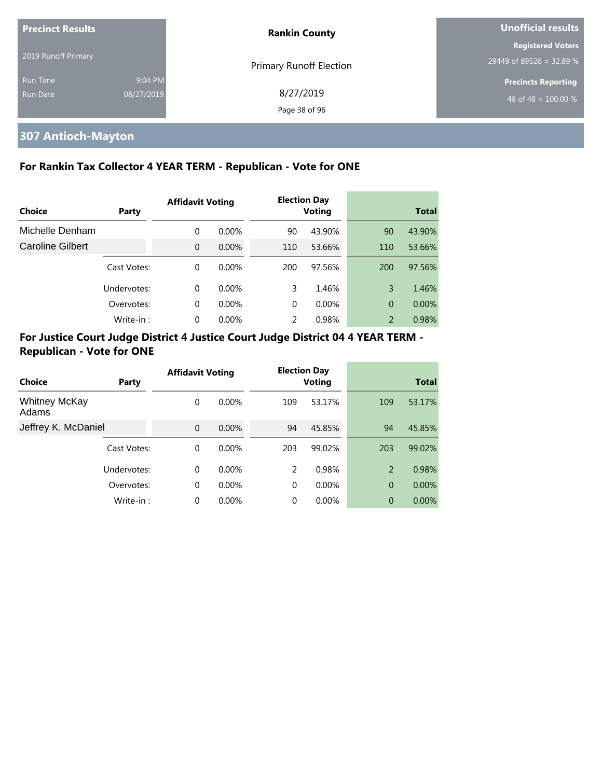| <b>Precinct Results</b> |            | <b>Rankin County</b>           | Unofficial results         |
|-------------------------|------------|--------------------------------|----------------------------|
|                         |            |                                | <b>Registered Voters</b>   |
| 2019 Runoff Primary     |            | <b>Primary Runoff Election</b> | 29449 of 89526 = 32.89 %   |
| <b>Run Time</b>         | 9:04 PM    |                                | <b>Precincts Reporting</b> |
| Run Date                | 08/27/2019 | 8/27/2019                      | 48 of 48 = $100.00\%$      |
|                         |            | Page 38 of 96                  |                            |

# **307 Antioch-Mayton**

## **For Rankin Tax Collector 4 YEAR TERM - Republican - Vote for ONE**

|                  |             | <b>Affidavit Voting</b> |          |          | <b>Election Day</b> |                |              |
|------------------|-------------|-------------------------|----------|----------|---------------------|----------------|--------------|
| Choice           | Party       |                         |          |          | <b>Voting</b>       |                | <b>Total</b> |
| Michelle Denham  |             | 0                       | $0.00\%$ | 90       | 43.90%              | 90             | 43.90%       |
| Caroline Gilbert |             | $\Omega$                | $0.00\%$ | 110      | 53.66%              | 110            | 53.66%       |
|                  | Cast Votes: | 0                       | $0.00\%$ | 200      | 97.56%              | 200            | 97.56%       |
|                  | Undervotes: | 0                       | $0.00\%$ | 3        | 1.46%               | 3              | 1.46%        |
|                  | Overvotes:  | $\Omega$                | $0.00\%$ | $\Omega$ | 0.00%               | $\overline{0}$ | 0.00%        |
|                  | Write-in:   | 0                       | 0.00%    | 2        | 0.98%               | 2              | 0.98%        |

|                               |             | <b>Affidavit Voting</b> |          |          | <b>Election Day</b> |                |              |
|-------------------------------|-------------|-------------------------|----------|----------|---------------------|----------------|--------------|
| <b>Choice</b>                 | Party       |                         |          |          | <b>Voting</b>       |                | <b>Total</b> |
| <b>Whitney McKay</b><br>Adams |             | 0                       | $0.00\%$ | 109      | 53.17%              | 109            | 53.17%       |
| Jeffrey K. McDaniel           |             | $\overline{0}$          | 0.00%    | 94       | 45.85%              | 94             | 45.85%       |
|                               | Cast Votes: | 0                       | $0.00\%$ | 203      | 99.02%              | 203            | 99.02%       |
|                               | Undervotes: | 0                       | $0.00\%$ | 2        | 0.98%               | 2              | 0.98%        |
|                               | Overvotes:  | 0                       | $0.00\%$ | $\Omega$ | 0.00%               | $\overline{0}$ | 0.00%        |
|                               | Write-in:   | 0                       | 0.00%    | $\Omega$ | 0.00%               | 0              | $0.00\%$     |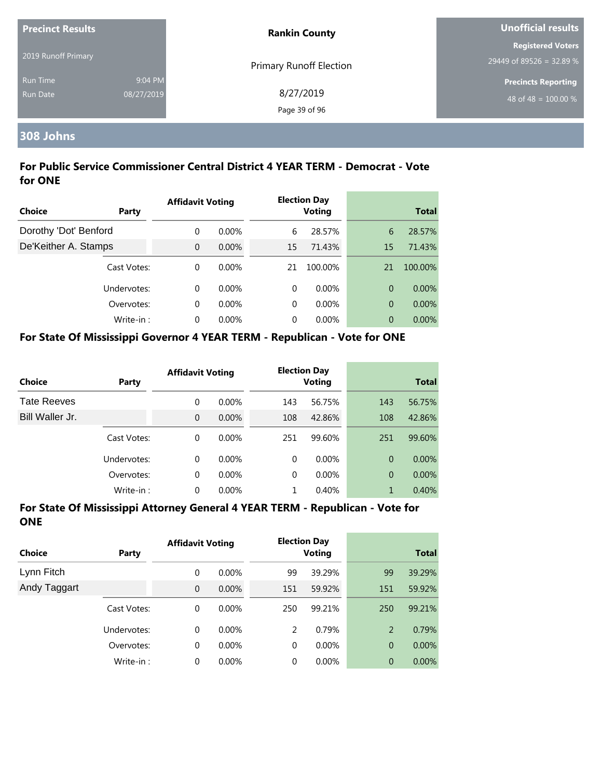| <b>Precinct Results</b> |            | <b>Rankin County</b>           | Unofficial results         |
|-------------------------|------------|--------------------------------|----------------------------|
|                         |            |                                | <b>Registered Voters</b>   |
| 2019 Runoff Primary     |            | <b>Primary Runoff Election</b> | 29449 of 89526 = 32.89 %   |
| <b>Run Time</b>         | 9:04 PM    |                                | <b>Precincts Reporting</b> |
| <b>Run Date</b>         | 08/27/2019 | 8/27/2019                      | 48 of 48 = $100.00\%$      |
|                         |            | Page 39 of 96                  |                            |

# **308 Johns**

## **For Public Service Commissioner Central District 4 YEAR TERM - Democrat - Vote for ONE**

|                       |              | <b>Affidavit Voting</b> |          |    | <b>Election Day</b> |    |              |
|-----------------------|--------------|-------------------------|----------|----|---------------------|----|--------------|
| Choice                | <b>Party</b> |                         |          |    | <b>Voting</b>       |    | <b>Total</b> |
| Dorothy 'Dot' Benford |              | $\Omega$                | $0.00\%$ | 6  | 28.57%              | 6  | 28.57%       |
| De'Keither A. Stamps  |              | $\overline{0}$          | 0.00%    | 15 | 71.43%              | 15 | 71.43%       |
|                       | Cast Votes:  | $\Omega$                | $0.00\%$ | 21 | 100.00%             | 21 | 100.00%      |
|                       | Undervotes:  | $\Omega$                | $0.00\%$ | 0  | $0.00\%$            | 0  | $0.00\%$     |
|                       | Overvotes:   | $\Omega$                | $0.00\%$ | 0  | $0.00\%$            | 0  | 0.00%        |
|                       | Write-in:    | 0                       | $0.00\%$ | 0  | $0.00\%$            | 0  | $0.00\%$     |

#### **For State Of Mississippi Governor 4 YEAR TERM - Republican - Vote for ONE**

| <b>Choice</b>      | Party       | <b>Affidavit Voting</b> |          |          | <b>Election Day</b><br><b>Voting</b> |                | <b>Total</b> |
|--------------------|-------------|-------------------------|----------|----------|--------------------------------------|----------------|--------------|
| <b>Tate Reeves</b> |             | 0                       | $0.00\%$ | 143      | 56.75%                               | 143            | 56.75%       |
| Bill Waller Jr.    |             | $\overline{0}$          | $0.00\%$ | 108      | 42.86%                               | 108            | 42.86%       |
|                    | Cast Votes: | 0                       | $0.00\%$ | 251      | 99.60%                               | 251            | 99.60%       |
|                    | Undervotes: | 0                       | $0.00\%$ | $\Omega$ | $0.00\%$                             | $\Omega$       | $0.00\%$     |
|                    | Overvotes:  | 0                       | $0.00\%$ | $\Omega$ | $0.00\%$                             | $\overline{0}$ | $0.00\%$     |
|                    | Write-in:   | 0                       | $0.00\%$ |          | 0.40%                                | 1              | 0.40%        |

| <b>Choice</b> | <b>Party</b> | <b>Affidavit Voting</b> |          |     | <b>Election Day</b><br><b>Voting</b> |                | <b>Total</b> |
|---------------|--------------|-------------------------|----------|-----|--------------------------------------|----------------|--------------|
| Lynn Fitch    |              | 0                       | $0.00\%$ | 99  | 39.29%                               | 99             | 39.29%       |
| Andy Taggart  |              | $\overline{0}$          | $0.00\%$ | 151 | 59.92%                               | 151            | 59.92%       |
|               | Cast Votes:  | 0                       | $0.00\%$ | 250 | 99.21%                               | 250            | 99.21%       |
|               | Undervotes:  | 0                       | $0.00\%$ | 2   | 0.79%                                | 2              | 0.79%        |
|               | Overvotes:   | 0                       | 0.00%    | 0   | $0.00\%$                             | $\overline{0}$ | $0.00\%$     |
|               | Write-in:    | 0                       | $0.00\%$ | 0   | $0.00\%$                             | $\overline{0}$ | 0.00%        |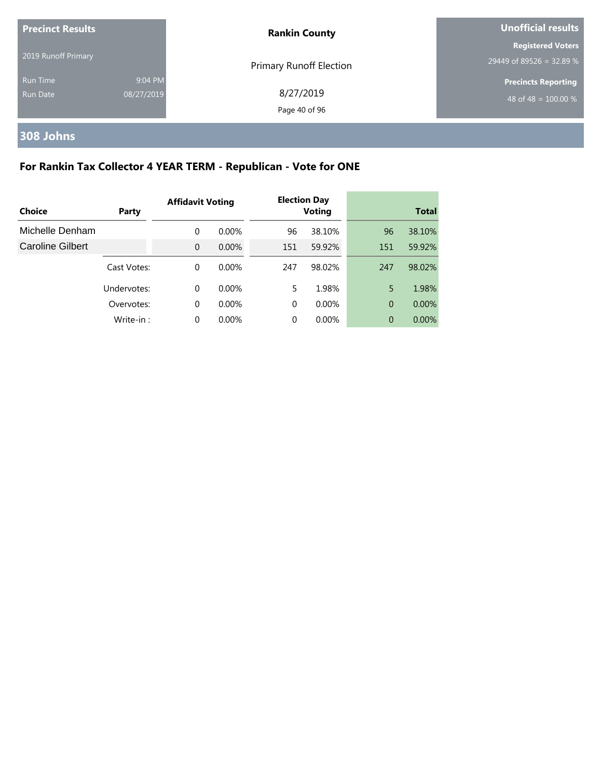| <b>Precinct Results</b> |            | <b>Rankin County</b>    | <b>Unofficial results</b>  |
|-------------------------|------------|-------------------------|----------------------------|
|                         |            |                         | <b>Registered Voters</b>   |
| 2019 Runoff Primary     |            | Primary Runoff Election | 29449 of 89526 = 32.89 %   |
| <b>Run Time</b>         | 9:04 PM    |                         | <b>Precincts Reporting</b> |
| Run Date                | 08/27/2019 | 8/27/2019               | 48 of 48 = $100.00\%$      |
|                         |            | Page 40 of 96           |                            |

# **308 Johns**

# **For Rankin Tax Collector 4 YEAR TERM - Republican - Vote for ONE**

| Choice                  | Party       | <b>Affidavit Voting</b> |          |          | <b>Election Day</b><br><b>Voting</b> |                | <b>Total</b> |
|-------------------------|-------------|-------------------------|----------|----------|--------------------------------------|----------------|--------------|
| Michelle Denham         |             | 0                       | $0.00\%$ | 96       | 38.10%                               | 96             | 38.10%       |
| <b>Caroline Gilbert</b> |             | $\Omega$                | $0.00\%$ | 151      | 59.92%                               | 151            | 59.92%       |
|                         | Cast Votes: | 0                       | $0.00\%$ | 247      | 98.02%                               | 247            | 98.02%       |
|                         | Undervotes: | $\Omega$                | $0.00\%$ | 5        | 1.98%                                | 5              | 1.98%        |
|                         | Overvotes:  | $\Omega$                | $0.00\%$ | $\Omega$ | $0.00\%$                             | $\overline{0}$ | $0.00\%$     |
|                         | Write-in:   | $\Omega$                | $0.00\%$ | 0        | 0.00%                                | $\Omega$       | 0.00%        |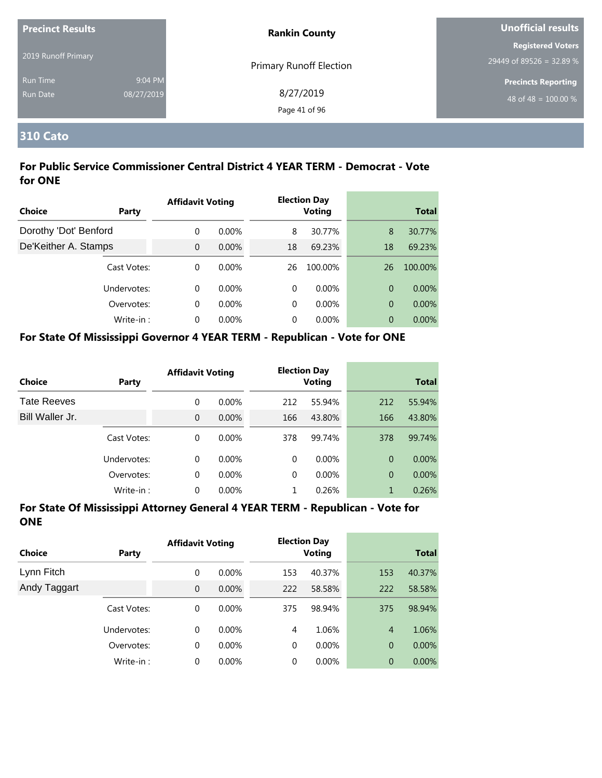| <b>Precinct Results</b> |            | <b>Rankin County</b>           | Unofficial results         |
|-------------------------|------------|--------------------------------|----------------------------|
|                         |            |                                | <b>Registered Voters</b>   |
| 2019 Runoff Primary     |            | <b>Primary Runoff Election</b> | 29449 of 89526 = 32.89 %   |
| <b>Run Time</b>         | 9:04 PM    |                                | <b>Precincts Reporting</b> |
| <b>Run Date</b>         | 08/27/2019 | 8/27/2019                      | 48 of 48 = $100.00\%$      |
|                         |            | Page 41 of 96                  |                            |

## **310 Cato**

## **For Public Service Commissioner Central District 4 YEAR TERM - Democrat - Vote for ONE**

|                       |             | <b>Affidavit Voting</b> |          |          | <b>Election Day</b> |    |              |
|-----------------------|-------------|-------------------------|----------|----------|---------------------|----|--------------|
| <b>Choice</b>         | Party       |                         |          |          | <b>Voting</b>       |    | <b>Total</b> |
| Dorothy 'Dot' Benford |             | 0                       | $0.00\%$ | 8        | 30.77%              | 8  | 30.77%       |
| De'Keither A. Stamps  |             | $\Omega$                | $0.00\%$ | 18       | 69.23%              | 18 | 69.23%       |
|                       | Cast Votes: | $\Omega$                | $0.00\%$ | 26       | 100.00%             | 26 | 100.00%      |
|                       | Undervotes: | $\Omega$                | $0.00\%$ | 0        | $0.00\%$            | 0  | $0.00\%$     |
|                       | Overvotes:  | $\Omega$                | $0.00\%$ | $\Omega$ | $0.00\%$            | 0  | 0.00%        |
|                       | Write-in:   | $\Omega$                | $0.00\%$ | 0        | $0.00\%$            | 0  | $0.00\%$     |

#### **For State Of Mississippi Governor 4 YEAR TERM - Republican - Vote for ONE**

| <b>Choice</b>      | Party       | <b>Affidavit Voting</b> |          |          | <b>Election Day</b><br><b>Voting</b> |                | <b>Total</b> |
|--------------------|-------------|-------------------------|----------|----------|--------------------------------------|----------------|--------------|
| <b>Tate Reeves</b> |             | 0                       | $0.00\%$ | 212      | 55.94%                               | 212            | 55.94%       |
| Bill Waller Jr.    |             | 0                       | $0.00\%$ | 166      | 43.80%                               | 166            | 43.80%       |
|                    | Cast Votes: | 0                       | $0.00\%$ | 378      | 99.74%                               | 378            | 99.74%       |
|                    | Undervotes: | 0                       | $0.00\%$ | $\Omega$ | $0.00\%$                             | $\Omega$       | $0.00\%$     |
|                    | Overvotes:  | 0                       | $0.00\%$ | $\Omega$ | $0.00\%$                             | $\overline{0}$ | $0.00\%$     |
|                    | Write-in:   | 0                       | $0.00\%$ |          | 0.26%                                | 1              | 0.26%        |

| Choice       | <b>Party</b> | <b>Affidavit Voting</b> |          |             | <b>Election Day</b><br><b>Voting</b> |                | <b>Total</b> |
|--------------|--------------|-------------------------|----------|-------------|--------------------------------------|----------------|--------------|
| Lynn Fitch   |              | 0                       | $0.00\%$ | 153         | 40.37%                               | 153            | 40.37%       |
| Andy Taggart |              | $\mathbf{0}$            | $0.00\%$ | 222         | 58.58%                               | 222            | 58.58%       |
|              | Cast Votes:  | 0                       | $0.00\%$ | 375         | 98.94%                               | 375            | 98.94%       |
|              | Undervotes:  | $\Omega$                | $0.00\%$ | 4           | 1.06%                                | $\overline{4}$ | 1.06%        |
|              | Overvotes:   | 0                       | $0.00\%$ | $\mathbf 0$ | $0.00\%$                             | $\overline{0}$ | $0.00\%$     |
|              | Write-in:    | 0                       | $0.00\%$ | 0           | $0.00\%$                             | $\overline{0}$ | 0.00%        |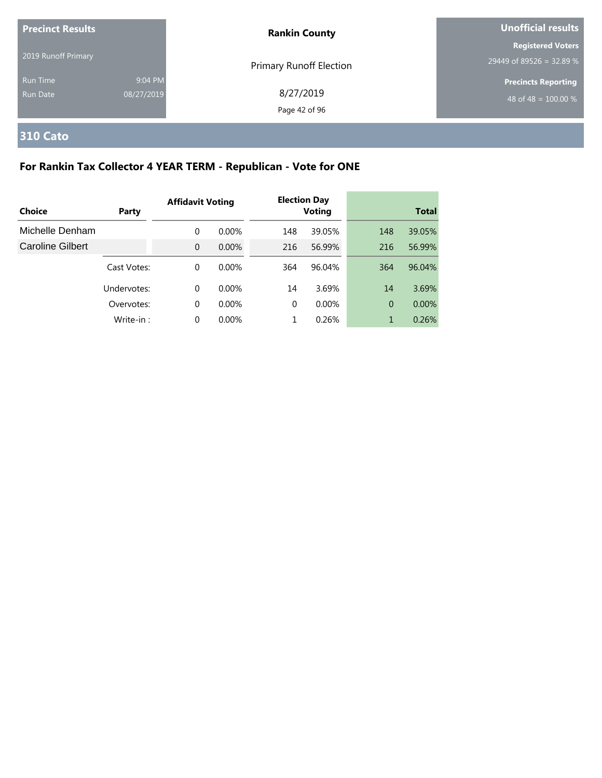| <b>Precinct Results</b> |            | <b>Rankin County</b>    | <b>Unofficial results</b>  |
|-------------------------|------------|-------------------------|----------------------------|
|                         |            |                         | <b>Registered Voters</b>   |
| 2019 Runoff Primary     |            | Primary Runoff Election | 29449 of 89526 = 32.89 %   |
| <b>Run Time</b>         | 9:04 PM    |                         | <b>Precincts Reporting</b> |
| Run Date                | 08/27/2019 | 8/27/2019               | 48 of 48 = $100.00\%$      |
|                         |            | Page 42 of 96           |                            |

# **310 Cato**

# **For Rankin Tax Collector 4 YEAR TERM - Republican - Vote for ONE**

|                         |             | <b>Affidavit Voting</b> |          |          | <b>Election Day</b> |                |              |
|-------------------------|-------------|-------------------------|----------|----------|---------------------|----------------|--------------|
| Choice                  | Party       |                         |          |          | <b>Voting</b>       |                | <b>Total</b> |
| Michelle Denham         |             | $\Omega$                | $0.00\%$ | 148      | 39.05%              | 148            | 39.05%       |
| <b>Caroline Gilbert</b> |             | $\Omega$                | $0.00\%$ | 216      | 56.99%              | 216            | 56.99%       |
|                         | Cast Votes: | $\Omega$                | $0.00\%$ | 364      | 96.04%              | 364            | 96.04%       |
|                         | Undervotes: | $\Omega$                | $0.00\%$ | 14       | 3.69%               | 14             | 3.69%        |
|                         | Overvotes:  | $\Omega$                | $0.00\%$ | $\Omega$ | $0.00\%$            | $\overline{0}$ | 0.00%        |
|                         | Write-in:   | $\Omega$                | 0.00%    |          | 0.26%               | 1              | 0.26%        |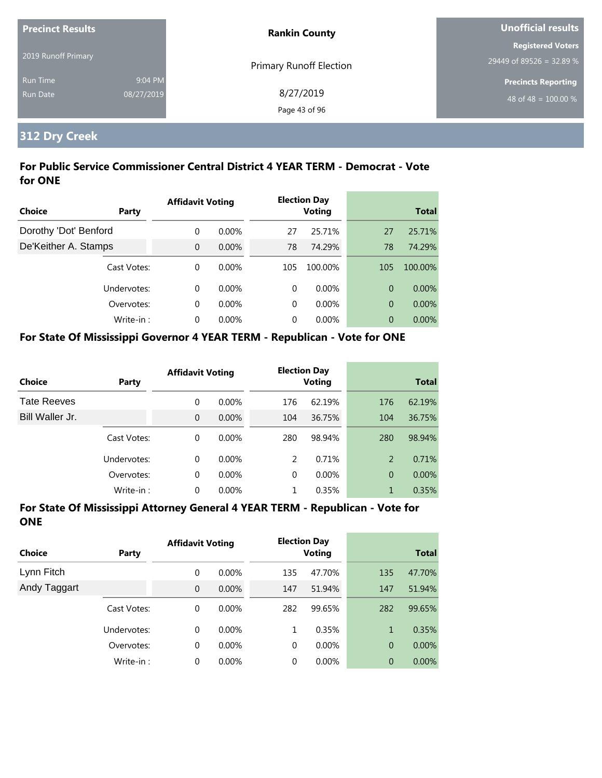| <b>Precinct Results</b> |            | <b>Rankin County</b>           | Unofficial results         |
|-------------------------|------------|--------------------------------|----------------------------|
|                         |            |                                | <b>Registered Voters</b>   |
| 2019 Runoff Primary     |            | <b>Primary Runoff Election</b> | 29449 of 89526 = 32.89 %   |
| <b>Run Time</b>         | 9:04 PM    |                                | <b>Precincts Reporting</b> |
| Run Date                | 08/27/2019 | 8/27/2019                      | 48 of 48 = $100.00\%$      |
|                         |            | Page 43 of 96                  |                            |

# **312 Dry Creek**

## **For Public Service Commissioner Central District 4 YEAR TERM - Democrat - Vote for ONE**

|                       |             | <b>Affidavit Voting</b> |          |          | <b>Election Day</b> |     |              |
|-----------------------|-------------|-------------------------|----------|----------|---------------------|-----|--------------|
| Choice                | Party       |                         |          |          | <b>Voting</b>       |     | <b>Total</b> |
| Dorothy 'Dot' Benford |             | $\Omega$                | $0.00\%$ | 27       | 25.71%              | 27  | 25.71%       |
| De'Keither A. Stamps  |             | $\Omega$                | $0.00\%$ | 78       | 74.29%              | 78  | 74.29%       |
|                       | Cast Votes: | $\Omega$                | $0.00\%$ | 105      | 100.00%             | 105 | 100.00%      |
|                       | Undervotes: | $\Omega$                | $0.00\%$ | 0        | $0.00\%$            | 0   | $0.00\%$     |
|                       | Overvotes:  | $\Omega$                | $0.00\%$ | $\Omega$ | $0.00\%$            | 0   | $0.00\%$     |
|                       | Write-in:   | $\Omega$                | 0.00%    | 0        | $0.00\%$            | 0   | $0.00\%$     |

#### **For State Of Mississippi Governor 4 YEAR TERM - Republican - Vote for ONE**

| <b>Choice</b>      | Party       | <b>Affidavit Voting</b> |          |          | <b>Election Day</b><br><b>Voting</b> |                | <b>Total</b> |
|--------------------|-------------|-------------------------|----------|----------|--------------------------------------|----------------|--------------|
| <b>Tate Reeves</b> |             | $\Omega$                | $0.00\%$ | 176      | 62.19%                               | 176            | 62.19%       |
| Bill Waller Jr.    |             | $\mathbf{0}$            | $0.00\%$ | 104      | 36.75%                               | 104            | 36.75%       |
|                    | Cast Votes: | $\Omega$                | $0.00\%$ | 280      | 98.94%                               | 280            | 98.94%       |
|                    | Undervotes: | 0                       | $0.00\%$ | 2        | 0.71%                                | 2              | 0.71%        |
|                    | Overvotes:  | 0                       | 0.00%    | $\Omega$ | $0.00\%$                             | $\overline{0}$ | $0.00\%$     |
|                    | Write-in:   | 0                       | 0.00%    |          | 0.35%                                | 1              | 0.35%        |

| Choice       | Party       | <b>Affidavit Voting</b> |          |     | <b>Election Day</b><br><b>Voting</b> |                | <b>Total</b> |
|--------------|-------------|-------------------------|----------|-----|--------------------------------------|----------------|--------------|
| Lynn Fitch   |             | 0                       | $0.00\%$ | 135 | 47.70%                               | 135            | 47.70%       |
| Andy Taggart |             | $\overline{0}$          | $0.00\%$ | 147 | 51.94%                               | 147            | 51.94%       |
|              | Cast Votes: | 0                       | $0.00\%$ | 282 | 99.65%                               | 282            | 99.65%       |
|              | Undervotes: | $\Omega$                | $0.00\%$ | 1   | 0.35%                                | 1              | 0.35%        |
|              | Overvotes:  | 0                       | $0.00\%$ | 0   | $0.00\%$                             | $\overline{0}$ | $0.00\%$     |
|              | Write-in:   | 0                       | $0.00\%$ | 0   | $0.00\%$                             | $\overline{0}$ | 0.00%        |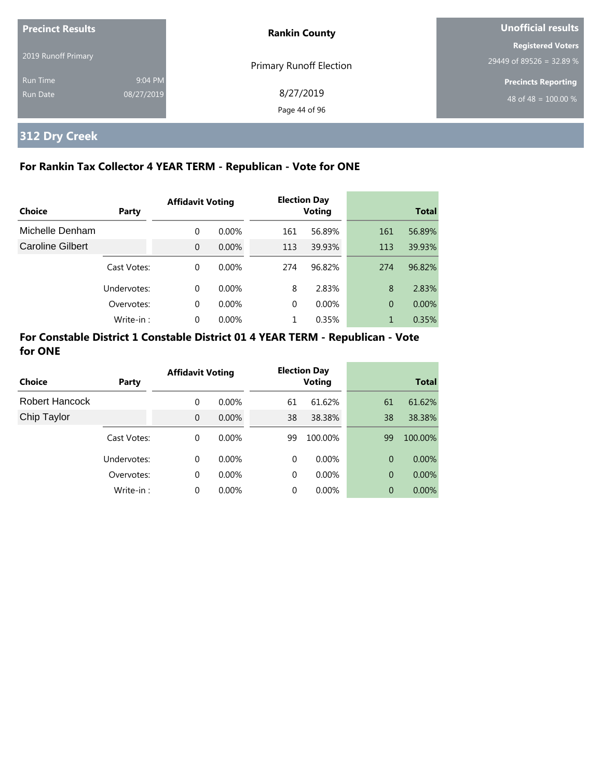| <b>Precinct Results</b>     |                       | <b>Rankin County</b>           | Unofficial results                                             |  |
|-----------------------------|-----------------------|--------------------------------|----------------------------------------------------------------|--|
| 2019 Runoff Primary         |                       | <b>Primary Runoff Election</b> | <b>Registered Voters</b><br>29449 of 89526 = 32.89 %           |  |
| <b>Run Time</b><br>Run Date | 9:04 PM<br>08/27/2019 | 8/27/2019<br>Page 44 of 96     | <b>Precincts Reporting</b><br>48 of 48 = $\overline{100.00\%}$ |  |

# **312 Dry Creek**

## **For Rankin Tax Collector 4 YEAR TERM - Republican - Vote for ONE**

|                  |             | <b>Affidavit Voting</b> |          | <b>Election Day</b> |               |     |              |  |
|------------------|-------------|-------------------------|----------|---------------------|---------------|-----|--------------|--|
| Choice           | Party       |                         |          |                     | <b>Voting</b> |     | <b>Total</b> |  |
| Michelle Denham  |             | $\Omega$                | $0.00\%$ | 161                 | 56.89%        | 161 | 56.89%       |  |
| Caroline Gilbert |             | $\Omega$                | $0.00\%$ | 113                 | 39.93%        | 113 | 39.93%       |  |
|                  | Cast Votes: | $\Omega$                | $0.00\%$ | 274                 | 96.82%        | 274 | 96.82%       |  |
|                  | Undervotes: | $\Omega$                | $0.00\%$ | 8                   | 2.83%         | 8   | 2.83%        |  |
|                  | Overvotes:  | $\Omega$                | $0.00\%$ | 0                   | $0.00\%$      | 0   | $0.00\%$     |  |
|                  | Write-in:   | $\Omega$                | 0.00%    |                     | 0.35%         | 1   | 0.35%        |  |

## **For Constable District 1 Constable District 01 4 YEAR TERM - Republican - Vote for ONE**

| Choice         | Party       | <b>Affidavit Voting</b> |          |          | <b>Election Day</b><br><b>Voting</b> |    | <b>Total</b> |
|----------------|-------------|-------------------------|----------|----------|--------------------------------------|----|--------------|
| Robert Hancock |             | 0                       | $0.00\%$ | 61       | 61.62%                               | 61 | 61.62%       |
| Chip Taylor    |             | $\Omega$                | $0.00\%$ | 38       | 38.38%                               | 38 | 38.38%       |
|                | Cast Votes: | 0                       | $0.00\%$ | 99       | 100.00%                              | 99 | 100.00%      |
|                | Undervotes: | $\Omega$                | $0.00\%$ | $\Omega$ | $0.00\%$                             | 0  | $0.00\%$     |
|                | Overvotes:  | 0                       | $0.00\%$ | $\Omega$ | $0.00\%$                             | 0  | 0.00%        |
|                | Write-in:   | $\Omega$                | 0.00%    | 0        | 0.00%                                | 0  | $0.00\%$     |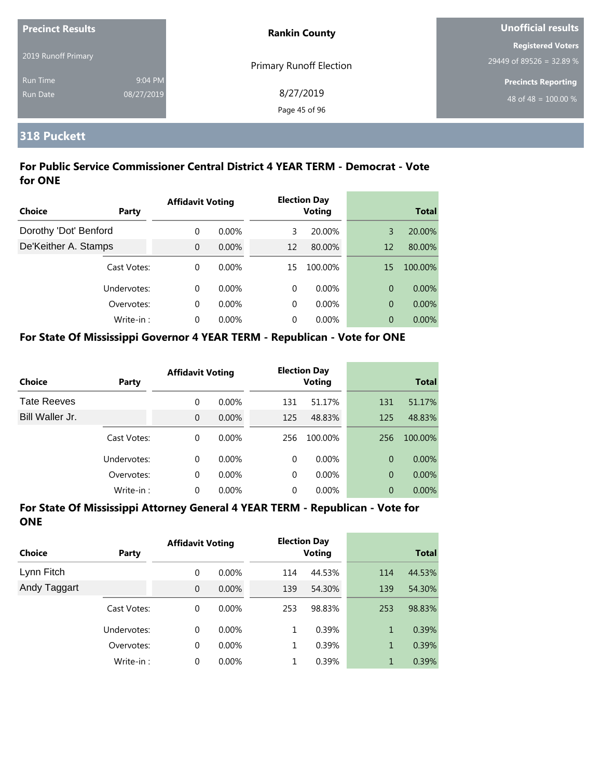| <b>Precinct Results</b> |            | <b>Rankin County</b>           | Unofficial results         |  |
|-------------------------|------------|--------------------------------|----------------------------|--|
|                         |            |                                | <b>Registered Voters</b>   |  |
| 2019 Runoff Primary     |            | <b>Primary Runoff Election</b> | 29449 of 89526 = 32.89 %   |  |
| <b>Run Time</b>         | 9:04 PM    |                                | <b>Precincts Reporting</b> |  |
| Run Date                | 08/27/2019 | 8/27/2019                      | 48 of 48 = $100.00\%$      |  |
|                         |            | Page 45 of 96                  |                            |  |

## **318 Puckett**

## **For Public Service Commissioner Central District 4 YEAR TERM - Democrat - Vote for ONE**

|                       |             | <b>Affidavit Voting</b> |          |    | <b>Election Day</b> |              |          |
|-----------------------|-------------|-------------------------|----------|----|---------------------|--------------|----------|
| <b>Choice</b>         | Party       |                         |          |    | <b>Voting</b>       | <b>Total</b> |          |
| Dorothy 'Dot' Benford |             | $\Omega$                | $0.00\%$ | 3  | 20.00%              | 3            | 20.00%   |
| De'Keither A. Stamps  |             | $\Omega$                | $0.00\%$ | 12 | 80.00%              | 12           | 80.00%   |
|                       | Cast Votes: | $\Omega$                | $0.00\%$ | 15 | 100.00%             | 15           | 100.00%  |
|                       | Undervotes: | $\Omega$                | $0.00\%$ | 0  | $0.00\%$            | 0            | $0.00\%$ |
|                       | Overvotes:  | $\Omega$                | $0.00\%$ | 0  | $0.00\%$            | 0            | 0.00%    |
|                       | Write-in:   | $\Omega$                | $0.00\%$ | 0  | $0.00\%$            | 0            | $0.00\%$ |

#### **For State Of Mississippi Governor 4 YEAR TERM - Republican - Vote for ONE**

| Choice             | Party       | <b>Affidavit Voting</b> |          |          |          |                | <b>Election Day</b><br><b>Voting</b> |  | <b>Total</b> |
|--------------------|-------------|-------------------------|----------|----------|----------|----------------|--------------------------------------|--|--------------|
| <b>Tate Reeves</b> |             | 0                       | $0.00\%$ | 131      | 51.17%   | 131            | 51.17%                               |  |              |
| Bill Waller Jr.    |             | $\Omega$                | $0.00\%$ | 125      | 48.83%   | 125            | 48.83%                               |  |              |
|                    | Cast Votes: | 0                       | $0.00\%$ | 256      | 100.00%  | 256            | 100.00%                              |  |              |
|                    | Undervotes: | 0                       | $0.00\%$ | $\Omega$ | $0.00\%$ | $\Omega$       | $0.00\%$                             |  |              |
|                    | Overvotes:  | 0                       | $0.00\%$ | $\Omega$ | $0.00\%$ | $\overline{0}$ | $0.00\%$                             |  |              |
|                    | Write-in:   | 0                       | $0.00\%$ | $\Omega$ | $0.00\%$ | $\overline{0}$ | $0.00\%$                             |  |              |

| Choice       | Party       | <b>Affidavit Voting</b> |          |     | <b>Election Day</b><br><b>Voting</b> |              | <b>Total</b> |
|--------------|-------------|-------------------------|----------|-----|--------------------------------------|--------------|--------------|
| Lynn Fitch   |             | 0                       | $0.00\%$ | 114 | 44.53%                               | 114          | 44.53%       |
| Andy Taggart |             | $\overline{0}$          | $0.00\%$ | 139 | 54.30%                               | 139          | 54.30%       |
|              | Cast Votes: | 0                       | $0.00\%$ | 253 | 98.83%                               | 253          | 98.83%       |
|              | Undervotes: | 0                       | $0.00\%$ | 1   | 0.39%                                | $\mathbf{1}$ | 0.39%        |
|              | Overvotes:  | 0                       | $0.00\%$ | 1   | 0.39%                                | $\mathbf 1$  | 0.39%        |
|              | Write-in:   | 0                       | $0.00\%$ |     | 0.39%                                | 1            | 0.39%        |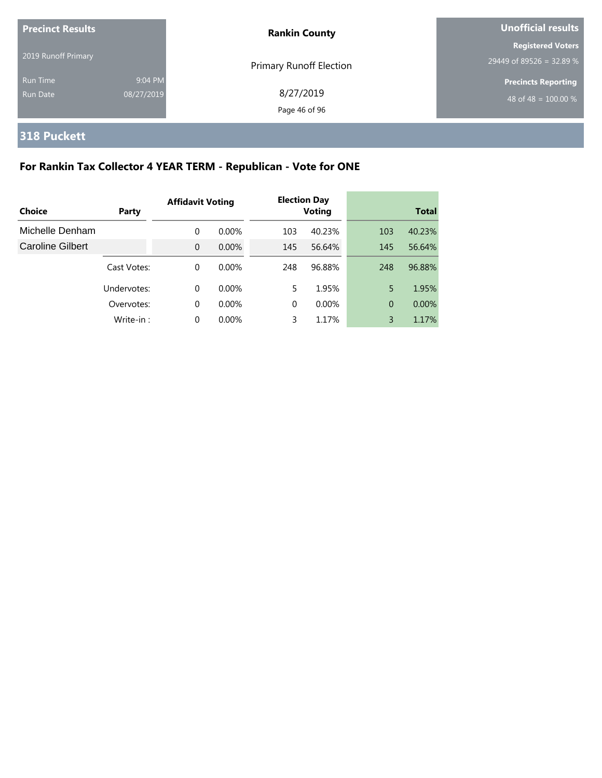| <b>Precinct Results</b>     |                       | <b>Rankin County</b>           | <b>Unofficial results</b>                            |  |
|-----------------------------|-----------------------|--------------------------------|------------------------------------------------------|--|
| 2019 Runoff Primary         |                       | <b>Primary Runoff Election</b> | <b>Registered Voters</b><br>29449 of 89526 = 32.89 % |  |
| <b>Run Time</b><br>Run Date | 9:04 PM<br>08/27/2019 | 8/27/2019<br>Page 46 of 96     | <b>Precincts Reporting</b><br>48 of 48 = $100.00\%$  |  |

# **318 Puckett**

# **For Rankin Tax Collector 4 YEAR TERM - Republican - Vote for ONE**

|                         |             | <b>Affidavit Voting</b> |          |          |               |                | <b>Election Day</b> |  |  |
|-------------------------|-------------|-------------------------|----------|----------|---------------|----------------|---------------------|--|--|
| Choice                  | Party       |                         |          |          | <b>Voting</b> |                | <b>Total</b>        |  |  |
| Michelle Denham         |             | 0                       | $0.00\%$ | 103      | 40.23%        | 103            | 40.23%              |  |  |
| <b>Caroline Gilbert</b> |             | $\Omega$                | $0.00\%$ | 145      | 56.64%        | 145            | 56.64%              |  |  |
|                         | Cast Votes: | 0                       | 0.00%    | 248      | 96.88%        | 248            | 96.88%              |  |  |
|                         | Undervotes: | 0                       | $0.00\%$ | 5        | 1.95%         | 5              | 1.95%               |  |  |
|                         | Overvotes:  | $\mathbf 0$             | $0.00\%$ | $\Omega$ | $0.00\%$      | $\overline{0}$ | 0.00%               |  |  |
|                         | Write-in:   | 0                       | 0.00%    | 3        | 1.17%         | 3              | 1.17%               |  |  |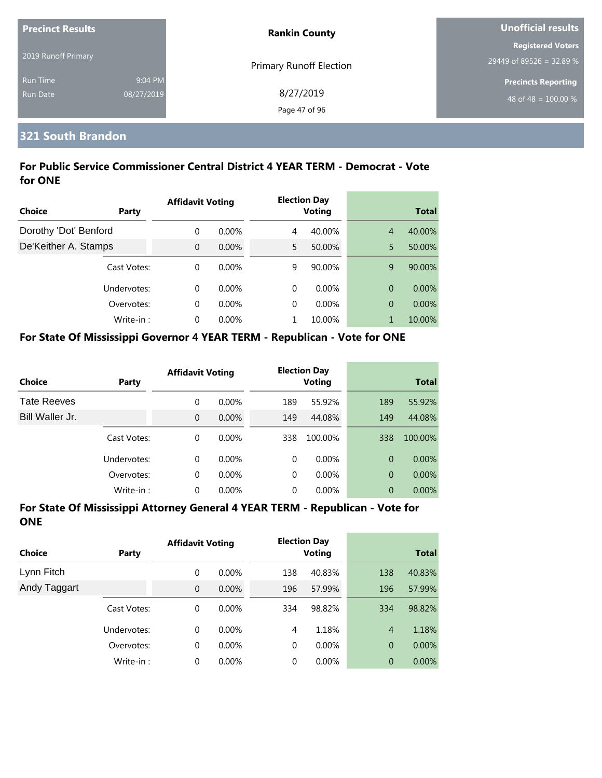| <b>Precinct Results</b> |            | <b>Rankin County</b>           | Unofficial results                                     |  |
|-------------------------|------------|--------------------------------|--------------------------------------------------------|--|
| 2019 Runoff Primary     |            |                                | <b>Registered Voters</b>                               |  |
| <b>Run Time</b>         | 9:04 PM    | <b>Primary Runoff Election</b> | 29449 of 89526 = 32.89 %<br><b>Precincts Reporting</b> |  |
| Run Date                | 08/27/2019 | 8/27/2019<br>Page 47 of 96     | 48 of 48 = $100.00\%$                                  |  |

## **321 South Brandon**

## **For Public Service Commissioner Central District 4 YEAR TERM - Democrat - Vote for ONE**

|                       |             | <b>Affidavit Voting</b> |          |   | <b>Election Day</b> |                |              |
|-----------------------|-------------|-------------------------|----------|---|---------------------|----------------|--------------|
| <b>Choice</b>         | Party       |                         |          |   | <b>Voting</b>       |                | <b>Total</b> |
| Dorothy 'Dot' Benford |             | 0                       | $0.00\%$ | 4 | 40.00%              | $\overline{4}$ | 40.00%       |
| De'Keither A. Stamps  |             | $\overline{0}$          | $0.00\%$ | 5 | 50.00%              | 5              | 50.00%       |
|                       | Cast Votes: | $\Omega$                | $0.00\%$ | 9 | 90.00%              | 9              | 90.00%       |
|                       | Undervotes: | $\Omega$                | $0.00\%$ | 0 | $0.00\%$            | 0              | $0.00\%$     |
|                       | Overvotes:  | $\Omega$                | $0.00\%$ | 0 | $0.00\%$            | 0              | $0.00\%$     |
|                       | Write-in:   | $\Omega$                | $0.00\%$ |   | 10.00%              |                | 10.00%       |

#### **For State Of Mississippi Governor 4 YEAR TERM - Republican - Vote for ONE**

| Choice             | Party       | <b>Affidavit Voting</b> |          |          | <b>Election Day</b><br><b>Voting</b> |                | <b>Total</b> |
|--------------------|-------------|-------------------------|----------|----------|--------------------------------------|----------------|--------------|
| <b>Tate Reeves</b> |             | 0                       | $0.00\%$ | 189      | 55.92%                               | 189            | 55.92%       |
| Bill Waller Jr.    |             | $\overline{0}$          | 0.00%    | 149      | 44.08%                               | 149            | 44.08%       |
|                    | Cast Votes: | 0                       | $0.00\%$ | 338      | 100.00%                              | 338            | 100.00%      |
|                    | Undervotes: | 0                       | $0.00\%$ | $\Omega$ | $0.00\%$                             | $\Omega$       | $0.00\%$     |
|                    | Overvotes:  | $\mathbf 0$             | 0.00%    | $\Omega$ | $0.00\%$                             | $\overline{0}$ | $0.00\%$     |
|                    | Write-in:   | 0                       | 0.00%    | 0        | 0.00%                                | $\overline{0}$ | 0.00%        |

| <b>Choice</b> | <b>Party</b> | <b>Affidavit Voting</b> |          |     | <b>Election Day</b><br><b>Voting</b> |                | <b>Total</b> |
|---------------|--------------|-------------------------|----------|-----|--------------------------------------|----------------|--------------|
| Lynn Fitch    |              | 0                       | $0.00\%$ | 138 | 40.83%                               | 138            | 40.83%       |
| Andy Taggart  |              | $\overline{0}$          | 0.00%    | 196 | 57.99%                               | 196            | 57.99%       |
|               | Cast Votes:  | 0                       | $0.00\%$ | 334 | 98.82%                               | 334            | 98.82%       |
|               | Undervotes:  | 0                       | $0.00\%$ | 4   | 1.18%                                | $\overline{4}$ | 1.18%        |
|               | Overvotes:   | 0                       | 0.00%    | 0   | $0.00\%$                             | $\overline{0}$ | $0.00\%$     |
|               | Write-in:    | 0                       | $0.00\%$ | 0   | $0.00\%$                             | $\overline{0}$ | 0.00%        |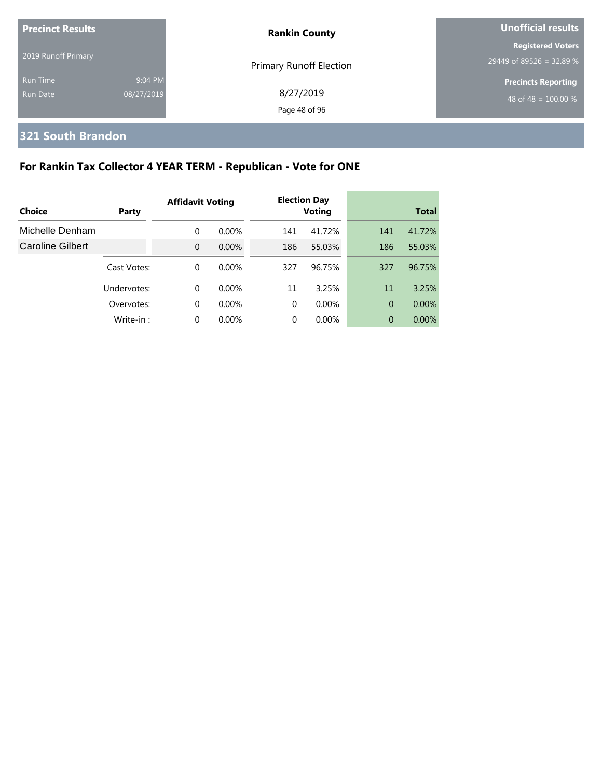| <b>Precinct Results</b> |            | <b>Rankin County</b>    | <b>Unofficial results</b>  |  |  |
|-------------------------|------------|-------------------------|----------------------------|--|--|
|                         |            |                         | <b>Registered Voters</b>   |  |  |
| 2019 Runoff Primary     |            | Primary Runoff Election | $29449$ of 89526 = 32.89 % |  |  |
| <b>Run Time</b>         | 9:04 PM    |                         | <b>Precincts Reporting</b> |  |  |
| Run Date                | 08/27/2019 | 8/27/2019               | 48 of 48 = $100.00\%$      |  |  |
|                         |            | Page 48 of 96           |                            |  |  |

# **321 South Brandon**

# **For Rankin Tax Collector 4 YEAR TERM - Republican - Vote for ONE**

| Choice           | Party       | <b>Affidavit Voting</b> |          |          | <b>Election Day</b><br><b>Voting</b> |                | <b>Total</b> |
|------------------|-------------|-------------------------|----------|----------|--------------------------------------|----------------|--------------|
|                  |             |                         |          |          |                                      |                |              |
| Michelle Denham  |             | $\mathbf 0$             | $0.00\%$ | 141      | 41.72%                               | 141            | 41.72%       |
| Caroline Gilbert |             | $\Omega$                | $0.00\%$ | 186      | 55.03%                               | 186            | 55.03%       |
|                  | Cast Votes: | $\Omega$                | $0.00\%$ | 327      | 96.75%                               | 327            | 96.75%       |
|                  | Undervotes: | 0                       | $0.00\%$ | 11       | 3.25%                                | 11             | 3.25%        |
|                  | Overvotes:  | $\Omega$                | $0.00\%$ | $\Omega$ | $0.00\%$                             | $\overline{0}$ | 0.00%        |
|                  | Write-in:   | 0                       | $0.00\%$ | $\Omega$ | $0.00\%$                             | 0              | $0.00\%$     |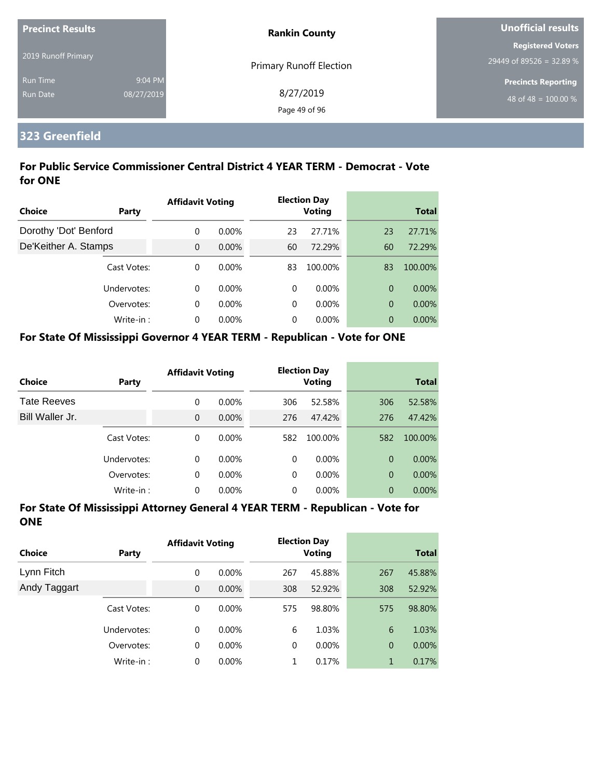| <b>Precinct Results</b> |            | <b>Rankin County</b>           | Unofficial results         |  |
|-------------------------|------------|--------------------------------|----------------------------|--|
|                         |            |                                | <b>Registered Voters</b>   |  |
| 2019 Runoff Primary     |            | <b>Primary Runoff Election</b> | 29449 of 89526 = 32.89 %   |  |
| <b>Run Time</b>         | 9:04 PM    |                                | <b>Precincts Reporting</b> |  |
| Run Date                | 08/27/2019 | 8/27/2019                      | 48 of 48 = $100.00\%$      |  |
|                         |            | Page 49 of 96                  |                            |  |

## **323 Greenfield**

## **For Public Service Commissioner Central District 4 YEAR TERM - Democrat - Vote for ONE**

|                       |             | <b>Affidavit Voting</b> |          |    | <b>Election Day</b> |    |              |  |
|-----------------------|-------------|-------------------------|----------|----|---------------------|----|--------------|--|
| Choice                | Party       |                         |          |    | <b>Voting</b>       |    | <b>Total</b> |  |
| Dorothy 'Dot' Benford |             | $\Omega$                | $0.00\%$ | 23 | 27.71%              | 23 | 27.71%       |  |
| De'Keither A. Stamps  |             | $\overline{0}$          | $0.00\%$ | 60 | 72.29%              | 60 | 72.29%       |  |
|                       | Cast Votes: | $\Omega$                | $0.00\%$ | 83 | 100.00%             | 83 | 100.00%      |  |
|                       | Undervotes: | $\Omega$                | $0.00\%$ | 0  | $0.00\%$            | 0  | $0.00\%$     |  |
|                       | Overvotes:  | $\Omega$                | $0.00\%$ | 0  | $0.00\%$            | 0  | 0.00%        |  |
|                       | Write-in:   | $\Omega$                | 0.00%    | 0  | $0.00\%$            | 0  | $0.00\%$     |  |

#### **For State Of Mississippi Governor 4 YEAR TERM - Republican - Vote for ONE**

| <b>Choice</b>      | Party       | <b>Affidavit Voting</b> |          |          | <b>Election Day</b><br><b>Voting</b> |                | <b>Total</b> |
|--------------------|-------------|-------------------------|----------|----------|--------------------------------------|----------------|--------------|
| <b>Tate Reeves</b> |             | 0                       | $0.00\%$ | 306      | 52.58%                               | 306            | 52.58%       |
| Bill Waller Jr.    |             | 0                       | 0.00%    | 276      | 47.42%                               | 276            | 47.42%       |
|                    | Cast Votes: | 0                       | $0.00\%$ | 582      | 100.00%                              | 582            | 100.00%      |
|                    | Undervotes: | 0                       | $0.00\%$ | $\Omega$ | $0.00\%$                             | $\Omega$       | $0.00\%$     |
|                    | Overvotes:  | 0                       | 0.00%    | 0        | $0.00\%$                             | $\overline{0}$ | $0.00\%$     |
|                    | Write-in:   | 0                       | 0.00%    | 0        | 0.00%                                | $\overline{0}$ | $0.00\%$     |

| <b>Choice</b> | Party       | <b>Affidavit Voting</b> |          |     | <b>Election Day</b><br><b>Voting</b> |                | <b>Total</b> |
|---------------|-------------|-------------------------|----------|-----|--------------------------------------|----------------|--------------|
| Lynn Fitch    |             | 0                       | $0.00\%$ | 267 | 45.88%                               | 267            | 45.88%       |
| Andy Taggart  |             | $\overline{0}$          | $0.00\%$ | 308 | 52.92%                               | 308            | 52.92%       |
|               | Cast Votes: | 0                       | $0.00\%$ | 575 | 98.80%                               | 575            | 98.80%       |
|               | Undervotes: | 0                       | $0.00\%$ | 6   | 1.03%                                | 6              | 1.03%        |
|               | Overvotes:  | 0                       | $0.00\%$ | 0   | $0.00\%$                             | $\overline{0}$ | 0.00%        |
|               | Write-in:   | 0                       | $0.00\%$ | 1   | 0.17%                                | 1              | 0.17%        |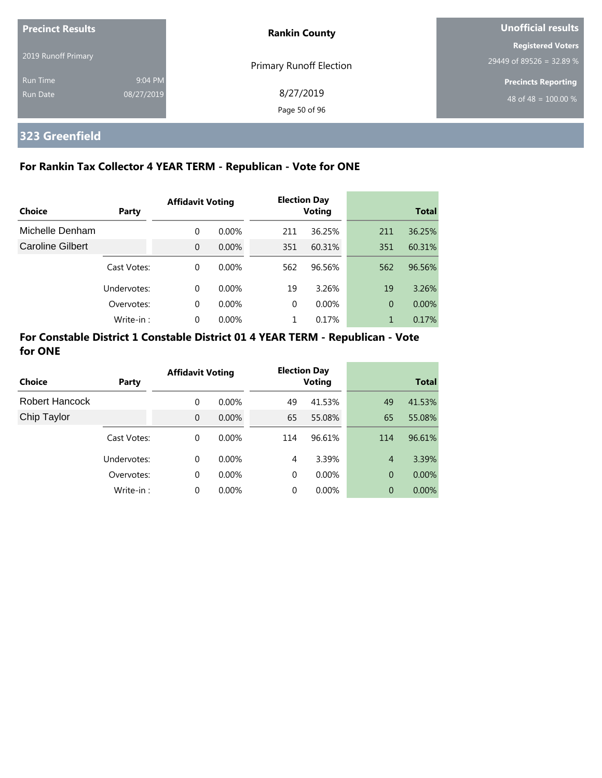| <b>Precinct Results</b>     |                       | <b>Rankin County</b>           | Unofficial results                                   |  |
|-----------------------------|-----------------------|--------------------------------|------------------------------------------------------|--|
| 2019 Runoff Primary         |                       | <b>Primary Runoff Election</b> | <b>Registered Voters</b><br>29449 of 89526 = 32.89 % |  |
| <b>Run Time</b><br>Run Date | 9:04 PM<br>08/27/2019 | 8/27/2019<br>Page 50 of 96     | <b>Precincts Reporting</b><br>48 of 48 = $100.00\%$  |  |

# **323 Greenfield**

## **For Rankin Tax Collector 4 YEAR TERM - Republican - Vote for ONE**

|                  |             | <b>Affidavit Voting</b> |          |          | <b>Election Day</b> |     |              |
|------------------|-------------|-------------------------|----------|----------|---------------------|-----|--------------|
| Choice           | Party       |                         |          |          | <b>Voting</b>       |     | <b>Total</b> |
| Michelle Denham  |             | $\Omega$                | $0.00\%$ | 211      | 36.25%              | 211 | 36.25%       |
| Caroline Gilbert |             | $\Omega$                | $0.00\%$ | 351      | 60.31%              | 351 | 60.31%       |
|                  | Cast Votes: | $\Omega$                | $0.00\%$ | 562      | 96.56%              | 562 | 96.56%       |
|                  | Undervotes: | $\Omega$                | $0.00\%$ | 19       | 3.26%               | 19  | 3.26%        |
|                  | Overvotes:  | $\Omega$                | $0.00\%$ | $\Omega$ | $0.00\%$            | 0   | 0.00%        |
|                  | Write-in:   | $\Omega$                | 0.00%    |          | 0.17%               | 1   | 0.17%        |

## **For Constable District 1 Constable District 01 4 YEAR TERM - Republican - Vote for ONE**

| Choice         | Party       | <b>Affidavit Voting</b> |          |          | <b>Election Day</b><br><b>Voting</b> |                | <b>Total</b> |
|----------------|-------------|-------------------------|----------|----------|--------------------------------------|----------------|--------------|
| Robert Hancock |             | 0                       | $0.00\%$ | 49       | 41.53%                               | 49             | 41.53%       |
| Chip Taylor    |             | $\Omega$                | $0.00\%$ | 65       | 55.08%                               | 65             | 55.08%       |
|                | Cast Votes: | 0                       | $0.00\%$ | 114      | 96.61%                               | 114            | 96.61%       |
|                | Undervotes: | $\Omega$                | $0.00\%$ | 4        | 3.39%                                | $\overline{4}$ | 3.39%        |
|                | Overvotes:  | 0                       | $0.00\%$ | $\Omega$ | $0.00\%$                             | $\overline{0}$ | 0.00%        |
|                | Write-in:   | $\Omega$                | 0.00%    | 0        | 0.00%                                | 0              | $0.00\%$     |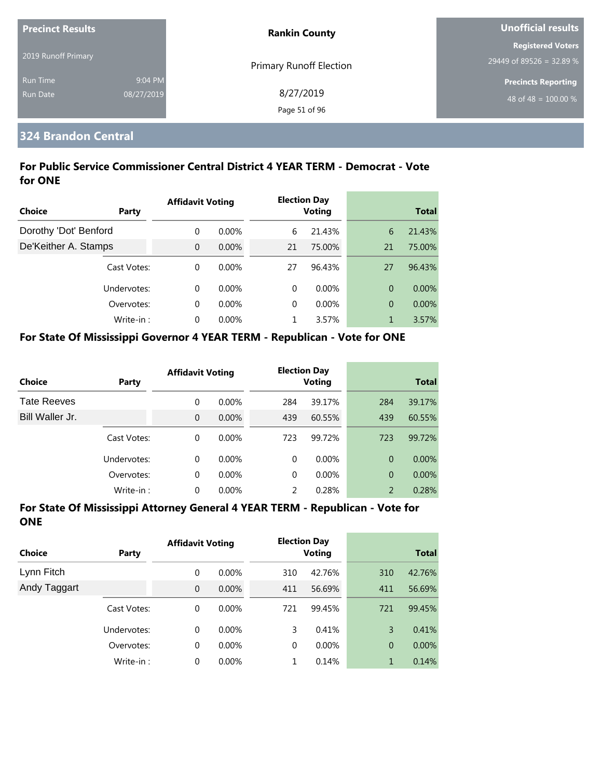| <b>Precinct Results</b> |            | <b>Rankin County</b>           | Unofficial results         |  |
|-------------------------|------------|--------------------------------|----------------------------|--|
|                         |            |                                | <b>Registered Voters</b>   |  |
| 2019 Runoff Primary     |            | <b>Primary Runoff Election</b> | 29449 of 89526 = 32.89 %   |  |
| <b>Run Time</b>         | 9:04 PM    |                                | <b>Precincts Reporting</b> |  |
| <b>Run Date</b>         | 08/27/2019 | 8/27/2019                      | 48 of 48 = $100.00\%$      |  |
|                         |            | Page 51 of 96                  |                            |  |

## **324 Brandon Central**

## **For Public Service Commissioner Central District 4 YEAR TERM - Democrat - Vote for ONE**

|                       |              | <b>Affidavit Voting</b> |          |          | <b>Election Day</b> |    |              |
|-----------------------|--------------|-------------------------|----------|----------|---------------------|----|--------------|
| Choice                | <b>Party</b> |                         |          |          | <b>Voting</b>       |    | <b>Total</b> |
| Dorothy 'Dot' Benford |              | $\Omega$                | $0.00\%$ | 6        | 21.43%              | 6  | 21.43%       |
| De'Keither A. Stamps  |              | $\overline{0}$          | $0.00\%$ | 21       | 75.00%              | 21 | 75.00%       |
|                       | Cast Votes:  | $\Omega$                | $0.00\%$ | 27       | 96.43%              | 27 | 96.43%       |
|                       | Undervotes:  | $\Omega$                | $0.00\%$ | $\Omega$ | $0.00\%$            | 0  | $0.00\%$     |
|                       | Overvotes:   | $\Omega$                | $0.00\%$ | $\Omega$ | $0.00\%$            | 0  | 0.00%        |
|                       | Write-in:    | $\Omega$                | 0.00%    |          | 3.57%               |    | 3.57%        |

#### **For State Of Mississippi Governor 4 YEAR TERM - Republican - Vote for ONE**

| Choice          | Party       | <b>Affidavit Voting</b> |          |               | <b>Election Day</b><br><b>Voting</b> |                | <b>Total</b> |
|-----------------|-------------|-------------------------|----------|---------------|--------------------------------------|----------------|--------------|
| Tate Reeves     |             | 0                       | $0.00\%$ | 284           | 39.17%                               | 284            | 39.17%       |
| Bill Waller Jr. |             | 0                       | $0.00\%$ | 439           | 60.55%                               | 439            | 60.55%       |
|                 | Cast Votes: | 0                       | $0.00\%$ | 723           | 99.72%                               | 723            | 99.72%       |
|                 | Undervotes: | $\Omega$                | $0.00\%$ | $\Omega$      | $0.00\%$                             | $\overline{0}$ | $0.00\%$     |
|                 | Overvotes:  | 0                       | $0.00\%$ | $\Omega$      | $0.00\%$                             | $\Omega$       | 0.00%        |
|                 | Write-in:   | 0                       | 0.00%    | $\mathcal{P}$ | 0.28%                                | 2              | 0.28%        |

| <b>Choice</b> | Party       | <b>Affidavit Voting</b> |          |     | <b>Election Day</b><br><b>Voting</b> |                | <b>Total</b> |
|---------------|-------------|-------------------------|----------|-----|--------------------------------------|----------------|--------------|
| Lynn Fitch    |             | 0                       | $0.00\%$ | 310 | 42.76%                               | 310            | 42.76%       |
| Andy Taggart  |             | $\overline{0}$          | 0.00%    | 411 | 56.69%                               | 411            | 56.69%       |
|               | Cast Votes: | 0                       | $0.00\%$ | 721 | 99.45%                               | 721            | 99.45%       |
|               | Undervotes: | 0                       | $0.00\%$ | 3   | 0.41%                                | 3              | 0.41%        |
|               | Overvotes:  | 0                       | 0.00%    | 0   | $0.00\%$                             | $\overline{0}$ | $0.00\%$     |
|               | Write-in:   | 0                       | $0.00\%$ | 1   | 0.14%                                | 1              | 0.14%        |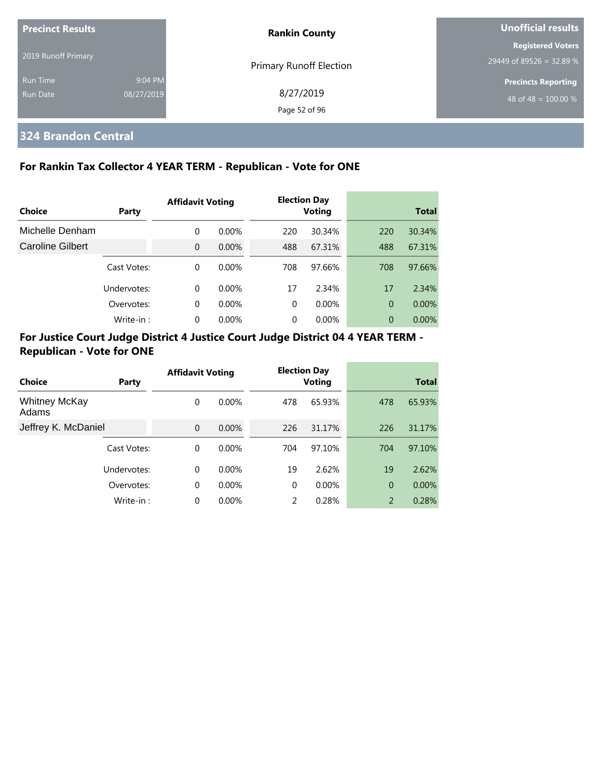| <b>Precinct Results</b>            |                       | <b>Rankin County</b>           | Unofficial results                                   |  |
|------------------------------------|-----------------------|--------------------------------|------------------------------------------------------|--|
| 2019 Runoff Primary                |                       | <b>Primary Runoff Election</b> | <b>Registered Voters</b><br>29449 of 89526 = 32.89 % |  |
| <b>Run Time</b><br><b>Run Date</b> | 9:04 PM<br>08/27/2019 | 8/27/2019<br>Page 52 of 96     | <b>Precincts Reporting</b><br>48 of 48 = $100.00\%$  |  |

# **324 Brandon Central**

## **For Rankin Tax Collector 4 YEAR TERM - Republican - Vote for ONE**

|                         |             | <b>Affidavit Voting</b> |          |          | <b>Election Day</b> |                |              |
|-------------------------|-------------|-------------------------|----------|----------|---------------------|----------------|--------------|
| Choice                  | Party       |                         |          |          | Voting              |                | <b>Total</b> |
| Michelle Denham         |             | 0                       | $0.00\%$ | 220      | 30.34%              | 220            | 30.34%       |
| <b>Caroline Gilbert</b> |             | $\overline{0}$          | 0.00%    | 488      | 67.31%              | 488            | 67.31%       |
|                         | Cast Votes: | 0                       | $0.00\%$ | 708      | 97.66%              | 708            | 97.66%       |
|                         | Undervotes: | 0                       | $0.00\%$ | 17       | 2.34%               | 17             | 2.34%        |
|                         | Overvotes:  | 0                       | $0.00\%$ | $\Omega$ | 0.00%               | $\overline{0}$ | $0.00\%$     |
|                         | Write-in:   | 0                       | $0.00\%$ | $\Omega$ | 0.00%               | 0              | $0.00\%$     |

|                               |             | <b>Affidavit Voting</b> |          |          | <b>Election Day</b> |                |              |
|-------------------------------|-------------|-------------------------|----------|----------|---------------------|----------------|--------------|
| Choice                        | Party       |                         |          |          | <b>Voting</b>       |                | <b>Total</b> |
| <b>Whitney McKay</b><br>Adams |             | 0                       | $0.00\%$ | 478      | 65.93%              | 478            | 65.93%       |
| Jeffrey K. McDaniel           |             | $\overline{0}$          | 0.00%    | 226      | 31.17%              | 226            | 31.17%       |
|                               | Cast Votes: | 0                       | $0.00\%$ | 704      | 97.10%              | 704            | 97.10%       |
|                               | Undervotes: | 0                       | $0.00\%$ | 19       | 2.62%               | 19             | 2.62%        |
|                               | Overvotes:  | 0                       | $0.00\%$ | $\Omega$ | 0.00%               | $\overline{0}$ | 0.00%        |
|                               | Write-in:   | 0                       | 0.00%    | 2        | 0.28%               | 2              | 0.28%        |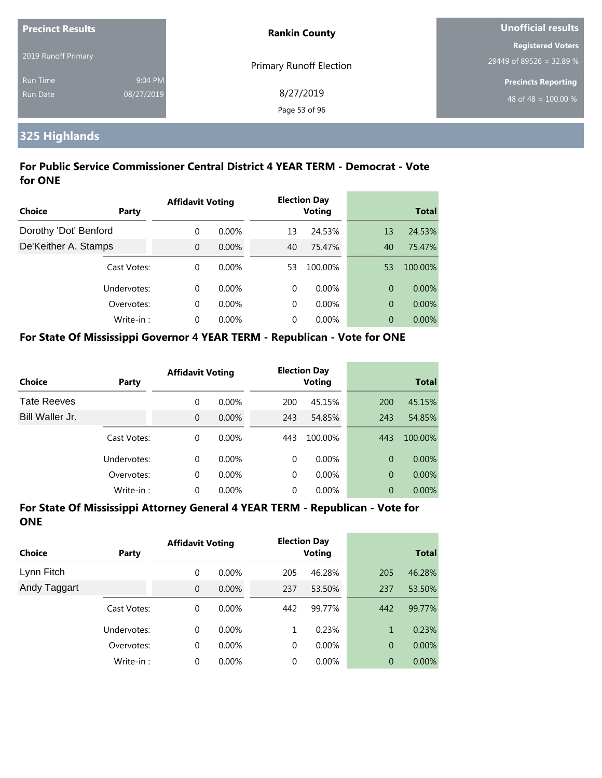| <b>Precinct Results</b> |            | <b>Rankin County</b>           | Unofficial results         |  |
|-------------------------|------------|--------------------------------|----------------------------|--|
|                         |            |                                | <b>Registered Voters</b>   |  |
| 2019 Runoff Primary     |            | <b>Primary Runoff Election</b> | 29449 of 89526 = 32.89 %   |  |
| <b>Run Time</b>         | 9:04 PM    |                                | <b>Precincts Reporting</b> |  |
| Run Date                | 08/27/2019 | 8/27/2019                      | 48 of 48 = $100.00\%$      |  |
|                         |            | Page 53 of 96                  |                            |  |

# **325 Highlands**

## **For Public Service Commissioner Central District 4 YEAR TERM - Democrat - Vote for ONE**

|                       |             | <b>Affidavit Voting</b> |          |    | <b>Election Day</b> |    |              |
|-----------------------|-------------|-------------------------|----------|----|---------------------|----|--------------|
| Choice                | Party       |                         |          |    | <b>Voting</b>       |    | <b>Total</b> |
| Dorothy 'Dot' Benford |             | $\Omega$                | $0.00\%$ | 13 | 24.53%              | 13 | 24.53%       |
| De'Keither A. Stamps  |             | $\Omega$                | 0.00%    | 40 | 75.47%              | 40 | 75.47%       |
|                       | Cast Votes: | $\Omega$                | $0.00\%$ | 53 | 100.00%             | 53 | 100.00%      |
|                       | Undervotes: | $\Omega$                | $0.00\%$ | 0  | $0.00\%$            | 0  | $0.00\%$     |
|                       | Overvotes:  | $\Omega$                | $0.00\%$ | 0  | $0.00\%$            | 0  | 0.00%        |
|                       | Write-in:   | $\Omega$                | $0.00\%$ | 0  | $0.00\%$            | 0  | $0.00\%$     |

#### **For State Of Mississippi Governor 4 YEAR TERM - Republican - Vote for ONE**

| <b>Choice</b>      | Party       | <b>Affidavit Voting</b> |          |          | <b>Election Day</b><br><b>Voting</b> |                | <b>Total</b> |
|--------------------|-------------|-------------------------|----------|----------|--------------------------------------|----------------|--------------|
| <b>Tate Reeves</b> |             | 0                       | $0.00\%$ | 200      | 45.15%                               | 200            | 45.15%       |
| Bill Waller Jr.    |             | 0                       | $0.00\%$ | 243      | 54.85%                               | 243            | 54.85%       |
|                    | Cast Votes: | 0                       | $0.00\%$ | 443      | 100.00%                              | 443            | 100.00%      |
|                    | Undervotes: | $\Omega$                | $0.00\%$ | $\Omega$ | $0.00\%$                             | $\Omega$       | $0.00\%$     |
|                    | Overvotes:  | 0                       | $0.00\%$ | $\Omega$ | $0.00\%$                             | $\overline{0}$ | $0.00\%$     |
|                    | Write-in:   | 0                       | $0.00\%$ | 0        | $0.00\%$                             | 0              | 0.00%        |

| <b>Choice</b> | <b>Party</b> | <b>Affidavit Voting</b> |          |     | <b>Election Day</b><br><b>Voting</b> |                | <b>Total</b> |
|---------------|--------------|-------------------------|----------|-----|--------------------------------------|----------------|--------------|
| Lynn Fitch    |              | 0                       | $0.00\%$ | 205 | 46.28%                               | 205            | 46.28%       |
| Andy Taggart  |              | $\overline{0}$          | $0.00\%$ | 237 | 53.50%                               | 237            | 53.50%       |
|               | Cast Votes:  | 0                       | 0.00%    | 442 | 99.77%                               | 442            | 99.77%       |
|               | Undervotes:  | 0                       | $0.00\%$ | 1   | 0.23%                                | 1              | 0.23%        |
|               | Overvotes:   | 0                       | 0.00%    | 0   | $0.00\%$                             | $\overline{0}$ | $0.00\%$     |
|               | Write-in:    | 0                       | $0.00\%$ | 0   | $0.00\%$                             | $\overline{0}$ | 0.00%        |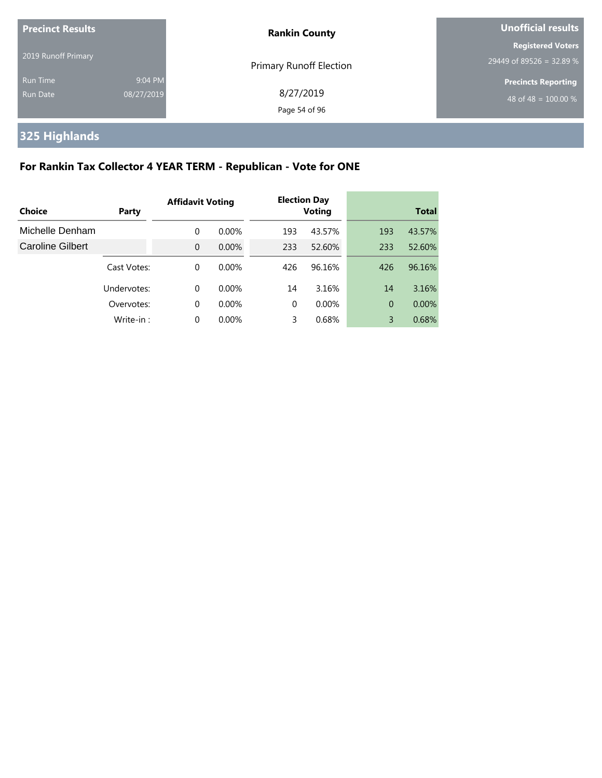| <b>Precinct Results</b>     |                       | <b>Rankin County</b>           | <b>Unofficial results</b>                            |  |
|-----------------------------|-----------------------|--------------------------------|------------------------------------------------------|--|
| 2019 Runoff Primary         |                       | <b>Primary Runoff Election</b> | <b>Registered Voters</b><br>29449 of 89526 = 32.89 % |  |
| <b>Run Time</b><br>Run Date | 9:04 PM<br>08/27/2019 | 8/27/2019<br>Page 54 of 96     | <b>Precincts Reporting</b><br>48 of 48 = $100.00\%$  |  |

# **325 Highlands**

# **For Rankin Tax Collector 4 YEAR TERM - Republican - Vote for ONE**

|                         |             | <b>Affidavit Voting</b> |          |          | <b>Election Day</b> |                |              |
|-------------------------|-------------|-------------------------|----------|----------|---------------------|----------------|--------------|
| Choice                  | Party       |                         |          |          | <b>Voting</b>       |                | <b>Total</b> |
| Michelle Denham         |             | 0                       | $0.00\%$ | 193      | 43.57%              | 193            | 43.57%       |
| <b>Caroline Gilbert</b> |             | $\Omega$                | $0.00\%$ | 233      | 52.60%              | 233            | 52.60%       |
|                         | Cast Votes: | 0                       | 0.00%    | 426      | 96.16%              | 426            | 96.16%       |
|                         | Undervotes: | 0                       | $0.00\%$ | 14       | 3.16%               | 14             | 3.16%        |
|                         | Overvotes:  | $\mathbf 0$             | $0.00\%$ | $\Omega$ | $0.00\%$            | $\overline{0}$ | $0.00\%$     |
|                         | Write-in:   | 0                       | 0.00%    | 3        | 0.68%               | 3              | 0.68%        |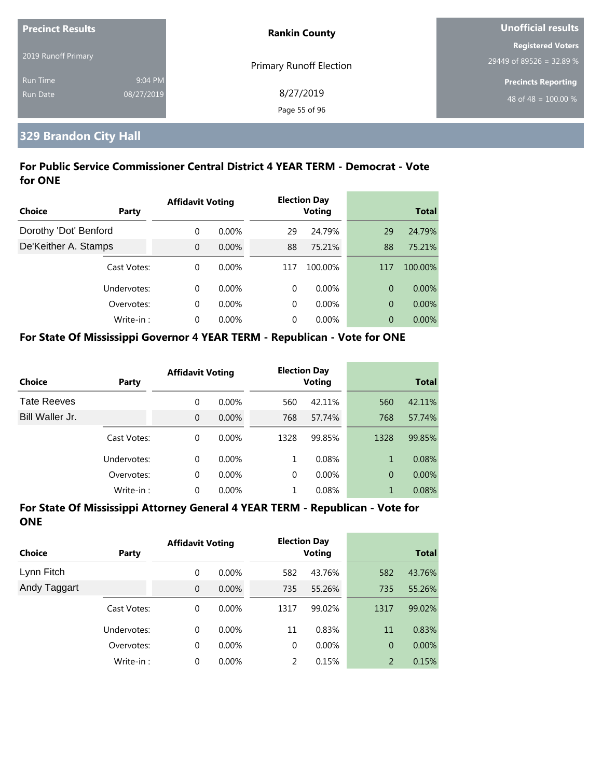| <b>Precinct Results</b> |            | <b>Rankin County</b>           | Unofficial results         |  |
|-------------------------|------------|--------------------------------|----------------------------|--|
|                         |            |                                | <b>Registered Voters</b>   |  |
| 2019 Runoff Primary     |            | <b>Primary Runoff Election</b> | 29449 of 89526 = 32.89 %   |  |
| <b>Run Time</b>         | 9:04 PM    |                                | <b>Precincts Reporting</b> |  |
| <b>Run Date</b>         | 08/27/2019 | 8/27/2019                      | 48 of 48 = $100.00\%$      |  |
|                         |            | Page 55 of 96                  |                            |  |

# **329 Brandon City Hall**

## **For Public Service Commissioner Central District 4 YEAR TERM - Democrat - Vote for ONE**

|                       |             | <b>Affidavit Voting</b> |          |          | <b>Election Day</b> |     |              |
|-----------------------|-------------|-------------------------|----------|----------|---------------------|-----|--------------|
| Choice                | Party       |                         |          |          | <b>Voting</b>       |     | <b>Total</b> |
| Dorothy 'Dot' Benford |             | $\Omega$                | $0.00\%$ | 29       | 24.79%              | 29  | 24.79%       |
| De'Keither A. Stamps  |             | $\overline{0}$          | 0.00%    | 88       | 75.21%              | 88  | 75.21%       |
|                       | Cast Votes: | $\Omega$                | $0.00\%$ | 117      | 100.00%             | 117 | 100.00%      |
|                       | Undervotes: | $\Omega$                | $0.00\%$ | $\Omega$ | $0.00\%$            | 0   | $0.00\%$     |
|                       | Overvotes:  | $\Omega$                | $0.00\%$ | 0        | $0.00\%$            | 0   | 0.00%        |
|                       | Write-in:   | $\Omega$                | $0.00\%$ | 0        | $0.00\%$            | 0   | $0.00\%$     |

#### **For State Of Mississippi Governor 4 YEAR TERM - Republican - Vote for ONE**

| <b>Choice</b>      | Party       | <b>Affidavit Voting</b> |          |      | <b>Election Day</b><br><b>Voting</b> |                | <b>Total</b> |
|--------------------|-------------|-------------------------|----------|------|--------------------------------------|----------------|--------------|
| <b>Tate Reeves</b> |             | 0                       | $0.00\%$ | 560  | 42.11%                               | 560            | 42.11%       |
| Bill Waller Jr.    |             | 0                       | 0.00%    | 768  | 57.74%                               | 768            | 57.74%       |
|                    | Cast Votes: | 0                       | $0.00\%$ | 1328 | 99.85%                               | 1328           | 99.85%       |
|                    | Undervotes: | 0                       | $0.00\%$ | 1    | 0.08%                                | 1              | 0.08%        |
|                    | Overvotes:  | 0                       | 0.00%    | 0    | $0.00\%$                             | $\overline{0}$ | $0.00\%$     |
|                    | Write-in:   | 0                       | 0.00%    | 1    | 0.08%                                | 1              | 0.08%        |

| Choice       | <b>Party</b> | <b>Affidavit Voting</b> |          |               | <b>Election Day</b><br><b>Voting</b> |                | <b>Total</b> |
|--------------|--------------|-------------------------|----------|---------------|--------------------------------------|----------------|--------------|
| Lynn Fitch   |              | 0                       | $0.00\%$ | 582           | 43.76%                               | 582            | 43.76%       |
| Andy Taggart |              | $\mathbf{0}$            | $0.00\%$ | 735           | 55.26%                               | 735            | 55.26%       |
|              | Cast Votes:  | 0                       | $0.00\%$ | 1317          | 99.02%                               | 1317           | 99.02%       |
|              | Undervotes:  | $\Omega$                | $0.00\%$ | 11            | 0.83%                                | 11             | 0.83%        |
|              | Overvotes:   | 0                       | $0.00\%$ | $\mathbf 0$   | $0.00\%$                             | $\overline{0}$ | $0.00\%$     |
|              | Write-in:    | 0                       | $0.00\%$ | $\mathcal{P}$ | 0.15%                                | 2              | 0.15%        |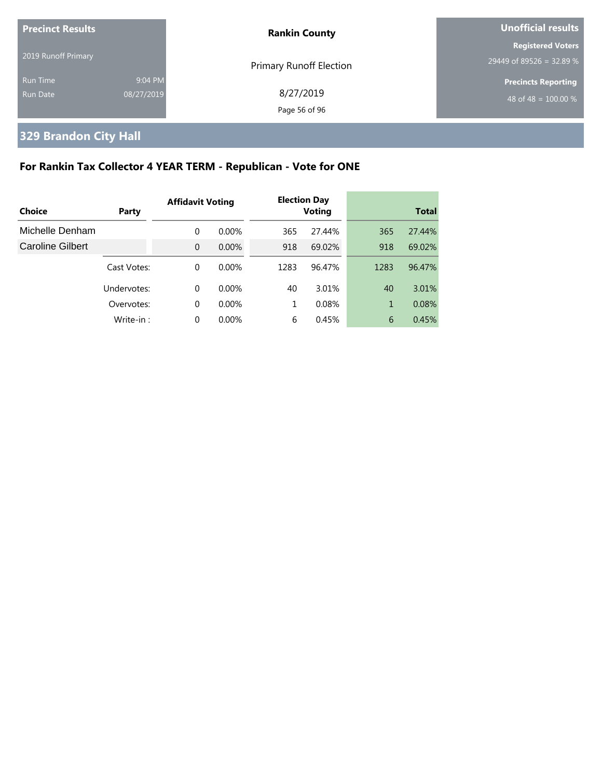| <b>Precinct Results</b> |            | <b>Rankin County</b>           | <b>Unofficial results</b>  |
|-------------------------|------------|--------------------------------|----------------------------|
| 2019 Runoff Primary     |            |                                | <b>Registered Voters</b>   |
|                         |            | <b>Primary Runoff Election</b> | $29449$ of 89526 = 32.89 % |
| <b>Run Time</b>         | 9:04 PM    |                                | <b>Precincts Reporting</b> |
| Run Date                | 08/27/2019 | 8/27/2019                      | 48 of 48 = $100.00\%$      |
|                         |            | Page 56 of 96                  |                            |

# **329 Brandon City Hall**

# **For Rankin Tax Collector 4 YEAR TERM - Republican - Vote for ONE**

| Choice           | Party       | <b>Affidavit Voting</b> |          |      | <b>Election Day</b><br><b>Voting</b> |      | <b>Total</b> |
|------------------|-------------|-------------------------|----------|------|--------------------------------------|------|--------------|
|                  |             |                         |          |      |                                      |      |              |
| Michelle Denham  |             | 0                       | $0.00\%$ | 365  | 27.44%                               | 365  | 27.44%       |
| Caroline Gilbert |             | $\Omega$                | $0.00\%$ | 918  | 69.02%                               | 918  | 69.02%       |
|                  | Cast Votes: | 0                       | $0.00\%$ | 1283 | 96.47%                               | 1283 | 96.47%       |
|                  | Undervotes: | 0                       | $0.00\%$ | 40   | 3.01%                                | 40   | 3.01%        |
|                  | Overvotes:  | $\Omega$                | $0.00\%$ | 1    | 0.08%                                | 1    | 0.08%        |
|                  | Write-in:   | 0                       | $0.00\%$ | 6    | 0.45%                                | 6    | 0.45%        |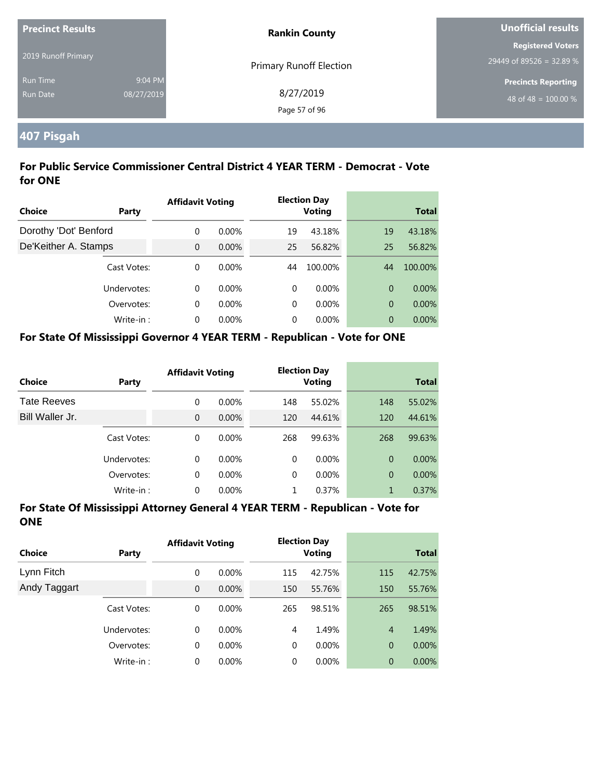| <b>Precinct Results</b><br><b>Rankin County</b> |            |                                | Unofficial results               |
|-------------------------------------------------|------------|--------------------------------|----------------------------------|
|                                                 |            |                                | <b>Registered Voters</b>         |
| 2019 Runoff Primary                             |            | <b>Primary Runoff Election</b> | 29449 of 89526 = 32.89 %         |
| <b>Run Time</b>                                 | 9:04 PM    |                                | <b>Precincts Reporting</b>       |
| Run Date                                        | 08/27/2019 | 8/27/2019                      | 48 of 48 = $\overline{100.00\%}$ |
|                                                 |            | Page 57 of 96                  |                                  |

# **407 Pisgah**

## **For Public Service Commissioner Central District 4 YEAR TERM - Democrat - Vote for ONE**

|                       |             | <b>Affidavit Voting</b> |          |          | <b>Election Day</b> |                |              |
|-----------------------|-------------|-------------------------|----------|----------|---------------------|----------------|--------------|
| Choice                | Party       |                         |          |          | <b>Voting</b>       |                | <b>Total</b> |
| Dorothy 'Dot' Benford |             | $\Omega$                | $0.00\%$ | 19       | 43.18%              | 19             | 43.18%       |
| De'Keither A. Stamps  |             | $\overline{0}$          | 0.00%    | 25       | 56.82%              | 25             | 56.82%       |
|                       | Cast Votes: | $\Omega$                | $0.00\%$ | 44       | 100.00%             | 44             | 100.00%      |
|                       | Undervotes: | $\Omega$                | $0.00\%$ | $\Omega$ | $0.00\%$            | $\overline{0}$ | $0.00\%$     |
|                       | Overvotes:  | $\Omega$                | $0.00\%$ | 0        | $0.00\%$            | 0              | 0.00%        |
|                       | Write-in:   | $\Omega$                | $0.00\%$ | 0        | $0.00\%$            | 0              | $0.00\%$     |

#### **For State Of Mississippi Governor 4 YEAR TERM - Republican - Vote for ONE**

| <b>Choice</b>      | Party       | <b>Affidavit Voting</b> |          |          | <b>Election Day</b><br><b>Voting</b> |                | <b>Total</b> |
|--------------------|-------------|-------------------------|----------|----------|--------------------------------------|----------------|--------------|
| <b>Tate Reeves</b> |             | 0                       | $0.00\%$ | 148      | 55.02%                               | 148            | 55.02%       |
| Bill Waller Jr.    |             | $\overline{0}$          | $0.00\%$ | 120      | 44.61%                               | 120            | 44.61%       |
|                    | Cast Votes: | 0                       | $0.00\%$ | 268      | 99.63%                               | 268            | 99.63%       |
|                    | Undervotes: | 0                       | $0.00\%$ | $\Omega$ | $0.00\%$                             | $\Omega$       | $0.00\%$     |
|                    | Overvotes:  | 0                       | $0.00\%$ | $\Omega$ | $0.00\%$                             | $\overline{0}$ | $0.00\%$     |
|                    | Write-in:   | 0                       | $0.00\%$ |          | 0.37%                                | 1              | 0.37%        |

| Choice       | <b>Party</b> | <b>Affidavit Voting</b> |          |             | <b>Election Day</b><br><b>Voting</b> |                | <b>Total</b> |
|--------------|--------------|-------------------------|----------|-------------|--------------------------------------|----------------|--------------|
| Lynn Fitch   |              | 0                       | $0.00\%$ | 115         | 42.75%                               | 115            | 42.75%       |
| Andy Taggart |              | $\mathbf{0}$            | $0.00\%$ | 150         | 55.76%                               | 150            | 55.76%       |
|              | Cast Votes:  | 0                       | $0.00\%$ | 265         | 98.51%                               | 265            | 98.51%       |
|              | Undervotes:  | $\Omega$                | $0.00\%$ | 4           | 1.49%                                | $\overline{4}$ | 1.49%        |
|              | Overvotes:   | 0                       | $0.00\%$ | $\mathbf 0$ | $0.00\%$                             | $\overline{0}$ | $0.00\%$     |
|              | Write-in:    | 0                       | $0.00\%$ | 0           | $0.00\%$                             | $\overline{0}$ | 0.00%        |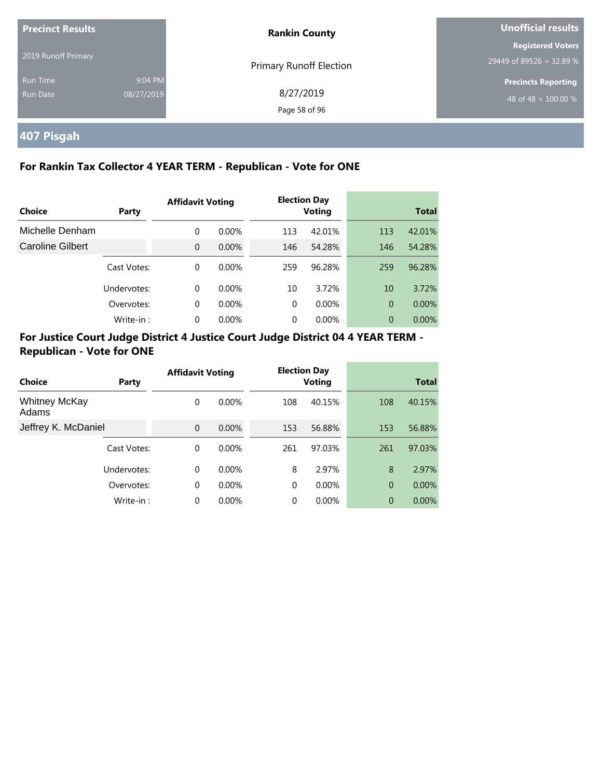| <b>Precinct Results</b>     |                       | <b>Rankin County</b>       | Unofficial results                                   |  |
|-----------------------------|-----------------------|----------------------------|------------------------------------------------------|--|
| 2019 Runoff Primary         |                       | Primary Runoff Election    | <b>Registered Voters</b><br>29449 of 89526 = 32.89 % |  |
| <b>Run Time</b><br>Run Date | 9:04 PM<br>08/27/2019 | 8/27/2019<br>Page 58 of 96 | <b>Precincts Reporting</b><br>48 of 48 = $100.00\%$  |  |

# **407 Pisgah**

## **For Rankin Tax Collector 4 YEAR TERM - Republican - Vote for ONE**

|                         |             | <b>Affidavit Voting</b> |          |          | <b>Election Day</b> |                |              |
|-------------------------|-------------|-------------------------|----------|----------|---------------------|----------------|--------------|
| Choice                  | Party       |                         |          |          | Voting              |                | <b>Total</b> |
| Michelle Denham         |             | 0                       | $0.00\%$ | 113      | 42.01%              | 113            | 42.01%       |
| <b>Caroline Gilbert</b> |             | $\Omega$                | $0.00\%$ | 146      | 54.28%              | 146            | 54.28%       |
|                         | Cast Votes: | $\Omega$                | $0.00\%$ | 259      | 96.28%              | 259            | 96.28%       |
|                         | Undervotes: | $\Omega$                | $0.00\%$ | 10       | 3.72%               | 10             | 3.72%        |
|                         | Overvotes:  | $\Omega$                | $0.00\%$ | $\Omega$ | $0.00\%$            | $\overline{0}$ | $0.00\%$     |
|                         | Write-in:   | 0                       | 0.00%    | 0        | 0.00%               | $\theta$       | $0.00\%$     |

|                               |             | <b>Affidavit Voting</b> |          |          | <b>Election Day</b> |                |              |
|-------------------------------|-------------|-------------------------|----------|----------|---------------------|----------------|--------------|
| Choice                        | Party       |                         |          |          | <b>Voting</b>       |                | <b>Total</b> |
| <b>Whitney McKay</b><br>Adams |             | 0                       | $0.00\%$ | 108      | 40.15%              | 108            | 40.15%       |
| Jeffrey K. McDaniel           |             | $\mathbf{0}$            | 0.00%    | 153      | 56.88%              | 153            | 56.88%       |
|                               | Cast Votes: | 0                       | $0.00\%$ | 261      | 97.03%              | 261            | 97.03%       |
|                               | Undervotes: | $\Omega$                | $0.00\%$ | 8        | 2.97%               | 8              | 2.97%        |
|                               | Overvotes:  | $\mathbf 0$             | $0.00\%$ | $\Omega$ | $0.00\%$            | $\overline{0}$ | 0.00%        |
|                               | Write-in:   | 0                       | 0.00%    | 0        | 0.00%               | $\overline{0}$ | 0.00%        |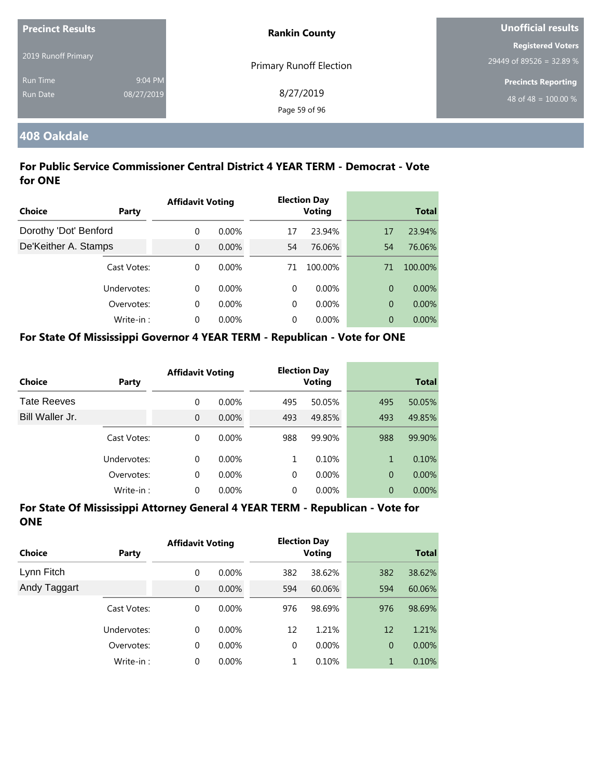| <b>Precinct Results</b> |            | <b>Rankin County</b>           | Unofficial results         |
|-------------------------|------------|--------------------------------|----------------------------|
|                         |            |                                | <b>Registered Voters</b>   |
| 2019 Runoff Primary     |            | <b>Primary Runoff Election</b> | 29449 of 89526 = 32.89 %   |
| <b>Run Time</b>         | 9:04 PM    |                                | <b>Precincts Reporting</b> |
| <b>Run Date</b>         | 08/27/2019 | 8/27/2019                      | 48 of 48 = $100.00\%$      |
|                         |            | Page 59 of 96                  |                            |

## **408 Oakdale**

## **For Public Service Commissioner Central District 4 YEAR TERM - Democrat - Vote for ONE**

|                       |             | <b>Affidavit Voting</b> |          |          | <b>Election Day</b> |                |              |
|-----------------------|-------------|-------------------------|----------|----------|---------------------|----------------|--------------|
| <b>Choice</b>         | Party       |                         |          |          | <b>Voting</b>       |                | <b>Total</b> |
| Dorothy 'Dot' Benford |             | $\Omega$                | $0.00\%$ | 17       | 23.94%              | 17             | 23.94%       |
| De'Keither A. Stamps  |             | $\Omega$                | $0.00\%$ | 54       | 76.06%              | 54             | 76.06%       |
|                       | Cast Votes: | $\Omega$                | $0.00\%$ | 71       | 100.00%             | 71             | 100.00%      |
|                       | Undervotes: | $\Omega$                | $0.00\%$ | $\Omega$ | $0.00\%$            | $\overline{0}$ | $0.00\%$     |
|                       | Overvotes:  | $\Omega$                | $0.00\%$ | $\Omega$ | $0.00\%$            | $\overline{0}$ | 0.00%        |
|                       | Write-in:   | $\Omega$                | 0.00%    | $\Omega$ | $0.00\%$            | $\overline{0}$ | $0.00\%$     |

#### **For State Of Mississippi Governor 4 YEAR TERM - Republican - Vote for ONE**

| Choice             | Party       | <b>Affidavit Voting</b> |          |     | <b>Election Day</b><br><b>Voting</b> |                | <b>Total</b> |
|--------------------|-------------|-------------------------|----------|-----|--------------------------------------|----------------|--------------|
| <b>Tate Reeves</b> |             | 0                       | $0.00\%$ | 495 | 50.05%                               | 495            | 50.05%       |
| Bill Waller Jr.    |             | 0                       | 0.00%    | 493 | 49.85%                               | 493            | 49.85%       |
|                    | Cast Votes: | 0                       | $0.00\%$ | 988 | 99.90%                               | 988            | 99.90%       |
|                    | Undervotes: | 0                       | $0.00\%$ | 1   | 0.10%                                | 1              | 0.10%        |
|                    | Overvotes:  | 0                       | $0.00\%$ | 0   | $0.00\%$                             | $\overline{0}$ | $0.00\%$     |
|                    | Write-in:   | 0                       | 0.00%    | 0   | 0.00%                                | $\overline{0}$ | $0.00\%$     |

| Choice       | <b>Party</b> | <b>Affidavit Voting</b> |          | <b>Election Day</b><br><b>Voting</b> |          | <b>Total</b>   |          |
|--------------|--------------|-------------------------|----------|--------------------------------------|----------|----------------|----------|
| Lynn Fitch   |              | 0                       | $0.00\%$ | 382                                  | 38.62%   | 382            | 38.62%   |
| Andy Taggart |              | $\mathbf{0}$            | $0.00\%$ | 594                                  | 60.06%   | 594            | 60.06%   |
|              | Cast Votes:  | 0                       | $0.00\%$ | 976                                  | 98.69%   | 976            | 98.69%   |
|              | Undervotes:  | $\Omega$                | $0.00\%$ | 12                                   | 1.21%    | 12             | 1.21%    |
|              | Overvotes:   | 0                       | $0.00\%$ | $\mathbf 0$                          | $0.00\%$ | $\overline{0}$ | $0.00\%$ |
|              | Write-in:    | 0                       | $0.00\%$ | 1                                    | 0.10%    | 1              | 0.10%    |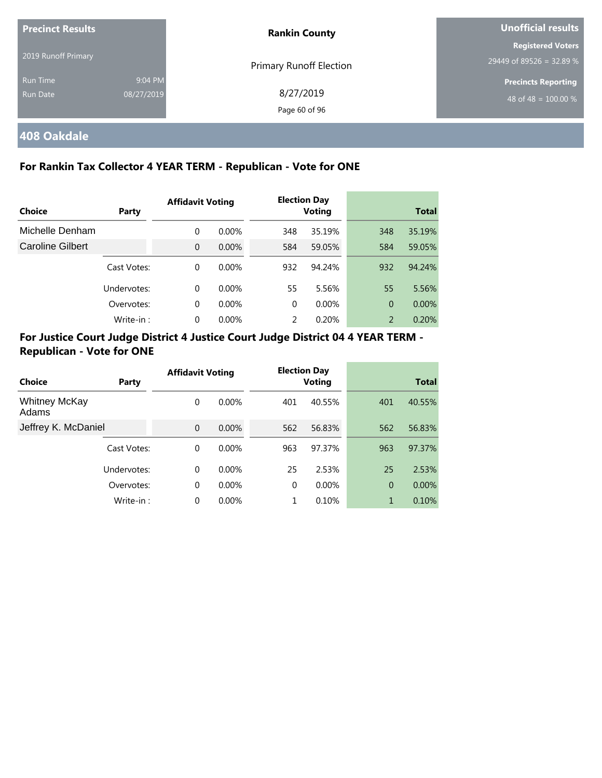| <b>Precinct Results</b>     |                       | <b>Rankin County</b>           | Unofficial results                                   |  |
|-----------------------------|-----------------------|--------------------------------|------------------------------------------------------|--|
| 2019 Runoff Primary         |                       | <b>Primary Runoff Election</b> | <b>Registered Voters</b><br>29449 of 89526 = 32.89 % |  |
| <b>Run Time</b><br>Run Date | 9:04 PM<br>08/27/2019 | 8/27/2019<br>Page 60 of 96     | <b>Precincts Reporting</b><br>48 of 48 = $100.00\%$  |  |

# **408 Oakdale**

## **For Rankin Tax Collector 4 YEAR TERM - Republican - Vote for ONE**

|                         |             | <b>Affidavit Voting</b> |          | <b>Election Day</b> |               |                |              |
|-------------------------|-------------|-------------------------|----------|---------------------|---------------|----------------|--------------|
| Choice                  | Party       |                         |          |                     | <b>Voting</b> |                | <b>Total</b> |
| Michelle Denham         |             | 0                       | $0.00\%$ | 348                 | 35.19%        | 348            | 35.19%       |
| <b>Caroline Gilbert</b> |             | $\Omega$                | $0.00\%$ | 584                 | 59.05%        | 584            | 59.05%       |
|                         | Cast Votes: | $\Omega$                | $0.00\%$ | 932                 | 94.24%        | 932            | 94.24%       |
|                         | Undervotes: | $\Omega$                | $0.00\%$ | 55                  | 5.56%         | 55             | 5.56%        |
|                         | Overvotes:  | $\Omega$                | $0.00\%$ | $\Omega$            | $0.00\%$      | $\overline{0}$ | 0.00%        |
|                         | Write-in:   | 0                       | $0.00\%$ | 2                   | 0.20%         | 2              | 0.20%        |

|                               |             | <b>Affidavit Voting</b> |          |          | <b>Election Day</b> |                |              |
|-------------------------------|-------------|-------------------------|----------|----------|---------------------|----------------|--------------|
| Choice                        | Party       |                         |          |          | <b>Voting</b>       |                | <b>Total</b> |
| <b>Whitney McKay</b><br>Adams |             | 0                       | $0.00\%$ | 401      | 40.55%              | 401            | 40.55%       |
| Jeffrey K. McDaniel           |             | $\Omega$                | 0.00%    | 562      | 56.83%              | 562            | 56.83%       |
|                               | Cast Votes: | 0                       | $0.00\%$ | 963      | 97.37%              | 963            | 97.37%       |
| Undervotes:                   |             | $\Omega$                | $0.00\%$ | 25       | 2.53%               | 25             | 2.53%        |
|                               | Overvotes:  | $\mathbf 0$             | $0.00\%$ | $\Omega$ | $0.00\%$            | $\overline{0}$ | 0.00%        |
|                               | Write-in:   | 0                       | 0.00%    |          | 0.10%               | 1              | 0.10%        |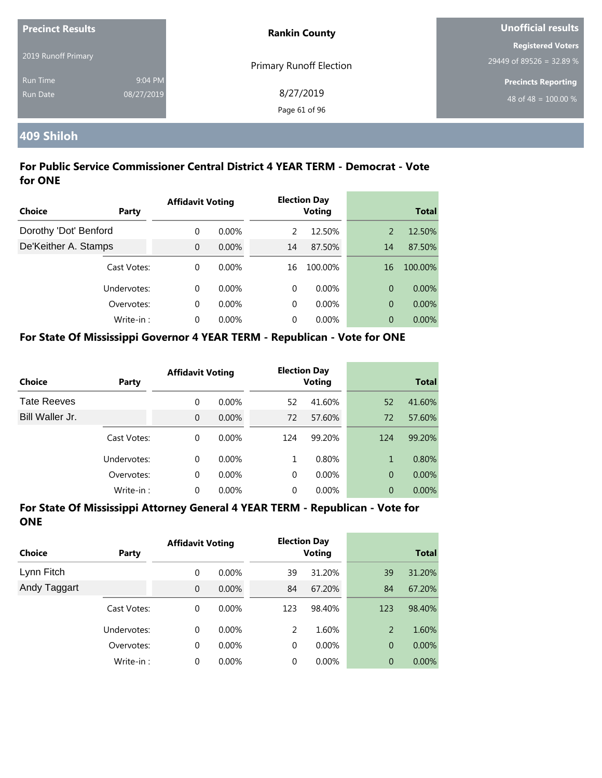| <b>Precinct Results</b> |            | <b>Rankin County</b>           | Unofficial results         |  |
|-------------------------|------------|--------------------------------|----------------------------|--|
|                         |            |                                | <b>Registered Voters</b>   |  |
| 2019 Runoff Primary     |            | <b>Primary Runoff Election</b> | 29449 of 89526 = 32.89 %   |  |
| <b>Run Time</b>         | 9:04 PM    |                                | <b>Precincts Reporting</b> |  |
| Run Date                | 08/27/2019 | 8/27/2019                      | 48 of 48 = $100.00\%$      |  |
|                         |            | Page 61 of 96                  |                            |  |

# **409 Shiloh**

## **For Public Service Commissioner Central District 4 YEAR TERM - Democrat - Vote for ONE**

|                       |             | <b>Affidavit Voting</b> |          |    | <b>Election Day</b><br><b>Voting</b> |    |              |
|-----------------------|-------------|-------------------------|----------|----|--------------------------------------|----|--------------|
| Choice                | Party       |                         |          |    |                                      |    | <b>Total</b> |
| Dorothy 'Dot' Benford |             | $\Omega$                | $0.00\%$ | 2  | 12.50%                               | 2  | 12.50%       |
| De'Keither A. Stamps  |             | $\Omega$                | 0.00%    | 14 | 87.50%                               | 14 | 87.50%       |
|                       | Cast Votes: | $\Omega$                | $0.00\%$ | 16 | 100.00%                              | 16 | 100.00%      |
|                       | Undervotes: | $\Omega$                | $0.00\%$ | 0  | $0.00\%$                             | 0  | $0.00\%$     |
|                       | Overvotes:  | $\Omega$                | $0.00\%$ | 0  | $0.00\%$                             | 0  | 0.00%        |
|                       | Write-in:   | $\Omega$                | $0.00\%$ | 0  | $0.00\%$                             | 0  | $0.00\%$     |

#### **For State Of Mississippi Governor 4 YEAR TERM - Republican - Vote for ONE**

| <b>Choice</b>      | Party       | <b>Affidavit Voting</b> |          |          | <b>Election Day</b><br><b>Voting</b> |                | <b>Total</b> |
|--------------------|-------------|-------------------------|----------|----------|--------------------------------------|----------------|--------------|
| <b>Tate Reeves</b> |             | 0                       | $0.00\%$ | 52       | 41.60%                               | 52             | 41.60%       |
| Bill Waller Jr.    |             | $\overline{0}$          | $0.00\%$ | 72       | 57.60%                               | 72             | 57.60%       |
|                    | Cast Votes: | 0                       | $0.00\%$ | 124      | 99.20%                               | 124            | 99.20%       |
|                    | Undervotes: | 0                       | $0.00\%$ | 1        | 0.80%                                | 1              | 0.80%        |
|                    | Overvotes:  | 0                       | $0.00\%$ | $\Omega$ | $0.00\%$                             | $\overline{0}$ | $0.00\%$     |
|                    | Write-in:   | 0                       | $0.00\%$ | 0        | $0.00\%$                             | 0              | 0.00%        |

| <b>Choice</b> | Party       | <b>Affidavit Voting</b> |          |          | <b>Election Day</b><br><b>Voting</b> |                | <b>Total</b> |  |
|---------------|-------------|-------------------------|----------|----------|--------------------------------------|----------------|--------------|--|
| Lynn Fitch    |             | 0                       | $0.00\%$ | 39       | 31.20%                               | 39             | 31.20%       |  |
| Andy Taggart  |             | $\overline{0}$          | 0.00%    | 84       | 67.20%                               | 84             | 67.20%       |  |
|               | Cast Votes: | 0                       | $0.00\%$ | 123      | 98.40%                               | 123            | 98.40%       |  |
|               | Undervotes: | 0                       | $0.00\%$ | 2        | 1.60%                                | $\overline{2}$ | 1.60%        |  |
|               | Overvotes:  | 0                       | $0.00\%$ | 0        | $0.00\%$                             | $\overline{0}$ | $0.00\%$     |  |
|               | Write-in:   | $\Omega$                | $0.00\%$ | $\Omega$ | $0.00\%$                             | 0              | 0.00%        |  |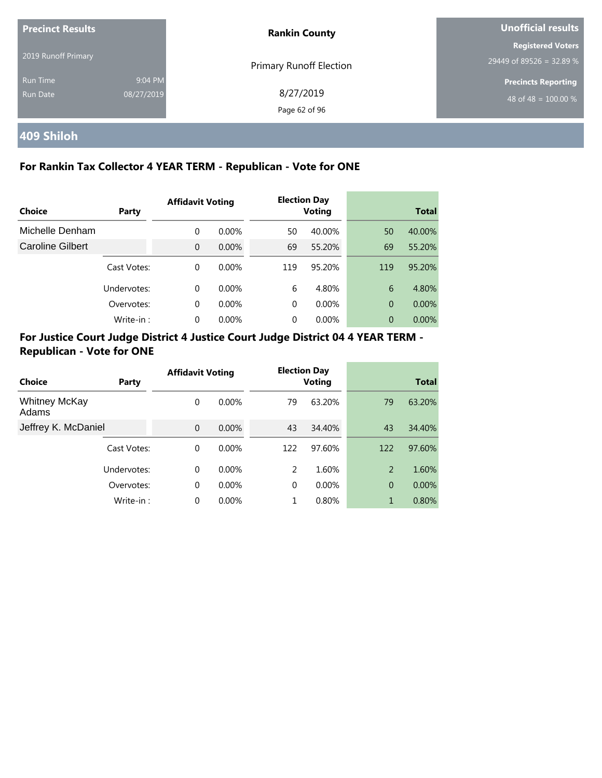| <b>Precinct Results</b> |            | <b>Rankin County</b>           | Unofficial results         |  |
|-------------------------|------------|--------------------------------|----------------------------|--|
| 2019 Runoff Primary     |            |                                | <b>Registered Voters</b>   |  |
|                         |            | <b>Primary Runoff Election</b> | $29449$ of 89526 = 32.89 % |  |
| <b>Run Time</b>         | 9:04 PM    |                                | <b>Precincts Reporting</b> |  |
| Run Date                | 08/27/2019 | 8/27/2019                      | 48 of 48 = $100.00\%$      |  |
|                         |            | Page 62 of 96                  |                            |  |

# **409 Shiloh**

## **For Rankin Tax Collector 4 YEAR TERM - Republican - Vote for ONE**

|                         |             | <b>Affidavit Voting</b> |          | <b>Election Day</b> |               |                |              |
|-------------------------|-------------|-------------------------|----------|---------------------|---------------|----------------|--------------|
| Choice                  | Party       |                         |          |                     | <b>Voting</b> |                | <b>Total</b> |
| Michelle Denham         |             | $\Omega$                | $0.00\%$ | 50                  | 40.00%        | 50             | 40.00%       |
| <b>Caroline Gilbert</b> |             | $\Omega$                | 0.00%    | 69                  | 55.20%        | 69             | 55.20%       |
|                         | Cast Votes: | $\Omega$                | $0.00\%$ | 119                 | 95.20%        | 119            | 95.20%       |
|                         | Undervotes: | $\Omega$                | $0.00\%$ | 6                   | 4.80%         | 6              | 4.80%        |
|                         | Overvotes:  | $\Omega$                | $0.00\%$ | 0                   | $0.00\%$      | $\overline{0}$ | $0.00\%$     |
|                         | Write-in:   | $\Omega$                | 0.00%    | 0                   | $0.00\%$      | 0              | $0.00\%$     |

| <b>Choice</b>                 | Party       | <b>Affidavit Voting</b> |          |          | <b>Election Day</b><br><b>Voting</b> |                | <b>Total</b> |
|-------------------------------|-------------|-------------------------|----------|----------|--------------------------------------|----------------|--------------|
| <b>Whitney McKay</b><br>Adams |             | 0                       | $0.00\%$ | 79       | 63.20%                               | 79             | 63.20%       |
| Jeffrey K. McDaniel           |             | $\Omega$                | 0.00%    | 43       | 34.40%                               | 43             | 34.40%       |
|                               | Cast Votes: | $\Omega$                | $0.00\%$ | 122      | 97.60%                               | 122            | 97.60%       |
|                               | Undervotes: | $\Omega$                | $0.00\%$ | 2        | 1.60%                                | 2              | 1.60%        |
|                               | Overvotes:  | $\Omega$                | $0.00\%$ | $\Omega$ | $0.00\%$                             | $\overline{0}$ | $0.00\%$     |
|                               | Write-in:   | $\Omega$                | $0.00\%$ |          | 0.80%                                | 1              | 0.80%        |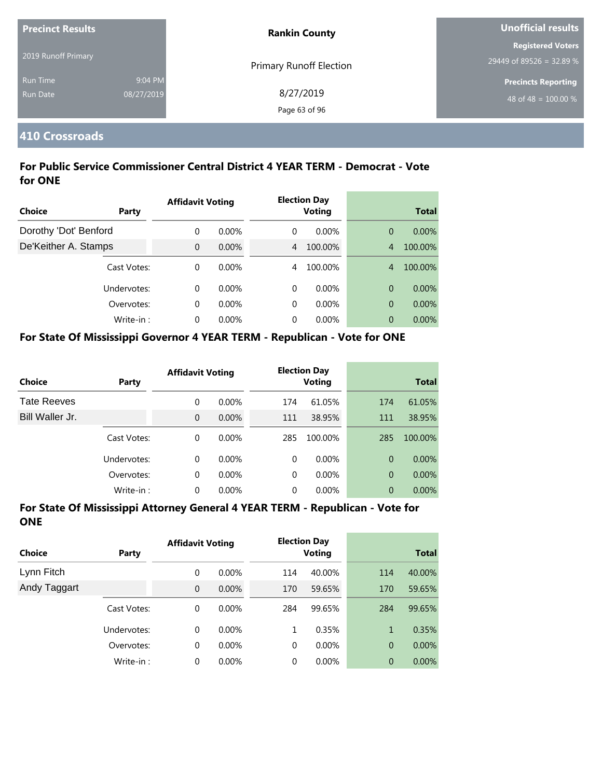| <b>Precinct Results</b> |            | <b>Rankin County</b>           | Unofficial results         |  |
|-------------------------|------------|--------------------------------|----------------------------|--|
|                         |            |                                | Registered Voters          |  |
| 2019 Runoff Primary     |            | <b>Primary Runoff Election</b> | 29449 of 89526 = 32.89 %   |  |
| <b>Run Time</b>         | 9:04 PM    |                                | <b>Precincts Reporting</b> |  |
| Run Date                | 08/27/2019 | 8/27/2019                      | 48 of 48 = $100.00\%$      |  |
|                         |            | Page 63 of 96                  |                            |  |

## **410 Crossroads**

## **For Public Service Commissioner Central District 4 YEAR TERM - Democrat - Vote for ONE**

| <b>Choice</b>         | Party       | <b>Affidavit Voting</b> |          |   | <b>Election Day</b><br><b>Voting</b> |                | <b>Total</b> |  |
|-----------------------|-------------|-------------------------|----------|---|--------------------------------------|----------------|--------------|--|
|                       |             |                         |          |   |                                      |                |              |  |
| Dorothy 'Dot' Benford |             | 0                       | $0.00\%$ | 0 | 0.00%                                | $\overline{0}$ | $0.00\%$     |  |
| De'Keither A. Stamps  |             | $\overline{0}$          | 0.00%    | 4 | 100.00%                              | $\overline{4}$ | 100.00%      |  |
|                       | Cast Votes: | $\Omega$                | $0.00\%$ | 4 | 100.00%                              | $\overline{4}$ | 100.00%      |  |
|                       | Undervotes: | $\Omega$                | $0.00\%$ | 0 | $0.00\%$                             | $\overline{0}$ | $0.00\%$     |  |
|                       | Overvotes:  | $\Omega$                | $0.00\%$ | 0 | $0.00\%$                             | $\overline{0}$ | 0.00%        |  |
|                       | Write-in:   | $\Omega$                | $0.00\%$ | 0 | 0.00%                                | $\overline{0}$ | $0.00\%$     |  |

#### **For State Of Mississippi Governor 4 YEAR TERM - Republican - Vote for ONE**

| <b>Choice</b>      | Party       | <b>Affidavit Voting</b> |          |          | <b>Election Day</b><br><b>Voting</b> |                | <b>Total</b> |
|--------------------|-------------|-------------------------|----------|----------|--------------------------------------|----------------|--------------|
| <b>Tate Reeves</b> |             | 0                       | $0.00\%$ | 174      | 61.05%                               | 174            | 61.05%       |
| Bill Waller Jr.    |             | 0                       | $0.00\%$ | 111      | 38.95%                               | 111            | 38.95%       |
|                    | Cast Votes: | 0                       | $0.00\%$ | 285      | 100.00%                              | 285            | 100.00%      |
|                    | Undervotes: | 0                       | $0.00\%$ | $\Omega$ | $0.00\%$                             | $\Omega$       | $0.00\%$     |
|                    | Overvotes:  | 0                       | $0.00\%$ | $\Omega$ | $0.00\%$                             | $\overline{0}$ | $0.00\%$     |
|                    | Write-in:   | 0                       | $0.00\%$ | 0        | $0.00\%$                             | 0              | 0.00%        |

| Choice       | Party       | <b>Affidavit Voting</b> |          | <b>Election Day</b><br>Voting |          | <b>Total</b>   |          |
|--------------|-------------|-------------------------|----------|-------------------------------|----------|----------------|----------|
| Lynn Fitch   |             | 0                       | $0.00\%$ | 114                           | 40.00%   | 114            | 40.00%   |
| Andy Taggart |             | $\overline{0}$          | $0.00\%$ | 170                           | 59.65%   | 170            | 59.65%   |
|              | Cast Votes: | 0                       | $0.00\%$ | 284                           | 99.65%   | 284            | 99.65%   |
|              | Undervotes: | $\Omega$                | $0.00\%$ | 1                             | 0.35%    | $\mathbf{1}$   | 0.35%    |
|              | Overvotes:  | 0                       | $0.00\%$ | 0                             | $0.00\%$ | $\overline{0}$ | $0.00\%$ |
|              | Write-in:   | 0                       | $0.00\%$ | 0                             | $0.00\%$ | $\overline{0}$ | 0.00%    |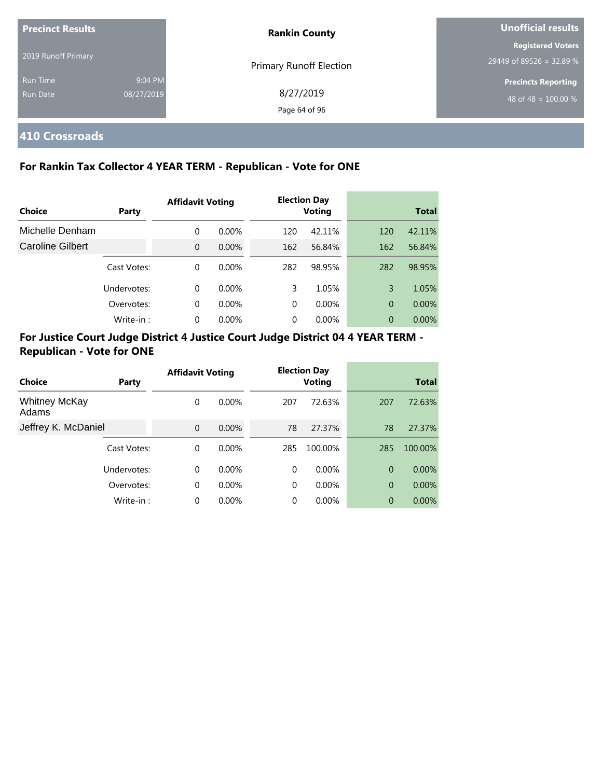| <b>Precinct Results</b>     |                       | <b>Rankin County</b>       | Unofficial results                                   |
|-----------------------------|-----------------------|----------------------------|------------------------------------------------------|
| 2019 Runoff Primary         |                       | Primary Runoff Election    | <b>Registered Voters</b><br>29449 of 89526 = 32.89 % |
| <b>Run Time</b><br>Run Date | 9:04 PM<br>08/27/2019 | 8/27/2019<br>Page 64 of 96 | <b>Precincts Reporting</b><br>48 of 48 = $100.00\%$  |

## **410 Crossroads**

## **For Rankin Tax Collector 4 YEAR TERM - Republican - Vote for ONE**

|                         |             | <b>Affidavit Voting</b> |          |          | <b>Election Day</b> |                |              |
|-------------------------|-------------|-------------------------|----------|----------|---------------------|----------------|--------------|
| <b>Choice</b>           | Party       |                         |          |          | <b>Voting</b>       |                | <b>Total</b> |
| Michelle Denham         |             | 0                       | $0.00\%$ | 120      | 42.11%              | 120            | 42.11%       |
| <b>Caroline Gilbert</b> |             | $\overline{0}$          | $0.00\%$ | 162      | 56.84%              | 162            | 56.84%       |
|                         | Cast Votes: | 0                       | $0.00\%$ | 282      | 98.95%              | 282            | 98.95%       |
|                         | Undervotes: | 0                       | $0.00\%$ | 3        | 1.05%               | 3              | 1.05%        |
|                         | Overvotes:  | $\Omega$                | $0.00\%$ | $\Omega$ | 0.00%               | $\overline{0}$ | 0.00%        |
|                         | Write-in:   | 0                       | $0.00\%$ | $\Omega$ | 0.00%               | 0              | $0.00\%$     |

| Choice                        | Party       | <b>Affidavit Voting</b> |          |          | <b>Election Day</b><br><b>Voting</b> |                | <b>Total</b> |
|-------------------------------|-------------|-------------------------|----------|----------|--------------------------------------|----------------|--------------|
| <b>Whitney McKay</b><br>Adams |             | 0                       | $0.00\%$ | 207      | 72.63%                               | 207            | 72.63%       |
| Jeffrey K. McDaniel           |             | $\Omega$                | $0.00\%$ | 78       | 27.37%                               | 78             | 27.37%       |
|                               | Cast Votes: | 0                       | $0.00\%$ | 285      | 100.00%                              | 285            | 100.00%      |
|                               | Undervotes: | $\Omega$                | $0.00\%$ | $\Omega$ | $0.00\%$                             | $\overline{0}$ | $0.00\%$     |
|                               | Overvotes:  | 0                       | $0.00\%$ | $\Omega$ | $0.00\%$                             | $\overline{0}$ | 0.00%        |
|                               | Write-in:   | $\Omega$                | $0.00\%$ | 0        | 0.00%                                | 0              | 0.00%        |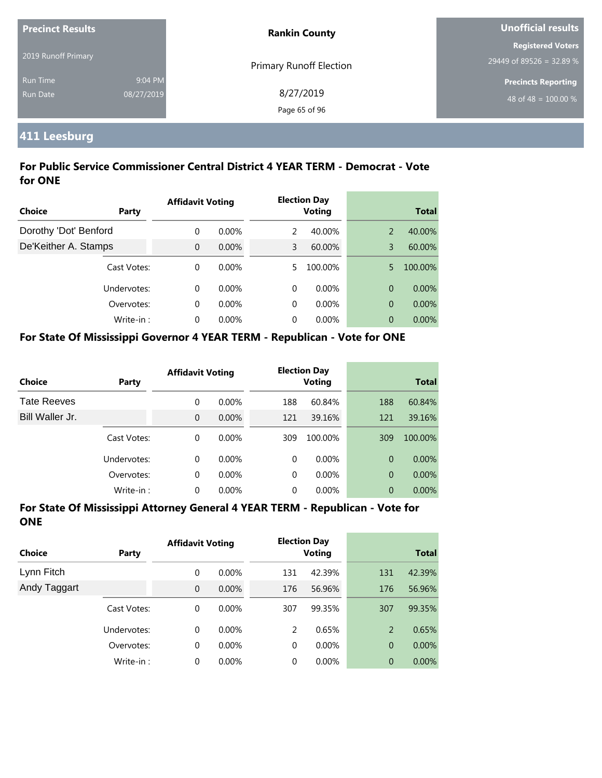| <b>Precinct Results</b> |            | <b>Rankin County</b>           | Unofficial results         |  |
|-------------------------|------------|--------------------------------|----------------------------|--|
|                         |            |                                | <b>Registered Voters</b>   |  |
| 2019 Runoff Primary     |            | <b>Primary Runoff Election</b> | 29449 of 89526 = 32.89 %   |  |
| <b>Run Time</b>         | 9:04 PM    |                                | <b>Precincts Reporting</b> |  |
| Run Date                | 08/27/2019 | 8/27/2019                      | 48 of 48 = $100.00\%$      |  |
|                         |            | Page 65 of 96                  |                            |  |

# **411 Leesburg**

## **For Public Service Commissioner Central District 4 YEAR TERM - Democrat - Vote for ONE**

|                       |             | <b>Affidavit Voting</b> |          |    | <b>Election Day</b> |   |              |
|-----------------------|-------------|-------------------------|----------|----|---------------------|---|--------------|
| Choice                | Party       |                         |          |    | <b>Voting</b>       |   | <b>Total</b> |
| Dorothy 'Dot' Benford |             | $\Omega$                | $0.00\%$ | 2  | 40.00%              | 2 | 40.00%       |
| De'Keither A. Stamps  |             | $\Omega$                | $0.00\%$ | 3  | 60.00%              | 3 | 60.00%       |
|                       | Cast Votes: | $\Omega$                | $0.00\%$ | 5. | 100.00%             | 5 | 100.00%      |
|                       | Undervotes: | $\Omega$                | $0.00\%$ | 0  | $0.00\%$            | 0 | $0.00\%$     |
|                       | Overvotes:  | $\Omega$                | $0.00\%$ | 0  | $0.00\%$            | 0 | 0.00%        |
|                       | Write-in:   | $\Omega$                | $0.00\%$ | 0  | $0.00\%$            | 0 | $0.00\%$     |

## **For State Of Mississippi Governor 4 YEAR TERM - Republican - Vote for ONE**

| <b>Choice</b>      | Party       | <b>Affidavit Voting</b> |          |          | <b>Election Day</b><br><b>Voting</b> |                | <b>Total</b> |
|--------------------|-------------|-------------------------|----------|----------|--------------------------------------|----------------|--------------|
| <b>Tate Reeves</b> |             | 0                       | $0.00\%$ | 188      | 60.84%                               | 188            | 60.84%       |
| Bill Waller Jr.    |             | 0                       | $0.00\%$ | 121      | 39.16%                               | 121            | 39.16%       |
|                    | Cast Votes: | 0                       | $0.00\%$ | 309      | 100.00%                              | 309            | 100.00%      |
|                    | Undervotes: | $\Omega$                | $0.00\%$ | $\Omega$ | $0.00\%$                             | $\Omega$       | $0.00\%$     |
|                    | Overvotes:  | 0                       | $0.00\%$ | $\Omega$ | $0.00\%$                             | $\overline{0}$ | $0.00\%$     |
|                    | Write-in:   | 0                       | $0.00\%$ | 0        | $0.00\%$                             | 0              | 0.00%        |

| <b>Choice</b> | Party       | <b>Affidavit Voting</b> |          |     | <b>Election Day</b><br><b>Voting</b> |                | <b>Total</b> |
|---------------|-------------|-------------------------|----------|-----|--------------------------------------|----------------|--------------|
| Lynn Fitch    |             | 0                       | $0.00\%$ | 131 | 42.39%                               | 131            | 42.39%       |
| Andy Taggart  |             | $\overline{0}$          | 0.00%    | 176 | 56.96%                               | 176            | 56.96%       |
|               | Cast Votes: | 0                       | $0.00\%$ | 307 | 99.35%                               | 307            | 99.35%       |
|               | Undervotes: | 0                       | $0.00\%$ | 2   | 0.65%                                | 2              | 0.65%        |
|               | Overvotes:  | 0                       | 0.00%    | 0   | $0.00\%$                             | $\overline{0}$ | 0.00%        |
|               | Write-in:   | 0                       | $0.00\%$ | 0   | $0.00\%$                             | $\overline{0}$ | 0.00%        |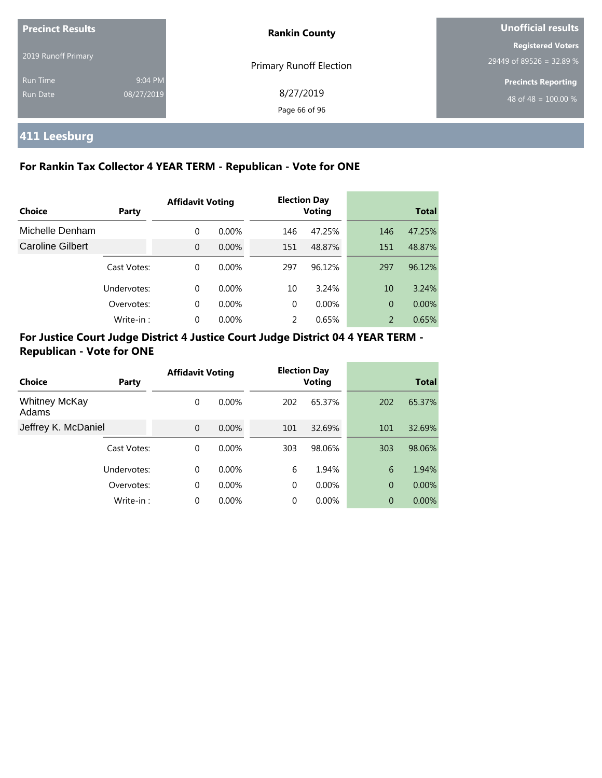| <b>Precinct Results</b><br>2019 Runoff Primary |                       | <b>Rankin County</b>           | Unofficial results                                   |  |
|------------------------------------------------|-----------------------|--------------------------------|------------------------------------------------------|--|
|                                                |                       | <b>Primary Runoff Election</b> | <b>Registered Voters</b><br>29449 of 89526 = 32.89 % |  |
| <b>Run Time</b><br>Run Date                    | 9:04 PM<br>08/27/2019 | 8/27/2019<br>Page 66 of 96     | <b>Precincts Reporting</b><br>48 of 48 = $100.00\%$  |  |

# **411 Leesburg**

## **For Rankin Tax Collector 4 YEAR TERM - Republican - Vote for ONE**

|                         |             | <b>Affidavit Voting</b> |          |          | <b>Election Day</b> |                |              |
|-------------------------|-------------|-------------------------|----------|----------|---------------------|----------------|--------------|
| Choice                  | Party       |                         |          |          | <b>Voting</b>       |                | <b>Total</b> |
| Michelle Denham         |             | 0                       | $0.00\%$ | 146      | 47.25%              | 146            | 47.25%       |
| <b>Caroline Gilbert</b> |             | $\overline{0}$          | $0.00\%$ | 151      | 48.87%              | 151            | 48.87%       |
|                         | Cast Votes: | $\Omega$                | $0.00\%$ | 297      | 96.12%              | 297            | 96.12%       |
|                         | Undervotes: | $\Omega$                | $0.00\%$ | 10       | 3.24%               | 10             | 3.24%        |
|                         | Overvotes:  | $\Omega$                | $0.00\%$ | $\Omega$ | $0.00\%$            | $\overline{0}$ | 0.00%        |
|                         | Write-in:   | 0                       | 0.00%    | 2        | 0.65%               | 2              | 0.65%        |

|                               |             | <b>Affidavit Voting</b> |          |          | <b>Election Day</b> |                |              |
|-------------------------------|-------------|-------------------------|----------|----------|---------------------|----------------|--------------|
| Choice                        | Party       |                         |          |          | <b>Voting</b>       |                | <b>Total</b> |
| <b>Whitney McKay</b><br>Adams |             | 0                       | $0.00\%$ | 202      | 65.37%              | 202            | 65.37%       |
| Jeffrey K. McDaniel           |             | $\Omega$                | $0.00\%$ | 101      | 32.69%              | 101            | 32.69%       |
|                               | Cast Votes: | 0                       | $0.00\%$ | 303      | 98.06%              | 303            | 98.06%       |
|                               | Undervotes: | $\Omega$                | $0.00\%$ | 6        | 1.94%               | 6              | 1.94%        |
|                               | Overvotes:  | $\mathbf 0$             | $0.00\%$ | $\Omega$ | $0.00\%$            | $\overline{0}$ | 0.00%        |
|                               | Write-in:   | 0                       | 0.00%    | 0        | 0.00%               | $\overline{0}$ | 0.00%        |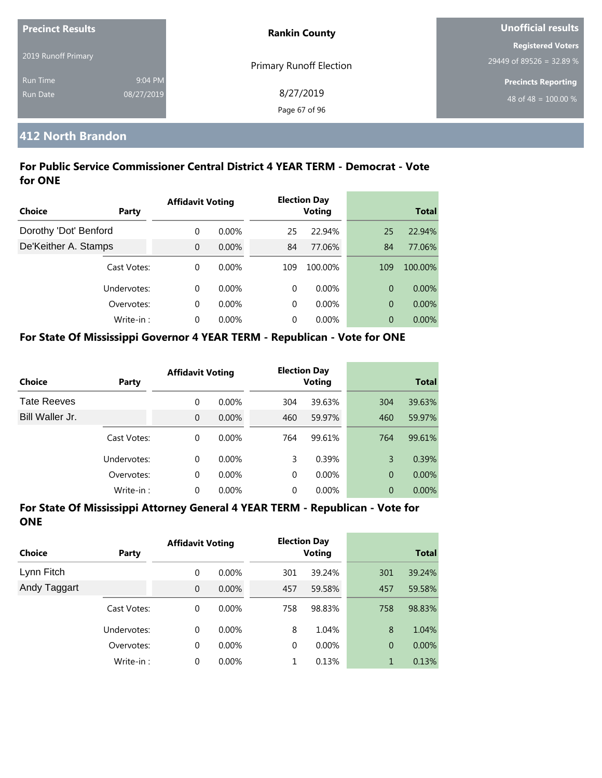| <b>Precinct Results</b> |            | <b>Rankin County</b>           | Unofficial results         |
|-------------------------|------------|--------------------------------|----------------------------|
|                         |            |                                | <b>Registered Voters</b>   |
| 2019 Runoff Primary     |            | <b>Primary Runoff Election</b> | 29449 of 89526 = 32.89 %   |
| <b>Run Time</b>         | 9:04 PM    |                                | <b>Precincts Reporting</b> |
| <b>Run Date</b>         | 08/27/2019 | 8/27/2019                      | 48 of 48 = $100.00\%$      |
|                         |            | Page 67 of 96                  |                            |

## **412 North Brandon**

## **For Public Service Commissioner Central District 4 YEAR TERM - Democrat - Vote for ONE**

|                       |             | <b>Affidavit Voting</b> |          |          | <b>Election Day</b> |                |              |
|-----------------------|-------------|-------------------------|----------|----------|---------------------|----------------|--------------|
| Choice                | Party       |                         |          |          | <b>Voting</b>       |                | <b>Total</b> |
| Dorothy 'Dot' Benford |             | $\Omega$                | $0.00\%$ | 25       | 22.94%              | 25             | 22.94%       |
| De'Keither A. Stamps  |             | $\Omega$                | $0.00\%$ | 84       | 77.06%              | 84             | 77.06%       |
|                       | Cast Votes: | $\Omega$                | $0.00\%$ | 109      | 100.00%             | 109            | 100.00%      |
|                       | Undervotes: | $\Omega$                | $0.00\%$ | $\Omega$ | $0.00\%$            | $\overline{0}$ | $0.00\%$     |
|                       | Overvotes:  | $\Omega$                | $0.00\%$ | $\Omega$ | $0.00\%$            | $\overline{0}$ | 0.00%        |
|                       | Write-in:   | $\Omega$                | 0.00%    | 0        | $0.00\%$            | $\overline{0}$ | $0.00\%$     |

#### **For State Of Mississippi Governor 4 YEAR TERM - Republican - Vote for ONE**

| <b>Choice</b>      | Party       | <b>Affidavit Voting</b> |          |          | <b>Election Day</b><br><b>Voting</b> |                | <b>Total</b> |
|--------------------|-------------|-------------------------|----------|----------|--------------------------------------|----------------|--------------|
| <b>Tate Reeves</b> |             | 0                       | $0.00\%$ | 304      | 39.63%                               | 304            | 39.63%       |
| Bill Waller Jr.    |             | $\overline{0}$          | $0.00\%$ | 460      | 59.97%                               | 460            | 59.97%       |
|                    | Cast Votes: | $\Omega$                | $0.00\%$ | 764      | 99.61%                               | 764            | 99.61%       |
|                    | Undervotes: | 0                       | $0.00\%$ | 3        | 0.39%                                | 3              | 0.39%        |
|                    | Overvotes:  | $\mathbf 0$             | 0.00%    | $\Omega$ | $0.00\%$                             | $\overline{0}$ | $0.00\%$     |
|                    | Write-in:   | 0                       | 0.00%    | 0        | 0.00%                                | $\overline{0}$ | 0.00%        |

| <b>Choice</b> | <b>Party</b> | <b>Affidavit Voting</b> |          |             | <b>Election Day</b><br><b>Voting</b> |                | <b>Total</b> |
|---------------|--------------|-------------------------|----------|-------------|--------------------------------------|----------------|--------------|
| Lynn Fitch    |              | 0                       | $0.00\%$ | 301         | 39.24%                               | 301            | 39.24%       |
| Andy Taggart  |              | $\mathbf{0}$            | $0.00\%$ | 457         | 59.58%                               | 457            | 59.58%       |
|               | Cast Votes:  | 0                       | $0.00\%$ | 758         | 98.83%                               | 758            | 98.83%       |
|               | Undervotes:  | $\Omega$                | $0.00\%$ | 8           | 1.04%                                | 8              | 1.04%        |
|               | Overvotes:   | 0                       | $0.00\%$ | $\mathbf 0$ | $0.00\%$                             | $\overline{0}$ | 0.00%        |
|               | Write-in:    | 0                       | $0.00\%$ | 1           | 0.13%                                | 1              | 0.13%        |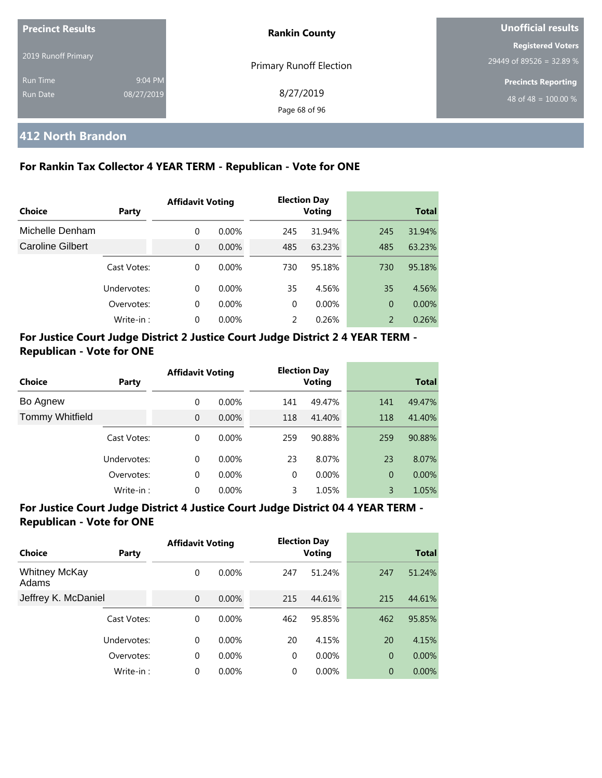| <b>Precinct Results</b> |            | <b>Rankin County</b>    | Unofficial results         |
|-------------------------|------------|-------------------------|----------------------------|
| 2019 Runoff Primary     |            |                         | <b>Registered Voters</b>   |
|                         |            | Primary Runoff Election | 29449 of 89526 = 32.89 %   |
| <b>Run Time</b>         | 9:04 PM    |                         | <b>Precincts Reporting</b> |
| <b>Run Date</b>         | 08/27/2019 | 8/27/2019               | 48 of 48 = $100.00\%$      |
|                         |            | Page 68 of 96           |                            |

## **412 North Brandon**

## **For Rankin Tax Collector 4 YEAR TERM - Republican - Vote for ONE**

| Choice                  | Party       | <b>Affidavit Voting</b> |          |          | <b>Election Day</b><br><b>Voting</b> |                | <b>Total</b> |
|-------------------------|-------------|-------------------------|----------|----------|--------------------------------------|----------------|--------------|
| Michelle Denham         |             | 0                       | $0.00\%$ | 245      | 31.94%                               | 245            | 31.94%       |
| <b>Caroline Gilbert</b> |             | $\Omega$                | $0.00\%$ | 485      | 63.23%                               | 485            | 63.23%       |
|                         | Cast Votes: | 0                       | $0.00\%$ | 730      | 95.18%                               | 730            | 95.18%       |
|                         | Undervotes: | $\Omega$                | $0.00\%$ | 35       | 4.56%                                | 35             | 4.56%        |
|                         | Overvotes:  | 0                       | $0.00\%$ | $\Omega$ | $0.00\%$                             | $\overline{0}$ | $0.00\%$     |
|                         | Write-in:   | $\Omega$                | $0.00\%$ | 2        | 0.26%                                | $\overline{2}$ | 0.26%        |

## **For Justice Court Judge District 2 Justice Court Judge District 2 4 YEAR TERM - Republican - Vote for ONE**

| Choice                 | Party       | <b>Affidavit Voting</b> |          |          | <b>Election Day</b><br><b>Voting</b> |                | <b>Total</b> |
|------------------------|-------------|-------------------------|----------|----------|--------------------------------------|----------------|--------------|
| Bo Agnew               |             | 0                       | $0.00\%$ | 141      | 49.47%                               | 141            | 49.47%       |
| <b>Tommy Whitfield</b> |             | $\overline{0}$          | $0.00\%$ | 118      | 41.40%                               | 118            | 41.40%       |
|                        | Cast Votes: | 0                       | $0.00\%$ | 259      | 90.88%                               | 259            | 90.88%       |
|                        | Undervotes: | 0                       | $0.00\%$ | 23       | 8.07%                                | 23             | 8.07%        |
|                        | Overvotes:  | $\mathbf 0$             | $0.00\%$ | $\Omega$ | $0.00\%$                             | $\overline{0}$ | 0.00%        |
|                        | Write-in:   | 0                       | 0.00%    | 3        | 1.05%                                | 3              | 1.05%        |

| Choice                        | Party       | <b>Affidavit Voting</b> |          |     | <b>Election Day</b><br><b>Voting</b> |                | <b>Total</b> |
|-------------------------------|-------------|-------------------------|----------|-----|--------------------------------------|----------------|--------------|
| <b>Whitney McKay</b><br>Adams |             | 0                       | $0.00\%$ | 247 | 51.24%                               | 247            | 51.24%       |
| Jeffrey K. McDaniel           |             | $\Omega$                | $0.00\%$ | 215 | 44.61%                               | 215            | 44.61%       |
|                               | Cast Votes: | 0                       | $0.00\%$ | 462 | 95.85%                               | 462            | 95.85%       |
|                               | Undervotes: | 0                       | $0.00\%$ | 20  | 4.15%                                | 20             | 4.15%        |
|                               | Overvotes:  | 0                       | $0.00\%$ | 0   | 0.00%                                | $\overline{0}$ | 0.00%        |
|                               | Write-in:   | 0                       | $0.00\%$ | 0   | 0.00%                                | $\overline{0}$ | 0.00%        |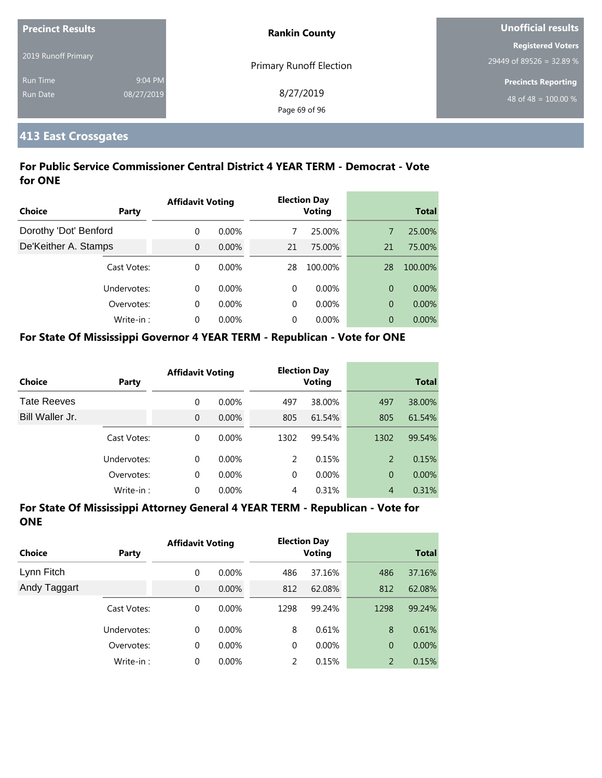| <b>Precinct Results</b> |            | <b>Rankin County</b>           | <b>Unofficial results</b>  |
|-------------------------|------------|--------------------------------|----------------------------|
|                         |            |                                | <b>Registered Voters</b>   |
| 2019 Runoff Primary     |            | <b>Primary Runoff Election</b> | 29449 of 89526 = 32.89 %   |
| Run Time                | 9:04 PM    |                                | <b>Precincts Reporting</b> |
| Run Date                | 08/27/2019 | 8/27/2019                      | 48 of 48 = $100.00\%$      |
|                         |            | Page 69 of 96                  |                            |

## **413 East Crossgates**

## **For Public Service Commissioner Central District 4 YEAR TERM - Democrat - Vote for ONE**

|                       |             | <b>Affidavit Voting</b> |          |    | <b>Election Day</b> |    |              |
|-----------------------|-------------|-------------------------|----------|----|---------------------|----|--------------|
| <b>Choice</b>         | Party       |                         |          |    | <b>Voting</b>       |    | <b>Total</b> |
| Dorothy 'Dot' Benford |             | $\Omega$                | $0.00\%$ |    | 25.00%              | 7  | 25.00%       |
| De'Keither A. Stamps  |             | $\Omega$                | $0.00\%$ | 21 | 75.00%              | 21 | 75.00%       |
|                       | Cast Votes: | $\Omega$                | $0.00\%$ | 28 | 100.00%             | 28 | 100.00%      |
|                       | Undervotes: | $\Omega$                | $0.00\%$ | 0  | $0.00\%$            | 0  | $0.00\%$     |
|                       | Overvotes:  | $\Omega$                | $0.00\%$ | 0  | $0.00\%$            | 0  | 0.00%        |
|                       | Write-in:   | $\Omega$                | $0.00\%$ | 0  | $0.00\%$            | 0  | $0.00\%$     |

#### **For State Of Mississippi Governor 4 YEAR TERM - Republican - Vote for ONE**

| <b>Choice</b>      | Party       | <b>Affidavit Voting</b> |          |      | <b>Election Day</b><br><b>Voting</b> |                | <b>Total</b> |
|--------------------|-------------|-------------------------|----------|------|--------------------------------------|----------------|--------------|
| <b>Tate Reeves</b> |             | 0                       | $0.00\%$ | 497  | 38.00%                               | 497            | 38.00%       |
| Bill Waller Jr.    |             | 0                       | $0.00\%$ | 805  | 61.54%                               | 805            | 61.54%       |
|                    | Cast Votes: | $\Omega$                | $0.00\%$ | 1302 | 99.54%                               | 1302           | 99.54%       |
|                    | Undervotes: | 0                       | $0.00\%$ | 2    | 0.15%                                | 2              | 0.15%        |
|                    | Overvotes:  | 0                       | 0.00%    | 0    | $0.00\%$                             | $\overline{0}$ | $0.00\%$     |
|                    | Write-in:   | 0                       | 0.00%    | 4    | 0.31%                                | $\overline{4}$ | 0.31%        |

| <b>Choice</b> | Party       | <b>Affidavit Voting</b> |          |               | <b>Election Day</b><br><b>Voting</b> |                | <b>Total</b> |  |
|---------------|-------------|-------------------------|----------|---------------|--------------------------------------|----------------|--------------|--|
| Lynn Fitch    |             | 0                       | $0.00\%$ | 486           | 37.16%                               | 486            | 37.16%       |  |
| Andy Taggart  |             | $\overline{0}$          | $0.00\%$ | 812           | 62.08%                               | 812            | 62.08%       |  |
|               | Cast Votes: | 0                       | $0.00\%$ | 1298          | 99.24%                               | 1298           | 99.24%       |  |
|               | Undervotes: | 0                       | $0.00\%$ | 8             | 0.61%                                | 8              | 0.61%        |  |
|               | Overvotes:  | 0                       | $0.00\%$ | 0             | $0.00\%$                             | $\overline{0}$ | $0.00\%$     |  |
|               | Write-in:   | 0                       | $0.00\%$ | $\mathcal{P}$ | 0.15%                                | 2              | 0.15%        |  |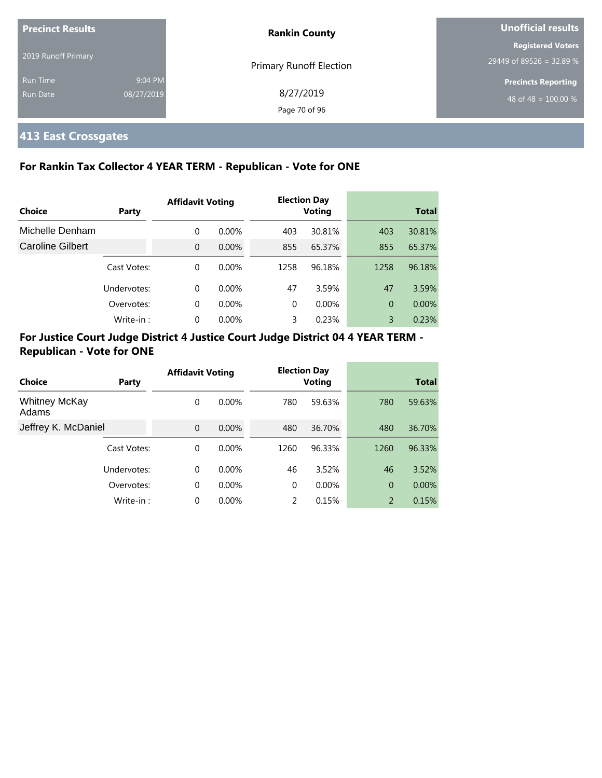| Precinct Results            |                       | <b>Rankin County</b>       | Unofficial results                                   |  |
|-----------------------------|-----------------------|----------------------------|------------------------------------------------------|--|
| 2019 Runoff Primary         |                       | Primary Runoff Election    | <b>Registered Voters</b><br>29449 of 89526 = 32.89 % |  |
| <b>Run Time</b><br>Run Date | 9:04 PM<br>08/27/2019 | 8/27/2019<br>Page 70 of 96 | <b>Precincts Reporting</b><br>48 of 48 = $100.00\%$  |  |

# **413 East Crossgates**

## **For Rankin Tax Collector 4 YEAR TERM - Republican - Vote for ONE**

|                         |             | <b>Affidavit Voting</b> |          | <b>Election Day</b> |               |              |        |
|-------------------------|-------------|-------------------------|----------|---------------------|---------------|--------------|--------|
| <b>Choice</b>           | Party       |                         |          |                     | <b>Voting</b> | <b>Total</b> |        |
| Michelle Denham         |             | 0                       | $0.00\%$ | 403                 | 30.81%        | 403          | 30.81% |
| <b>Caroline Gilbert</b> |             | $\overline{0}$          | $0.00\%$ | 855                 | 65.37%        | 855          | 65.37% |
|                         | Cast Votes: | 0                       | $0.00\%$ | 1258                | 96.18%        | 1258         | 96.18% |
|                         | Undervotes: | 0                       | $0.00\%$ | 47                  | 3.59%         | 47           | 3.59%  |
|                         | Overvotes:  | 0                       | $0.00\%$ | $\Omega$            | 0.00%         | 0            | 0.00%  |
|                         | Write-in:   | 0                       | 0.00%    | 3                   | 0.23%         | 3            | 0.23%  |

|                               |             | <b>Affidavit Voting</b> |          |          | <b>Election Day</b> |                |              |
|-------------------------------|-------------|-------------------------|----------|----------|---------------------|----------------|--------------|
| Choice                        | Party       |                         |          |          | <b>Voting</b>       |                | <b>Total</b> |
| <b>Whitney McKay</b><br>Adams |             | 0                       | $0.00\%$ | 780      | 59.63%              | 780            | 59.63%       |
| Jeffrey K. McDaniel           |             | $\mathbf{0}$            | 0.00%    | 480      | 36.70%              | 480            | 36.70%       |
|                               | Cast Votes: | 0                       | $0.00\%$ | 1260     | 96.33%              | 1260           | 96.33%       |
|                               | Undervotes: | $\Omega$                | $0.00\%$ | 46       | 3.52%               | 46             | 3.52%        |
|                               | Overvotes:  | 0                       | $0.00\%$ | $\Omega$ | $0.00\%$            | $\overline{0}$ | 0.00%        |
|                               | Write-in:   | 0                       | $0.00\%$ | 2        | 0.15%               | 2              | 0.15%        |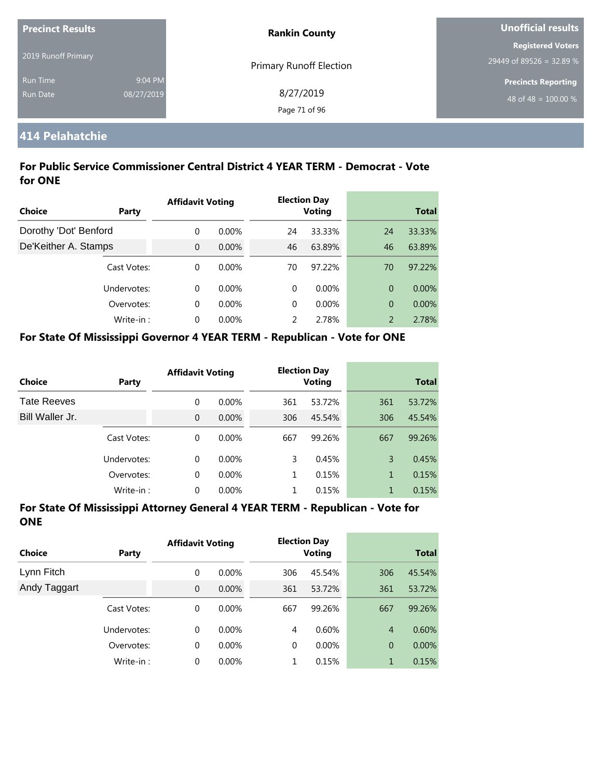| <b>Precinct Results</b> |            | <b>Rankin County</b>           | Unofficial results         |  |
|-------------------------|------------|--------------------------------|----------------------------|--|
|                         |            |                                | <b>Registered Voters</b>   |  |
| 2019 Runoff Primary     |            | <b>Primary Runoff Election</b> | 29449 of 89526 = 32.89 %   |  |
| <b>Run Time</b>         | 9:04 PM    |                                | <b>Precincts Reporting</b> |  |
| <b>Run Date</b>         | 08/27/2019 | 8/27/2019                      | 48 of 48 = $100.00\%$      |  |
|                         |            | Page 71 of 96                  |                            |  |

## **414 Pelahatchie**

## **For Public Service Commissioner Central District 4 YEAR TERM - Democrat - Vote for ONE**

|                       |             | <b>Affidavit Voting</b> |          |    | <b>Election Day</b><br><b>Voting</b> |                |              |
|-----------------------|-------------|-------------------------|----------|----|--------------------------------------|----------------|--------------|
| Choice                | Party       |                         |          |    |                                      |                | <b>Total</b> |
| Dorothy 'Dot' Benford |             | 0                       | $0.00\%$ | 24 | 33.33%                               | 24             | 33.33%       |
| De'Keither A. Stamps  |             | $\Omega$                | $0.00\%$ | 46 | 63.89%                               | 46             | 63.89%       |
|                       | Cast Votes: | $\Omega$                | $0.00\%$ | 70 | 97.22%                               | 70             | 97.22%       |
|                       | Undervotes: | $\Omega$                | $0.00\%$ | 0  | $0.00\%$                             | $\overline{0}$ | $0.00\%$     |
|                       | Overvotes:  | $\Omega$                | $0.00\%$ | 0  | $0.00\%$                             | 0              | 0.00%        |
|                       | Write-in:   | $\Omega$                | $0.00\%$ | 2  | 2.78%                                | $\overline{2}$ | 2.78%        |

#### **For State Of Mississippi Governor 4 YEAR TERM - Republican - Vote for ONE**

| Choice             | Party       | <b>Affidavit Voting</b> |          |     | <b>Election Day</b><br><b>Voting</b> |     | <b>Total</b> |
|--------------------|-------------|-------------------------|----------|-----|--------------------------------------|-----|--------------|
| <b>Tate Reeves</b> |             | 0                       | $0.00\%$ | 361 | 53.72%                               | 361 | 53.72%       |
| Bill Waller Jr.    |             | $\Omega$                | $0.00\%$ | 306 | 45.54%                               | 306 | 45.54%       |
|                    | Cast Votes: | 0                       | $0.00\%$ | 667 | 99.26%                               | 667 | 99.26%       |
|                    | Undervotes: | 0                       | $0.00\%$ | 3   | 0.45%                                | 3   | 0.45%        |
|                    | Overvotes:  | 0                       | $0.00\%$ | 1   | 0.15%                                | 1   | 0.15%        |
|                    | Write-in:   | 0                       | $0.00\%$ |     | 0.15%                                | 1   | 0.15%        |

| <b>Choice</b> | Party       | <b>Affidavit Voting</b> |          |          | <b>Election Day</b><br><b>Voting</b> |                | <b>Total</b> |  |
|---------------|-------------|-------------------------|----------|----------|--------------------------------------|----------------|--------------|--|
| Lynn Fitch    |             | 0                       | $0.00\%$ | 306      | 45.54%                               | 306            | 45.54%       |  |
| Andy Taggart  |             | $\mathbf 0$             | 0.00%    | 361      | 53.72%                               | 361            | 53.72%       |  |
|               | Cast Votes: | 0                       | $0.00\%$ | 667      | 99.26%                               | 667            | 99.26%       |  |
|               | Undervotes: | 0                       | $0.00\%$ | 4        | 0.60%                                | $\overline{4}$ | 0.60%        |  |
|               | Overvotes:  | 0                       | $0.00\%$ | $\Omega$ | $0.00\%$                             | $\overline{0}$ | $0.00\%$     |  |
|               | Write-in:   | $\Omega$                | $0.00\%$ |          | 0.15%                                | 1              | 0.15%        |  |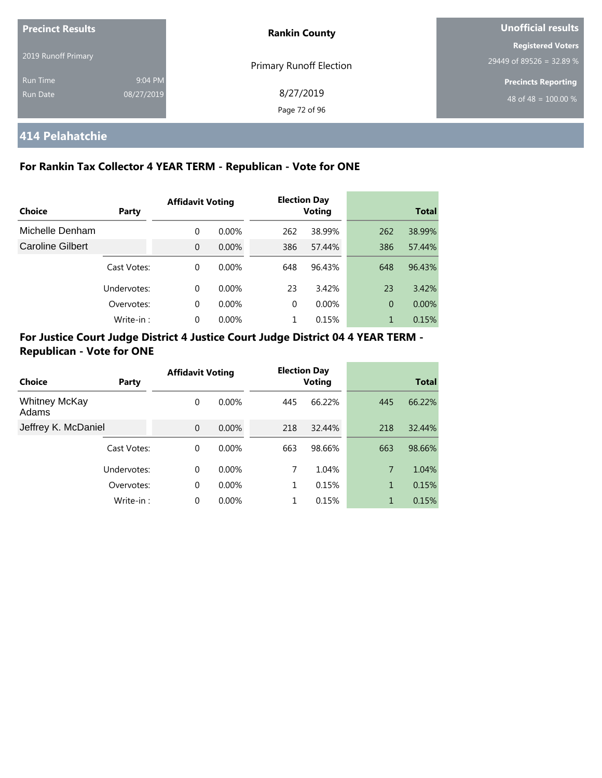| <b>Precinct Results</b>     |                       | <b>Rankin County</b>           | Unofficial results                                             |  |  |
|-----------------------------|-----------------------|--------------------------------|----------------------------------------------------------------|--|--|
| 2019 Runoff Primary         |                       | <b>Primary Runoff Election</b> | <b>Registered Voters</b><br>29449 of 89526 = 32.89 %           |  |  |
| <b>Run Time</b><br>Run Date | 9:04 PM<br>08/27/2019 | 8/27/2019<br>Page 72 of 96     | <b>Precincts Reporting</b><br>48 of 48 = $\overline{100.00\%}$ |  |  |

# **414 Pelahatchie**

## **For Rankin Tax Collector 4 YEAR TERM - Republican - Vote for ONE**

|                         |             | <b>Affidavit Voting</b> |          | <b>Election Day</b> |        |                |              |
|-------------------------|-------------|-------------------------|----------|---------------------|--------|----------------|--------------|
| Choice                  | Party       |                         |          |                     | Voting |                | <b>Total</b> |
| Michelle Denham         |             | 0                       | $0.00\%$ | 262                 | 38.99% | 262            | 38.99%       |
| <b>Caroline Gilbert</b> |             | $\overline{0}$          | $0.00\%$ | 386                 | 57.44% | 386            | 57.44%       |
|                         | Cast Votes: | 0                       | $0.00\%$ | 648                 | 96.43% | 648            | 96.43%       |
|                         | Undervotes: | 0                       | $0.00\%$ | 23                  | 3.42%  | 23             | 3.42%        |
|                         | Overvotes:  | 0                       | $0.00\%$ | $\Omega$            | 0.00%  | $\overline{0}$ | 0.00%        |
|                         | Write-in:   | 0                       | $0.00\%$ |                     | 0.15%  | 1              | 0.15%        |

| Choice                        | Party       | <b>Affidavit Voting</b> |          | <b>Election Day</b><br><b>Voting</b> |        |     | <b>Total</b> |
|-------------------------------|-------------|-------------------------|----------|--------------------------------------|--------|-----|--------------|
| <b>Whitney McKay</b><br>Adams |             | 0                       | $0.00\%$ | 445                                  | 66.22% | 445 | 66.22%       |
| Jeffrey K. McDaniel           |             | $\Omega$                | $0.00\%$ | 218                                  | 32.44% | 218 | 32.44%       |
|                               | Cast Votes: | $\Omega$                | $0.00\%$ | 663                                  | 98.66% | 663 | 98.66%       |
|                               | Undervotes: | $\Omega$                | $0.00\%$ | 7                                    | 1.04%  | 7   | 1.04%        |
|                               | Overvotes:  | 0                       | $0.00\%$ | 1                                    | 0.15%  | 1   | 0.15%        |
|                               | Write-in:   | $\Omega$                | $0.00\%$ |                                      | 0.15%  | 1   | 0.15%        |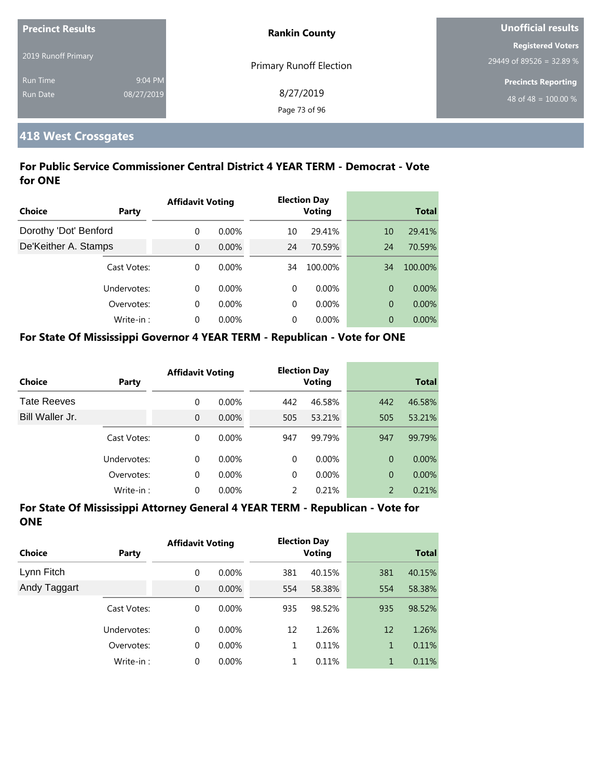| <b>Precinct Results</b> |            | <b>Rankin County</b>           | Unofficial results               |  |
|-------------------------|------------|--------------------------------|----------------------------------|--|
|                         |            |                                | <b>Registered Voters</b>         |  |
| 2019 Runoff Primary     |            | <b>Primary Runoff Election</b> | 29449 of 89526 = 32.89 %         |  |
| <b>Run Time</b>         | 9:04 PM    |                                | <b>Precincts Reporting</b>       |  |
| <b>Run Date</b>         | 08/27/2019 | 8/27/2019                      | 48 of 48 = $\overline{100.00\%}$ |  |
|                         |            | Page 73 of 96                  |                                  |  |

#### **418 West Crossgates**

#### **For Public Service Commissioner Central District 4 YEAR TERM - Democrat - Vote for ONE**

|                       |             | <b>Affidavit Voting</b> |          |    | <b>Election Day</b> |    |              |
|-----------------------|-------------|-------------------------|----------|----|---------------------|----|--------------|
| Choice                | Party       |                         |          |    | <b>Voting</b>       |    | <b>Total</b> |
| Dorothy 'Dot' Benford |             | $\Omega$                | $0.00\%$ | 10 | 29.41%              | 10 | 29.41%       |
| De'Keither A. Stamps  |             | $\Omega$                | $0.00\%$ | 24 | 70.59%              | 24 | 70.59%       |
|                       | Cast Votes: | $\Omega$                | $0.00\%$ | 34 | 100.00%             | 34 | 100.00%      |
|                       | Undervotes: | $\Omega$                | $0.00\%$ | 0  | $0.00\%$            | 0  | $0.00\%$     |
|                       | Overvotes:  | $\Omega$                | $0.00\%$ | 0  | $0.00\%$            | 0  | 0.00%        |
|                       | Write-in:   | $\Omega$                | $0.00\%$ | 0  | $0.00\%$            | 0  | $0.00\%$     |

#### **For State Of Mississippi Governor 4 YEAR TERM - Republican - Vote for ONE**

| <b>Choice</b>      | Party       | <b>Affidavit Voting</b> |          |          | <b>Election Day</b><br><b>Voting</b> |                | <b>Total</b> |
|--------------------|-------------|-------------------------|----------|----------|--------------------------------------|----------------|--------------|
| <b>Tate Reeves</b> |             | 0                       | $0.00\%$ | 442      | 46.58%                               | 442            | 46.58%       |
| Bill Waller Jr.    |             | 0                       | $0.00\%$ | 505      | 53.21%                               | 505            | 53.21%       |
|                    | Cast Votes: | 0                       | $0.00\%$ | 947      | 99.79%                               | 947            | 99.79%       |
|                    | Undervotes: | 0                       | $0.00\%$ | $\Omega$ | $0.00\%$                             | $\Omega$       | $0.00\%$     |
|                    | Overvotes:  | 0                       | $0.00\%$ | $\Omega$ | $0.00\%$                             | $\overline{0}$ | $0.00\%$     |
|                    | Write-in:   | 0                       | $0.00\%$ | 2        | 0.21%                                | 2              | 0.21%        |

| Choice       | Party       | <b>Affidavit Voting</b> |          |     | <b>Election Day</b><br><b>Voting</b> |     | <b>Total</b> |
|--------------|-------------|-------------------------|----------|-----|--------------------------------------|-----|--------------|
| Lynn Fitch   |             | 0                       | $0.00\%$ | 381 | 40.15%                               | 381 | 40.15%       |
| Andy Taggart |             | $\overline{0}$          | 0.00%    | 554 | 58.38%                               | 554 | 58.38%       |
|              | Cast Votes: | 0                       | $0.00\%$ | 935 | 98.52%                               | 935 | 98.52%       |
|              | Undervotes: | $\Omega$                | $0.00\%$ | 12  | 1.26%                                | 12  | 1.26%        |
|              | Overvotes:  | $\mathbf 0$             | 0.00%    | 1   | 0.11%                                | 1   | 0.11%        |
|              | Write-in:   | 0                       | $0.00\%$ |     | 0.11%                                | 1   | 0.11%        |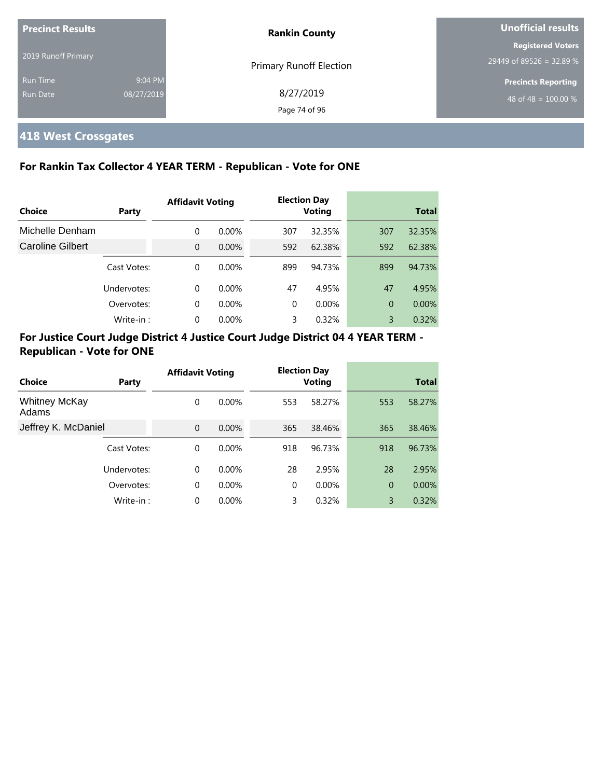| <b>Precinct Results</b><br>2019 Runoff Primary |                       | <b>Rankin County</b>           | Unofficial results                                   |  |
|------------------------------------------------|-----------------------|--------------------------------|------------------------------------------------------|--|
|                                                |                       | <b>Primary Runoff Election</b> | <b>Registered Voters</b><br>29449 of 89526 = 32.89 % |  |
| <b>Run Time</b><br>Run Date                    | 9:04 PM<br>08/27/2019 | 8/27/2019<br>Page 74 of 96     | <b>Precincts Reporting</b><br>48 of 48 = $100.00\%$  |  |

# **418 West Crossgates**

#### **For Rankin Tax Collector 4 YEAR TERM - Republican - Vote for ONE**

|                         |             | <b>Affidavit Voting</b> |          |          | <b>Election Day</b> |                |              |
|-------------------------|-------------|-------------------------|----------|----------|---------------------|----------------|--------------|
| Choice                  | Party       |                         |          |          | <b>Voting</b>       |                | <b>Total</b> |
| Michelle Denham         |             | $\Omega$                | $0.00\%$ | 307      | 32.35%              | 307            | 32.35%       |
| <b>Caroline Gilbert</b> |             | $\Omega$                | $0.00\%$ | 592      | 62.38%              | 592            | 62.38%       |
|                         | Cast Votes: | 0                       | $0.00\%$ | 899      | 94.73%              | 899            | 94.73%       |
|                         | Undervotes: | $\Omega$                | $0.00\%$ | 47       | 4.95%               | 47             | 4.95%        |
|                         | Overvotes:  | 0                       | $0.00\%$ | $\Omega$ | $0.00\%$            | $\overline{0}$ | 0.00%        |
|                         | Write-in:   | 0                       | 0.00%    | 3        | 0.32%               | 3              | 0.32%        |

#### **For Justice Court Judge District 4 Justice Court Judge District 04 4 YEAR TERM - Republican - Vote for ONE**

|                               |             | <b>Affidavit Voting</b> |          |          | <b>Election Day</b> |                |              |
|-------------------------------|-------------|-------------------------|----------|----------|---------------------|----------------|--------------|
| Choice                        | Party       |                         |          |          | <b>Voting</b>       |                | <b>Total</b> |
| <b>Whitney McKay</b><br>Adams |             | 0                       | $0.00\%$ | 553      | 58.27%              | 553            | 58.27%       |
| Jeffrey K. McDaniel           |             | $\mathbf{0}$            | $0.00\%$ | 365      | 38.46%              | 365            | 38.46%       |
|                               | Cast Votes: | 0                       | $0.00\%$ | 918      | 96.73%              | 918            | 96.73%       |
|                               | Undervotes: | $\Omega$                | $0.00\%$ | 28       | 2.95%               | 28             | 2.95%        |
|                               | Overvotes:  | 0                       | $0.00\%$ | $\Omega$ | $0.00\%$            | $\overline{0}$ | 0.00%        |
|                               | Write-in:   | 0                       | $0.00\%$ | 3        | 0.32%               | 3              | 0.32%        |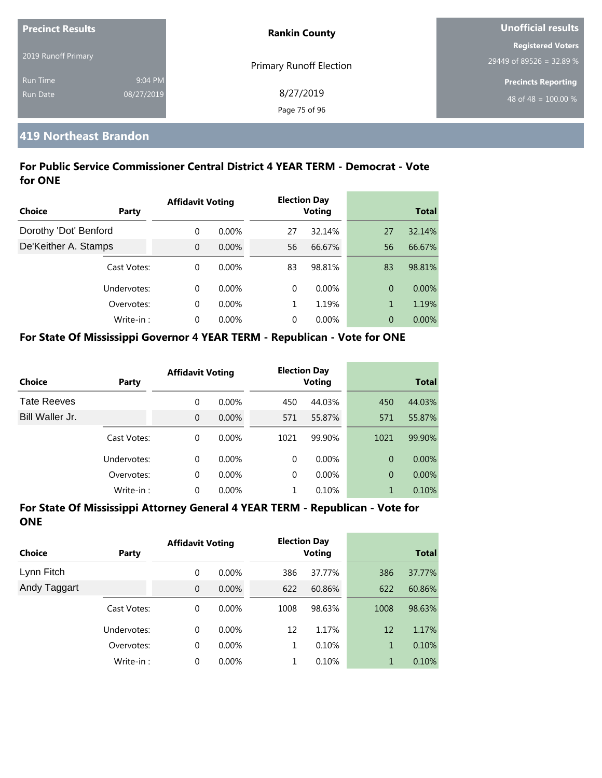| <b>Precinct Results</b> |            | <b>Rankin County</b>           | Unofficial results         |  |
|-------------------------|------------|--------------------------------|----------------------------|--|
|                         |            |                                | <b>Registered Voters</b>   |  |
| 2019 Runoff Primary     |            | <b>Primary Runoff Election</b> | 29449 of 89526 = 32.89 %   |  |
| <b>Run Time</b>         | 9:04 PM    |                                | <b>Precincts Reporting</b> |  |
| Run Date                | 08/27/2019 | 8/27/2019                      | 48 of 48 = $100.00\%$      |  |
|                         |            | Page 75 of 96                  |                            |  |

#### **419 Northeast Brandon**

#### **For Public Service Commissioner Central District 4 YEAR TERM - Democrat - Vote for ONE**

|                       |             | <b>Affidavit Voting</b> |          |          | <b>Election Day</b> |                |              |
|-----------------------|-------------|-------------------------|----------|----------|---------------------|----------------|--------------|
| <b>Choice</b>         | Party       |                         |          |          | <b>Voting</b>       |                | <b>Total</b> |
| Dorothy 'Dot' Benford |             | $\Omega$                | $0.00\%$ | 27       | 32.14%              | 27             | 32.14%       |
| De'Keither A. Stamps  |             | $\Omega$                | $0.00\%$ | 56       | 66.67%              | 56             | 66.67%       |
|                       | Cast Votes: | $\Omega$                | $0.00\%$ | 83       | 98.81%              | 83             | 98.81%       |
|                       | Undervotes: | $\Omega$                | $0.00\%$ | $\Omega$ | $0.00\%$            | $\overline{0}$ | $0.00\%$     |
|                       | Overvotes:  | $\Omega$                | $0.00\%$ | 1        | 1.19%               | 1              | 1.19%        |
|                       | Write-in:   | $\Omega$                | 0.00%    | $\Omega$ | $0.00\%$            | $\overline{0}$ | $0.00\%$     |

#### **For State Of Mississippi Governor 4 YEAR TERM - Republican - Vote for ONE**

| <b>Choice</b>      | Party       | <b>Affidavit Voting</b> |          |          | <b>Election Day</b><br><b>Voting</b> |                | <b>Total</b> |
|--------------------|-------------|-------------------------|----------|----------|--------------------------------------|----------------|--------------|
| <b>Tate Reeves</b> |             | 0                       | $0.00\%$ | 450      | 44.03%                               | 450            | 44.03%       |
| Bill Waller Jr.    |             | 0                       | $0.00\%$ | 571      | 55.87%                               | 571            | 55.87%       |
|                    | Cast Votes: | 0                       | $0.00\%$ | 1021     | 99.90%                               | 1021           | 99.90%       |
|                    | Undervotes: | 0                       | $0.00\%$ | $\Omega$ | $0.00\%$                             | $\Omega$       | $0.00\%$     |
|                    | Overvotes:  | 0                       | $0.00\%$ | $\Omega$ | $0.00\%$                             | $\overline{0}$ | $0.00\%$     |
|                    | Write-in:   | 0                       | $0.00\%$ |          | 0.10%                                | 1              | 0.10%        |

| <b>Choice</b> | Party       | <b>Affidavit Voting</b> |          |      | <b>Election Day</b><br><b>Voting</b> |      | <b>Total</b> |
|---------------|-------------|-------------------------|----------|------|--------------------------------------|------|--------------|
| Lynn Fitch    |             | 0                       | $0.00\%$ | 386  | 37.77%                               | 386  | 37.77%       |
| Andy Taggart  |             | $\overline{0}$          | 0.00%    | 622  | 60.86%                               | 622  | 60.86%       |
|               | Cast Votes: | 0                       | 0.00%    | 1008 | 98.63%                               | 1008 | 98.63%       |
|               | Undervotes: | 0                       | $0.00\%$ | 12   | 1.17%                                | 12   | 1.17%        |
|               | Overvotes:  | 0                       | 0.00%    | 1    | 0.10%                                | 1    | 0.10%        |
|               | Write-in:   | 0                       | $0.00\%$ | 1    | 0.10%                                | 1    | 0.10%        |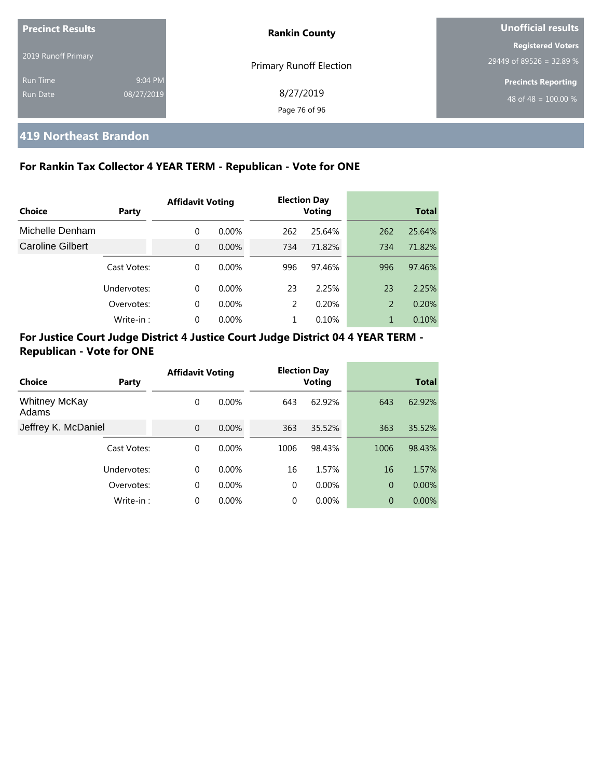| <b>Precinct Results</b> |            | <b>Rankin County</b>           | Unofficial results         |  |
|-------------------------|------------|--------------------------------|----------------------------|--|
|                         |            |                                | <b>Registered Voters</b>   |  |
| 2019 Runoff Primary     |            | <b>Primary Runoff Election</b> | 29449 of 89526 = 32.89 %   |  |
| <b>Run Time</b>         | 9:04 PM    |                                | <b>Precincts Reporting</b> |  |
| Run Date                | 08/27/2019 | 8/27/2019                      | 48 of 48 = $100.00\%$      |  |
|                         |            | Page 76 of 96                  |                            |  |

#### **419 Northeast Brandon**

#### **For Rankin Tax Collector 4 YEAR TERM - Republican - Vote for ONE**

|                         |             | <b>Affidavit Voting</b> |          |     | <b>Election Day</b> |     |              |
|-------------------------|-------------|-------------------------|----------|-----|---------------------|-----|--------------|
| Choice                  | Party       |                         |          |     | <b>Voting</b>       |     | <b>Total</b> |
| Michelle Denham         |             | 0                       | $0.00\%$ | 262 | 25.64%              | 262 | 25.64%       |
| <b>Caroline Gilbert</b> |             | $\Omega$                | $0.00\%$ | 734 | 71.82%              | 734 | 71.82%       |
|                         | Cast Votes: | 0                       | $0.00\%$ | 996 | 97.46%              | 996 | 97.46%       |
|                         | Undervotes: | 0                       | $0.00\%$ | 23  | 2.25%               | 23  | 2.25%        |
|                         | Overvotes:  | 0                       | $0.00\%$ | 2   | 0.20%               | 2   | 0.20%        |
|                         | Write-in:   | 0                       | $0.00\%$ |     | 0.10%               |     | 0.10%        |

#### **For Justice Court Judge District 4 Justice Court Judge District 04 4 YEAR TERM - Republican - Vote for ONE**

|                               |             | <b>Affidavit Voting</b> |          |          | <b>Election Day</b> |                |              |
|-------------------------------|-------------|-------------------------|----------|----------|---------------------|----------------|--------------|
| Choice                        | Party       |                         |          |          | <b>Voting</b>       |                | <b>Total</b> |
| <b>Whitney McKay</b><br>Adams |             | 0                       | $0.00\%$ | 643      | 62.92%              | 643            | 62.92%       |
| Jeffrey K. McDaniel           |             | $\Omega$                | $0.00\%$ | 363      | 35.52%              | 363            | 35.52%       |
|                               | Cast Votes: | $\Omega$                | $0.00\%$ | 1006     | 98.43%              | 1006           | 98.43%       |
|                               | Undervotes: | $\Omega$                | $0.00\%$ | 16       | 1.57%               | 16             | 1.57%        |
|                               | Overvotes:  | $\mathbf 0$             | $0.00\%$ | $\Omega$ | $0.00\%$            | $\overline{0}$ | 0.00%        |
|                               | Write-in:   | 0                       | 0.00%    | 0        | 0.00%               | $\overline{0}$ | 0.00%        |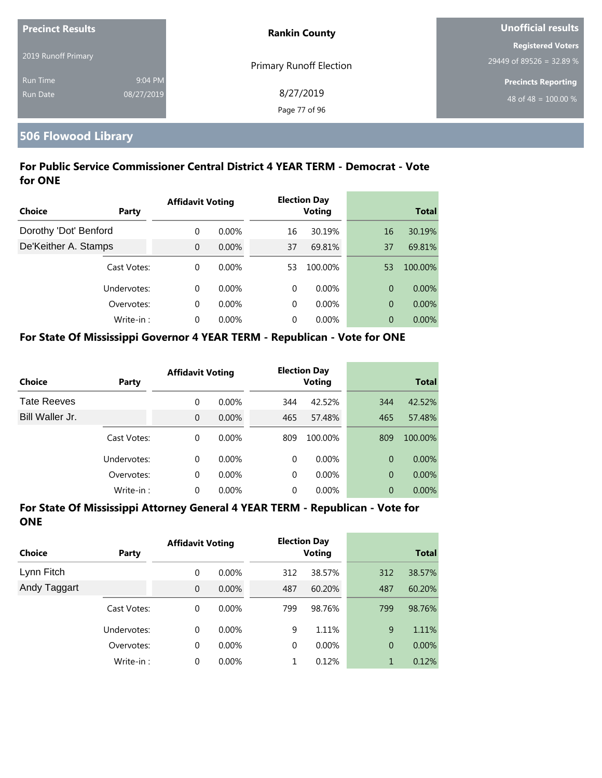| <b>Precinct Results</b> |            | <b>Rankin County</b>           | Unofficial results         |  |
|-------------------------|------------|--------------------------------|----------------------------|--|
|                         |            |                                | <b>Registered Voters</b>   |  |
| 2019 Runoff Primary     |            | <b>Primary Runoff Election</b> | 29449 of 89526 = 32.89 %   |  |
| <b>Run Time</b>         | 9:04 PM    |                                | <b>Precincts Reporting</b> |  |
| <b>Run Date</b>         | 08/27/2019 | 8/27/2019                      | 48 of 48 = $100.00\%$      |  |
|                         |            | Page 77 of 96                  |                            |  |

# **506 Flowood Library**

#### **For Public Service Commissioner Central District 4 YEAR TERM - Democrat - Vote for ONE**

|                       |             | <b>Affidavit Voting</b> |          |    | <b>Election Day</b> |    |              |
|-----------------------|-------------|-------------------------|----------|----|---------------------|----|--------------|
| Choice                | Party       |                         |          |    | <b>Voting</b>       |    | <b>Total</b> |
| Dorothy 'Dot' Benford |             | $\Omega$                | $0.00\%$ | 16 | 30.19%              | 16 | 30.19%       |
| De'Keither A. Stamps  |             | $\Omega$                | $0.00\%$ | 37 | 69.81%              | 37 | 69.81%       |
|                       | Cast Votes: | $\Omega$                | $0.00\%$ | 53 | 100.00%             | 53 | 100.00%      |
|                       | Undervotes: | $\Omega$                | $0.00\%$ | 0  | $0.00\%$            | 0  | $0.00\%$     |
|                       | Overvotes:  | $\Omega$                | $0.00\%$ | 0  | $0.00\%$            | 0  | 0.00%        |
|                       | Write-in:   | $\Omega$                | $0.00\%$ | 0  | $0.00\%$            | 0  | $0.00\%$     |

#### **For State Of Mississippi Governor 4 YEAR TERM - Republican - Vote for ONE**

| <b>Choice</b>      | Party       | <b>Affidavit Voting</b> |          |          | <b>Election Day</b><br><b>Voting</b> |                | <b>Total</b> |
|--------------------|-------------|-------------------------|----------|----------|--------------------------------------|----------------|--------------|
| <b>Tate Reeves</b> |             | 0                       | $0.00\%$ | 344      | 42.52%                               | 344            | 42.52%       |
| Bill Waller Jr.    |             | 0                       | 0.00%    | 465      | 57.48%                               | 465            | 57.48%       |
|                    | Cast Votes: | 0                       | $0.00\%$ | 809      | 100.00%                              | 809            | 100.00%      |
|                    | Undervotes: | 0                       | $0.00\%$ | $\Omega$ | $0.00\%$                             | $\Omega$       | $0.00\%$     |
|                    | Overvotes:  | 0                       | 0.00%    | 0        | $0.00\%$                             | $\overline{0}$ | $0.00\%$     |
|                    | Write-in:   | 0                       | 0.00%    | 0        | 0.00%                                | $\overline{0}$ | $0.00\%$     |

| <b>Choice</b> | Party       | <b>Affidavit Voting</b> |          |             | <b>Election Day</b><br><b>Voting</b> |                | <b>Total</b> |
|---------------|-------------|-------------------------|----------|-------------|--------------------------------------|----------------|--------------|
| Lynn Fitch    |             | 0                       | $0.00\%$ | 312         | 38.57%                               | 312            | 38.57%       |
| Andy Taggart  |             | $\overline{0}$          | 0.00%    | 487         | 60.20%                               | 487            | 60.20%       |
|               | Cast Votes: | 0                       | 0.00%    | 799         | 98.76%                               | 799            | 98.76%       |
|               | Undervotes: | 0                       | $0.00\%$ | 9           | 1.11%                                | 9              | 1.11%        |
|               | Overvotes:  | 0                       | $0.00\%$ | $\mathbf 0$ | $0.00\%$                             | $\overline{0}$ | $0.00\%$     |
|               | Write-in:   | 0                       | $0.00\%$ | 1           | 0.12%                                | 1              | 0.12%        |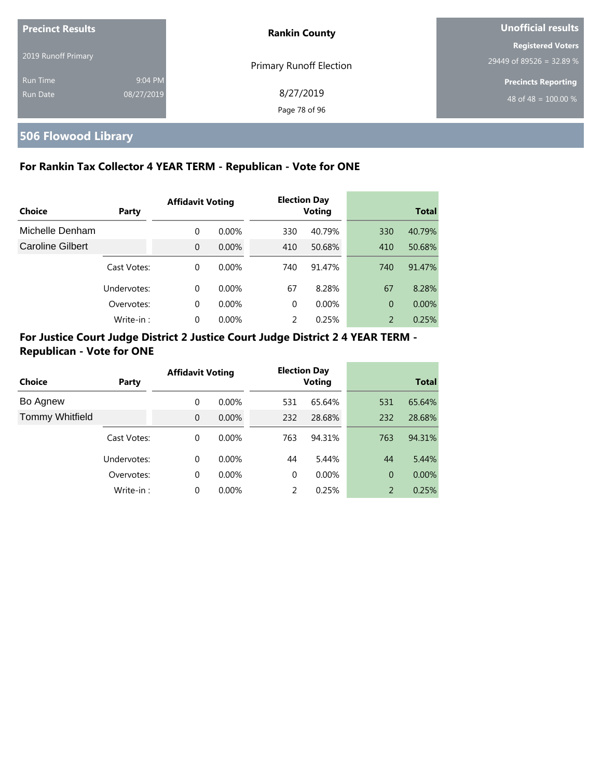| <b>Precinct Results</b> |            | <b>Rankin County</b>           | Unofficial results         |
|-------------------------|------------|--------------------------------|----------------------------|
| 2019 Runoff Primary     |            |                                | <b>Registered Voters</b>   |
|                         |            | <b>Primary Runoff Election</b> | 29449 of 89526 = 32.89 %   |
| <b>Run Time</b>         | 9:04 PM    |                                | <b>Precincts Reporting</b> |
| <b>Run Date</b>         | 08/27/2019 | 8/27/2019<br>Page 78 of 96     | 48 of 48 = $100.00\%$      |

# **506 Flowood Library**

#### **For Rankin Tax Collector 4 YEAR TERM - Republican - Vote for ONE**

|                         |             | <b>Affidavit Voting</b> |          |               | <b>Election Day</b> |                |              |
|-------------------------|-------------|-------------------------|----------|---------------|---------------------|----------------|--------------|
| Choice                  | Party       |                         |          |               | <b>Voting</b>       |                | <b>Total</b> |
| Michelle Denham         |             | 0                       | $0.00\%$ | 330           | 40.79%              | 330            | 40.79%       |
| <b>Caroline Gilbert</b> |             | $\Omega$                | $0.00\%$ | 410           | 50.68%              | 410            | 50.68%       |
|                         | Cast Votes: | $\Omega$                | $0.00\%$ | 740           | 91.47%              | 740            | 91.47%       |
|                         | Undervotes: | 0                       | $0.00\%$ | 67            | 8.28%               | 67             | 8.28%        |
|                         | Overvotes:  | $\Omega$                | $0.00\%$ | $\Omega$      | $0.00\%$            | $\overline{0}$ | 0.00%        |
|                         | Write-in:   | $\Omega$                | $0.00\%$ | $\mathcal{P}$ | 0.25%               | 2              | 0.25%        |

#### **For Justice Court Judge District 2 Justice Court Judge District 2 4 YEAR TERM - Republican - Vote for ONE**

| <b>Choice</b>          | Party       | <b>Affidavit Voting</b> |          | <b>Election Day</b><br><b>Voting</b> |          |                | <b>Total</b> |
|------------------------|-------------|-------------------------|----------|--------------------------------------|----------|----------------|--------------|
|                        |             |                         |          |                                      |          |                |              |
| Bo Agnew               |             | $\Omega$                | $0.00\%$ | 531                                  | 65.64%   | 531            | 65.64%       |
| <b>Tommy Whitfield</b> |             | $\Omega$                | 0.00%    | 232                                  | 28.68%   | 232            | 28.68%       |
|                        | Cast Votes: | $\Omega$                | $0.00\%$ | 763                                  | 94.31%   | 763            | 94.31%       |
|                        | Undervotes: | $\Omega$                | $0.00\%$ | 44                                   | 5.44%    | 44             | 5.44%        |
|                        | Overvotes:  | $\Omega$                | $0.00\%$ | $\Omega$                             | $0.00\%$ | $\overline{0}$ | $0.00\%$     |
|                        | Write-in:   | $\Omega$                | 0.00%    | 2                                    | 0.25%    | 2              | 0.25%        |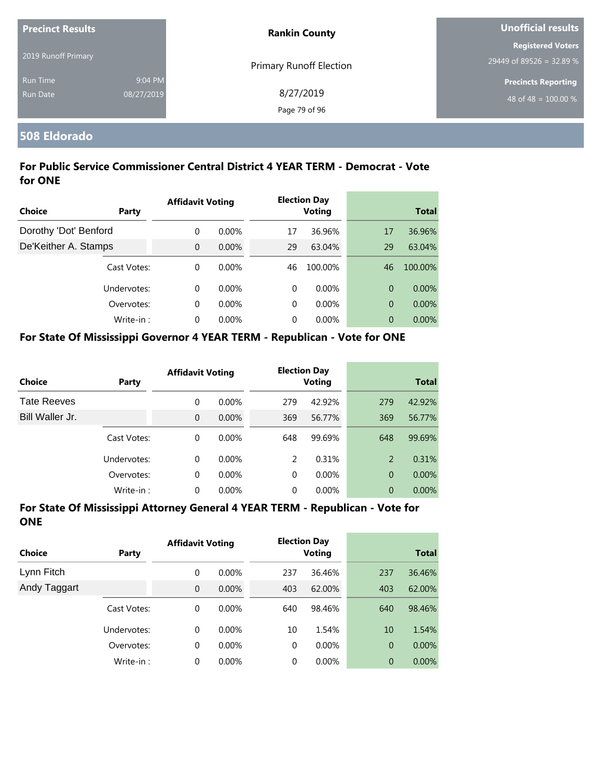| <b>Precinct Results</b> |            | <b>Rankin County</b>           | <b>Unofficial results</b>  |  |
|-------------------------|------------|--------------------------------|----------------------------|--|
|                         |            |                                | <b>Registered Voters</b>   |  |
| 2019 Runoff Primary     |            | <b>Primary Runoff Election</b> | 29449 of 89526 = 32.89 %   |  |
| <b>Run Time</b>         | 9:04 PM    |                                | <b>Precincts Reporting</b> |  |
| Run Date                | 08/27/2019 | 8/27/2019                      | 48 of 48 = $100.00\%$      |  |
|                         |            | Page 79 of 96                  |                            |  |

#### **508 Eldorado**

#### **For Public Service Commissioner Central District 4 YEAR TERM - Democrat - Vote for ONE**

|                       |             | <b>Affidavit Voting</b> |          |    | <b>Election Day</b><br><b>Voting</b> |    |              |
|-----------------------|-------------|-------------------------|----------|----|--------------------------------------|----|--------------|
| Choice                | Party       |                         |          |    |                                      |    | <b>Total</b> |
| Dorothy 'Dot' Benford |             | $\Omega$                | $0.00\%$ | 17 | 36.96%                               | 17 | 36.96%       |
| De'Keither A. Stamps  |             | $\Omega$                | 0.00%    | 29 | 63.04%                               | 29 | 63.04%       |
|                       | Cast Votes: | $\Omega$                | $0.00\%$ | 46 | 100.00%                              | 46 | 100.00%      |
|                       | Undervotes: | $\Omega$                | $0.00\%$ | 0  | $0.00\%$                             | 0  | $0.00\%$     |
|                       | Overvotes:  | $\Omega$                | $0.00\%$ | 0  | $0.00\%$                             | 0  | 0.00%        |
|                       | Write-in:   | $\Omega$                | $0.00\%$ | 0  | $0.00\%$                             | 0  | $0.00\%$     |

#### **For State Of Mississippi Governor 4 YEAR TERM - Republican - Vote for ONE**

| Choice             | Party       | <b>Affidavit Voting</b> |          |               | <b>Election Day</b><br><b>Voting</b> |                | <b>Total</b> |
|--------------------|-------------|-------------------------|----------|---------------|--------------------------------------|----------------|--------------|
| <b>Tate Reeves</b> |             | 0                       | $0.00\%$ | 279           | 42.92%                               | 279            | 42.92%       |
| Bill Waller Jr.    |             | $\Omega$                | $0.00\%$ | 369           | 56.77%                               | 369            | 56.77%       |
|                    | Cast Votes: | 0                       | $0.00\%$ | 648           | 99.69%                               | 648            | 99.69%       |
|                    | Undervotes: | 0                       | $0.00\%$ | $\mathcal{P}$ | 0.31%                                | $\overline{2}$ | 0.31%        |
|                    | Overvotes:  | 0                       | $0.00\%$ | $\Omega$      | $0.00\%$                             | $\overline{0}$ | $0.00\%$     |
|                    | Write-in:   | 0                       | $0.00\%$ | $\Omega$      | $0.00\%$                             | $\overline{0}$ | $0.00\%$     |

| Choice       | Party       | <b>Affidavit Voting</b> |          | <b>Election Day</b><br>Voting |          | <b>Total</b>   |          |
|--------------|-------------|-------------------------|----------|-------------------------------|----------|----------------|----------|
| Lynn Fitch   |             | 0                       | $0.00\%$ | 237                           | 36.46%   | 237            | 36.46%   |
| Andy Taggart |             | $\overline{0}$          | $0.00\%$ | 403                           | 62.00%   | 403            | 62.00%   |
|              | Cast Votes: | 0                       | $0.00\%$ | 640                           | 98.46%   | 640            | 98.46%   |
|              | Undervotes: | $\Omega$                | $0.00\%$ | 10                            | 1.54%    | 10             | 1.54%    |
|              | Overvotes:  | 0                       | $0.00\%$ | 0                             | $0.00\%$ | $\overline{0}$ | $0.00\%$ |
|              | Write-in:   | 0                       | $0.00\%$ | 0                             | $0.00\%$ | $\overline{0}$ | $0.00\%$ |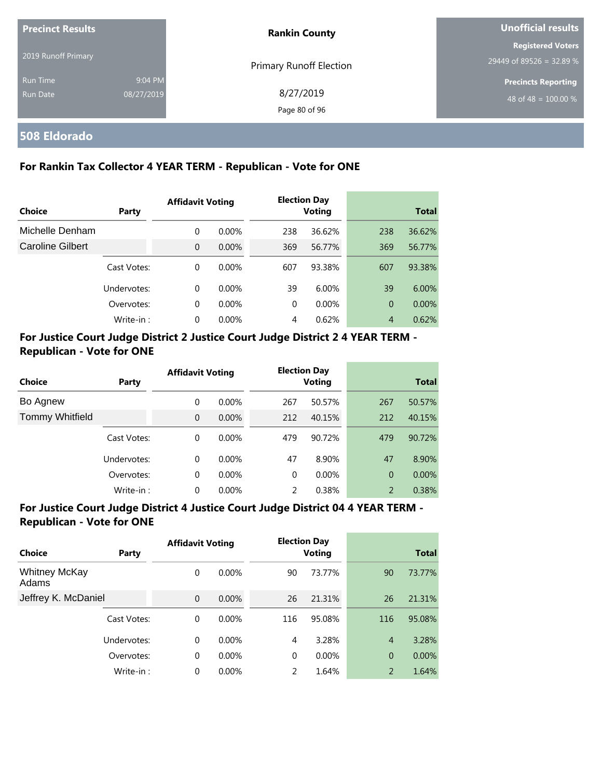| <b>Precinct Results</b> |            | <b>Rankin County</b>    | Unofficial results         |  |
|-------------------------|------------|-------------------------|----------------------------|--|
| 2019 Runoff Primary     |            |                         | <b>Registered Voters</b>   |  |
|                         |            | Primary Runoff Election | 29449 of 89526 = 32.89 %   |  |
| <b>Run Time</b>         | 9:04 PM    |                         | <b>Precincts Reporting</b> |  |
| Run Date                | 08/27/2019 | 8/27/2019               | 48 of 48 = $100.00\%$      |  |
|                         |            | Page 80 of 96           |                            |  |

#### **508 Eldorado**

#### **For Rankin Tax Collector 4 YEAR TERM - Republican - Vote for ONE**

|                         |             | <b>Affidavit Voting</b> |          | <b>Election Day</b> |               |                |              |
|-------------------------|-------------|-------------------------|----------|---------------------|---------------|----------------|--------------|
| Choice                  | Party       |                         |          |                     | <b>Voting</b> |                | <b>Total</b> |
| Michelle Denham         |             | $\Omega$                | $0.00\%$ | 238                 | 36.62%        | 238            | 36.62%       |
| <b>Caroline Gilbert</b> |             | $\Omega$                | $0.00\%$ | 369                 | 56.77%        | 369            | 56.77%       |
|                         | Cast Votes: | $\Omega$                | $0.00\%$ | 607                 | 93.38%        | 607            | 93.38%       |
|                         | Undervotes: | $\Omega$                | $0.00\%$ | 39                  | 6.00%         | 39             | 6.00%        |
|                         | Overvotes:  | $\Omega$                | $0.00\%$ | $\Omega$            | 0.00%         | $\overline{0}$ | 0.00%        |
|                         | Write-in:   | 0                       | 0.00%    | 4                   | 0.62%         | $\overline{4}$ | 0.62%        |

#### **For Justice Court Judge District 2 Justice Court Judge District 2 4 YEAR TERM - Republican - Vote for ONE**

| <b>Choice</b>          | <b>Party</b> | <b>Affidavit Voting</b> |          |          | <b>Election Day</b><br><b>Voting</b> |                | <b>Total</b> |
|------------------------|--------------|-------------------------|----------|----------|--------------------------------------|----------------|--------------|
|                        |              |                         |          |          |                                      |                |              |
| Bo Agnew               |              | 0                       | $0.00\%$ | 267      | 50.57%                               | 267            | 50.57%       |
| <b>Tommy Whitfield</b> |              | $\overline{0}$          | $0.00\%$ | 212      | 40.15%                               | 212            | 40.15%       |
|                        | Cast Votes:  | 0                       | $0.00\%$ | 479      | 90.72%                               | 479            | 90.72%       |
|                        | Undervotes:  | $\Omega$                | $0.00\%$ | 47       | 8.90%                                | 47             | 8.90%        |
|                        | Overvotes:   | 0                       | $0.00\%$ | $\Omega$ | 0.00%                                | $\overline{0}$ | 0.00%        |
|                        | Write-in:    | 0                       | 0.00%    | 2        | 0.38%                                | 2              | 0.38%        |

#### **For Justice Court Judge District 4 Justice Court Judge District 04 4 YEAR TERM - Republican - Vote for ONE**

| Choice                        | Party       | <b>Affidavit Voting</b> |          |               | <b>Election Day</b><br><b>Voting</b> |                | <b>Total</b> |
|-------------------------------|-------------|-------------------------|----------|---------------|--------------------------------------|----------------|--------------|
| <b>Whitney McKay</b><br>Adams |             | 0                       | $0.00\%$ | 90            | 73.77%                               | 90             | 73.77%       |
| Jeffrey K. McDaniel           |             | $\overline{0}$          | 0.00%    | 26            | 21.31%                               | 26             | 21.31%       |
|                               | Cast Votes: | 0                       | $0.00\%$ | 116           | 95.08%                               | 116            | 95.08%       |
|                               | Undervotes: | $\Omega$                | $0.00\%$ | 4             | 3.28%                                | $\overline{4}$ | 3.28%        |
|                               | Overvotes:  | 0                       | 0.00%    | $\Omega$      | 0.00%                                | $\overline{0}$ | $0.00\%$     |
|                               | Write-in:   | $\Omega$                | 0.00%    | $\mathcal{P}$ | 1.64%                                | $\overline{2}$ | 1.64%        |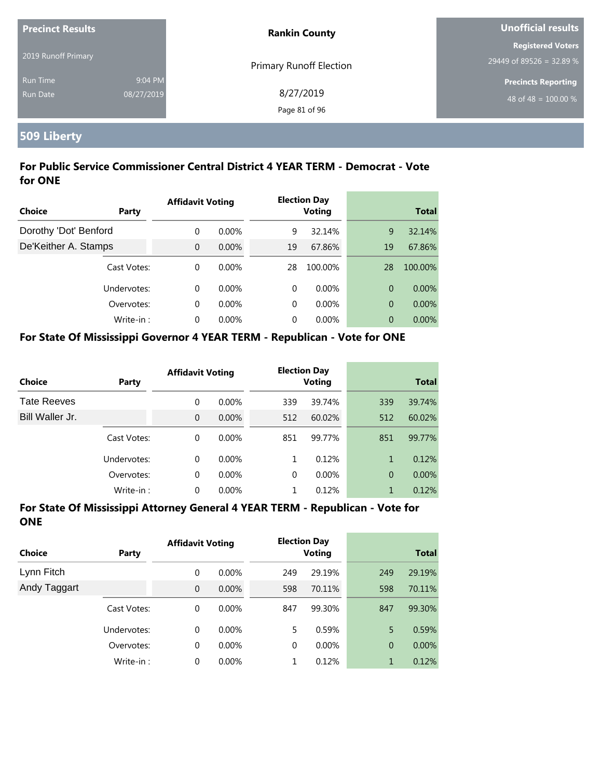| <b>Precinct Results</b> |            | <b>Rankin County</b>           | Unofficial results         |  |
|-------------------------|------------|--------------------------------|----------------------------|--|
|                         |            |                                | <b>Registered Voters</b>   |  |
| 2019 Runoff Primary     |            | <b>Primary Runoff Election</b> | 29449 of 89526 = 32.89 %   |  |
| <b>Run Time</b>         | 9:04 PM    |                                | <b>Precincts Reporting</b> |  |
| <b>Run Date</b>         | 08/27/2019 | 8/27/2019                      | 48 of 48 = $100.00\%$      |  |
|                         |            | Page 81 of 96                  |                            |  |

# **509 Liberty**

#### **For Public Service Commissioner Central District 4 YEAR TERM - Democrat - Vote for ONE**

|                       |             | <b>Affidavit Voting</b> |          |    | <b>Election Day</b> |    |              |  |
|-----------------------|-------------|-------------------------|----------|----|---------------------|----|--------------|--|
| Choice                | Party       |                         |          |    | <b>Voting</b>       |    | <b>Total</b> |  |
| Dorothy 'Dot' Benford |             | $\Omega$                | $0.00\%$ | 9  | 32.14%              | 9  | 32.14%       |  |
| De'Keither A. Stamps  |             | $\Omega$                | 0.00%    | 19 | 67.86%              | 19 | 67.86%       |  |
|                       | Cast Votes: | $\Omega$                | $0.00\%$ | 28 | 100.00%             | 28 | 100.00%      |  |
|                       | Undervotes: | $\Omega$                | $0.00\%$ | 0  | $0.00\%$            | 0  | $0.00\%$     |  |
|                       | Overvotes:  | $\Omega$                | $0.00\%$ | 0  | $0.00\%$            | 0  | 0.00%        |  |
|                       | Write-in:   | $\Omega$                | $0.00\%$ | 0  | $0.00\%$            | 0  | $0.00\%$     |  |

#### **For State Of Mississippi Governor 4 YEAR TERM - Republican - Vote for ONE**

| <b>Choice</b>      | Party       | <b>Affidavit Voting</b> |          |          | <b>Election Day</b><br><b>Voting</b> |                | <b>Total</b> |
|--------------------|-------------|-------------------------|----------|----------|--------------------------------------|----------------|--------------|
| <b>Tate Reeves</b> |             | 0                       | $0.00\%$ | 339      | 39.74%                               | 339            | 39.74%       |
| Bill Waller Jr.    |             | $\overline{0}$          | $0.00\%$ | 512      | 60.02%                               | 512            | 60.02%       |
|                    | Cast Votes: | 0                       | $0.00\%$ | 851      | 99.77%                               | 851            | 99.77%       |
|                    | Undervotes: | 0                       | $0.00\%$ | 1        | 0.12%                                | 1              | 0.12%        |
|                    | Overvotes:  | 0                       | $0.00\%$ | $\Omega$ | $0.00\%$                             | $\overline{0}$ | $0.00\%$     |
|                    | Write-in:   | 0                       | $0.00\%$ |          | 0.12%                                | 1              | 0.12%        |

| <b>Choice</b> | Party       | <b>Affidavit Voting</b> |          |          | <b>Election Day</b><br><b>Voting</b> |                | <b>Total</b> |  |
|---------------|-------------|-------------------------|----------|----------|--------------------------------------|----------------|--------------|--|
| Lynn Fitch    |             | 0                       | $0.00\%$ | 249      | 29.19%                               | 249            | 29.19%       |  |
| Andy Taggart  |             | $\overline{0}$          | $0.00\%$ | 598      | 70.11%                               | 598            | 70.11%       |  |
|               | Cast Votes: | 0                       | $0.00\%$ | 847      | 99.30%                               | 847            | 99.30%       |  |
|               | Undervotes: | 0                       | $0.00\%$ | 5        | 0.59%                                | 5              | 0.59%        |  |
|               | Overvotes:  | 0                       | $0.00\%$ | $\Omega$ | $0.00\%$                             | $\overline{0}$ | 0.00%        |  |
|               | Write-in:   | 0                       | $0.00\%$ |          | 0.12%                                | 1              | 0.12%        |  |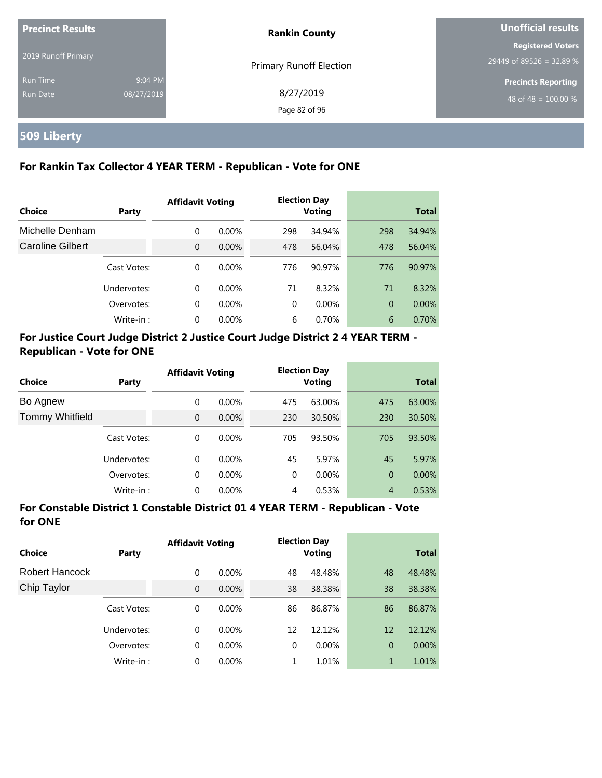| <b>Precinct Results</b> |            | <b>Rankin County</b>           | Unofficial results                                   |  |
|-------------------------|------------|--------------------------------|------------------------------------------------------|--|
| 2019 Runoff Primary     |            |                                | <b>Registered Voters</b><br>29449 of 89526 = 32.89 % |  |
| <b>Run Time</b>         | 9:04 PM    | <b>Primary Runoff Election</b> | <b>Precincts Reporting</b>                           |  |
| Run Date                | 08/27/2019 | 8/27/2019<br>Page 82 of 96     | 48 of 48 = $100.00\%$                                |  |

# **509 Liberty**

#### **For Rankin Tax Collector 4 YEAR TERM - Republican - Vote for ONE**

|                         |             | <b>Affidavit Voting</b> |          |          | <b>Election Day</b> |                |              |
|-------------------------|-------------|-------------------------|----------|----------|---------------------|----------------|--------------|
| Choice                  | Party       |                         |          |          | Voting              |                | <b>Total</b> |
| Michelle Denham         |             | $\Omega$                | $0.00\%$ | 298      | 34.94%              | 298            | 34.94%       |
| <b>Caroline Gilbert</b> |             | $\Omega$                | $0.00\%$ | 478      | 56.04%              | 478            | 56.04%       |
|                         | Cast Votes: | $\Omega$                | $0.00\%$ | 776      | 90.97%              | 776            | 90.97%       |
|                         | Undervotes: | $\Omega$                | $0.00\%$ | 71       | 8.32%               | 71             | 8.32%        |
|                         | Overvotes:  | 0                       | $0.00\%$ | $\Omega$ | $0.00\%$            | $\overline{0}$ | $0.00\%$     |
|                         | Write-in:   | $\Omega$                | 0.00%    | 6        | 0.70%               | 6              | 0.70%        |

### **For Justice Court Judge District 2 Justice Court Judge District 2 4 YEAR TERM - Republican - Vote for ONE**

| <b>Choice</b>          | Party       | <b>Affidavit Voting</b> |          |          | <b>Election Day</b><br><b>Voting</b> |                | <b>Total</b> |
|------------------------|-------------|-------------------------|----------|----------|--------------------------------------|----------------|--------------|
| Bo Agnew               |             | $\Omega$                | $0.00\%$ | 475      | 63.00%                               | 475            | 63.00%       |
| <b>Tommy Whitfield</b> |             | $\Omega$                | $0.00\%$ | 230      | 30.50%                               | 230            | 30.50%       |
|                        | Cast Votes: | $\Omega$                | $0.00\%$ | 705      | 93.50%                               | 705            | 93.50%       |
|                        | Undervotes: | $\mathbf 0$             | $0.00\%$ | 45       | 5.97%                                | 45             | 5.97%        |
|                        | Overvotes:  | 0                       | $0.00\%$ | $\Omega$ | $0.00\%$                             | $\overline{0}$ | 0.00%        |
|                        | Write-in:   | 0                       | 0.00%    | 4        | 0.53%                                | $\overline{4}$ | 0.53%        |

#### **For Constable District 1 Constable District 01 4 YEAR TERM - Republican - Vote for ONE**

| Choice         | Party       | <b>Affidavit Voting</b> |          |    | <b>Election Day</b><br><b>Voting</b> |                | <b>Total</b> |
|----------------|-------------|-------------------------|----------|----|--------------------------------------|----------------|--------------|
| Robert Hancock |             | $\mathbf 0$             | $0.00\%$ | 48 | 48.48%                               | 48             | 48.48%       |
| Chip Taylor    |             | $\overline{0}$          | 0.00%    | 38 | 38.38%                               | 38             | 38.38%       |
|                | Cast Votes: | $\Omega$                | $0.00\%$ | 86 | 86.87%                               | 86             | 86.87%       |
|                | Undervotes: | $\Omega$                | $0.00\%$ | 12 | 12.12%                               | 12             | 12.12%       |
|                | Overvotes:  | 0                       | 0.00%    | 0  | $0.00\%$                             | $\overline{0}$ | $0.00\%$     |
|                | Write-in:   | 0                       | 0.00%    | 1  | 1.01%                                | 1              | 1.01%        |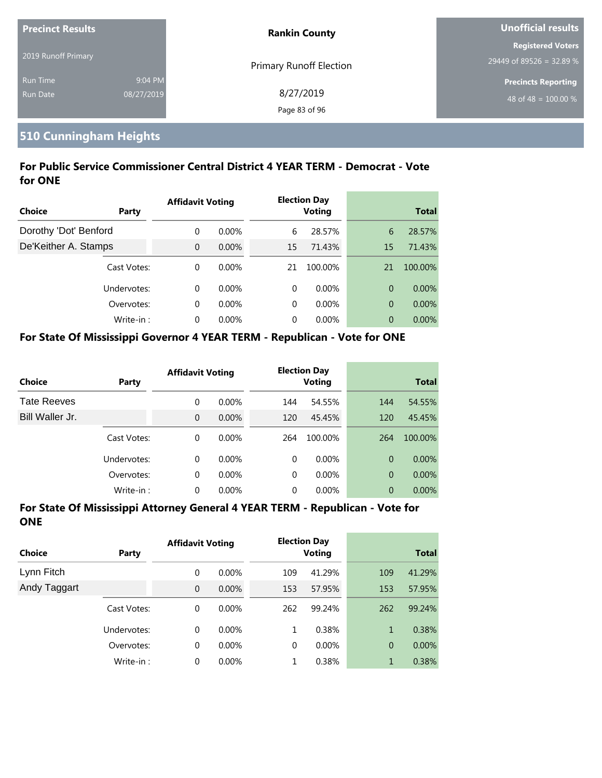| <b>Precinct Results</b> |            | <b>Rankin County</b>           | Unofficial results         |  |
|-------------------------|------------|--------------------------------|----------------------------|--|
|                         |            |                                | <b>Registered Voters</b>   |  |
| 2019 Runoff Primary     |            | <b>Primary Runoff Election</b> | 29449 of 89526 = 32.89 %   |  |
| <b>Run Time</b>         | 9:04 PM    |                                | <b>Precincts Reporting</b> |  |
| Run Date                | 08/27/2019 | 8/27/2019                      | 48 of 48 = $100.00\%$      |  |
|                         |            | Page 83 of 96                  |                            |  |

#### **510 Cunningham Heights**

#### **For Public Service Commissioner Central District 4 YEAR TERM - Democrat - Vote for ONE**

|                       |             | <b>Affidavit Voting</b> |          |          | <b>Election Day</b> |    |              |
|-----------------------|-------------|-------------------------|----------|----------|---------------------|----|--------------|
| Choice                | Party       |                         |          |          | Voting              |    | <b>Total</b> |
| Dorothy 'Dot' Benford |             | $\Omega$                | $0.00\%$ | 6        | 28.57%              | 6  | 28.57%       |
| De'Keither A. Stamps  |             | $\Omega$                | $0.00\%$ | 15       | 71.43%              | 15 | 71.43%       |
|                       | Cast Votes: | $\Omega$                | $0.00\%$ | 21       | 100.00%             | 21 | 100.00%      |
|                       | Undervotes: | $\Omega$                | $0.00\%$ | 0        | $0.00\%$            | 0  | $0.00\%$     |
|                       | Overvotes:  | $\Omega$                | $0.00\%$ | $\Omega$ | $0.00\%$            | 0  | 0.00%        |
|                       | Write-in:   | $\Omega$                | 0.00%    | 0        | $0.00\%$            | 0  | $0.00\%$     |

#### **For State Of Mississippi Governor 4 YEAR TERM - Republican - Vote for ONE**

| <b>Choice</b>      | Party       | <b>Affidavit Voting</b> |          |          | <b>Election Day</b><br><b>Voting</b> |                | <b>Total</b> |
|--------------------|-------------|-------------------------|----------|----------|--------------------------------------|----------------|--------------|
| <b>Tate Reeves</b> |             | 0                       | $0.00\%$ | 144      | 54.55%                               | 144            | 54.55%       |
| Bill Waller Jr.    |             | 0                       | $0.00\%$ | 120      | 45.45%                               | 120            | 45.45%       |
|                    | Cast Votes: | 0                       | $0.00\%$ | 264      | 100.00%                              | 264            | 100.00%      |
|                    | Undervotes: | $\Omega$                | $0.00\%$ | $\Omega$ | $0.00\%$                             | $\Omega$       | $0.00\%$     |
|                    | Overvotes:  | 0                       | $0.00\%$ | $\Omega$ | $0.00\%$                             | $\overline{0}$ | $0.00\%$     |
|                    | Write-in:   | 0                       | $0.00\%$ | 0        | $0.00\%$                             | 0              | 0.00%        |

| <b>Choice</b> | Party       | <b>Affidavit Voting</b> |          |          | <b>Election Day</b><br><b>Voting</b> |                | <b>Total</b> |
|---------------|-------------|-------------------------|----------|----------|--------------------------------------|----------------|--------------|
| Lynn Fitch    |             | 0                       | $0.00\%$ | 109      | 41.29%                               | 109            | 41.29%       |
| Andy Taggart  |             | $\overline{0}$          | $0.00\%$ | 153      | 57.95%                               | 153            | 57.95%       |
|               | Cast Votes: | 0                       | $0.00\%$ | 262      | 99.24%                               | 262            | 99.24%       |
|               | Undervotes: | 0                       | $0.00\%$ | 1        | 0.38%                                | 1              | 0.38%        |
|               | Overvotes:  | 0                       | $0.00\%$ | $\Omega$ | $0.00\%$                             | $\overline{0}$ | $0.00\%$     |
|               | Write-in:   | $\Omega$                | $0.00\%$ |          | 0.38%                                | 1              | 0.38%        |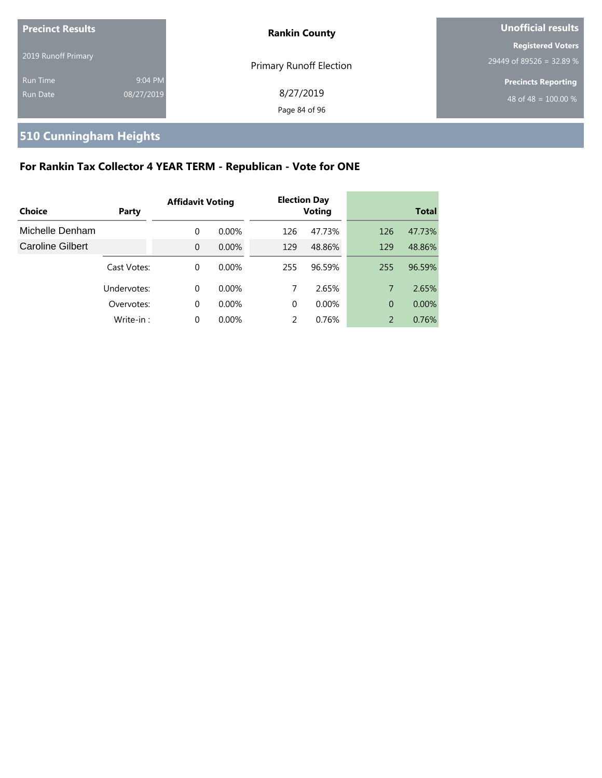| <b>Precinct Results</b><br>2019 Runoff Primary |                       | <b>Rankin County</b>           | Unofficial results                                   |  |
|------------------------------------------------|-----------------------|--------------------------------|------------------------------------------------------|--|
|                                                |                       | <b>Primary Runoff Election</b> | <b>Registered Voters</b><br>29449 of 89526 = 32.89 % |  |
| <b>Run Time</b><br><b>Run Date</b>             | 9:04 PM<br>08/27/2019 | 8/27/2019<br>Page 84 of 96     | <b>Precincts Reporting</b><br>48 of 48 = $100.00\%$  |  |

# **510 Cunningham Heights**

# **For Rankin Tax Collector 4 YEAR TERM - Republican - Vote for ONE**

|                  |             | <b>Affidavit Voting</b> |          |          | <b>Election Day</b> |                |              |
|------------------|-------------|-------------------------|----------|----------|---------------------|----------------|--------------|
| Choice           | Party       |                         |          |          | <b>Voting</b>       |                | <b>Total</b> |
| Michelle Denham  |             | 0                       | $0.00\%$ | 126      | 47.73%              | 126            | 47.73%       |
| Caroline Gilbert |             | $\Omega$                | $0.00\%$ | 129      | 48.86%              | 129            | 48.86%       |
|                  | Cast Votes: | 0                       | $0.00\%$ | 255      | 96.59%              | 255            | 96.59%       |
|                  | Undervotes: | 0                       | $0.00\%$ | 7        | 2.65%               | 7              | 2.65%        |
|                  | Overvotes:  | 0                       | $0.00\%$ | $\Omega$ | $0.00\%$            | $\Omega$       | 0.00%        |
|                  | Write-in:   | 0                       | $0.00\%$ | 2        | 0.76%               | $\overline{2}$ | 0.76%        |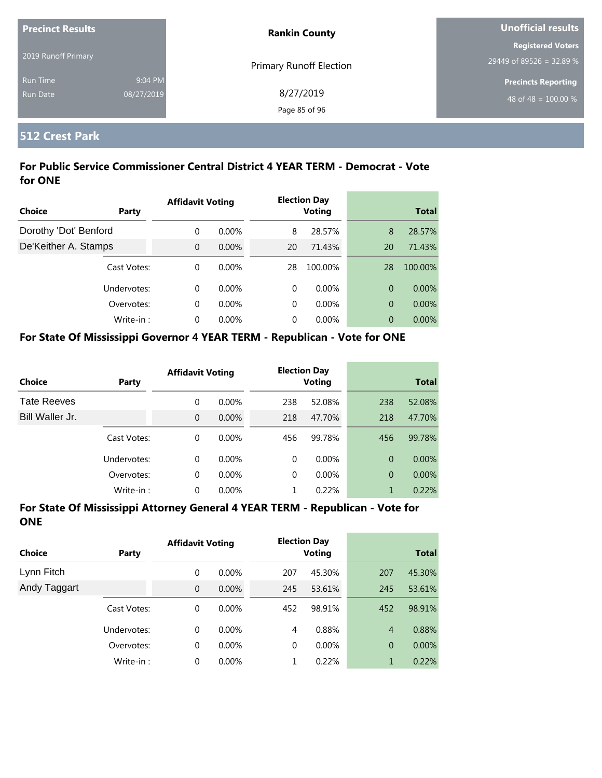| <b>Precinct Results</b> |            | <b>Rankin County</b>           | <b>Unofficial results</b>  |
|-------------------------|------------|--------------------------------|----------------------------|
|                         |            |                                | <b>Registered Voters</b>   |
| 2019 Runoff Primary     |            | <b>Primary Runoff Election</b> | 29449 of 89526 = 32.89 %   |
| <b>Run Time</b>         | 9:04 PM    |                                | <b>Precincts Reporting</b> |
| Run Date                | 08/27/2019 | 8/27/2019                      | 48 of 48 = $100.00\%$      |
|                         |            | Page 85 of 96                  |                            |

#### **512 Crest Park**

#### **For Public Service Commissioner Central District 4 YEAR TERM - Democrat - Vote for ONE**

|                       |             | <b>Affidavit Voting</b> |          |    | <b>Election Day</b> |    |              |
|-----------------------|-------------|-------------------------|----------|----|---------------------|----|--------------|
| Choice                | Party       |                         |          |    | <b>Voting</b>       |    | <b>Total</b> |
| Dorothy 'Dot' Benford |             | $\Omega$                | $0.00\%$ | 8  | 28.57%              | 8  | 28.57%       |
| De'Keither A. Stamps  |             | $\overline{0}$          | $0.00\%$ | 20 | 71.43%              | 20 | 71.43%       |
|                       | Cast Votes: | $\Omega$                | $0.00\%$ | 28 | 100.00%             | 28 | 100.00%      |
|                       | Undervotes: | $\Omega$                | $0.00\%$ | 0  | $0.00\%$            | 0  | $0.00\%$     |
|                       | Overvotes:  | $\Omega$                | $0.00\%$ | 0  | $0.00\%$            | 0  | 0.00%        |
|                       | Write-in:   | $\Omega$                | 0.00%    | 0  | $0.00\%$            | 0  | $0.00\%$     |

#### **For State Of Mississippi Governor 4 YEAR TERM - Republican - Vote for ONE**

| <b>Choice</b>      | Party       | <b>Affidavit Voting</b> |          |          | <b>Election Day</b><br><b>Voting</b> |                | <b>Total</b> |
|--------------------|-------------|-------------------------|----------|----------|--------------------------------------|----------------|--------------|
| <b>Tate Reeves</b> |             | 0                       | $0.00\%$ | 238      | 52.08%                               | 238            | 52.08%       |
| Bill Waller Jr.    |             | 0                       | $0.00\%$ | 218      | 47.70%                               | 218            | 47.70%       |
|                    | Cast Votes: | 0                       | $0.00\%$ | 456      | 99.78%                               | 456            | 99.78%       |
|                    | Undervotes: | 0                       | $0.00\%$ | $\Omega$ | $0.00\%$                             | $\Omega$       | $0.00\%$     |
|                    | Overvotes:  | 0                       | $0.00\%$ | $\Omega$ | $0.00\%$                             | $\overline{0}$ | $0.00\%$     |
|                    | Write-in:   | 0                       | $0.00\%$ |          | 0.22%                                | 1              | 0.22%        |

| Choice       | Party       | <b>Affidavit Voting</b> |          |     | <b>Election Day</b><br>Voting |                | <b>Total</b> |
|--------------|-------------|-------------------------|----------|-----|-------------------------------|----------------|--------------|
| Lynn Fitch   |             | 0                       | $0.00\%$ | 207 | 45.30%                        | 207            | 45.30%       |
| Andy Taggart |             | $\overline{0}$          | $0.00\%$ | 245 | 53.61%                        | 245            | 53.61%       |
|              | Cast Votes: | 0                       | $0.00\%$ | 452 | 98.91%                        | 452            | 98.91%       |
|              | Undervotes: | $\Omega$                | $0.00\%$ | 4   | 0.88%                         | $\overline{4}$ | 0.88%        |
|              | Overvotes:  | 0                       | $0.00\%$ | 0   | $0.00\%$                      | $\overline{0}$ | $0.00\%$     |
|              | Write-in:   | 0                       | $0.00\%$ |     | 0.22%                         | $\mathbf{1}$   | 0.22%        |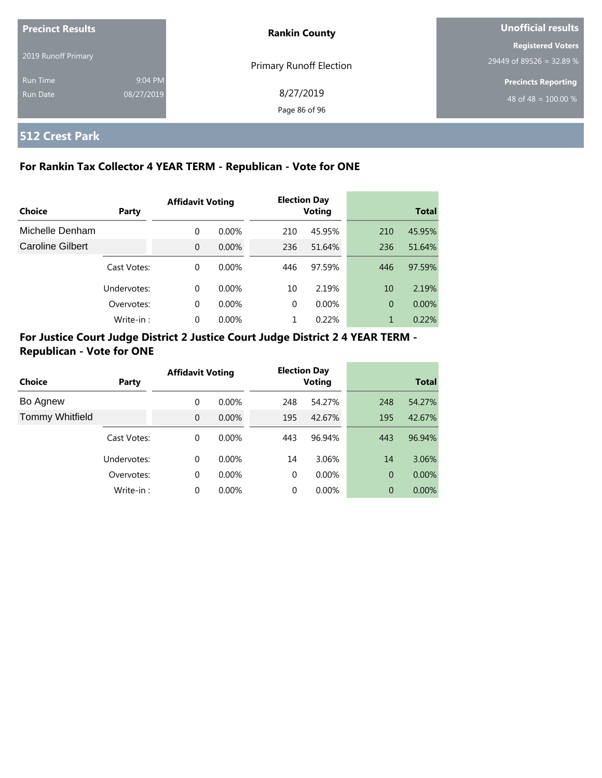| <b>Precinct Results</b>     |                       | <b>Rankin County</b>       | Unofficial results                                   |  |
|-----------------------------|-----------------------|----------------------------|------------------------------------------------------|--|
| 2019 Runoff Primary         |                       | Primary Runoff Election    | <b>Registered Voters</b><br>29449 of 89526 = 32.89 % |  |
| <b>Run Time</b><br>Run Date | 9:04 PM<br>08/27/2019 | 8/27/2019<br>Page 86 of 96 | <b>Precincts Reporting</b><br>48 of 48 = $100.00\%$  |  |

#### **512 Crest Park**

#### **For Rankin Tax Collector 4 YEAR TERM - Republican - Vote for ONE**

|                         |             | <b>Affidavit Voting</b> |          |          | <b>Election Day</b> |                |              |
|-------------------------|-------------|-------------------------|----------|----------|---------------------|----------------|--------------|
| Choice                  | Party       |                         |          |          | <b>Voting</b>       |                | <b>Total</b> |
| Michelle Denham         |             | 0                       | $0.00\%$ | 210      | 45.95%              | 210            | 45.95%       |
| <b>Caroline Gilbert</b> |             | $\Omega$                | $0.00\%$ | 236      | 51.64%              | 236            | 51.64%       |
|                         | Cast Votes: | 0                       | $0.00\%$ | 446      | 97.59%              | 446            | 97.59%       |
|                         | Undervotes: | 0                       | $0.00\%$ | 10       | 2.19%               | 10             | 2.19%        |
|                         | Overvotes:  | $\Omega$                | $0.00\%$ | $\Omega$ | $0.00\%$            | $\overline{0}$ | $0.00\%$     |
|                         | Write-in:   | $\Omega$                | $0.00\%$ |          | 0.22%               | 1              | 0.22%        |

#### **For Justice Court Judge District 2 Justice Court Judge District 2 4 YEAR TERM - Republican - Vote for ONE**

| Choice                 | Party       | <b>Affidavit Voting</b> |          | <b>Election Day</b><br><b>Voting</b> |          | <b>Total</b> |          |
|------------------------|-------------|-------------------------|----------|--------------------------------------|----------|--------------|----------|
| Bo Agnew               |             | 0                       | 0.00%    | 248                                  | 54.27%   | 248          | 54.27%   |
| <b>Tommy Whitfield</b> |             | $\Omega$                | 0.00%    | 195                                  | 42.67%   | 195          | 42.67%   |
|                        | Cast Votes: | 0                       | 0.00%    | 443                                  | 96.94%   | 443          | 96.94%   |
|                        | Undervotes: | 0                       | $0.00\%$ | 14                                   | 3.06%    | 14           | 3.06%    |
|                        | Overvotes:  | 0                       | 0.00%    | $\Omega$                             | $0.00\%$ | 0            | $0.00\%$ |
|                        | Write-in:   | 0                       | 0.00%    | 0                                    | 0.00%    | 0            | $0.00\%$ |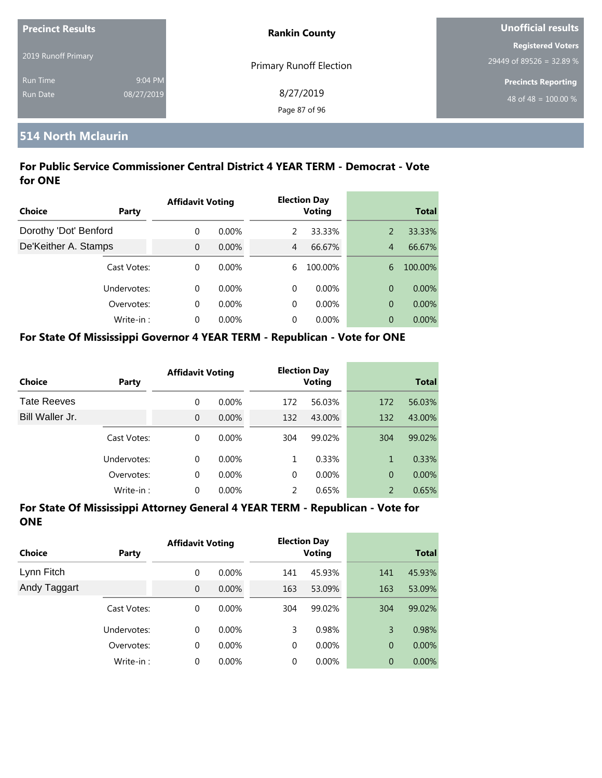| <b>Precinct Results</b> |            | <b>Rankin County</b>           | Unofficial results         |  |
|-------------------------|------------|--------------------------------|----------------------------|--|
| 2019 Runoff Primary     |            |                                | <b>Registered Voters</b>   |  |
|                         |            | <b>Primary Runoff Election</b> | 29449 of 89526 = 32.89 %   |  |
| <b>Run Time</b>         | 9:04 PM    |                                | <b>Precincts Reporting</b> |  |
| Run Date                | 08/27/2019 | 8/27/2019                      | 48 of 48 = $100.00\%$      |  |
|                         |            | Page 87 of 96                  |                            |  |

### **514 North Mclaurin**

#### **For Public Service Commissioner Central District 4 YEAR TERM - Democrat - Vote for ONE**

| Choice                | Party       | <b>Affidavit Voting</b> |          |   | <b>Election Day</b><br><b>Voting</b> |                | <b>Total</b> |
|-----------------------|-------------|-------------------------|----------|---|--------------------------------------|----------------|--------------|
| Dorothy 'Dot' Benford |             | 0                       | $0.00\%$ | 2 | 33.33%                               | 2              | 33.33%       |
| De'Keither A. Stamps  |             | $\Omega$                | $0.00\%$ | 4 | 66.67%                               | $\overline{4}$ | 66.67%       |
|                       | Cast Votes: | $\Omega$                | $0.00\%$ | 6 | 100.00%                              | 6              | 100.00%      |
|                       | Undervotes: | $\Omega$                | $0.00\%$ | 0 | $0.00\%$                             | $\overline{0}$ | $0.00\%$     |
|                       | Overvotes:  | $\Omega$                | $0.00\%$ | 0 | $0.00\%$                             | $\overline{0}$ | $0.00\%$     |
|                       | Write-in:   | $\Omega$                | $0.00\%$ | 0 | $0.00\%$                             | 0              | $0.00\%$     |

#### **For State Of Mississippi Governor 4 YEAR TERM - Republican - Vote for ONE**

| <b>Choice</b>      | Party       | <b>Affidavit Voting</b> |          |          | <b>Election Day</b><br><b>Voting</b> |                | <b>Total</b> |
|--------------------|-------------|-------------------------|----------|----------|--------------------------------------|----------------|--------------|
| <b>Tate Reeves</b> |             | 0                       | $0.00\%$ | 172      | 56.03%                               | 172            | 56.03%       |
| Bill Waller Jr.    |             | 0                       | $0.00\%$ | 132      | 43.00%                               | 132            | 43.00%       |
|                    | Cast Votes: | 0                       | $0.00\%$ | 304      | 99.02%                               | 304            | 99.02%       |
|                    | Undervotes: | 0                       | $0.00\%$ | 1        | 0.33%                                | 1              | 0.33%        |
|                    | Overvotes:  | 0                       | $0.00\%$ | $\Omega$ | $0.00\%$                             | $\overline{0}$ | $0.00\%$     |
|                    | Write-in:   | 0                       | $0.00\%$ | 2        | 0.65%                                | $\overline{2}$ | 0.65%        |

| Choice       | Party       | <b>Affidavit Voting</b> |          |     | <b>Election Day</b><br>Voting |                | <b>Total</b> |  |
|--------------|-------------|-------------------------|----------|-----|-------------------------------|----------------|--------------|--|
| Lynn Fitch   |             | $\mathbf 0$             | $0.00\%$ | 141 | 45.93%                        | 141            | 45.93%       |  |
| Andy Taggart |             | $\overline{0}$          | $0.00\%$ | 163 | 53.09%                        | 163            | 53.09%       |  |
|              | Cast Votes: | $\mathbf 0$             | $0.00\%$ | 304 | 99.02%                        | 304            | 99.02%       |  |
|              | Undervotes: | $\Omega$                | $0.00\%$ | 3   | 0.98%                         | 3              | 0.98%        |  |
|              | Overvotes:  | $\mathbf 0$             | $0.00\%$ | 0   | $0.00\%$                      | $\overline{0}$ | $0.00\%$     |  |
|              | Write-in:   | $\Omega$                | $0.00\%$ | 0   | 0.00%                         | $\overline{0}$ | 0.00%        |  |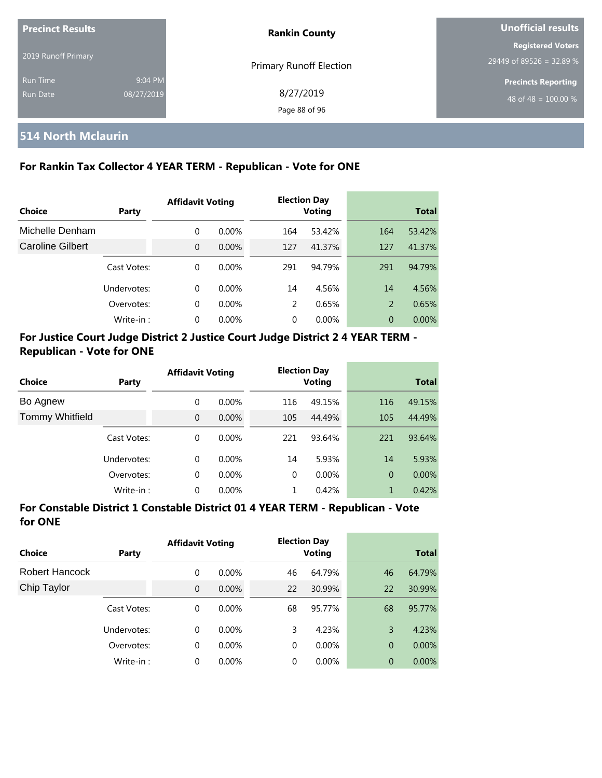| <b>Precinct Results</b> |            | <b>Rankin County</b>       | Unofficial results         |  |
|-------------------------|------------|----------------------------|----------------------------|--|
| 2019 Runoff Primary     |            |                            | <b>Registered Voters</b>   |  |
|                         |            | Primary Runoff Election    | 29449 of 89526 = 32.89 %   |  |
| Run Time                | 9:04 PM    |                            | <b>Precincts Reporting</b> |  |
| <b>Run Date</b>         | 08/27/2019 | 8/27/2019<br>Page 88 of 96 | 48 of 48 = $100.00\%$      |  |

#### **514 North Mclaurin**

#### **For Rankin Tax Collector 4 YEAR TERM - Republican - Vote for ONE**

|                         |             | <b>Affidavit Voting</b> |          |          | <b>Election Day</b><br>Voting |     |              |
|-------------------------|-------------|-------------------------|----------|----------|-------------------------------|-----|--------------|
| Choice                  | Party       |                         |          |          |                               |     | <b>Total</b> |
| Michelle Denham         |             | 0                       | $0.00\%$ | 164      | 53.42%                        | 164 | 53.42%       |
| <b>Caroline Gilbert</b> |             | $\overline{0}$          | $0.00\%$ | 127      | 41.37%                        | 127 | 41.37%       |
|                         | Cast Votes: | 0                       | $0.00\%$ | 291      | 94.79%                        | 291 | 94.79%       |
|                         | Undervotes: | 0                       | $0.00\%$ | 14       | 4.56%                         | 14  | 4.56%        |
|                         | Overvotes:  | 0                       | $0.00\%$ | 2        | 0.65%                         | 2   | 0.65%        |
|                         | Write-in:   | 0                       | $0.00\%$ | $\Omega$ | 0.00%                         | 0   | $0.00\%$     |

#### **For Justice Court Judge District 2 Justice Court Judge District 2 4 YEAR TERM - Republican - Vote for ONE**

| <b>Choice</b>          |              |                | <b>Affidavit Voting</b> |          | <b>Election Day</b><br><b>Voting</b> | <b>Total</b>   |        |
|------------------------|--------------|----------------|-------------------------|----------|--------------------------------------|----------------|--------|
|                        | <b>Party</b> |                |                         |          |                                      |                |        |
| Bo Agnew               |              | 0              | $0.00\%$                | 116      | 49.15%                               | 116            | 49.15% |
| <b>Tommy Whitfield</b> |              | $\overline{0}$ | $0.00\%$                | 105      | 44.49%                               | 105            | 44.49% |
|                        | Cast Votes:  | 0              | $0.00\%$                | 221      | 93.64%                               | 221            | 93.64% |
|                        | Undervotes:  | $\Omega$       | $0.00\%$                | 14       | 5.93%                                | 14             | 5.93%  |
|                        | Overvotes:   | 0              | $0.00\%$                | $\Omega$ | 0.00%                                | $\overline{0}$ | 0.00%  |
|                        | Write-in:    | 0              | 0.00%                   |          | 0.42%                                | 1              | 0.42%  |

#### **For Constable District 1 Constable District 01 4 YEAR TERM - Republican - Vote for ONE**

| Choice         | Party       | <b>Affidavit Voting</b> |          | <b>Election Day</b><br><b>Voting</b> |          | <b>Total</b>   |        |
|----------------|-------------|-------------------------|----------|--------------------------------------|----------|----------------|--------|
| Robert Hancock |             | 0                       | $0.00\%$ | 46                                   | 64.79%   | 46             | 64.79% |
| Chip Taylor    |             | $\overline{0}$          | 0.00%    | 22                                   | 30.99%   | 22             | 30.99% |
|                | Cast Votes: | 0                       | $0.00\%$ | 68                                   | 95.77%   | 68             | 95.77% |
|                | Undervotes: | $\Omega$                | $0.00\%$ | 3                                    | 4.23%    | 3              | 4.23%  |
|                | Overvotes:  | 0                       | 0.00%    | $\Omega$                             | $0.00\%$ | $\overline{0}$ | 0.00%  |
|                | Write-in:   | 0                       | 0.00%    | 0                                    | $0.00\%$ | $\overline{0}$ | 0.00%  |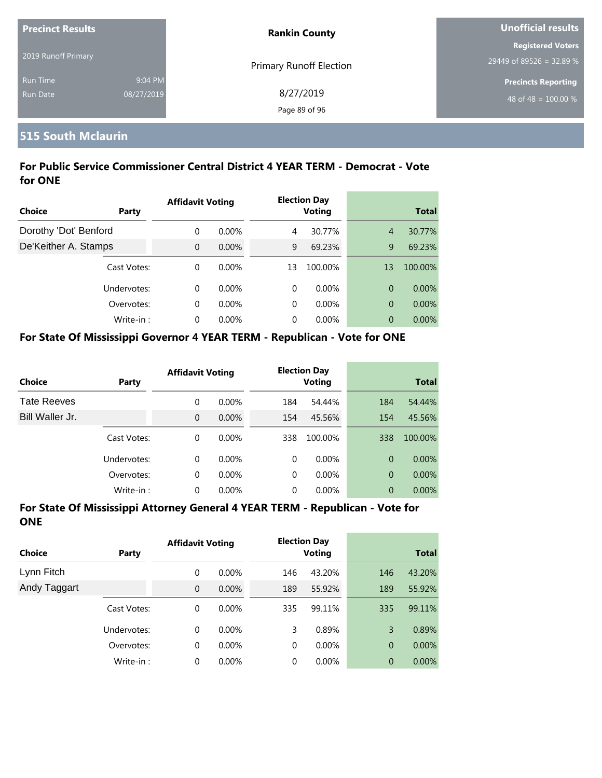| Precinct Results            |                       | <b>Rankin County</b>           | Unofficial results                                   |  |  |
|-----------------------------|-----------------------|--------------------------------|------------------------------------------------------|--|--|
| 2019 Runoff Primary         |                       | <b>Primary Runoff Election</b> | <b>Registered Voters</b><br>29449 of 89526 = 32.89 % |  |  |
| <b>Run Time</b><br>Run Date | 9:04 PM<br>08/27/2019 | 8/27/2019<br>Page 89 of 96     | <b>Precincts Reporting</b><br>48 of 48 = $100.00\%$  |  |  |

### **515 South Mclaurin**

#### **For Public Service Commissioner Central District 4 YEAR TERM - Democrat - Vote for ONE**

| Choice<br>Party       |             | <b>Affidavit Voting</b> |          |    | <b>Election Day</b><br><b>Voting</b> | <b>Total</b>   |          |
|-----------------------|-------------|-------------------------|----------|----|--------------------------------------|----------------|----------|
| Dorothy 'Dot' Benford |             | 0                       | $0.00\%$ | 4  | 30.77%                               | $\overline{4}$ | 30.77%   |
| De'Keither A. Stamps  |             | $\Omega$                | $0.00\%$ | 9  | 69.23%                               | 9              | 69.23%   |
|                       | Cast Votes: | $\Omega$                | $0.00\%$ | 13 | 100.00%                              | 13             | 100.00%  |
|                       | Undervotes: | $\Omega$                | $0.00\%$ | 0  | $0.00\%$                             | $\overline{0}$ | $0.00\%$ |
|                       | Overvotes:  | $\Omega$                | $0.00\%$ | 0  | $0.00\%$                             | $\overline{0}$ | $0.00\%$ |
|                       | Write-in:   | $\Omega$                | $0.00\%$ | 0  | $0.00\%$                             | 0              | $0.00\%$ |

#### **For State Of Mississippi Governor 4 YEAR TERM - Republican - Vote for ONE**

| <b>Choice</b>      | Party       | <b>Affidavit Voting</b> |          |          | <b>Election Day</b><br><b>Voting</b> |                | <b>Total</b> |
|--------------------|-------------|-------------------------|----------|----------|--------------------------------------|----------------|--------------|
| <b>Tate Reeves</b> |             | 0                       | $0.00\%$ | 184      | 54.44%                               | 184            | 54.44%       |
| Bill Waller Jr.    |             | 0                       | $0.00\%$ | 154      | 45.56%                               | 154            | 45.56%       |
|                    | Cast Votes: | 0                       | $0.00\%$ | 338      | 100.00%                              | 338            | 100.00%      |
|                    | Undervotes: | $\Omega$                | $0.00\%$ | $\Omega$ | $0.00\%$                             | $\Omega$       | $0.00\%$     |
|                    | Overvotes:  | 0                       | $0.00\%$ | $\Omega$ | $0.00\%$                             | $\overline{0}$ | $0.00\%$     |
|                    | Write-in:   | 0                       | $0.00\%$ | 0        | $0.00\%$                             | 0              | 0.00%        |

| Choice       | <b>Party</b> | <b>Affidavit Voting</b> |          |     | <b>Election Day</b><br><b>Voting</b> |                | <b>Total</b> |
|--------------|--------------|-------------------------|----------|-----|--------------------------------------|----------------|--------------|
| Lynn Fitch   |              | 0                       | $0.00\%$ | 146 | 43.20%                               | 146            | 43.20%       |
| Andy Taggart |              | $\mathbf{0}$            | $0.00\%$ | 189 | 55.92%                               | 189            | 55.92%       |
|              | Cast Votes:  | 0                       | $0.00\%$ | 335 | 99.11%                               | 335            | 99.11%       |
|              | Undervotes:  | $\Omega$                | $0.00\%$ | 3   | 0.89%                                | 3              | 0.89%        |
|              | Overvotes:   | 0                       | $0.00\%$ | 0   | $0.00\%$                             | $\overline{0}$ | 0.00%        |
|              | Write-in:    | 0                       | $0.00\%$ | 0   | $0.00\%$                             | $\overline{0}$ | 0.00%        |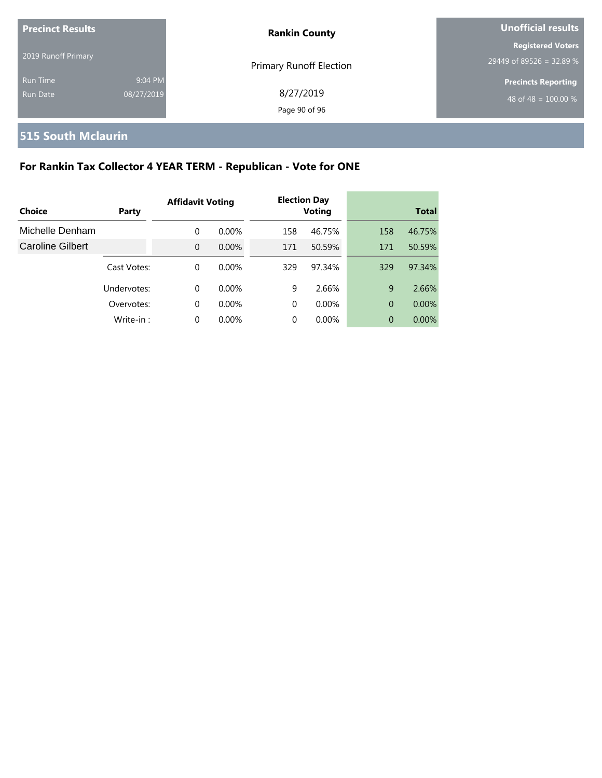| <b>Precinct Results</b> |            | <b>Rankin County</b>    | Unofficial results         |  |
|-------------------------|------------|-------------------------|----------------------------|--|
| 2019 Runoff Primary     |            |                         | <b>Registered Voters</b>   |  |
|                         |            | Primary Runoff Election | 29449 of 89526 = 32.89 %   |  |
| <b>Run Time</b>         | 9:04 PM    |                         | <b>Precincts Reporting</b> |  |
| Run Date                | 08/27/2019 | 8/27/2019               | 48 of 48 = $100.00\%$      |  |
|                         |            | Page 90 of 96           |                            |  |

# **515 South Mclaurin**

# **For Rankin Tax Collector 4 YEAR TERM - Republican - Vote for ONE**

| Choice                  | Party       | <b>Affidavit Voting</b> |          |          | <b>Election Day</b><br><b>Voting</b> |                | <b>Total</b> |
|-------------------------|-------------|-------------------------|----------|----------|--------------------------------------|----------------|--------------|
|                         |             |                         |          |          |                                      |                |              |
| Michelle Denham         |             | 0                       | $0.00\%$ | 158      | 46.75%                               | 158            | 46.75%       |
| <b>Caroline Gilbert</b> |             | $\Omega$                | $0.00\%$ | 171      | 50.59%                               | 171            | 50.59%       |
|                         | Cast Votes: | $\Omega$                | $0.00\%$ | 329      | 97.34%                               | 329            | 97.34%       |
|                         | Undervotes: | $\Omega$                | $0.00\%$ | 9        | 2.66%                                | 9              | 2.66%        |
|                         | Overvotes:  | $\Omega$                | $0.00\%$ | $\Omega$ | $0.00\%$                             | $\Omega$       | $0.00\%$     |
|                         | Write-in:   | $\Omega$                | $0.00\%$ | 0        | 0.00%                                | $\overline{0}$ | $0.00\%$     |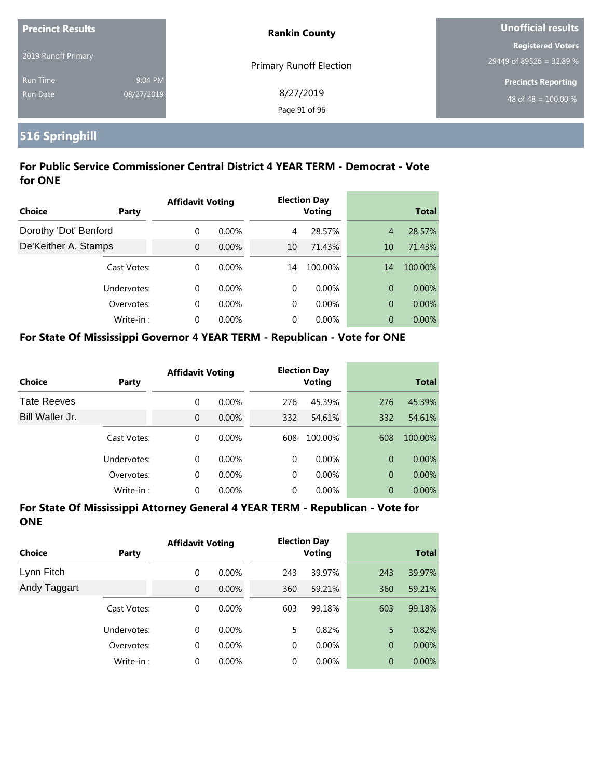| <b>Precinct Results</b> |            | <b>Rankin County</b>           | Unofficial results                                  |  |
|-------------------------|------------|--------------------------------|-----------------------------------------------------|--|
| 2019 Runoff Primary     |            |                                | <b>Registered Voters</b>                            |  |
| <b>Run Time</b>         | 9:04 PM    | <b>Primary Runoff Election</b> | 29449 of 89526 = 32.89 %                            |  |
| Run Date                | 08/27/2019 | 8/27/2019                      | <b>Precincts Reporting</b><br>48 of 48 = $100.00\%$ |  |
|                         |            | Page 91 of 96                  |                                                     |  |

# **516 Springhill**

#### **For Public Service Commissioner Central District 4 YEAR TERM - Democrat - Vote for ONE**

|                       |             | <b>Affidavit Voting</b> |          |    | <b>Election Day</b> |                |              |
|-----------------------|-------------|-------------------------|----------|----|---------------------|----------------|--------------|
| Choice                | Party       |                         |          |    | <b>Voting</b>       |                | <b>Total</b> |
| Dorothy 'Dot' Benford |             | $\Omega$                | $0.00\%$ | 4  | 28.57%              | $\overline{4}$ | 28.57%       |
| De'Keither A. Stamps  |             | $\Omega$                | $0.00\%$ | 10 | 71.43%              | 10             | 71.43%       |
|                       | Cast Votes: | $\Omega$                | $0.00\%$ | 14 | 100.00%             | 14             | 100.00%      |
|                       | Undervotes: | $\Omega$                | $0.00\%$ | 0  | $0.00\%$            | 0              | $0.00\%$     |
|                       | Overvotes:  | $\Omega$                | $0.00\%$ | 0  | $0.00\%$            | 0              | 0.00%        |
|                       | Write-in:   | $\Omega$                | $0.00\%$ | 0  | $0.00\%$            | 0              | $0.00\%$     |

#### **For State Of Mississippi Governor 4 YEAR TERM - Republican - Vote for ONE**

| Choice             | Party       | <b>Affidavit Voting</b> |          |          | <b>Election Day</b><br><b>Voting</b> |                | <b>Total</b> |
|--------------------|-------------|-------------------------|----------|----------|--------------------------------------|----------------|--------------|
| <b>Tate Reeves</b> |             | 0                       | $0.00\%$ | 276      | 45.39%                               | 276            | 45.39%       |
| Bill Waller Jr.    |             | $\overline{0}$          | $0.00\%$ | 332      | 54.61%                               | 332            | 54.61%       |
|                    | Cast Votes: | 0                       | $0.00\%$ | 608      | 100.00%                              | 608            | 100.00%      |
|                    | Undervotes: | 0                       | $0.00\%$ | $\Omega$ | $0.00\%$                             | $\Omega$       | $0.00\%$     |
|                    | Overvotes:  | 0                       | 0.00%    | $\Omega$ | $0.00\%$                             | $\overline{0}$ | $0.00\%$     |
|                    | Write-in:   | 0                       | 0.00%    | 0        | 0.00%                                | $\overline{0}$ | 0.00%        |

| Choice       | <b>Party</b> | <b>Affidavit Voting</b> |          |     | <b>Election Day</b><br><b>Voting</b> |                | <b>Total</b> |
|--------------|--------------|-------------------------|----------|-----|--------------------------------------|----------------|--------------|
| Lynn Fitch   |              | 0                       | $0.00\%$ | 243 | 39.97%                               | 243            | 39.97%       |
| Andy Taggart |              | $\mathbf{0}$            | $0.00\%$ | 360 | 59.21%                               | 360            | 59.21%       |
|              | Cast Votes:  | 0                       | $0.00\%$ | 603 | 99.18%                               | 603            | 99.18%       |
|              | Undervotes:  | $\Omega$                | $0.00\%$ | 5   | 0.82%                                | 5              | 0.82%        |
|              | Overvotes:   | 0                       | $0.00\%$ | 0   | $0.00\%$                             | $\overline{0}$ | 0.00%        |
|              | Write-in:    | 0                       | $0.00\%$ | 0   | $0.00\%$                             | $\overline{0}$ | 0.00%        |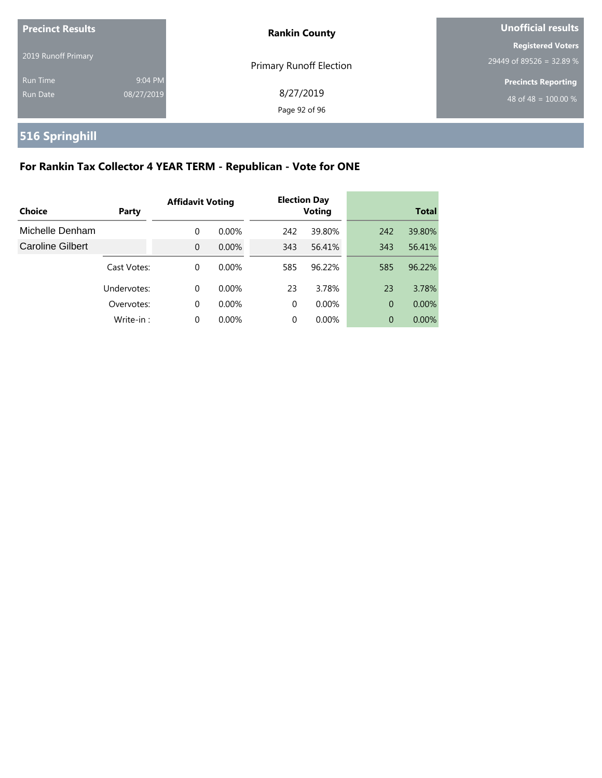| <b>Precinct Results</b>     |                       | <b>Rankin County</b>           | <b>Unofficial results</b>                            |  |
|-----------------------------|-----------------------|--------------------------------|------------------------------------------------------|--|
| 2019 Runoff Primary         |                       | <b>Primary Runoff Election</b> | <b>Registered Voters</b><br>29449 of 89526 = 32.89 % |  |
| <b>Run Time</b><br>Run Date | 9:04 PM<br>08/27/2019 | 8/27/2019<br>Page 92 of 96     | <b>Precincts Reporting</b><br>48 of 48 = $100.00\%$  |  |

# **516 Springhill**

# **For Rankin Tax Collector 4 YEAR TERM - Republican - Vote for ONE**

| Choice                  | Party       | <b>Affidavit Voting</b> |          |     | <b>Election Day</b><br><b>Voting</b> |                | Total    |
|-------------------------|-------------|-------------------------|----------|-----|--------------------------------------|----------------|----------|
| Michelle Denham         |             | 0                       | $0.00\%$ | 242 | 39.80%                               | 242            | 39.80%   |
| <b>Caroline Gilbert</b> |             | $\Omega$                | $0.00\%$ | 343 | 56.41%                               | 343            | 56.41%   |
|                         | Cast Votes: | 0                       | $0.00\%$ | 585 | 96.22%                               | 585            | 96.22%   |
|                         | Undervotes: | 0                       | $0.00\%$ | 23  | 3.78%                                | 23             | 3.78%    |
|                         | Overvotes:  | 0                       | $0.00\%$ | 0   | $0.00\%$                             | $\overline{0}$ | $0.00\%$ |
|                         | Write-in:   | 0                       | $0.00\%$ | 0   | 0.00%                                | $\overline{0}$ | $0.00\%$ |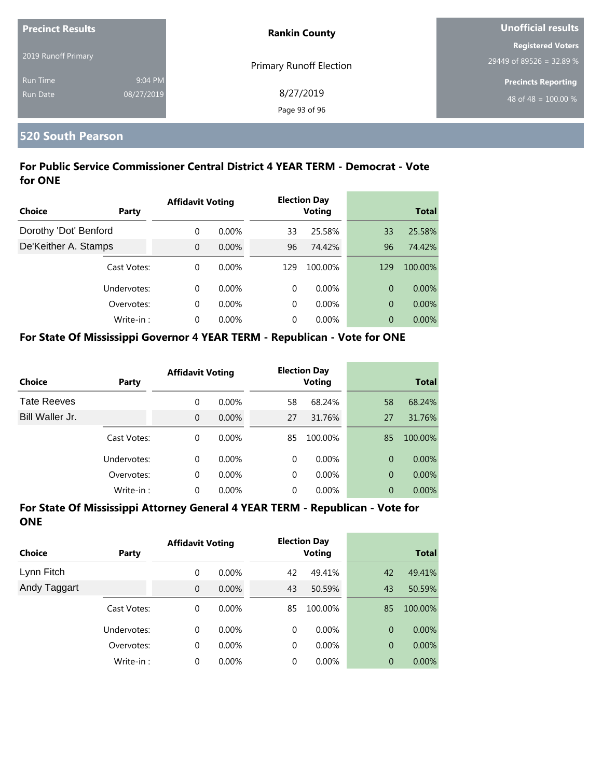| <b>Precinct Results</b> |            | <b>Rankin County</b>           | Unofficial results         |  |
|-------------------------|------------|--------------------------------|----------------------------|--|
|                         |            |                                | <b>Registered Voters</b>   |  |
| 2019 Runoff Primary     |            | <b>Primary Runoff Election</b> | 29449 of 89526 = 32.89 %   |  |
| <b>Run Time</b>         | 9:04 PM    |                                | <b>Precincts Reporting</b> |  |
| Run Date                | 08/27/2019 | 8/27/2019                      | 48 of 48 = $100.00\%$      |  |
|                         |            | Page 93 of 96                  |                            |  |

#### **520 South Pearson**

#### **For Public Service Commissioner Central District 4 YEAR TERM - Democrat - Vote for ONE**

|                       |             | <b>Affidavit Voting</b> |          |     | <b>Election Day</b> |     |              |
|-----------------------|-------------|-------------------------|----------|-----|---------------------|-----|--------------|
| Choice                | Party       |                         |          |     | <b>Voting</b>       |     | <b>Total</b> |
| Dorothy 'Dot' Benford |             | $\Omega$                | $0.00\%$ | 33  | 25.58%              | 33  | 25.58%       |
| De'Keither A. Stamps  |             | $\Omega$                | 0.00%    | 96  | 74.42%              | 96  | 74.42%       |
|                       | Cast Votes: | $\Omega$                | $0.00\%$ | 129 | 100.00%             | 129 | 100.00%      |
|                       | Undervotes: | $\Omega$                | $0.00\%$ | 0   | $0.00\%$            | 0   | $0.00\%$     |
|                       | Overvotes:  | $\Omega$                | $0.00\%$ | 0   | $0.00\%$            | 0   | 0.00%        |
|                       | Write-in:   | $\Omega$                | $0.00\%$ | 0   | $0.00\%$            | 0   | $0.00\%$     |

#### **For State Of Mississippi Governor 4 YEAR TERM - Republican - Vote for ONE**

| <b>Choice</b>      | Party       | <b>Affidavit Voting</b> |          |          | <b>Election Day</b><br><b>Voting</b> |                | <b>Total</b> |
|--------------------|-------------|-------------------------|----------|----------|--------------------------------------|----------------|--------------|
| <b>Tate Reeves</b> |             | 0                       | $0.00\%$ | 58       | 68.24%                               | 58             | 68.24%       |
| Bill Waller Jr.    |             | 0                       | $0.00\%$ | 27       | 31.76%                               | 27             | 31.76%       |
|                    | Cast Votes: | 0                       | $0.00\%$ | 85       | 100.00%                              | 85             | 100.00%      |
|                    | Undervotes: | 0                       | $0.00\%$ | $\Omega$ | $0.00\%$                             | $\Omega$       | $0.00\%$     |
|                    | Overvotes:  | 0                       | $0.00\%$ | $\Omega$ | $0.00\%$                             | $\overline{0}$ | $0.00\%$     |
|                    | Write-in:   | 0                       | $0.00\%$ | 0        | $0.00\%$                             | 0              | 0.00%        |

| Choice       | Party       | <b>Affidavit Voting</b> |          | <b>Election Day</b><br>Voting |          | <b>Total</b>   |          |
|--------------|-------------|-------------------------|----------|-------------------------------|----------|----------------|----------|
| Lynn Fitch   |             | 0                       | $0.00\%$ | 42                            | 49.41%   | 42             | 49.41%   |
| Andy Taggart |             | 0                       | 0.00%    | 43                            | 50.59%   | 43             | 50.59%   |
|              | Cast Votes: | 0                       | $0.00\%$ | 85                            | 100.00%  | 85             | 100.00%  |
|              | Undervotes: | $\Omega$                | $0.00\%$ | $\Omega$                      | $0.00\%$ | $\overline{0}$ | $0.00\%$ |
|              | Overvotes:  | 0                       | $0.00\%$ | 0                             | $0.00\%$ | $\overline{0}$ | $0.00\%$ |
|              | Write-in:   | 0                       | 0.00%    | 0                             | $0.00\%$ | $\overline{0}$ | 0.00%    |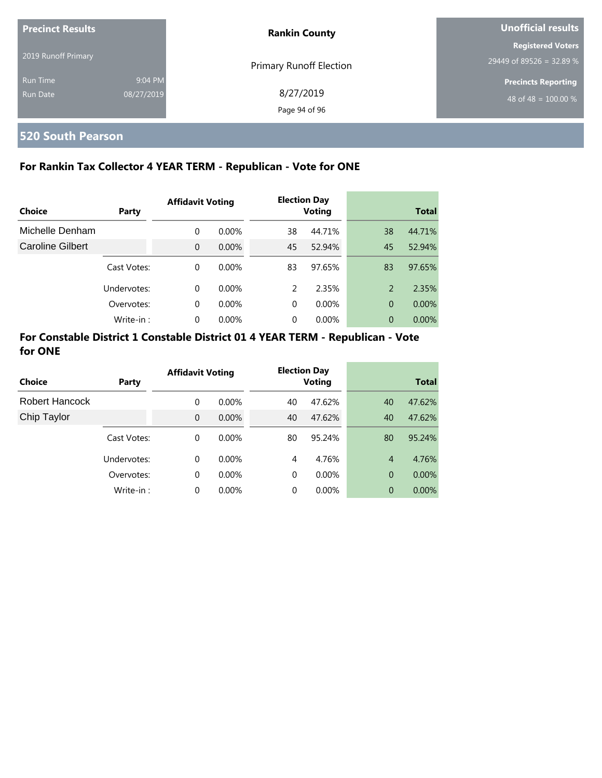| <b>Precinct Results</b> |            | <b>Rankin County</b>           | Unofficial results         |  |
|-------------------------|------------|--------------------------------|----------------------------|--|
| 2019 Runoff Primary     |            |                                | <b>Registered Voters</b>   |  |
|                         |            | <b>Primary Runoff Election</b> | 29449 of 89526 = 32.89 %   |  |
| <b>Run Time</b>         | 9:04 PM    |                                | <b>Precincts Reporting</b> |  |
| Run Date                | 08/27/2019 | 8/27/2019<br>Page 94 of 96     | 48 of 48 = $100.00\%$      |  |

# **520 South Pearson**

#### **For Rankin Tax Collector 4 YEAR TERM - Republican - Vote for ONE**

|                  |             | <b>Affidavit Voting</b> |          |    | <b>Election Day</b> |    |              |
|------------------|-------------|-------------------------|----------|----|---------------------|----|--------------|
| Choice           | Party       |                         |          |    | <b>Voting</b>       |    | <b>Total</b> |
| Michelle Denham  |             | $\Omega$                | $0.00\%$ | 38 | 44.71%              | 38 | 44.71%       |
| Caroline Gilbert |             | $\Omega$                | $0.00\%$ | 45 | 52.94%              | 45 | 52.94%       |
|                  | Cast Votes: | $\Omega$                | $0.00\%$ | 83 | 97.65%              | 83 | 97.65%       |
|                  | Undervotes: | $\Omega$                | $0.00\%$ | 2  | 2.35%               | 2  | 2.35%        |
|                  | Overvotes:  | $\Omega$                | $0.00\%$ | 0  | $0.00\%$            | 0  | $0.00\%$     |
|                  | Write-in:   | $\Omega$                | 0.00%    | 0  | 0.00%               | 0  | $0.00\%$     |

#### **For Constable District 1 Constable District 01 4 YEAR TERM - Republican - Vote for ONE**

| Choice         | Party       | <b>Affidavit Voting</b> |          |          | <b>Election Day</b><br><b>Voting</b> |                | <b>Total</b> |
|----------------|-------------|-------------------------|----------|----------|--------------------------------------|----------------|--------------|
| Robert Hancock |             | 0                       | $0.00\%$ | 40       | 47.62%                               | 40             | 47.62%       |
| Chip Taylor    |             | $\Omega$                | $0.00\%$ | 40       | 47.62%                               | 40             | 47.62%       |
|                | Cast Votes: | 0                       | $0.00\%$ | 80       | 95.24%                               | 80             | 95.24%       |
|                | Undervotes: | $\Omega$                | $0.00\%$ | 4        | 4.76%                                | $\overline{4}$ | 4.76%        |
|                | Overvotes:  | 0                       | $0.00\%$ | $\Omega$ | $0.00\%$                             | 0              | 0.00%        |
|                | Write-in:   | $\Omega$                | 0.00%    | 0        | 0.00%                                | 0              | $0.00\%$     |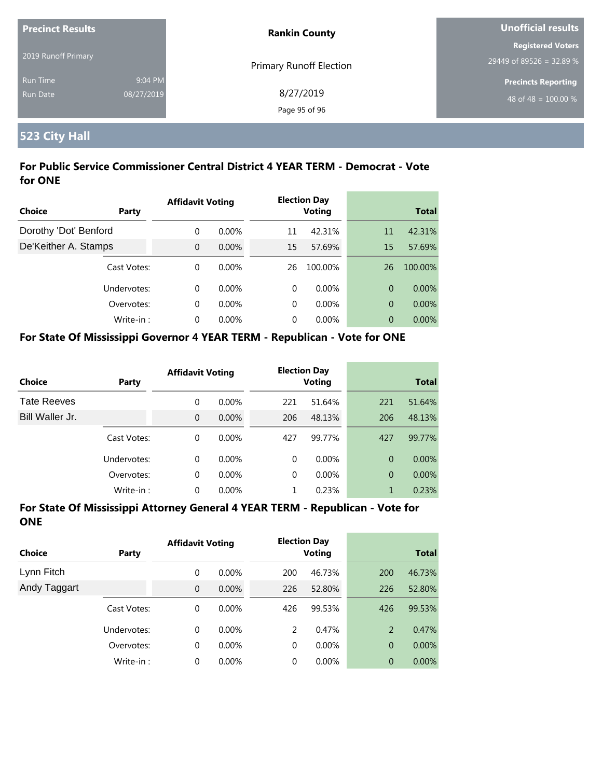| <b>Precinct Results</b> |            | <b>Rankin County</b>           | <b>Unofficial results</b>  |  |
|-------------------------|------------|--------------------------------|----------------------------|--|
| 2019 Runoff Primary     |            |                                | <b>Registered Voters</b>   |  |
|                         |            | <b>Primary Runoff Election</b> | 29449 of 89526 = 32.89 %   |  |
| <b>Run Time</b>         | 9:04 PM    |                                | <b>Precincts Reporting</b> |  |
| Run Date                | 08/27/2019 | 8/27/2019                      | 48 of 48 = $100.00\%$      |  |
|                         |            | Page 95 of 96                  |                            |  |

# **523 City Hall**

#### **For Public Service Commissioner Central District 4 YEAR TERM - Democrat - Vote for ONE**

|                       |             | <b>Affidavit Voting</b> |          |          | <b>Election Day</b> |                |              |
|-----------------------|-------------|-------------------------|----------|----------|---------------------|----------------|--------------|
| Choice                | Party       |                         |          |          | <b>Voting</b>       |                | <b>Total</b> |
| Dorothy 'Dot' Benford |             | $\Omega$                | $0.00\%$ | 11       | 42.31%              | 11             | 42.31%       |
| De'Keither A. Stamps  |             | $\Omega$                | $0.00\%$ | 15       | 57.69%              | 15             | 57.69%       |
|                       | Cast Votes: | $\Omega$                | $0.00\%$ | 26       | 100.00%             | 26             | 100.00%      |
|                       | Undervotes: | $\Omega$                | $0.00\%$ | $\Omega$ | $0.00\%$            | $\overline{0}$ | $0.00\%$     |
|                       | Overvotes:  | $\Omega$                | $0.00\%$ | $\Omega$ | $0.00\%$            | $\overline{0}$ | 0.00%        |
|                       | Write-in:   | $\Omega$                | 0.00%    | $\Omega$ | $0.00\%$            | $\overline{0}$ | $0.00\%$     |

#### **For State Of Mississippi Governor 4 YEAR TERM - Republican - Vote for ONE**

| <b>Choice</b>      | Party       | <b>Affidavit Voting</b> |          |          | <b>Election Day</b><br><b>Voting</b> |                | <b>Total</b> |  |
|--------------------|-------------|-------------------------|----------|----------|--------------------------------------|----------------|--------------|--|
| <b>Tate Reeves</b> |             | 0                       | $0.00\%$ | 221      | 51.64%                               | 221            | 51.64%       |  |
| Bill Waller Jr.    |             | 0                       | $0.00\%$ | 206      | 48.13%                               | 206            | 48.13%       |  |
|                    | Cast Votes: | 0                       | $0.00\%$ | 427      | 99.77%                               | 427            | 99.77%       |  |
|                    | Undervotes: | 0                       | $0.00\%$ | $\Omega$ | $0.00\%$                             | $\Omega$       | $0.00\%$     |  |
|                    | Overvotes:  | 0                       | $0.00\%$ | $\Omega$ | $0.00\%$                             | $\overline{0}$ | $0.00\%$     |  |
|                    | Write-in:   | 0                       | $0.00\%$ |          | 0.23%                                | 1              | 0.23%        |  |

| Choice       | Party       | <b>Affidavit Voting</b> |          | <b>Election Day</b><br>Voting |          | <b>Total</b>   |          |
|--------------|-------------|-------------------------|----------|-------------------------------|----------|----------------|----------|
| Lynn Fitch   |             | 0                       | $0.00\%$ | 200                           | 46.73%   | 200            | 46.73%   |
| Andy Taggart |             | $\overline{0}$          | $0.00\%$ | 226                           | 52.80%   | 226            | 52.80%   |
|              | Cast Votes: | 0                       | $0.00\%$ | 426                           | 99.53%   | 426            | 99.53%   |
|              | Undervotes: | $\Omega$                | $0.00\%$ | 2                             | 0.47%    | $\overline{2}$ | 0.47%    |
|              | Overvotes:  | 0                       | $0.00\%$ | 0                             | $0.00\%$ | $\overline{0}$ | $0.00\%$ |
|              | Write-in:   | 0                       | $0.00\%$ | 0                             | $0.00\%$ | $\overline{0}$ | $0.00\%$ |